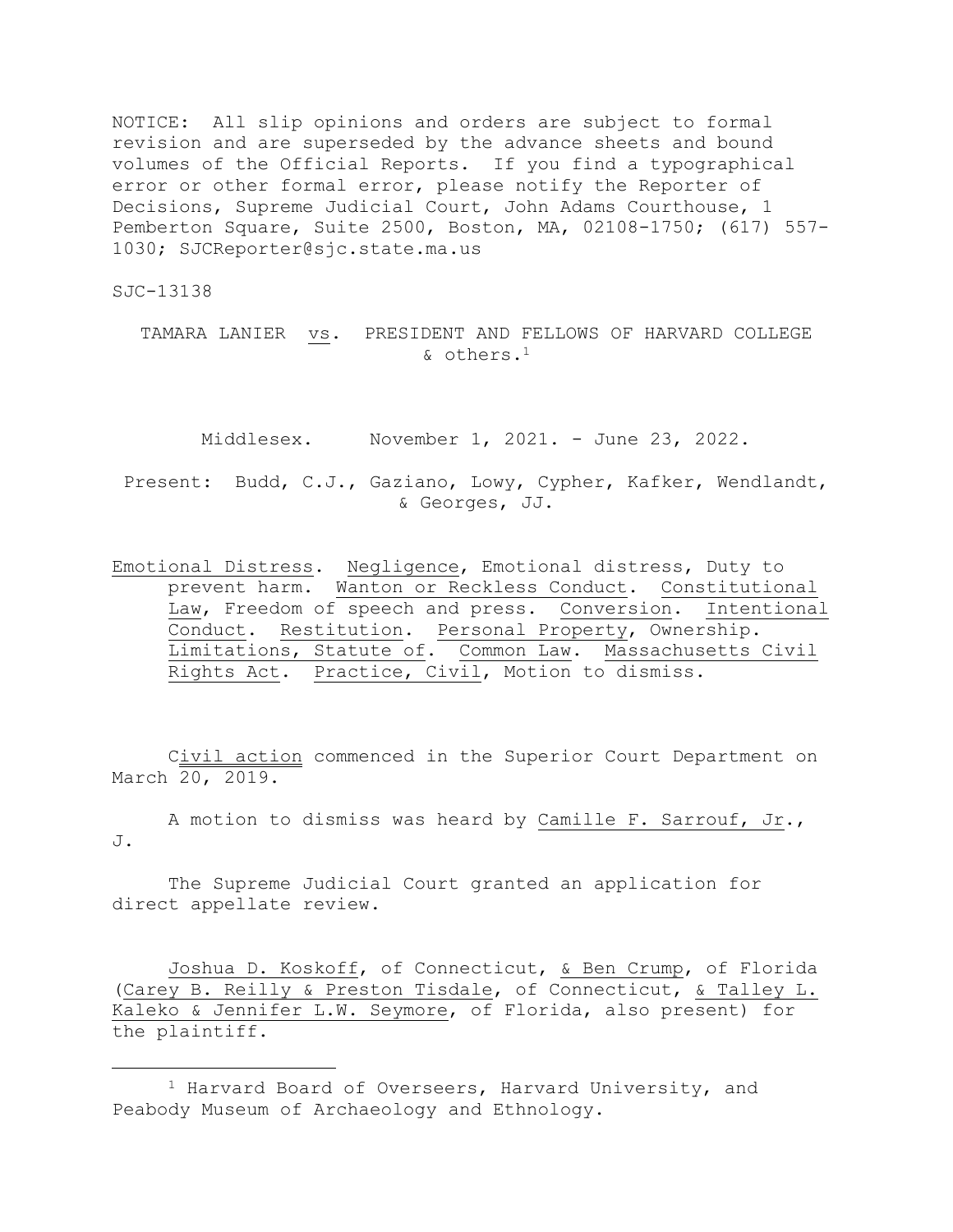NOTICE: All slip opinions and orders are subject to formal revision and are superseded by the advance sheets and bound volumes of the Official Reports. If you find a typographical error or other formal error, please notify the Reporter of Decisions, Supreme Judicial Court, John Adams Courthouse, 1 Pemberton Square, Suite 2500, Boston, MA, 02108-1750; (617) 557- 1030; SJCReporter@sjc.state.ma.us

SJC-13138

TAMARA LANIER vs. PRESIDENT AND FELLOWS OF HARVARD COLLEGE & others.<sup>1</sup>

Middlesex. November 1, 2021. - June 23, 2022.

Present: Budd, C.J., Gaziano, Lowy, Cypher, Kafker, Wendlandt, & Georges, JJ.

Emotional Distress. Negligence, Emotional distress, Duty to prevent harm. Wanton or Reckless Conduct. Constitutional Law, Freedom of speech and press. Conversion. Intentional Conduct. Restitution. Personal Property, Ownership. Limitations, Statute of. Common Law. Massachusetts Civil Rights Act. Practice, Civil, Motion to dismiss.

Civil action commenced in the Superior Court Department on March 20, 2019.

A motion to dismiss was heard by Camille F. Sarrouf, Jr., J.

The Supreme Judicial Court granted an application for direct appellate review.

Joshua D. Koskoff, of Connecticut, & Ben Crump, of Florida (Carey B. Reilly & Preston Tisdale, of Connecticut, & Talley L. Kaleko & Jennifer L.W. Seymore, of Florida, also present) for the plaintiff.

<sup>1</sup> Harvard Board of Overseers, Harvard University, and Peabody Museum of Archaeology and Ethnology.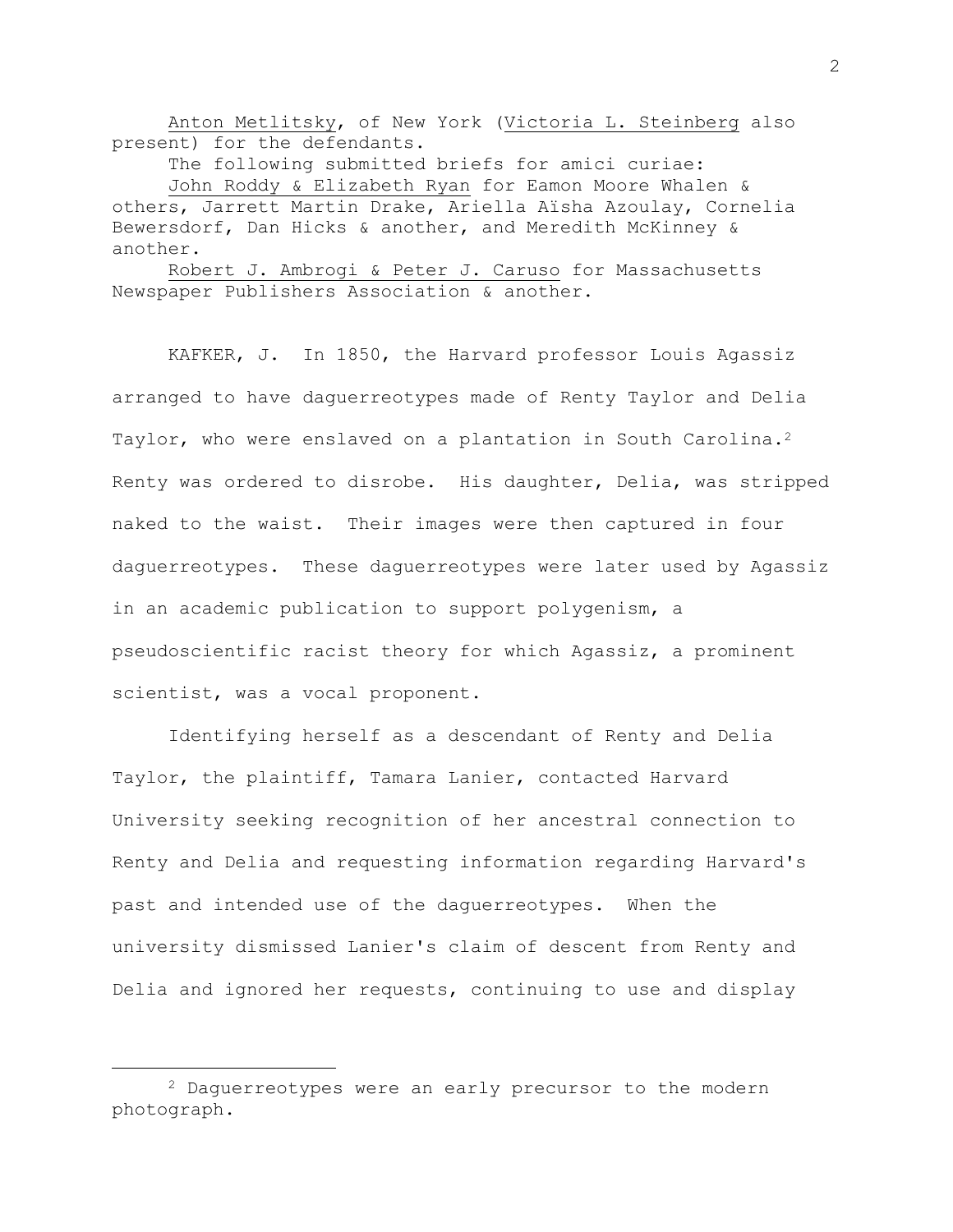Anton Metlitsky, of New York (Victoria L. Steinberg also present) for the defendants.

The following submitted briefs for amici curiae:

John Roddy & Elizabeth Ryan for Eamon Moore Whalen & others, Jarrett Martin Drake, Ariella Aïsha Azoulay, Cornelia Bewersdorf, Dan Hicks & another, and Meredith McKinney & another.

Robert J. Ambrogi & Peter J. Caruso for Massachusetts Newspaper Publishers Association & another.

KAFKER, J. In 1850, the Harvard professor Louis Agassiz arranged to have daguerreotypes made of Renty Taylor and Delia Taylor, who were enslaved on a plantation in South Carolina.<sup>2</sup> Renty was ordered to disrobe. His daughter, Delia, was stripped naked to the waist. Their images were then captured in four daguerreotypes. These daguerreotypes were later used by Agassiz in an academic publication to support polygenism, a pseudoscientific racist theory for which Agassiz, a prominent scientist, was a vocal proponent.

Identifying herself as a descendant of Renty and Delia Taylor, the plaintiff, Tamara Lanier, contacted Harvard University seeking recognition of her ancestral connection to Renty and Delia and requesting information regarding Harvard's past and intended use of the daguerreotypes. When the university dismissed Lanier's claim of descent from Renty and Delia and ignored her requests, continuing to use and display

<sup>2</sup> Daguerreotypes were an early precursor to the modern photograph.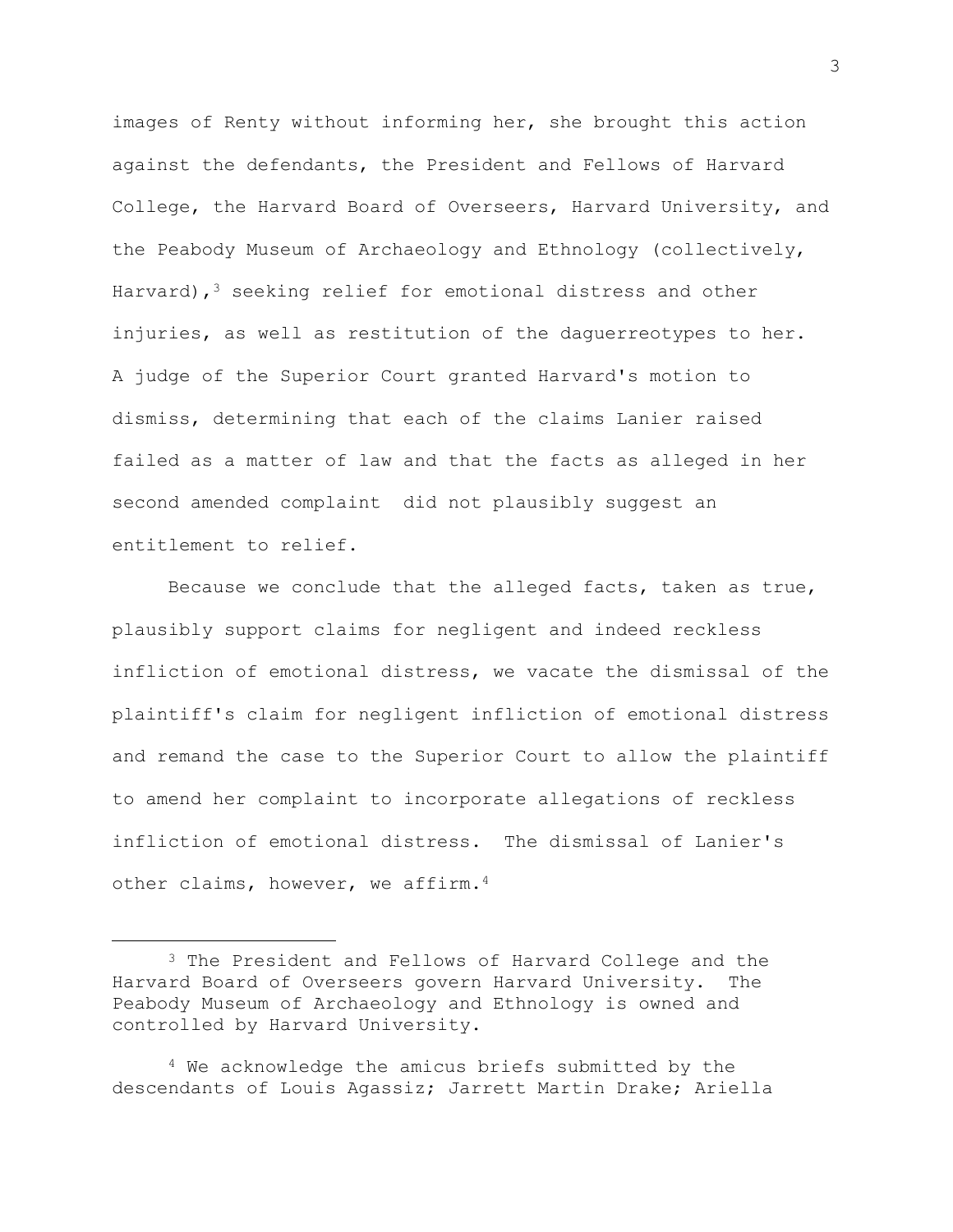images of Renty without informing her, she brought this action against the defendants, the President and Fellows of Harvard College, the Harvard Board of Overseers, Harvard University, and the Peabody Museum of Archaeology and Ethnology (collectively, Harvard),  $3$  seeking relief for emotional distress and other injuries, as well as restitution of the daguerreotypes to her. A judge of the Superior Court granted Harvard's motion to dismiss, determining that each of the claims Lanier raised failed as a matter of law and that the facts as alleged in her second amended complaint did not plausibly suggest an entitlement to relief.

Because we conclude that the alleged facts, taken as true, plausibly support claims for negligent and indeed reckless infliction of emotional distress, we vacate the dismissal of the plaintiff's claim for negligent infliction of emotional distress and remand the case to the Superior Court to allow the plaintiff to amend her complaint to incorporate allegations of reckless infliction of emotional distress. The dismissal of Lanier's other claims, however, we affirm.<sup>4</sup>

<sup>3</sup> The President and Fellows of Harvard College and the Harvard Board of Overseers govern Harvard University. The Peabody Museum of Archaeology and Ethnology is owned and controlled by Harvard University.

<sup>4</sup> We acknowledge the amicus briefs submitted by the descendants of Louis Agassiz; Jarrett Martin Drake; Ariella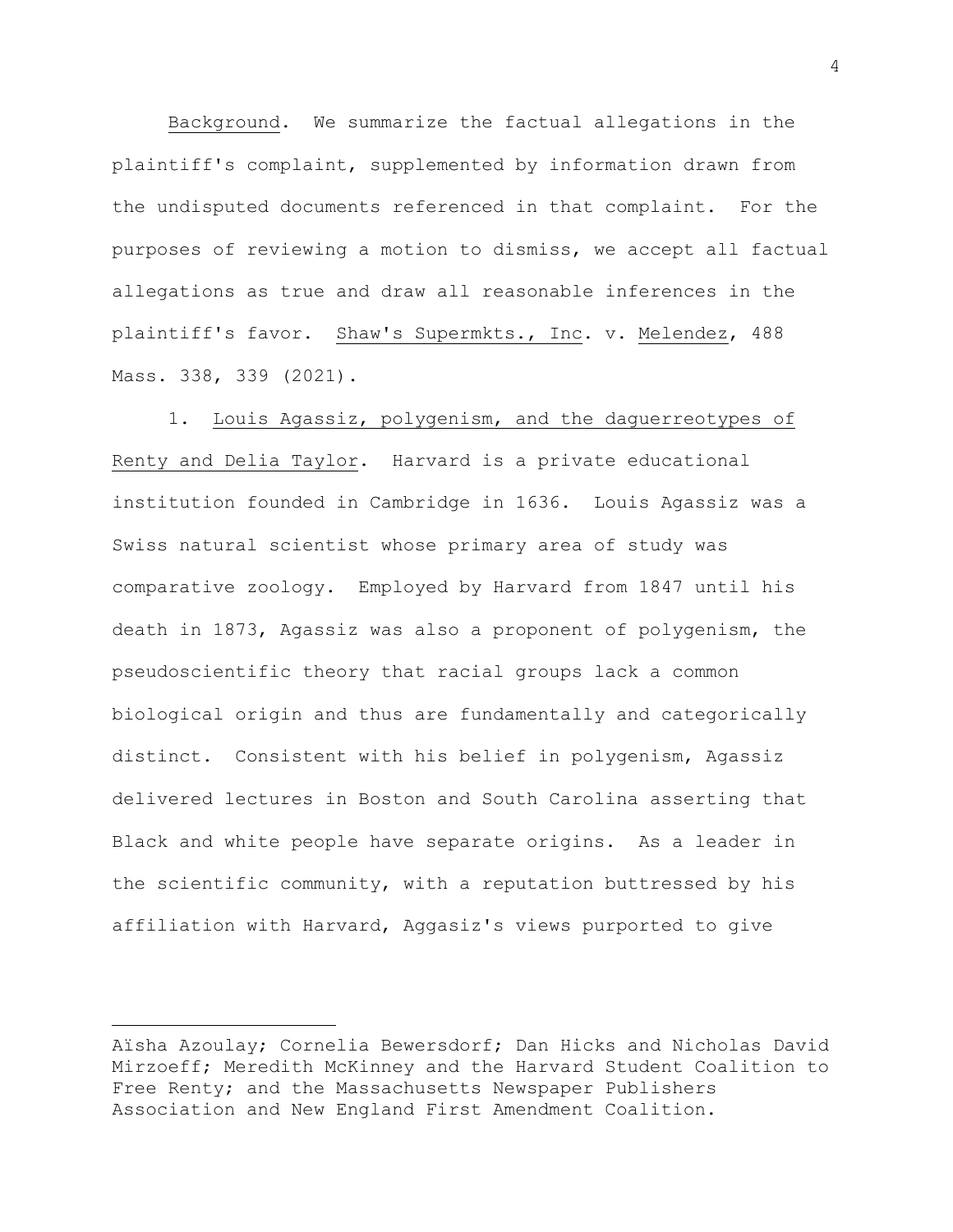Background. We summarize the factual allegations in the plaintiff's complaint, supplemented by information drawn from the undisputed documents referenced in that complaint. For the purposes of reviewing a motion to dismiss, we accept all factual allegations as true and draw all reasonable inferences in the plaintiff's favor. Shaw's Supermkts., Inc. v. Melendez, 488 Mass. 338, 339 (2021).

1. Louis Agassiz, polygenism, and the daguerreotypes of Renty and Delia Taylor. Harvard is a private educational institution founded in Cambridge in 1636. Louis Agassiz was a Swiss natural scientist whose primary area of study was comparative zoology. Employed by Harvard from 1847 until his death in 1873, Agassiz was also a proponent of polygenism, the pseudoscientific theory that racial groups lack a common biological origin and thus are fundamentally and categorically distinct. Consistent with his belief in polygenism, Agassiz delivered lectures in Boston and South Carolina asserting that Black and white people have separate origins. As a leader in the scientific community, with a reputation buttressed by his affiliation with Harvard, Aggasiz's views purported to give

Aïsha Azoulay; Cornelia Bewersdorf; Dan Hicks and Nicholas David Mirzoeff; Meredith McKinney and the Harvard Student Coalition to Free Renty; and the Massachusetts Newspaper Publishers Association and New England First Amendment Coalition.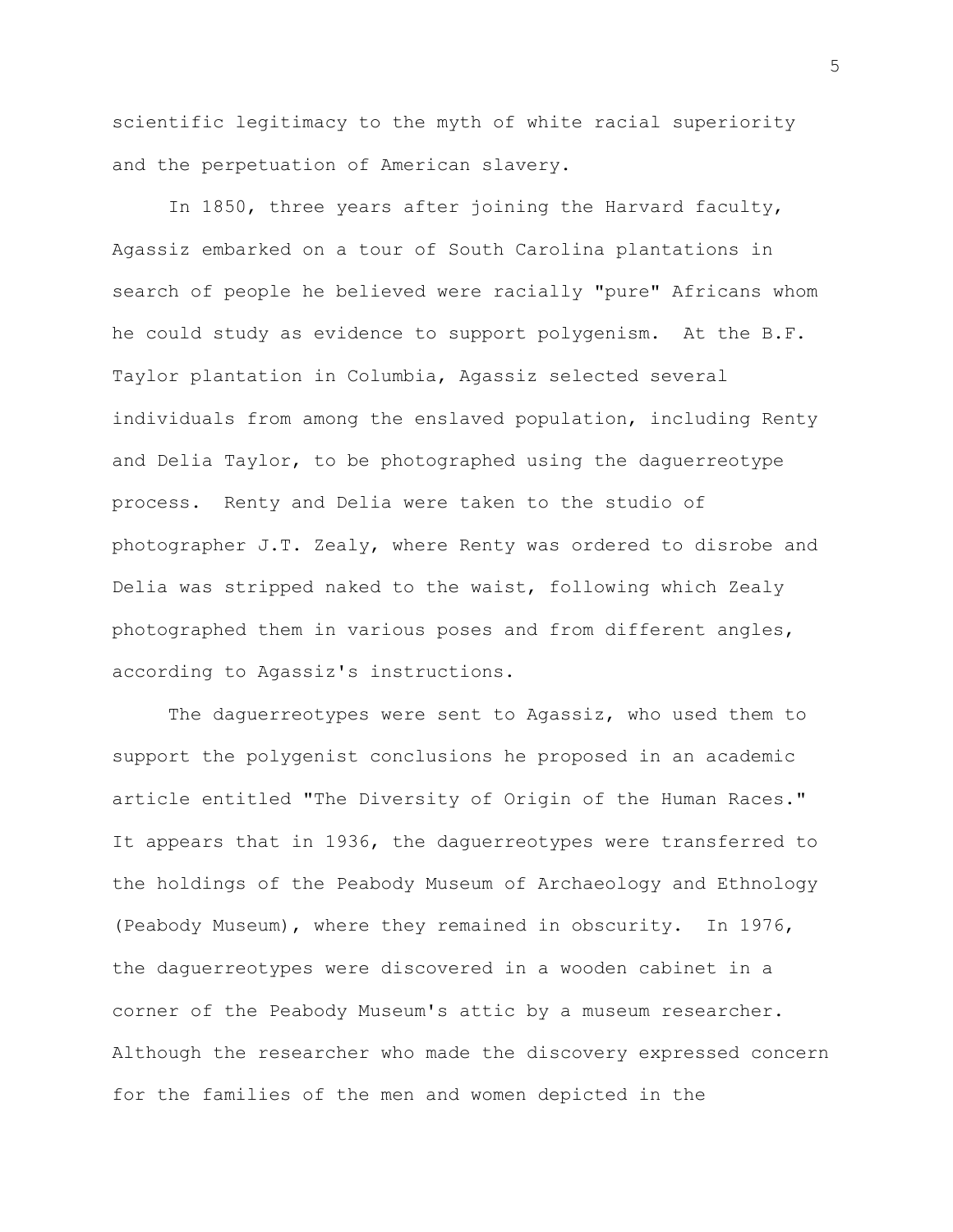scientific legitimacy to the myth of white racial superiority and the perpetuation of American slavery.

In 1850, three years after joining the Harvard faculty, Agassiz embarked on a tour of South Carolina plantations in search of people he believed were racially "pure" Africans whom he could study as evidence to support polygenism. At the B.F. Taylor plantation in Columbia, Agassiz selected several individuals from among the enslaved population, including Renty and Delia Taylor, to be photographed using the daguerreotype process. Renty and Delia were taken to the studio of photographer J.T. Zealy, where Renty was ordered to disrobe and Delia was stripped naked to the waist, following which Zealy photographed them in various poses and from different angles, according to Agassiz's instructions.

The daguerreotypes were sent to Agassiz, who used them to support the polygenist conclusions he proposed in an academic article entitled "The Diversity of Origin of the Human Races." It appears that in 1936, the daguerreotypes were transferred to the holdings of the Peabody Museum of Archaeology and Ethnology (Peabody Museum), where they remained in obscurity. In 1976, the daguerreotypes were discovered in a wooden cabinet in a corner of the Peabody Museum's attic by a museum researcher. Although the researcher who made the discovery expressed concern for the families of the men and women depicted in the

5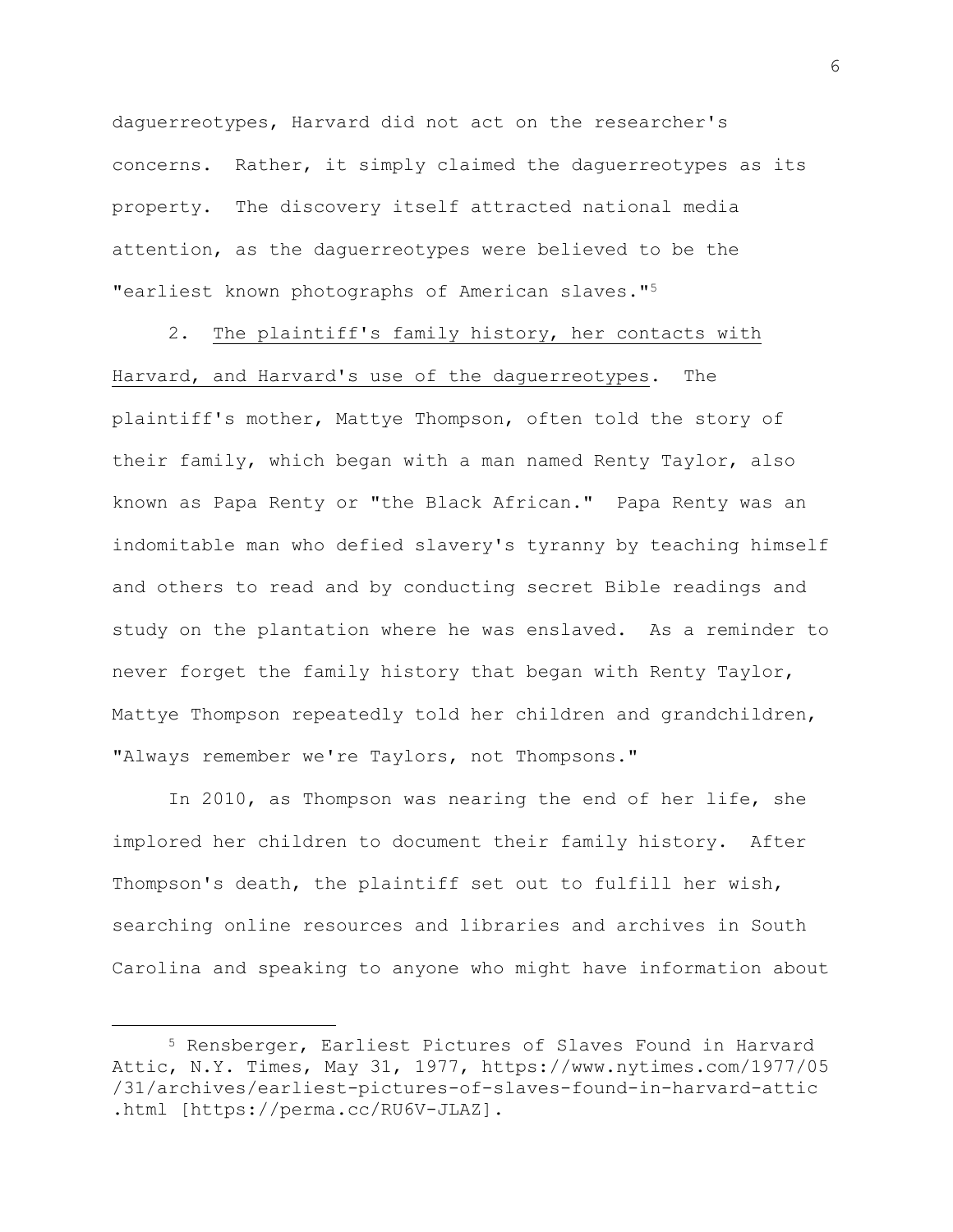daguerreotypes, Harvard did not act on the researcher's concerns. Rather, it simply claimed the daguerreotypes as its property. The discovery itself attracted national media attention, as the daguerreotypes were believed to be the "earliest known photographs of American slaves."<sup>5</sup>

2. The plaintiff's family history, her contacts with Harvard, and Harvard's use of the daguerreotypes. The plaintiff's mother, Mattye Thompson, often told the story of their family, which began with a man named Renty Taylor, also known as Papa Renty or "the Black African." Papa Renty was an indomitable man who defied slavery's tyranny by teaching himself and others to read and by conducting secret Bible readings and study on the plantation where he was enslaved. As a reminder to never forget the family history that began with Renty Taylor, Mattye Thompson repeatedly told her children and grandchildren, "Always remember we're Taylors, not Thompsons."

In 2010, as Thompson was nearing the end of her life, she implored her children to document their family history. After Thompson's death, the plaintiff set out to fulfill her wish, searching online resources and libraries and archives in South Carolina and speaking to anyone who might have information about

<sup>5</sup> Rensberger, Earliest Pictures of Slaves Found in Harvard Attic, N.Y. Times, May 31, 1977, https://www.nytimes.com/1977/05 /31/archives/earliest-pictures-of-slaves-found-in-harvard-attic .html [https://perma.cc/RU6V-JLAZ].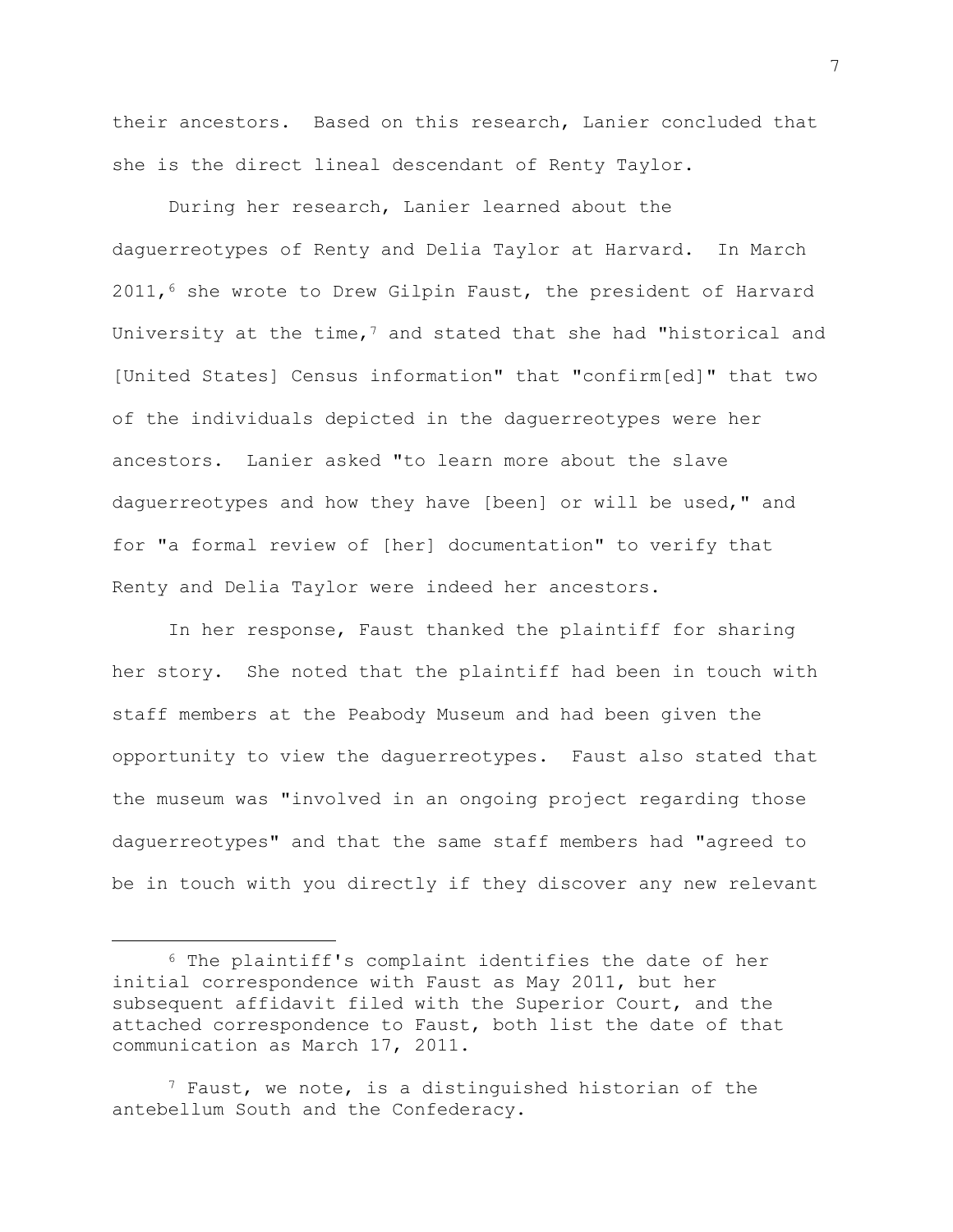their ancestors. Based on this research, Lanier concluded that she is the direct lineal descendant of Renty Taylor.

During her research, Lanier learned about the daguerreotypes of Renty and Delia Taylor at Harvard. In March  $2011,$ <sup>6</sup> she wrote to Drew Gilpin Faust, the president of Harvard University at the time, $7$  and stated that she had "historical and [United States] Census information" that "confirm[ed]" that two of the individuals depicted in the daguerreotypes were her ancestors. Lanier asked "to learn more about the slave daguerreotypes and how they have [been] or will be used," and for "a formal review of [her] documentation" to verify that Renty and Delia Taylor were indeed her ancestors.

In her response, Faust thanked the plaintiff for sharing her story. She noted that the plaintiff had been in touch with staff members at the Peabody Museum and had been given the opportunity to view the daguerreotypes. Faust also stated that the museum was "involved in an ongoing project regarding those daguerreotypes" and that the same staff members had "agreed to be in touch with you directly if they discover any new relevant

7

<sup>6</sup> The plaintiff's complaint identifies the date of her initial correspondence with Faust as May 2011, but her subsequent affidavit filed with the Superior Court, and the attached correspondence to Faust, both list the date of that communication as March 17, 2011.

 $7$  Faust, we note, is a distinguished historian of the antebellum South and the Confederacy.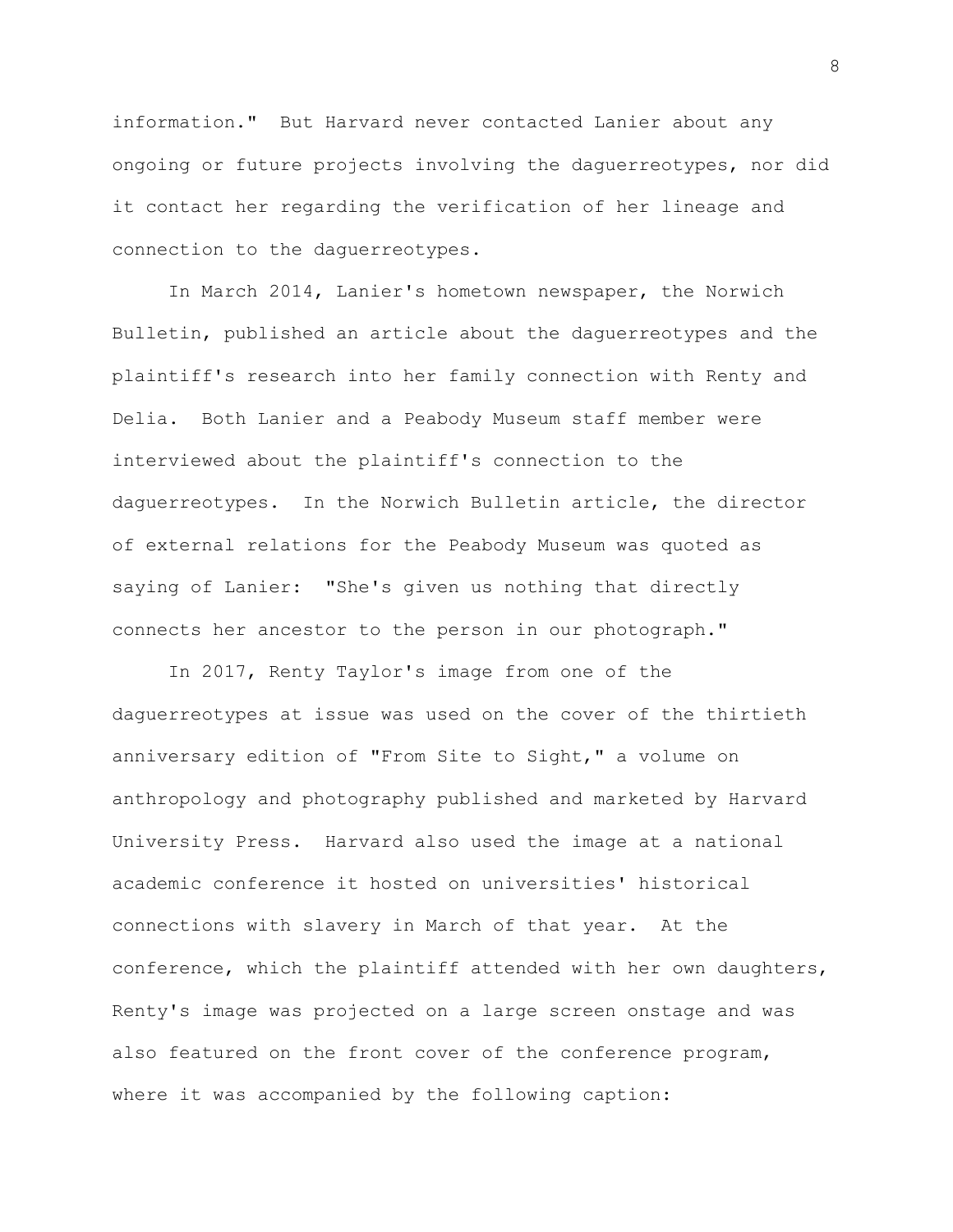information." But Harvard never contacted Lanier about any ongoing or future projects involving the daguerreotypes, nor did it contact her regarding the verification of her lineage and connection to the daguerreotypes.

In March 2014, Lanier's hometown newspaper, the Norwich Bulletin, published an article about the daguerreotypes and the plaintiff's research into her family connection with Renty and Delia. Both Lanier and a Peabody Museum staff member were interviewed about the plaintiff's connection to the daguerreotypes. In the Norwich Bulletin article, the director of external relations for the Peabody Museum was quoted as saying of Lanier: "She's given us nothing that directly connects her ancestor to the person in our photograph."

In 2017, Renty Taylor's image from one of the daguerreotypes at issue was used on the cover of the thirtieth anniversary edition of "From Site to Sight," a volume on anthropology and photography published and marketed by Harvard University Press. Harvard also used the image at a national academic conference it hosted on universities' historical connections with slavery in March of that year. At the conference, which the plaintiff attended with her own daughters, Renty's image was projected on a large screen onstage and was also featured on the front cover of the conference program, where it was accompanied by the following caption: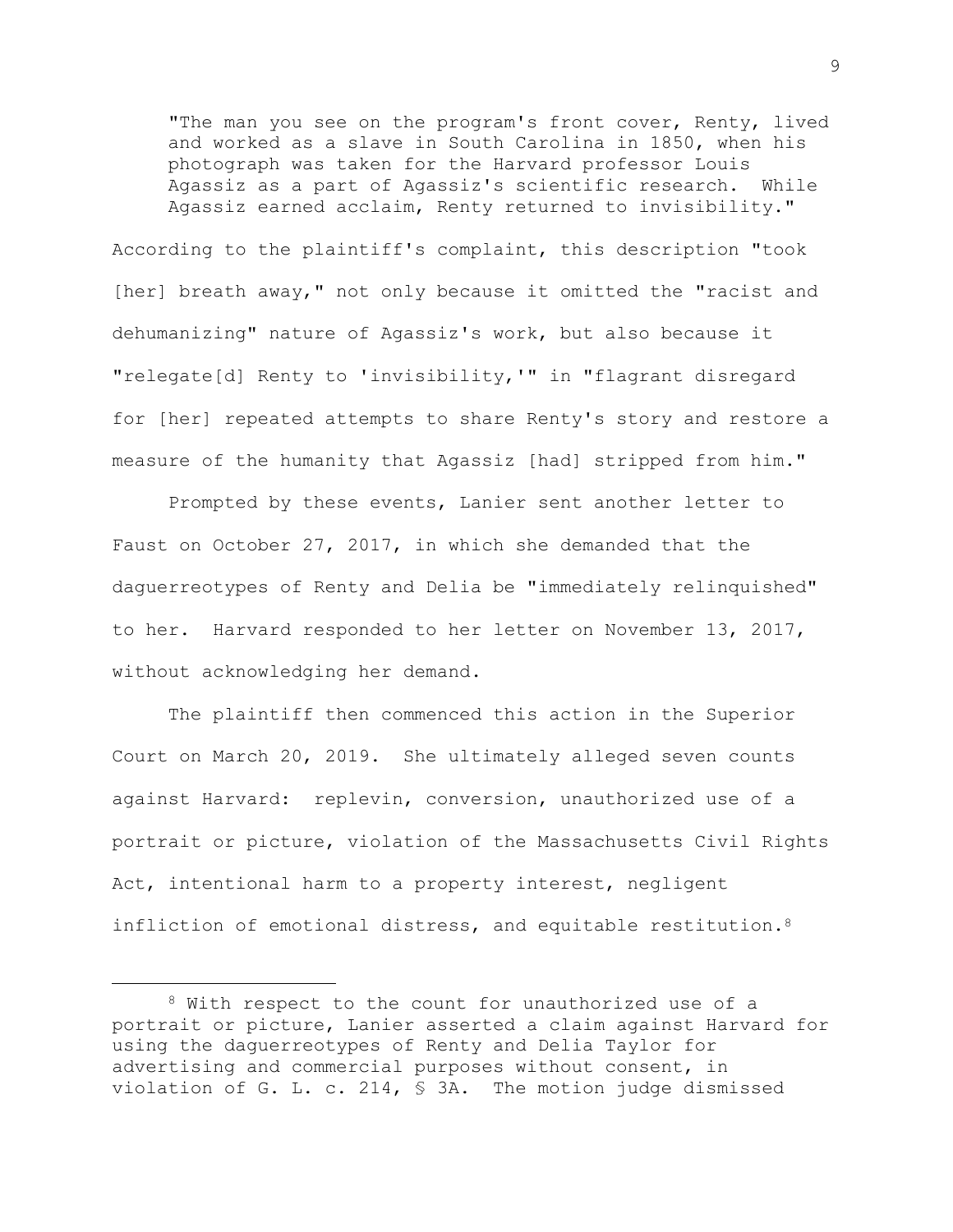"The man you see on the program's front cover, Renty, lived and worked as a slave in South Carolina in 1850, when his photograph was taken for the Harvard professor Louis Agassiz as a part of Agassiz's scientific research. While Agassiz earned acclaim, Renty returned to invisibility."

According to the plaintiff's complaint, this description "took [her] breath away," not only because it omitted the "racist and dehumanizing" nature of Agassiz's work, but also because it "relegate[d] Renty to 'invisibility,'" in "flagrant disregard for [her] repeated attempts to share Renty's story and restore a measure of the humanity that Agassiz [had] stripped from him."

Prompted by these events, Lanier sent another letter to Faust on October 27, 2017, in which she demanded that the daguerreotypes of Renty and Delia be "immediately relinquished" to her. Harvard responded to her letter on November 13, 2017, without acknowledging her demand.

The plaintiff then commenced this action in the Superior Court on March 20, 2019. She ultimately alleged seven counts against Harvard: replevin, conversion, unauthorized use of a portrait or picture, violation of the Massachusetts Civil Rights Act, intentional harm to a property interest, negligent infliction of emotional distress, and equitable restitution.<sup>8</sup>

<sup>8</sup> With respect to the count for unauthorized use of a portrait or picture, Lanier asserted a claim against Harvard for using the daguerreotypes of Renty and Delia Taylor for advertising and commercial purposes without consent, in violation of G. L. c. 214, § 3A. The motion judge dismissed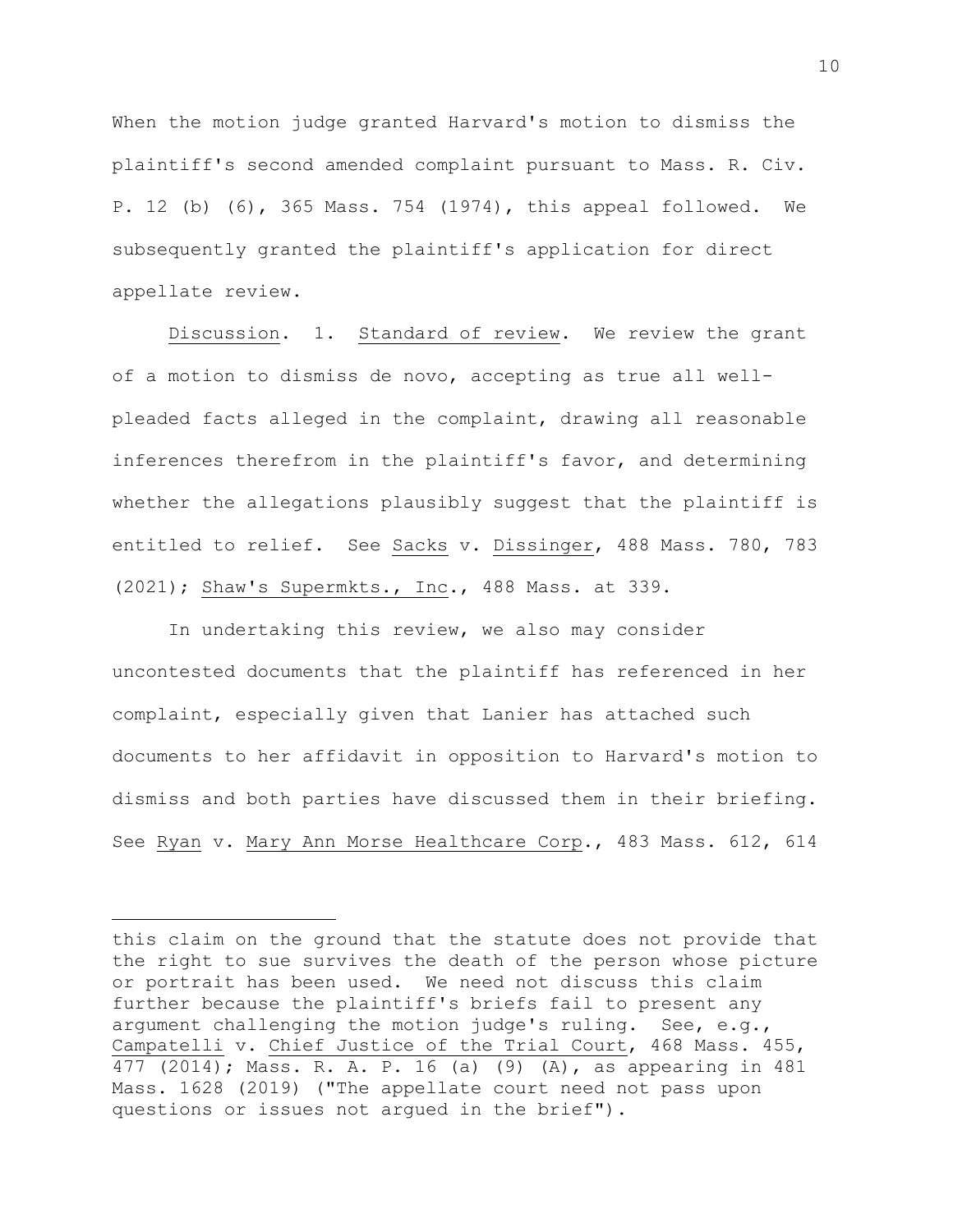When the motion judge granted Harvard's motion to dismiss the plaintiff's second amended complaint pursuant to Mass. R. Civ. P. 12 (b) (6), 365 Mass. 754 (1974), this appeal followed. We subsequently granted the plaintiff's application for direct appellate review.

Discussion. 1. Standard of review. We review the grant of a motion to dismiss de novo, accepting as true all wellpleaded facts alleged in the complaint, drawing all reasonable inferences therefrom in the plaintiff's favor, and determining whether the allegations plausibly suggest that the plaintiff is entitled to relief. See Sacks v. Dissinger, 488 Mass. 780, 783 (2021); Shaw's Supermkts., Inc., 488 Mass. at 339.

In undertaking this review, we also may consider uncontested documents that the plaintiff has referenced in her complaint, especially given that Lanier has attached such documents to her affidavit in opposition to Harvard's motion to dismiss and both parties have discussed them in their briefing. See Ryan v. Mary Ann Morse Healthcare Corp., 483 Mass. 612, 614

this claim on the ground that the statute does not provide that the right to sue survives the death of the person whose picture or portrait has been used. We need not discuss this claim further because the plaintiff's briefs fail to present any argument challenging the motion judge's ruling. See, e.g., Campatelli v. Chief Justice of the Trial Court, 468 Mass. 455, 477 (2014); Mass. R. A. P. 16 (a) (9) (A), as appearing in 481 Mass. 1628 (2019) ("The appellate court need not pass upon questions or issues not argued in the brief").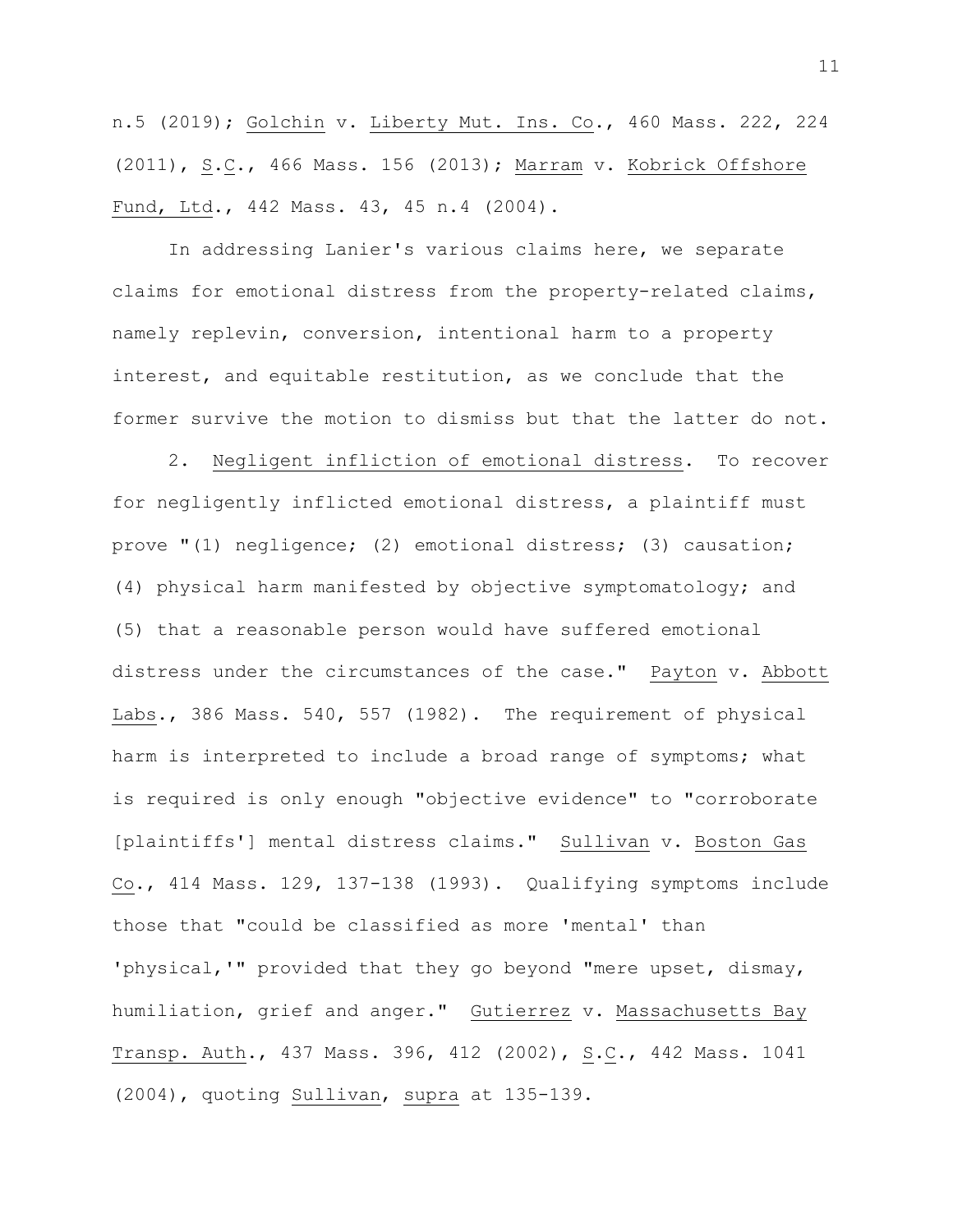n.5 (2019); Golchin v. Liberty Mut. Ins. Co., 460 Mass. 222, 224 (2011), S.C., 466 Mass. 156 (2013); Marram v. Kobrick Offshore Fund, Ltd., 442 Mass. 43, 45 n.4 (2004).

In addressing Lanier's various claims here, we separate claims for emotional distress from the property-related claims, namely replevin, conversion, intentional harm to a property interest, and equitable restitution, as we conclude that the former survive the motion to dismiss but that the latter do not.

2. Negligent infliction of emotional distress. To recover for negligently inflicted emotional distress, a plaintiff must prove "(1) negligence; (2) emotional distress; (3) causation; (4) physical harm manifested by objective symptomatology; and (5) that a reasonable person would have suffered emotional distress under the circumstances of the case." Payton v. Abbott Labs., 386 Mass. 540, 557 (1982). The requirement of physical harm is interpreted to include a broad range of symptoms; what is required is only enough "objective evidence" to "corroborate [plaintiffs'] mental distress claims." Sullivan v. Boston Gas Co., 414 Mass. 129, 137-138 (1993). Qualifying symptoms include those that "could be classified as more 'mental' than 'physical,'" provided that they go beyond "mere upset, dismay, humiliation, grief and anger." Gutierrez v. Massachusetts Bay Transp. Auth., 437 Mass. 396, 412 (2002), S.C., 442 Mass. 1041 (2004), quoting Sullivan, supra at 135-139.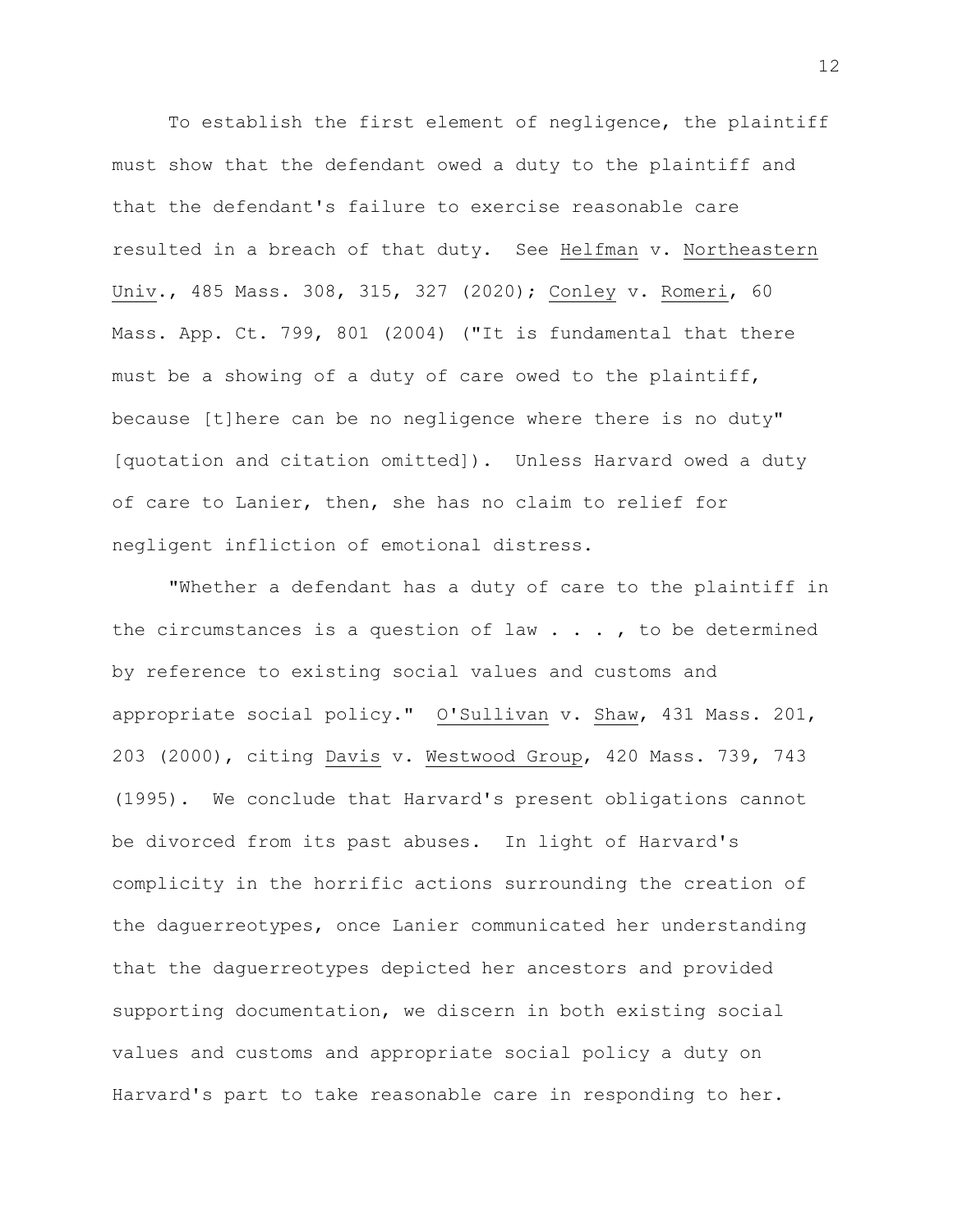To establish the first element of negligence, the plaintiff must show that the defendant owed a duty to the plaintiff and that the defendant's failure to exercise reasonable care resulted in a breach of that duty. See Helfman v. Northeastern Univ., 485 Mass. 308, 315, 327 (2020); Conley v. Romeri, 60 Mass. App. Ct. 799, 801 (2004) ("It is fundamental that there must be a showing of a duty of care owed to the plaintiff, because [t]here can be no negligence where there is no duty" [quotation and citation omitted]). Unless Harvard owed a duty of care to Lanier, then, she has no claim to relief for negligent infliction of emotional distress.

"Whether a defendant has a duty of care to the plaintiff in the circumstances is a question of law  $\ldots$ , to be determined by reference to existing social values and customs and appropriate social policy." O'Sullivan v. Shaw, 431 Mass. 201, 203 (2000), citing Davis v. Westwood Group, 420 Mass. 739, 743 (1995). We conclude that Harvard's present obligations cannot be divorced from its past abuses. In light of Harvard's complicity in the horrific actions surrounding the creation of the daguerreotypes, once Lanier communicated her understanding that the daguerreotypes depicted her ancestors and provided supporting documentation, we discern in both existing social values and customs and appropriate social policy a duty on Harvard's part to take reasonable care in responding to her.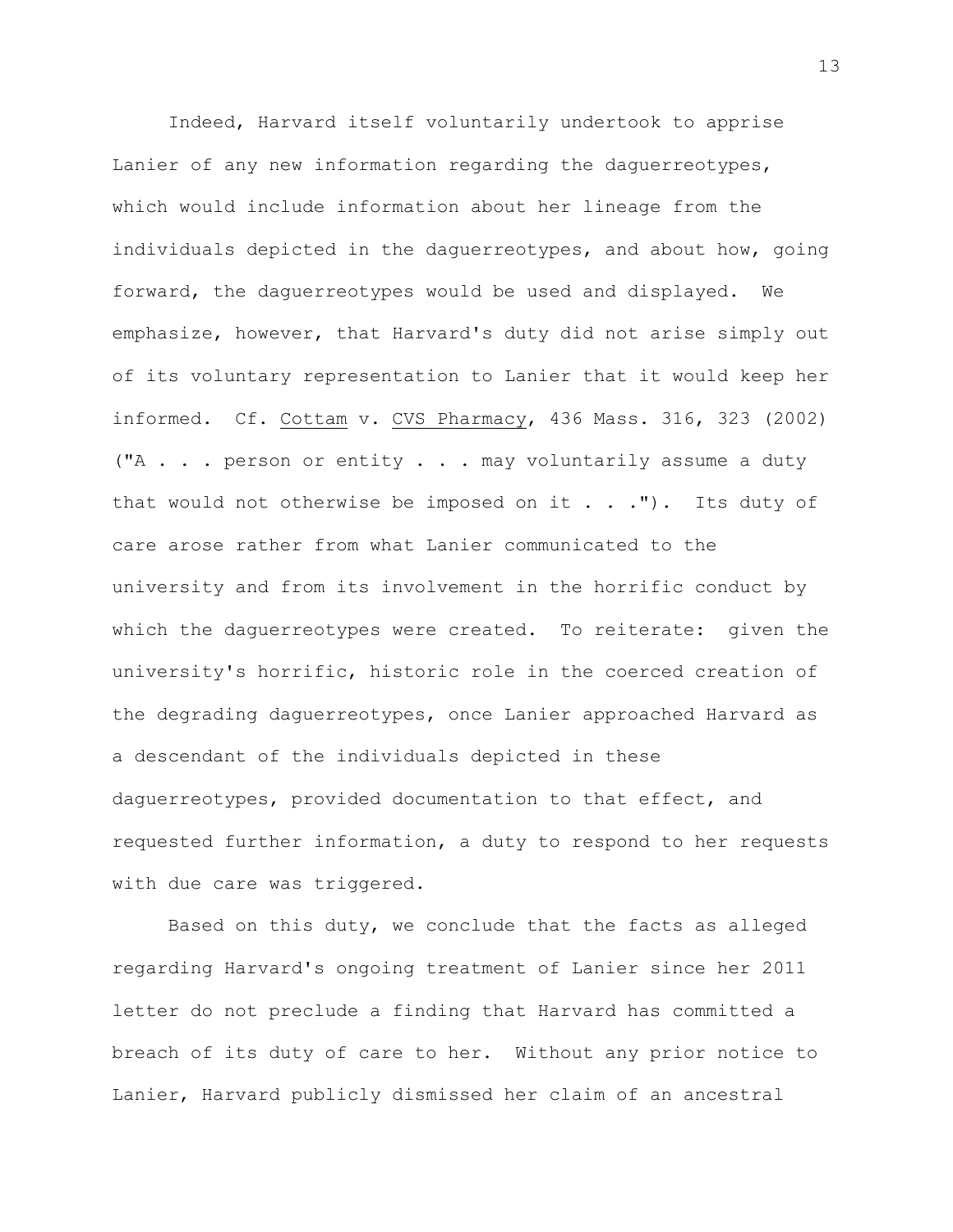Indeed, Harvard itself voluntarily undertook to apprise Lanier of any new information regarding the daguerreotypes, which would include information about her lineage from the individuals depicted in the daguerreotypes, and about how, going forward, the daguerreotypes would be used and displayed. We emphasize, however, that Harvard's duty did not arise simply out of its voluntary representation to Lanier that it would keep her informed. Cf. Cottam v. CVS Pharmacy, 436 Mass. 316, 323 (2002) ("A . . . person or entity . . . may voluntarily assume a duty that would not otherwise be imposed on it  $\ldots$  . The duty of care arose rather from what Lanier communicated to the university and from its involvement in the horrific conduct by which the daguerreotypes were created. To reiterate: given the university's horrific, historic role in the coerced creation of the degrading daguerreotypes, once Lanier approached Harvard as a descendant of the individuals depicted in these daguerreotypes, provided documentation to that effect, and requested further information, a duty to respond to her requests with due care was triggered.

Based on this duty, we conclude that the facts as alleged regarding Harvard's ongoing treatment of Lanier since her 2011 letter do not preclude a finding that Harvard has committed a breach of its duty of care to her. Without any prior notice to Lanier, Harvard publicly dismissed her claim of an ancestral

13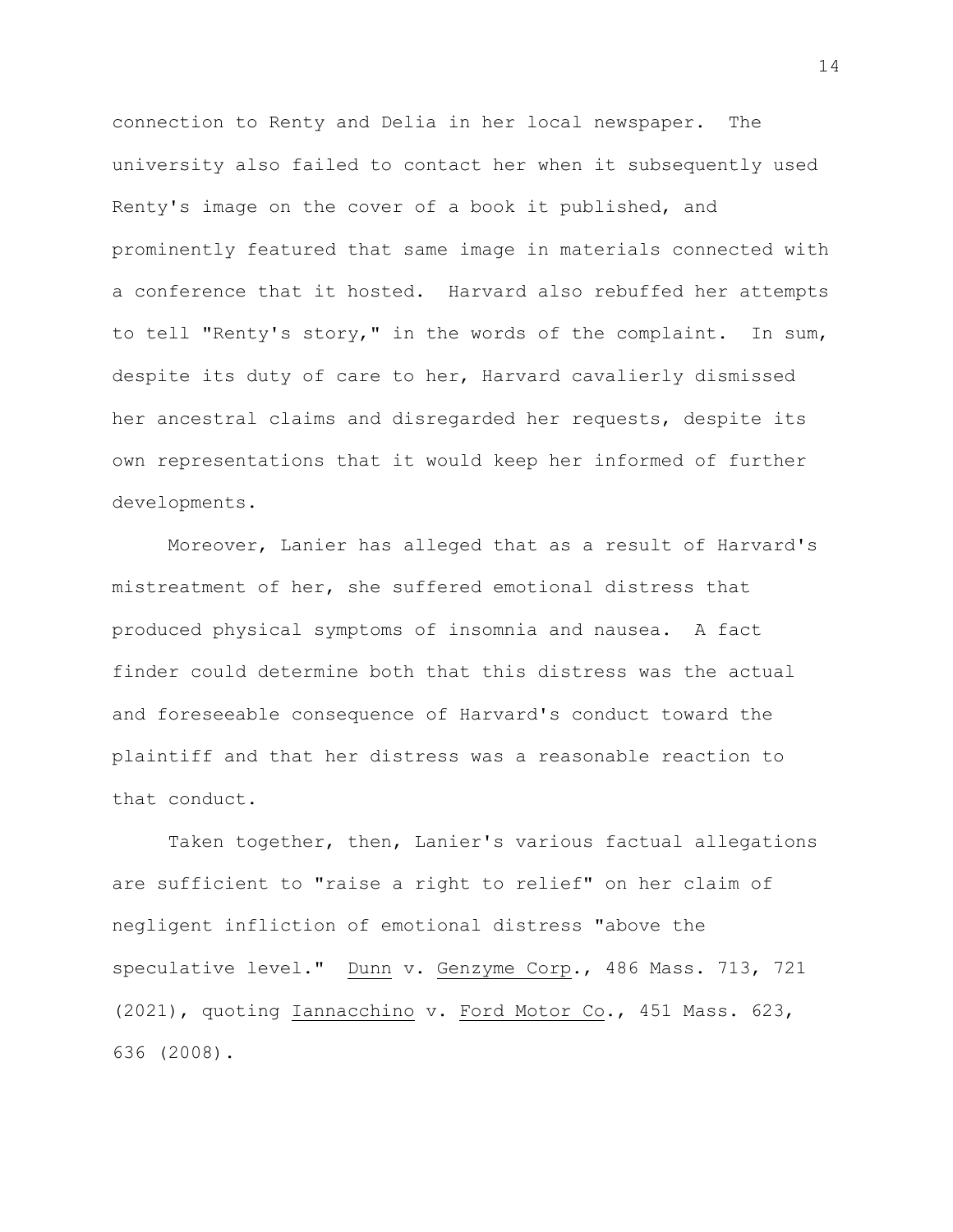connection to Renty and Delia in her local newspaper. The university also failed to contact her when it subsequently used Renty's image on the cover of a book it published, and prominently featured that same image in materials connected with a conference that it hosted. Harvard also rebuffed her attempts to tell "Renty's story," in the words of the complaint. In sum, despite its duty of care to her, Harvard cavalierly dismissed her ancestral claims and disregarded her requests, despite its own representations that it would keep her informed of further developments.

Moreover, Lanier has alleged that as a result of Harvard's mistreatment of her, she suffered emotional distress that produced physical symptoms of insomnia and nausea. A fact finder could determine both that this distress was the actual and foreseeable consequence of Harvard's conduct toward the plaintiff and that her distress was a reasonable reaction to that conduct.

Taken together, then, Lanier's various factual allegations are sufficient to "raise a right to relief" on her claim of negligent infliction of emotional distress "above the speculative level." Dunn v. Genzyme Corp., 486 Mass. 713, 721 (2021), quoting Iannacchino v. Ford Motor Co., 451 Mass. 623, 636 (2008).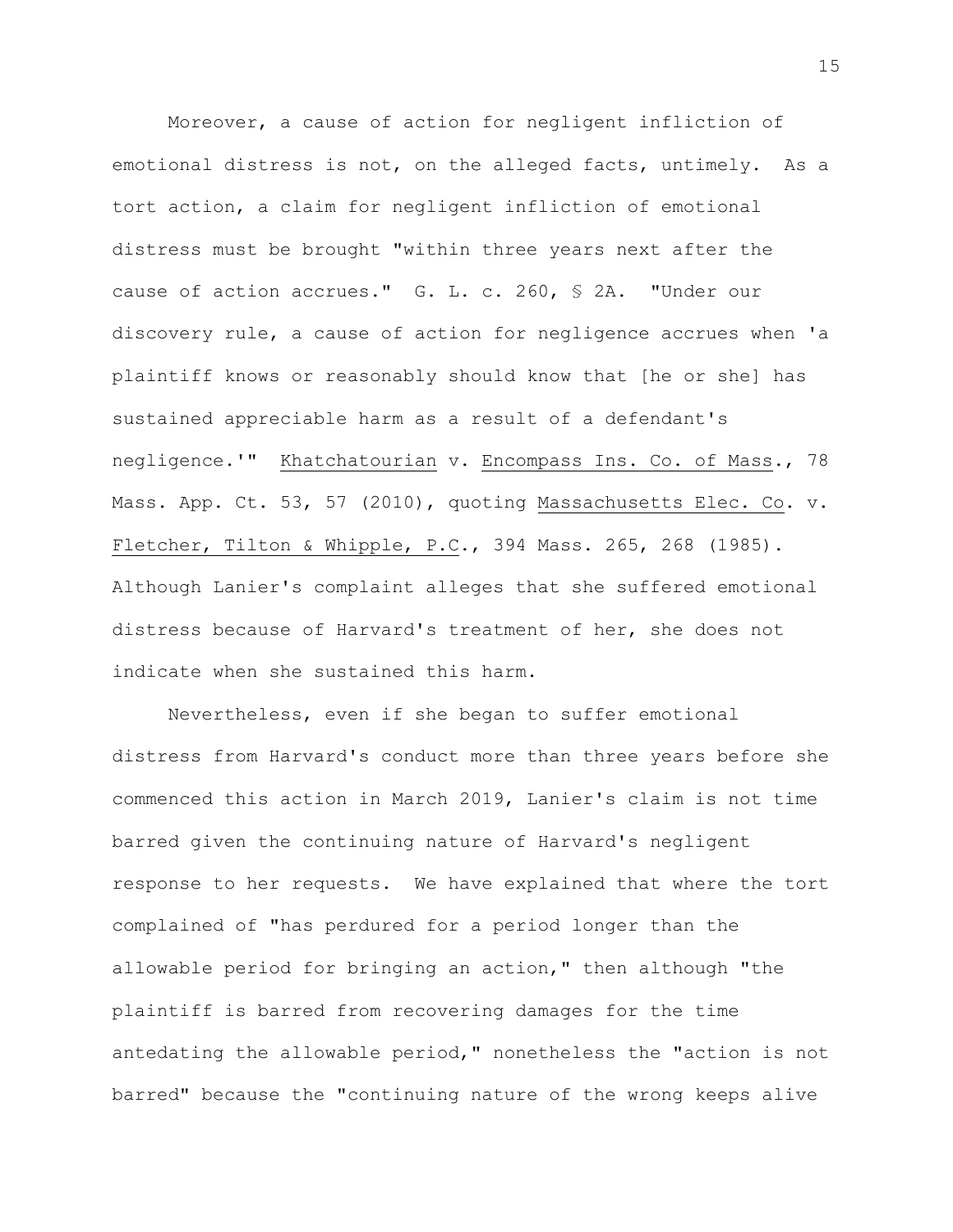Moreover, a cause of action for negligent infliction of emotional distress is not, on the alleged facts, untimely. As a tort action, a claim for negligent infliction of emotional distress must be brought "within three years next after the cause of action accrues." G. L. c. 260, § 2A. "Under our discovery rule, a cause of action for negligence accrues when 'a plaintiff knows or reasonably should know that [he or she] has sustained appreciable harm as a result of a defendant's negligence.'" Khatchatourian v. Encompass Ins. Co. of Mass., 78 Mass. App. Ct. 53, 57 (2010), quoting Massachusetts Elec. Co. v. Fletcher, Tilton & Whipple, P.C., 394 Mass. 265, 268 (1985). Although Lanier's complaint alleges that she suffered emotional distress because of Harvard's treatment of her, she does not indicate when she sustained this harm.

Nevertheless, even if she began to suffer emotional distress from Harvard's conduct more than three years before she commenced this action in March 2019, Lanier's claim is not time barred given the continuing nature of Harvard's negligent response to her requests. We have explained that where the tort complained of "has perdured for a period longer than the allowable period for bringing an action," then although "the plaintiff is barred from recovering damages for the time antedating the allowable period," nonetheless the "action is not barred" because the "continuing nature of the wrong keeps alive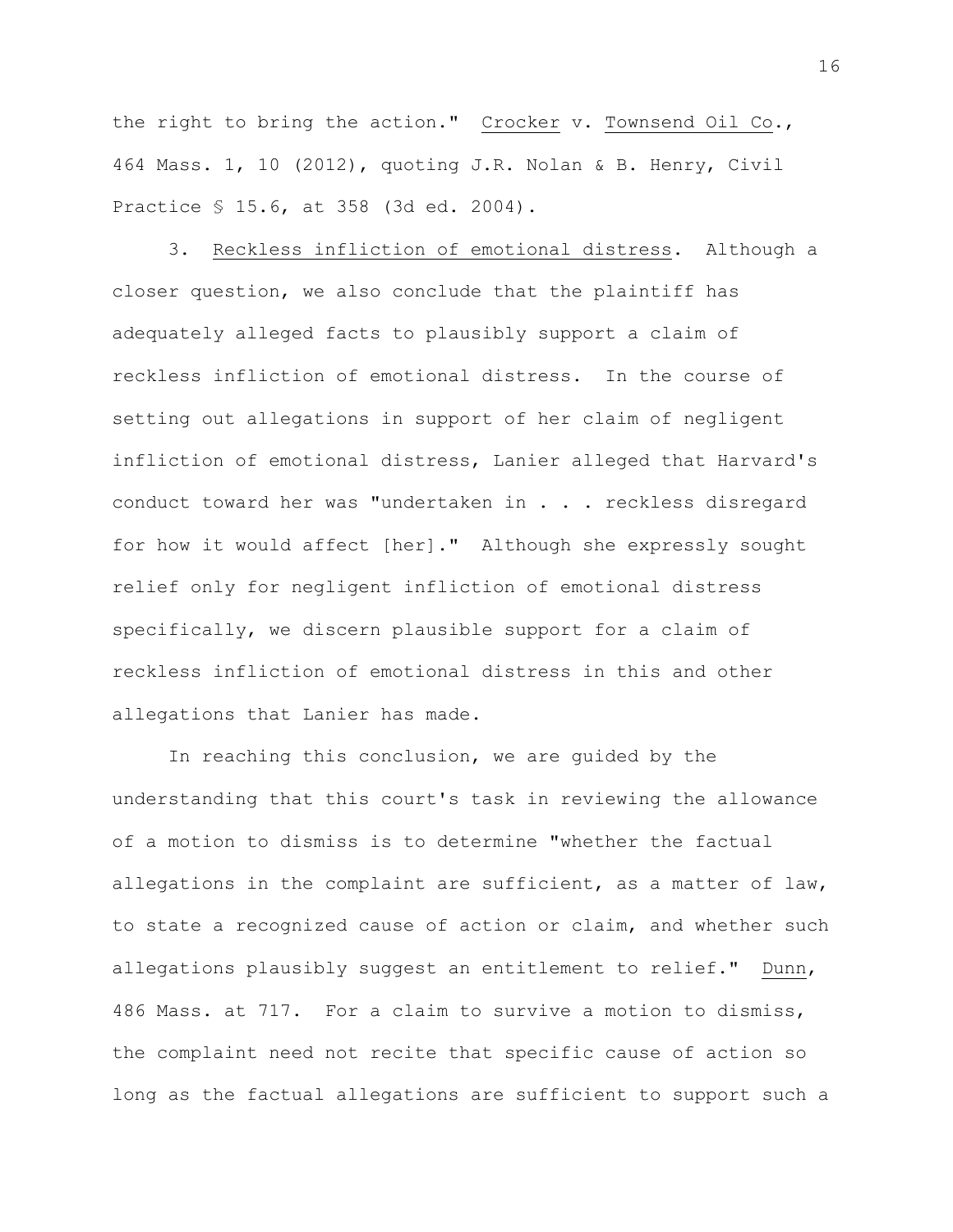the right to bring the action." Crocker v. Townsend Oil Co., 464 Mass. 1, 10 (2012), quoting J.R. Nolan & B. Henry, Civil Practice § 15.6, at 358 (3d ed. 2004).

3. Reckless infliction of emotional distress. Although a closer question, we also conclude that the plaintiff has adequately alleged facts to plausibly support a claim of reckless infliction of emotional distress. In the course of setting out allegations in support of her claim of negligent infliction of emotional distress, Lanier alleged that Harvard's conduct toward her was "undertaken in . . . reckless disregard for how it would affect [her]." Although she expressly sought relief only for negligent infliction of emotional distress specifically, we discern plausible support for a claim of reckless infliction of emotional distress in this and other allegations that Lanier has made.

In reaching this conclusion, we are guided by the understanding that this court's task in reviewing the allowance of a motion to dismiss is to determine "whether the factual allegations in the complaint are sufficient, as a matter of law, to state a recognized cause of action or claim, and whether such allegations plausibly suggest an entitlement to relief." Dunn, 486 Mass. at 717. For a claim to survive a motion to dismiss, the complaint need not recite that specific cause of action so long as the factual allegations are sufficient to support such a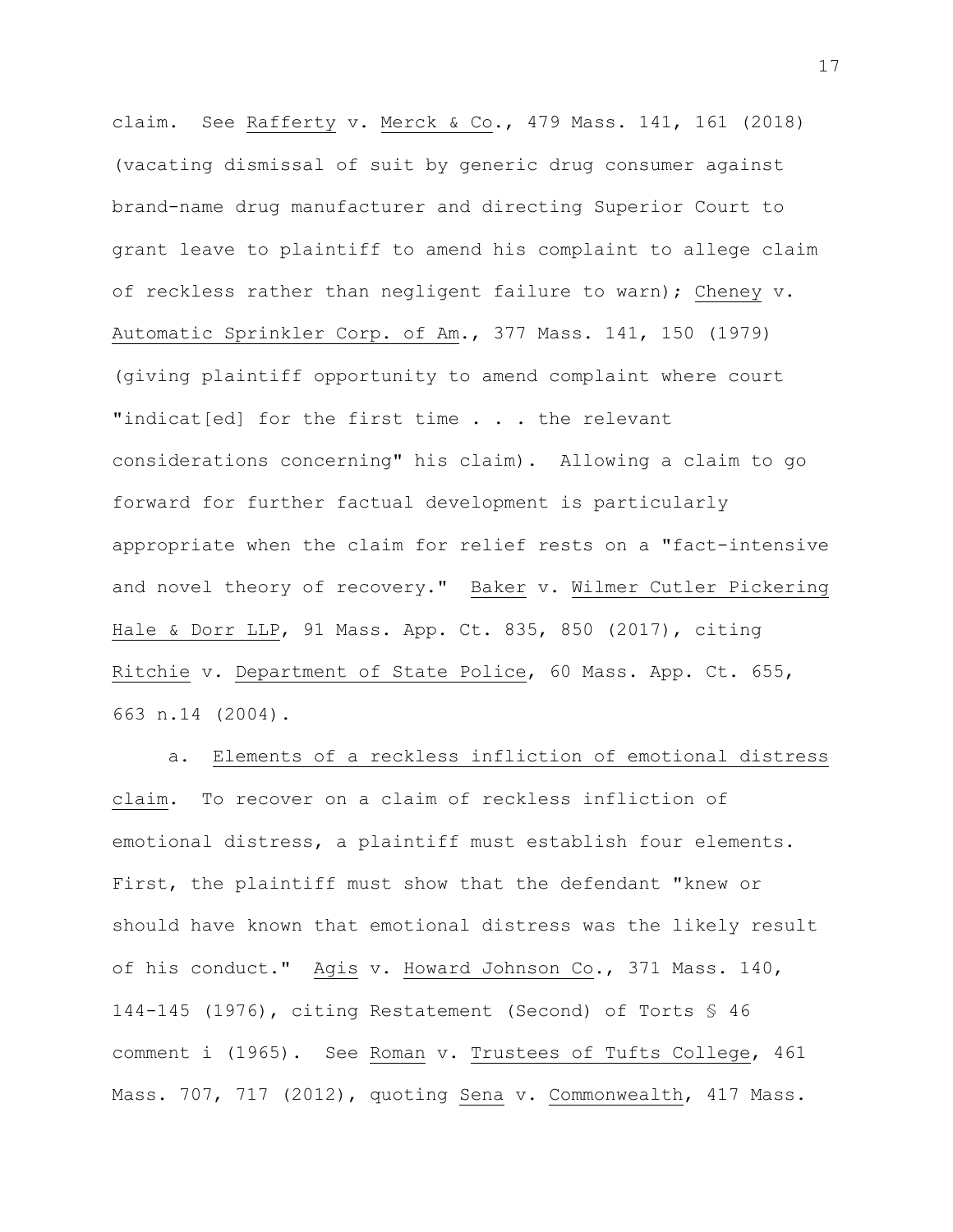claim. See Rafferty v. Merck & Co., 479 Mass. 141, 161 (2018) (vacating dismissal of suit by generic drug consumer against brand-name drug manufacturer and directing Superior Court to grant leave to plaintiff to amend his complaint to allege claim of reckless rather than negligent failure to warn); Cheney v. Automatic Sprinkler Corp. of Am., 377 Mass. 141, 150 (1979) (giving plaintiff opportunity to amend complaint where court "indicat[ed] for the first time . . . the relevant considerations concerning" his claim). Allowing a claim to go forward for further factual development is particularly appropriate when the claim for relief rests on a "fact-intensive and novel theory of recovery." Baker v. Wilmer Cutler Pickering Hale & Dorr LLP, 91 Mass. App. Ct. 835, 850 (2017), citing Ritchie v. Department of State Police, 60 Mass. App. Ct. 655, 663 n.14 (2004).

a. Elements of a reckless infliction of emotional distress claim. To recover on a claim of reckless infliction of emotional distress, a plaintiff must establish four elements. First, the plaintiff must show that the defendant "knew or should have known that emotional distress was the likely result of his conduct." Agis v. Howard Johnson Co., 371 Mass. 140, 144-145 (1976), citing Restatement (Second) of Torts § 46 comment i (1965). See Roman v. Trustees of Tufts College, 461 Mass. 707, 717 (2012), quoting Sena v. Commonwealth, 417 Mass.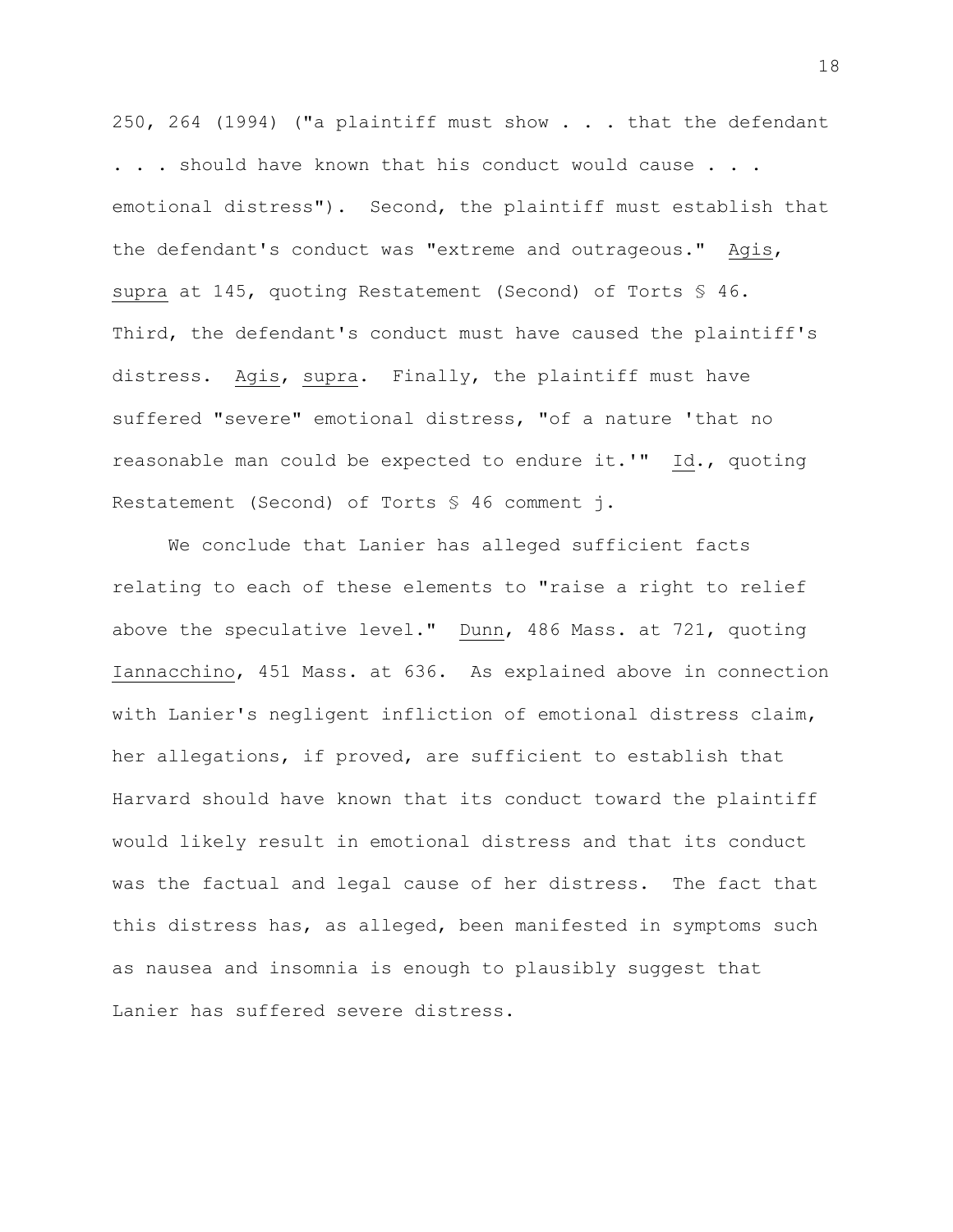250, 264 (1994) ("a plaintiff must show . . . that the defendant . . . should have known that his conduct would cause . . . emotional distress"). Second, the plaintiff must establish that the defendant's conduct was "extreme and outrageous." Agis, supra at 145, quoting Restatement (Second) of Torts § 46. Third, the defendant's conduct must have caused the plaintiff's distress. Agis, supra. Finally, the plaintiff must have suffered "severe" emotional distress, "of a nature 'that no reasonable man could be expected to endure it.'" Id., quoting Restatement (Second) of Torts § 46 comment j.

We conclude that Lanier has alleged sufficient facts relating to each of these elements to "raise a right to relief above the speculative level." Dunn, 486 Mass. at 721, quoting Iannacchino, 451 Mass. at 636. As explained above in connection with Lanier's negligent infliction of emotional distress claim, her allegations, if proved, are sufficient to establish that Harvard should have known that its conduct toward the plaintiff would likely result in emotional distress and that its conduct was the factual and legal cause of her distress. The fact that this distress has, as alleged, been manifested in symptoms such as nausea and insomnia is enough to plausibly suggest that Lanier has suffered severe distress.

18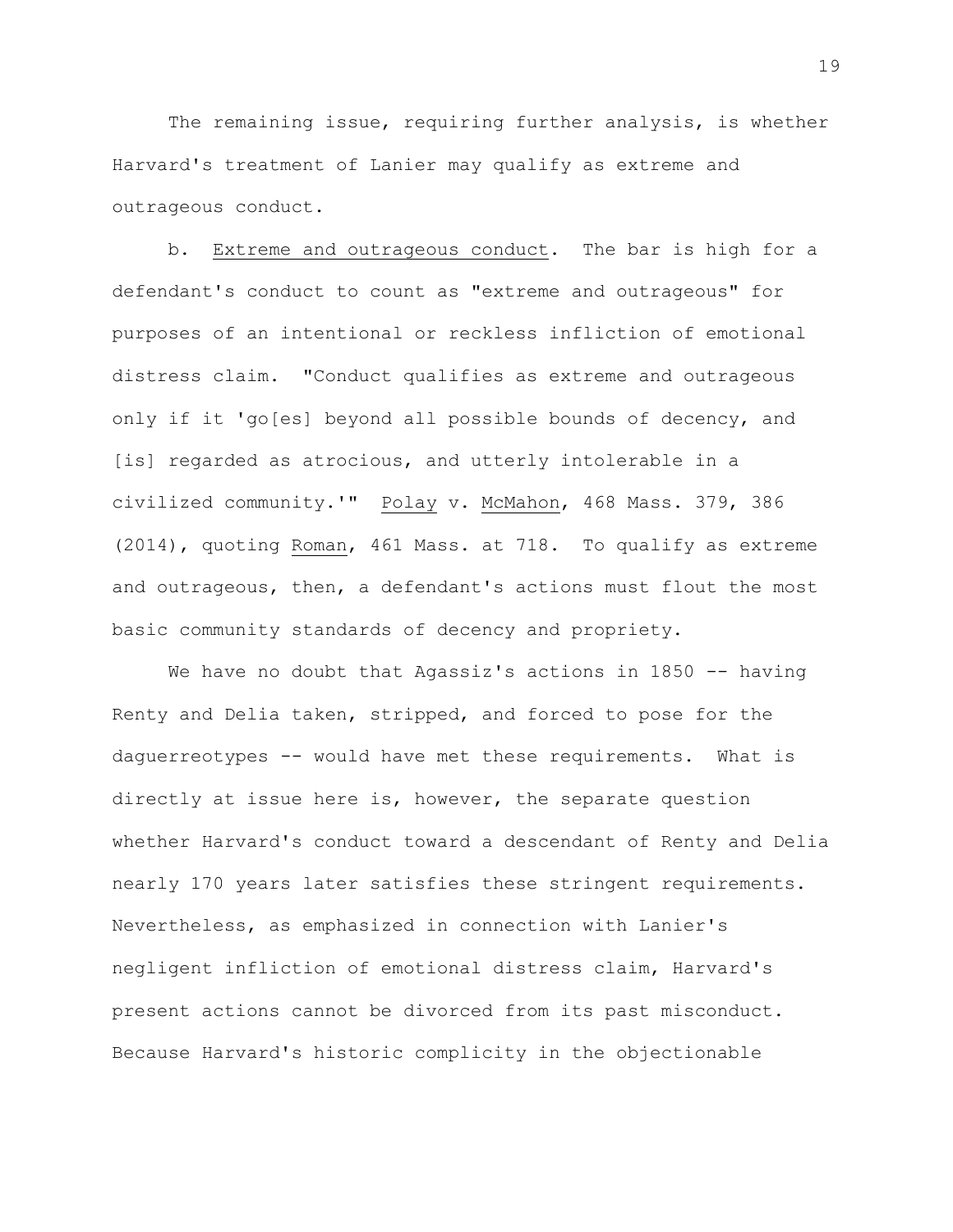The remaining issue, requiring further analysis, is whether Harvard's treatment of Lanier may qualify as extreme and outrageous conduct.

b. Extreme and outrageous conduct. The bar is high for a defendant's conduct to count as "extreme and outrageous" for purposes of an intentional or reckless infliction of emotional distress claim. "Conduct qualifies as extreme and outrageous only if it 'go[es] beyond all possible bounds of decency, and [is] regarded as atrocious, and utterly intolerable in a civilized community.'" Polay v. McMahon, 468 Mass. 379, 386 (2014), quoting Roman, 461 Mass. at 718. To qualify as extreme and outrageous, then, a defendant's actions must flout the most basic community standards of decency and propriety.

We have no doubt that Agassiz's actions in 1850 -- having Renty and Delia taken, stripped, and forced to pose for the daguerreotypes -- would have met these requirements. What is directly at issue here is, however, the separate question whether Harvard's conduct toward a descendant of Renty and Delia nearly 170 years later satisfies these stringent requirements. Nevertheless, as emphasized in connection with Lanier's negligent infliction of emotional distress claim, Harvard's present actions cannot be divorced from its past misconduct. Because Harvard's historic complicity in the objectionable

19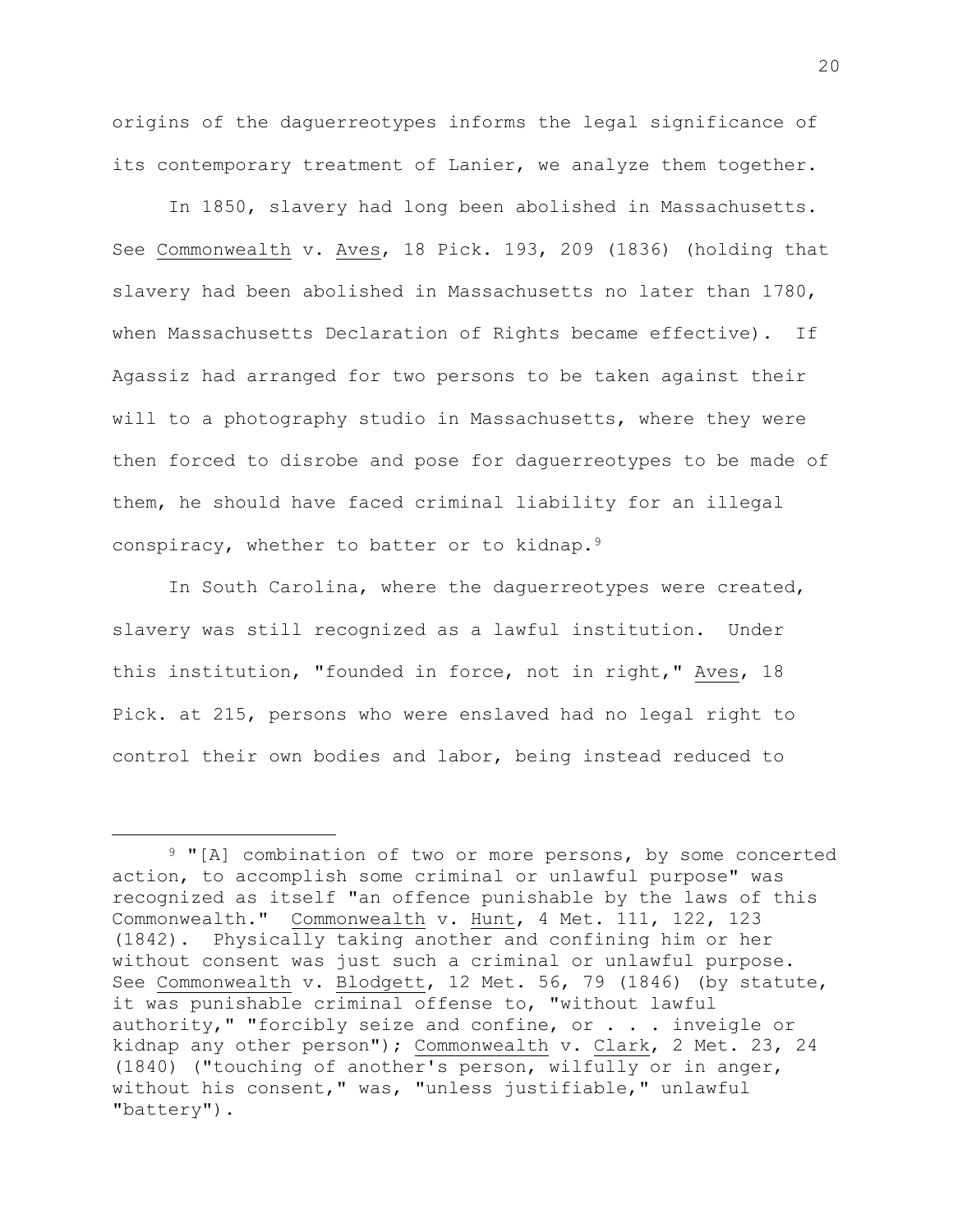origins of the daguerreotypes informs the legal significance of its contemporary treatment of Lanier, we analyze them together.

In 1850, slavery had long been abolished in Massachusetts. See Commonwealth v. Aves, 18 Pick. 193, 209 (1836) (holding that slavery had been abolished in Massachusetts no later than 1780, when Massachusetts Declaration of Rights became effective). If Agassiz had arranged for two persons to be taken against their will to a photography studio in Massachusetts, where they were then forced to disrobe and pose for daguerreotypes to be made of them, he should have faced criminal liability for an illegal conspiracy, whether to batter or to kidnap.<sup>9</sup>

In South Carolina, where the daguerreotypes were created, slavery was still recognized as a lawful institution. Under this institution, "founded in force, not in right," Aves, 18 Pick. at 215, persons who were enslaved had no legal right to control their own bodies and labor, being instead reduced to

<sup>&</sup>lt;sup>9</sup> "[A] combination of two or more persons, by some concerted action, to accomplish some criminal or unlawful purpose" was recognized as itself "an offence punishable by the laws of this Commonwealth." Commonwealth v. Hunt, 4 Met. 111, 122, 123 (1842). Physically taking another and confining him or her without consent was just such a criminal or unlawful purpose. See Commonwealth v. Blodgett, 12 Met. 56, 79 (1846) (by statute, it was punishable criminal offense to, "without lawful authority," "forcibly seize and confine, or . . . inveigle or kidnap any other person"); Commonwealth v. Clark, 2 Met. 23, 24 (1840) ("touching of another's person, wilfully or in anger, without his consent," was, "unless justifiable," unlawful "battery").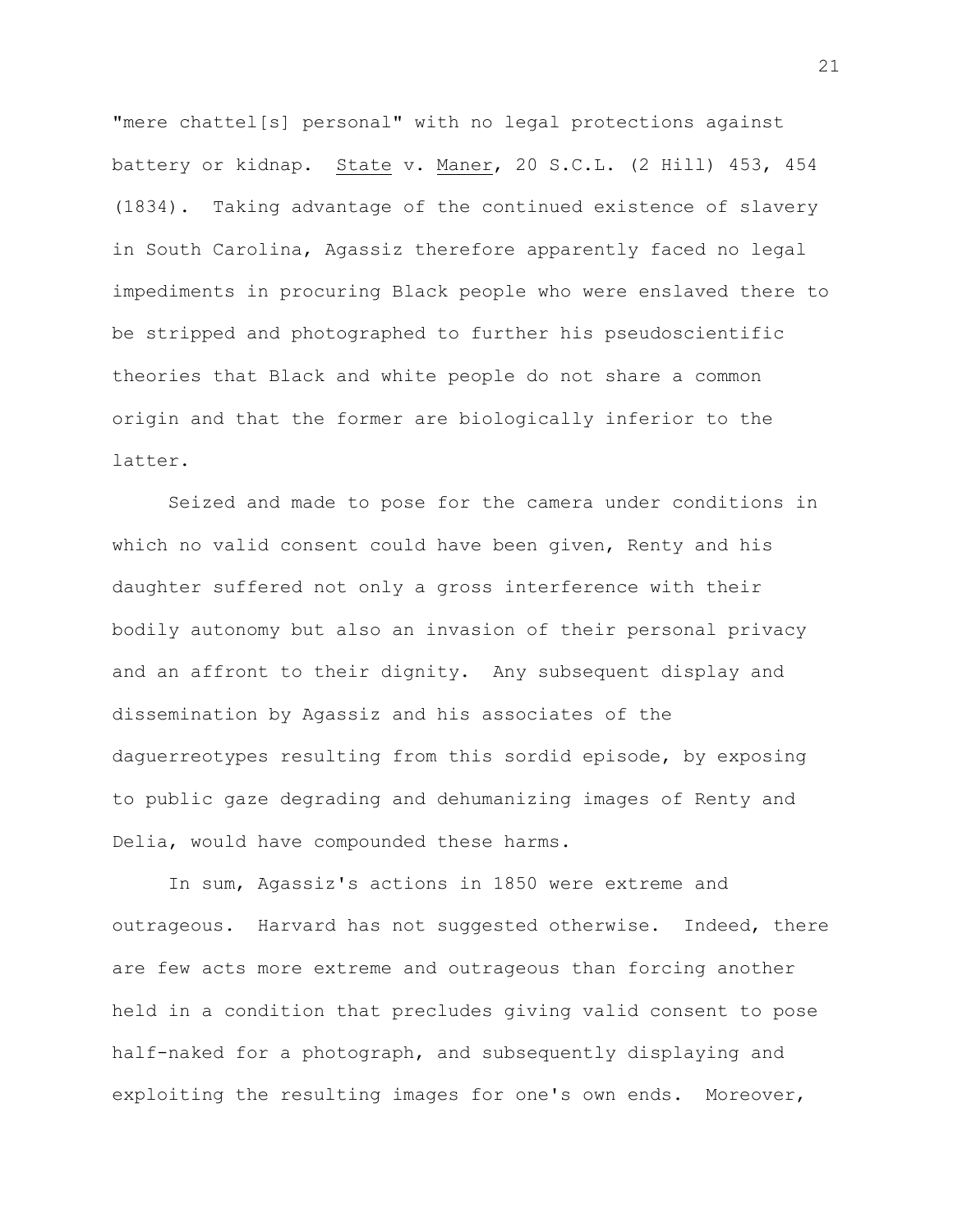"mere chattel[s] personal" with no legal protections against battery or kidnap. State v. Maner, 20 S.C.L. (2 Hill) 453, 454 (1834). Taking advantage of the continued existence of slavery in South Carolina, Agassiz therefore apparently faced no legal impediments in procuring Black people who were enslaved there to be stripped and photographed to further his pseudoscientific theories that Black and white people do not share a common origin and that the former are biologically inferior to the latter.

Seized and made to pose for the camera under conditions in which no valid consent could have been given, Renty and his daughter suffered not only a gross interference with their bodily autonomy but also an invasion of their personal privacy and an affront to their dignity. Any subsequent display and dissemination by Agassiz and his associates of the daguerreotypes resulting from this sordid episode, by exposing to public gaze degrading and dehumanizing images of Renty and Delia, would have compounded these harms.

In sum, Agassiz's actions in 1850 were extreme and outrageous. Harvard has not suggested otherwise. Indeed, there are few acts more extreme and outrageous than forcing another held in a condition that precludes giving valid consent to pose half-naked for a photograph, and subsequently displaying and exploiting the resulting images for one's own ends. Moreover,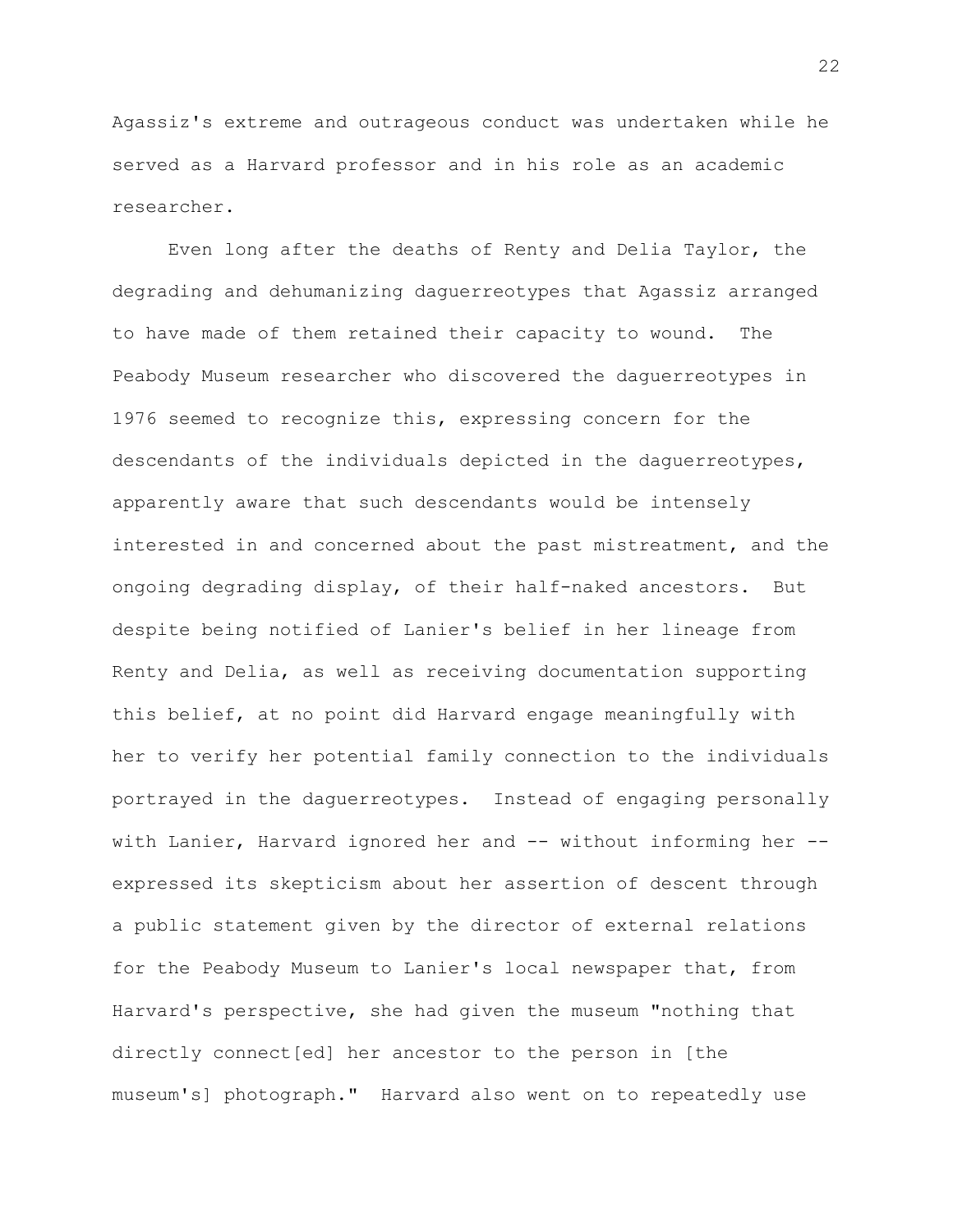Agassiz's extreme and outrageous conduct was undertaken while he served as a Harvard professor and in his role as an academic researcher.

Even long after the deaths of Renty and Delia Taylor, the degrading and dehumanizing daguerreotypes that Agassiz arranged to have made of them retained their capacity to wound. The Peabody Museum researcher who discovered the daguerreotypes in 1976 seemed to recognize this, expressing concern for the descendants of the individuals depicted in the daguerreotypes, apparently aware that such descendants would be intensely interested in and concerned about the past mistreatment, and the ongoing degrading display, of their half-naked ancestors. But despite being notified of Lanier's belief in her lineage from Renty and Delia, as well as receiving documentation supporting this belief, at no point did Harvard engage meaningfully with her to verify her potential family connection to the individuals portrayed in the daguerreotypes. Instead of engaging personally with Lanier, Harvard ignored her and -- without informing her - expressed its skepticism about her assertion of descent through a public statement given by the director of external relations for the Peabody Museum to Lanier's local newspaper that, from Harvard's perspective, she had given the museum "nothing that directly connect[ed] her ancestor to the person in [the museum's] photograph." Harvard also went on to repeatedly use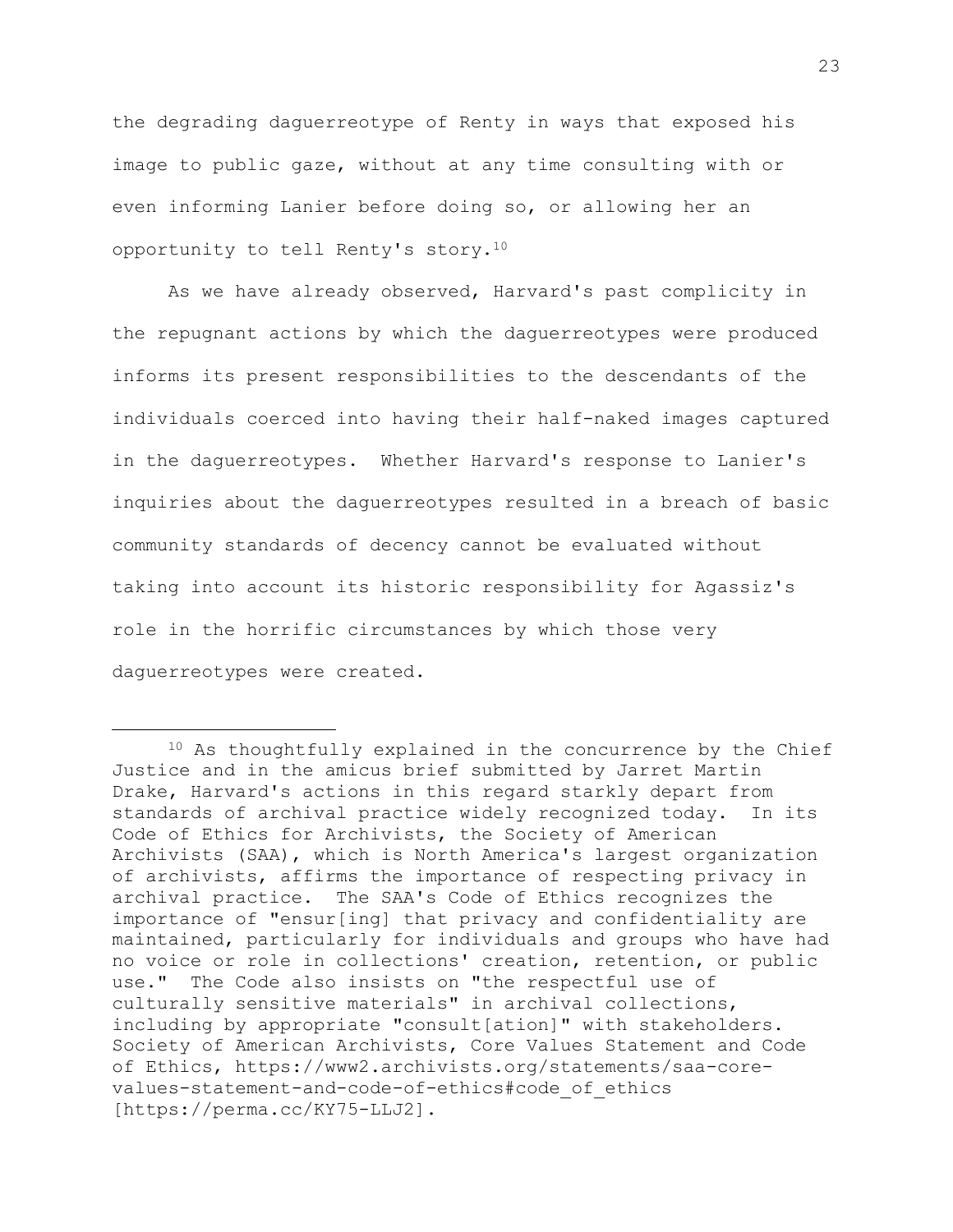the degrading daguerreotype of Renty in ways that exposed his image to public gaze, without at any time consulting with or even informing Lanier before doing so, or allowing her an opportunity to tell Renty's story.<sup>10</sup>

As we have already observed, Harvard's past complicity in the repugnant actions by which the daguerreotypes were produced informs its present responsibilities to the descendants of the individuals coerced into having their half-naked images captured in the daguerreotypes. Whether Harvard's response to Lanier's inquiries about the daguerreotypes resulted in a breach of basic community standards of decency cannot be evaluated without taking into account its historic responsibility for Agassiz's role in the horrific circumstances by which those very daguerreotypes were created.

<sup>10</sup> As thoughtfully explained in the concurrence by the Chief Justice and in the amicus brief submitted by Jarret Martin Drake, Harvard's actions in this regard starkly depart from standards of archival practice widely recognized today. In its Code of Ethics for Archivists, the Society of American Archivists (SAA), which is North America's largest organization of archivists, affirms the importance of respecting privacy in archival practice. The SAA's Code of Ethics recognizes the importance of "ensur[ing] that privacy and confidentiality are maintained, particularly for individuals and groups who have had no voice or role in collections' creation, retention, or public use." The Code also insists on "the respectful use of culturally sensitive materials" in archival collections, including by appropriate "consult[ation]" with stakeholders. Society of American Archivists, Core Values Statement and Code of Ethics, https://www2.archivists.org/statements/saa-corevalues-statement-and-code-of-ethics#code\_of\_ethics [https://perma.cc/KY75-LLJ2].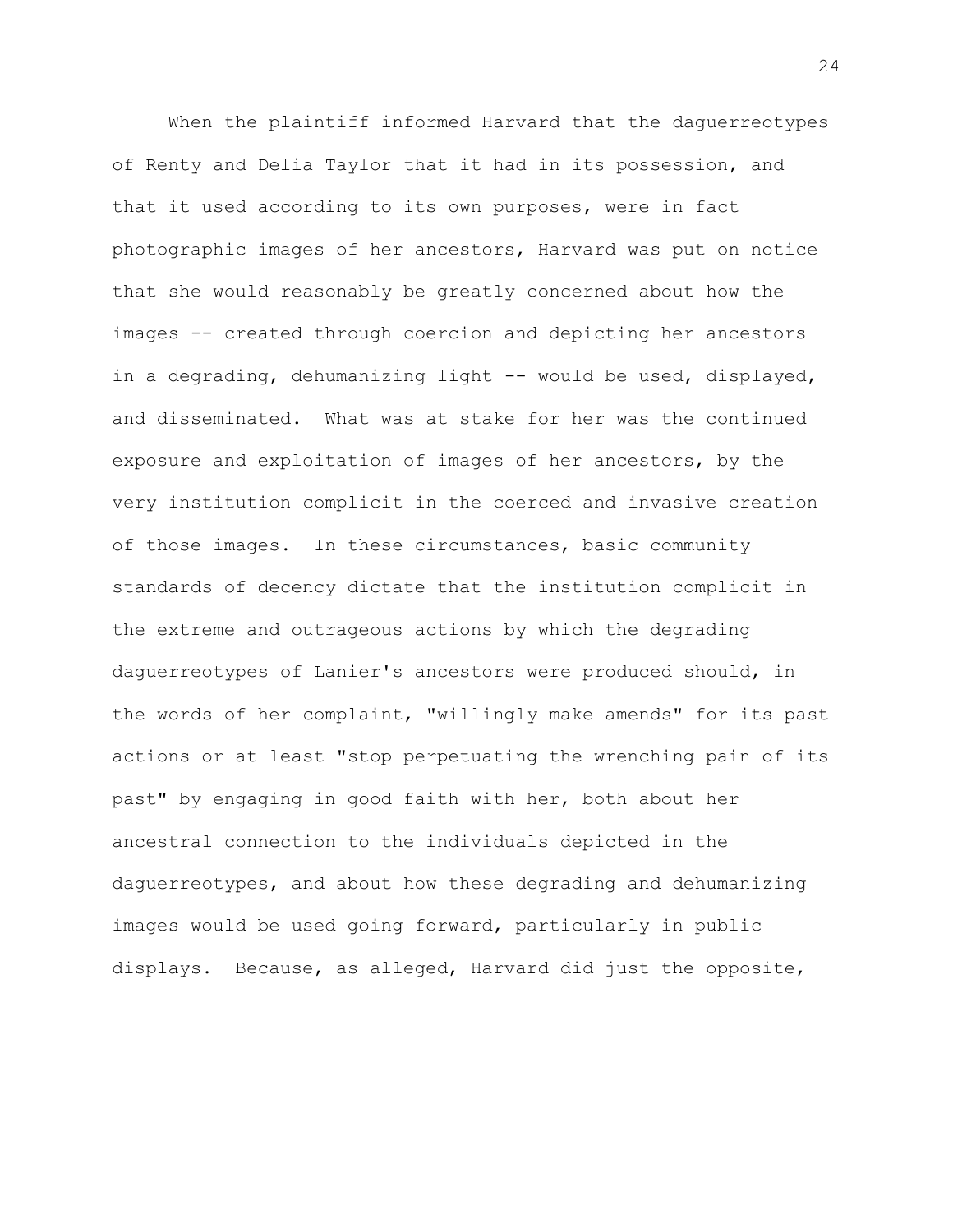When the plaintiff informed Harvard that the daguerreotypes of Renty and Delia Taylor that it had in its possession, and that it used according to its own purposes, were in fact photographic images of her ancestors, Harvard was put on notice that she would reasonably be greatly concerned about how the images -- created through coercion and depicting her ancestors in a degrading, dehumanizing light -- would be used, displayed, and disseminated. What was at stake for her was the continued exposure and exploitation of images of her ancestors, by the very institution complicit in the coerced and invasive creation of those images. In these circumstances, basic community standards of decency dictate that the institution complicit in the extreme and outrageous actions by which the degrading daguerreotypes of Lanier's ancestors were produced should, in the words of her complaint, "willingly make amends" for its past actions or at least "stop perpetuating the wrenching pain of its past" by engaging in good faith with her, both about her ancestral connection to the individuals depicted in the daguerreotypes, and about how these degrading and dehumanizing images would be used going forward, particularly in public displays. Because, as alleged, Harvard did just the opposite,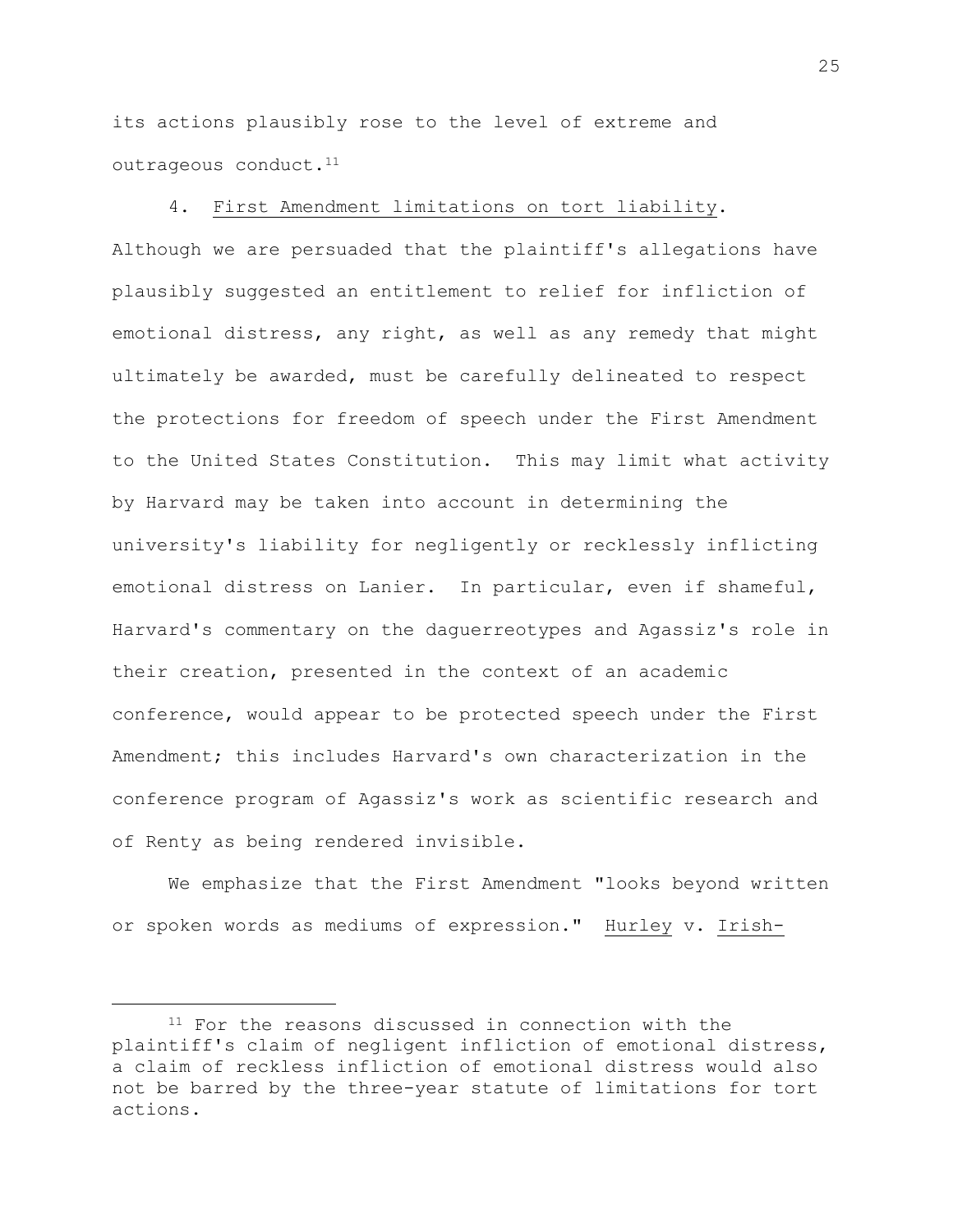its actions plausibly rose to the level of extreme and outrageous conduct.<sup>11</sup>

## 4. First Amendment limitations on tort liability.

Although we are persuaded that the plaintiff's allegations have plausibly suggested an entitlement to relief for infliction of emotional distress, any right, as well as any remedy that might ultimately be awarded, must be carefully delineated to respect the protections for freedom of speech under the First Amendment to the United States Constitution. This may limit what activity by Harvard may be taken into account in determining the university's liability for negligently or recklessly inflicting emotional distress on Lanier. In particular, even if shameful, Harvard's commentary on the daguerreotypes and Agassiz's role in their creation, presented in the context of an academic conference, would appear to be protected speech under the First Amendment; this includes Harvard's own characterization in the conference program of Agassiz's work as scientific research and of Renty as being rendered invisible.

We emphasize that the First Amendment "looks beyond written or spoken words as mediums of expression." Hurley v. Irish-

<sup>&</sup>lt;sup>11</sup> For the reasons discussed in connection with the plaintiff's claim of negligent infliction of emotional distress, a claim of reckless infliction of emotional distress would also not be barred by the three-year statute of limitations for tort actions.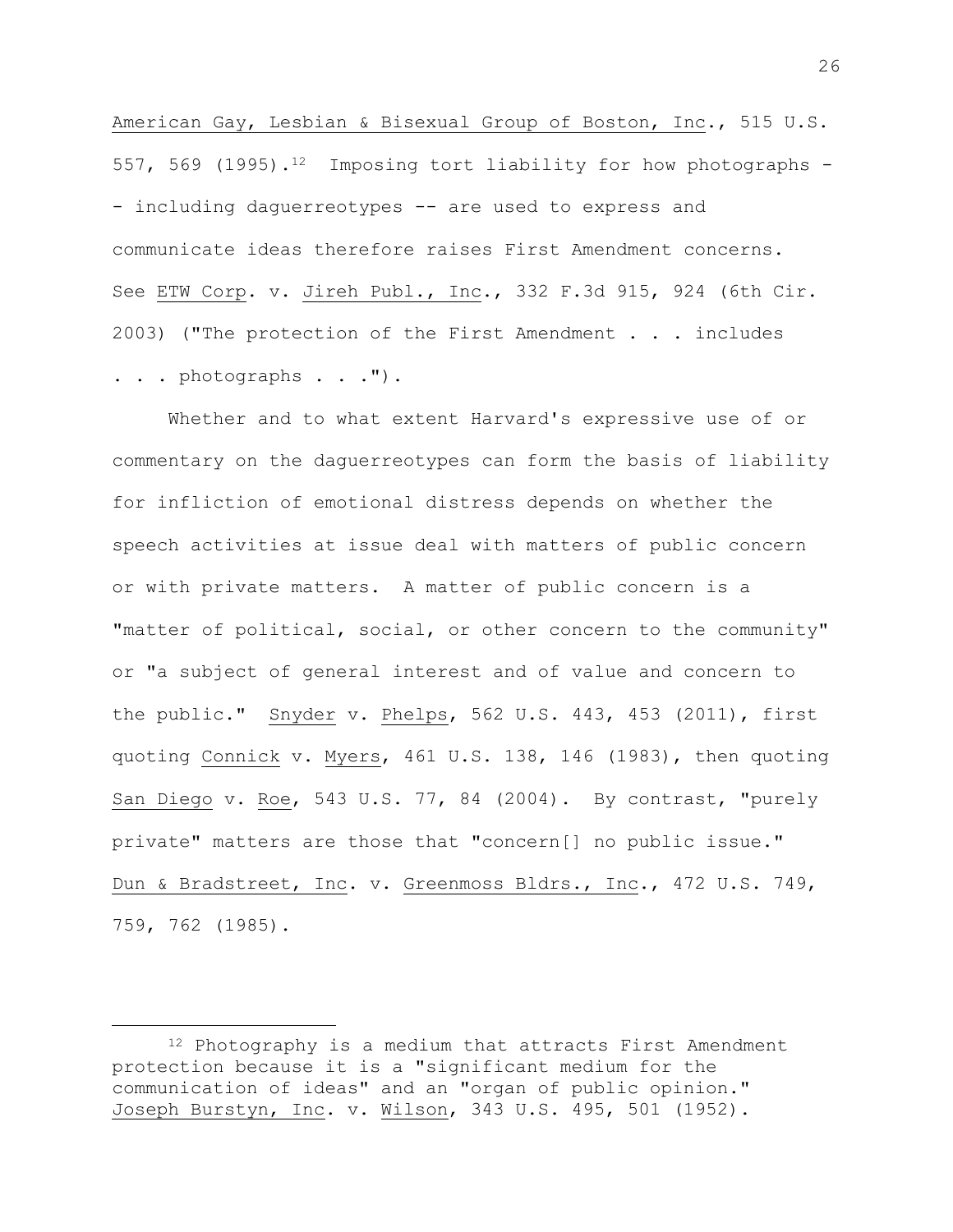American Gay, Lesbian & Bisexual Group of Boston, Inc., 515 U.S. 557, 569 (1995).<sup>12</sup> Imposing tort liability for how photographs -- including daguerreotypes -- are used to express and communicate ideas therefore raises First Amendment concerns. See ETW Corp. v. Jireh Publ., Inc., 332 F.3d 915, 924 (6th Cir. 2003) ("The protection of the First Amendment . . . includes . . . photographs . . .").

Whether and to what extent Harvard's expressive use of or commentary on the daguerreotypes can form the basis of liability for infliction of emotional distress depends on whether the speech activities at issue deal with matters of public concern or with private matters. A matter of public concern is a "matter of political, social, or other concern to the community" or "a subject of general interest and of value and concern to the public." Snyder v. Phelps, 562 U.S. 443, 453 (2011), first quoting Connick v. Myers, 461 U.S. 138, 146 (1983), then quoting San Diego v. Roe, 543 U.S. 77, 84 (2004). By contrast, "purely private" matters are those that "concern[] no public issue." Dun & Bradstreet, Inc. v. Greenmoss Bldrs., Inc., 472 U.S. 749, 759, 762 (1985).

<sup>12</sup> Photography is a medium that attracts First Amendment protection because it is a "significant medium for the communication of ideas" and an "organ of public opinion." Joseph Burstyn, Inc. v. Wilson, 343 U.S. 495, 501 (1952).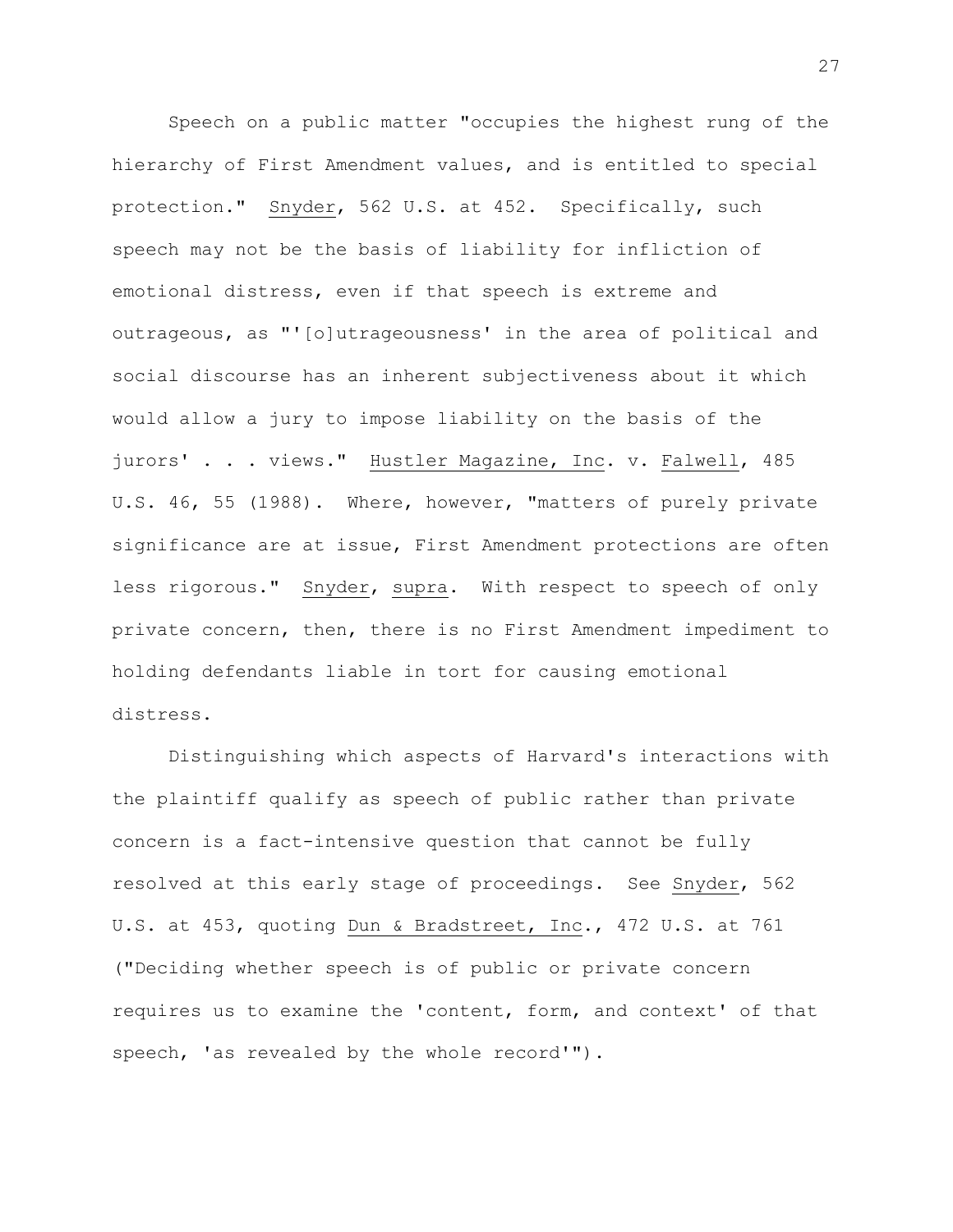Speech on a public matter "occupies the highest rung of the hierarchy of First Amendment values, and is entitled to special protection." Snyder, 562 U.S. at 452. Specifically, such speech may not be the basis of liability for infliction of emotional distress, even if that speech is extreme and outrageous, as "'[o]utrageousness' in the area of political and social discourse has an inherent subjectiveness about it which would allow a jury to impose liability on the basis of the jurors' . . . views." Hustler Magazine, Inc. v. Falwell, 485 U.S. 46, 55 (1988). Where, however, "matters of purely private significance are at issue, First Amendment protections are often less rigorous." Snyder, supra. With respect to speech of only private concern, then, there is no First Amendment impediment to holding defendants liable in tort for causing emotional distress.

Distinguishing which aspects of Harvard's interactions with the plaintiff qualify as speech of public rather than private concern is a fact-intensive question that cannot be fully resolved at this early stage of proceedings. See Snyder, 562 U.S. at 453, quoting Dun & Bradstreet, Inc., 472 U.S. at 761 ("Deciding whether speech is of public or private concern requires us to examine the 'content, form, and context' of that speech, 'as revealed by the whole record'").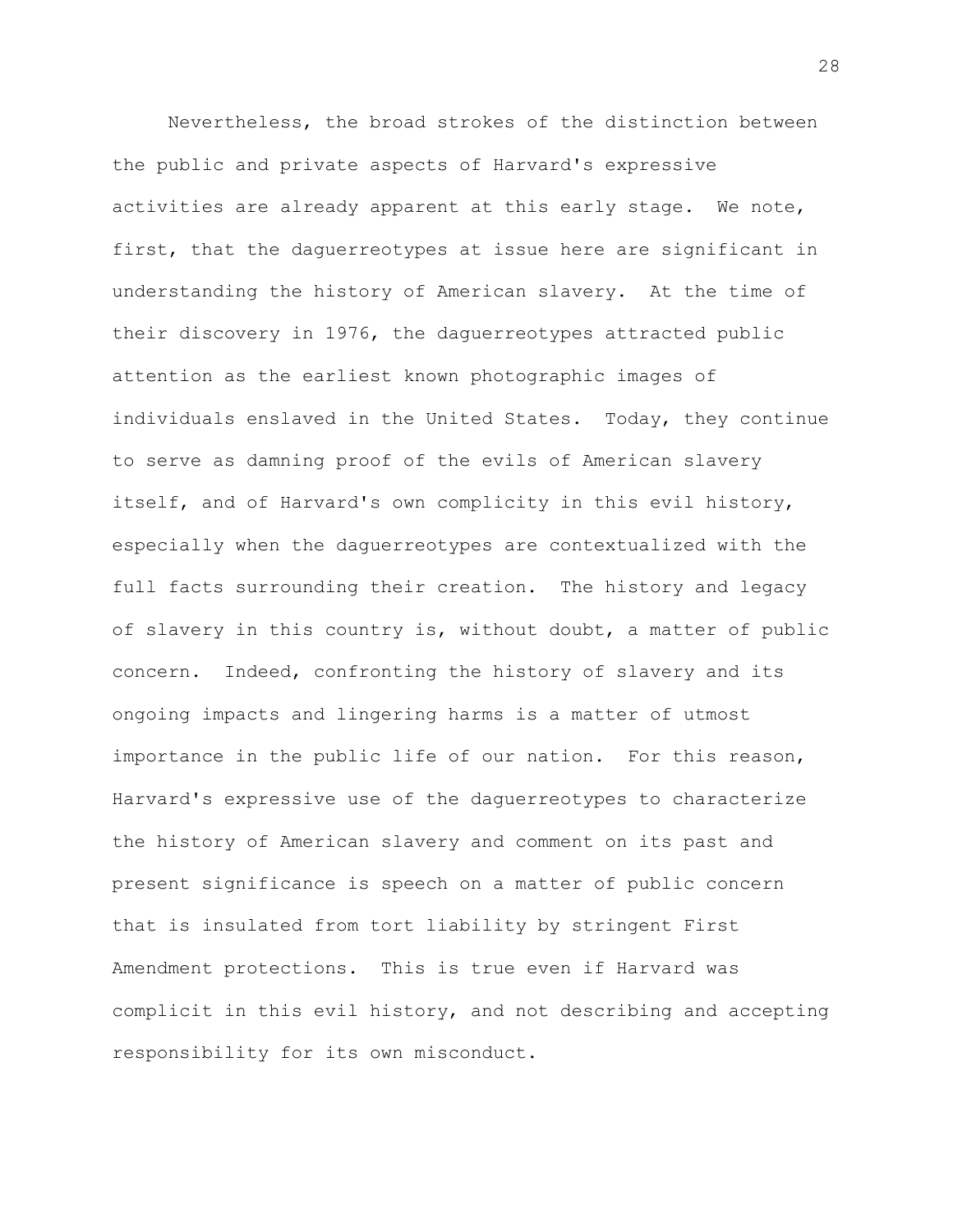Nevertheless, the broad strokes of the distinction between the public and private aspects of Harvard's expressive activities are already apparent at this early stage. We note, first, that the daguerreotypes at issue here are significant in understanding the history of American slavery. At the time of their discovery in 1976, the daguerreotypes attracted public attention as the earliest known photographic images of individuals enslaved in the United States. Today, they continue to serve as damning proof of the evils of American slavery itself, and of Harvard's own complicity in this evil history, especially when the daguerreotypes are contextualized with the full facts surrounding their creation. The history and legacy of slavery in this country is, without doubt, a matter of public concern. Indeed, confronting the history of slavery and its ongoing impacts and lingering harms is a matter of utmost importance in the public life of our nation. For this reason, Harvard's expressive use of the daguerreotypes to characterize the history of American slavery and comment on its past and present significance is speech on a matter of public concern that is insulated from tort liability by stringent First Amendment protections. This is true even if Harvard was complicit in this evil history, and not describing and accepting responsibility for its own misconduct.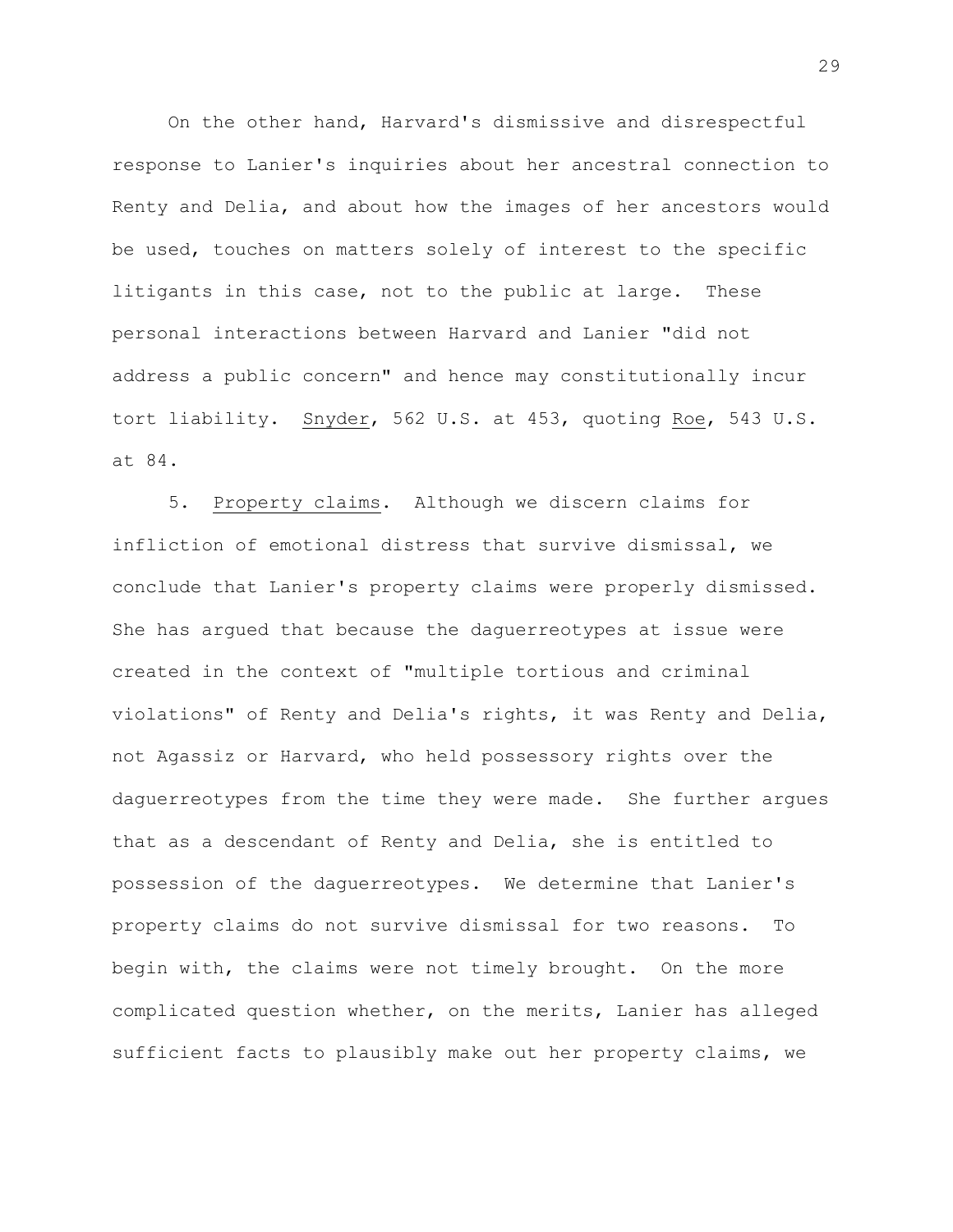On the other hand, Harvard's dismissive and disrespectful response to Lanier's inquiries about her ancestral connection to Renty and Delia, and about how the images of her ancestors would be used, touches on matters solely of interest to the specific litigants in this case, not to the public at large. These personal interactions between Harvard and Lanier "did not address a public concern" and hence may constitutionally incur tort liability. Snyder, 562 U.S. at 453, quoting Roe, 543 U.S. at 84.

5. Property claims. Although we discern claims for infliction of emotional distress that survive dismissal, we conclude that Lanier's property claims were properly dismissed. She has argued that because the daguerreotypes at issue were created in the context of "multiple tortious and criminal violations" of Renty and Delia's rights, it was Renty and Delia, not Agassiz or Harvard, who held possessory rights over the daguerreotypes from the time they were made. She further argues that as a descendant of Renty and Delia, she is entitled to possession of the daguerreotypes. We determine that Lanier's property claims do not survive dismissal for two reasons. To begin with, the claims were not timely brought. On the more complicated question whether, on the merits, Lanier has alleged sufficient facts to plausibly make out her property claims, we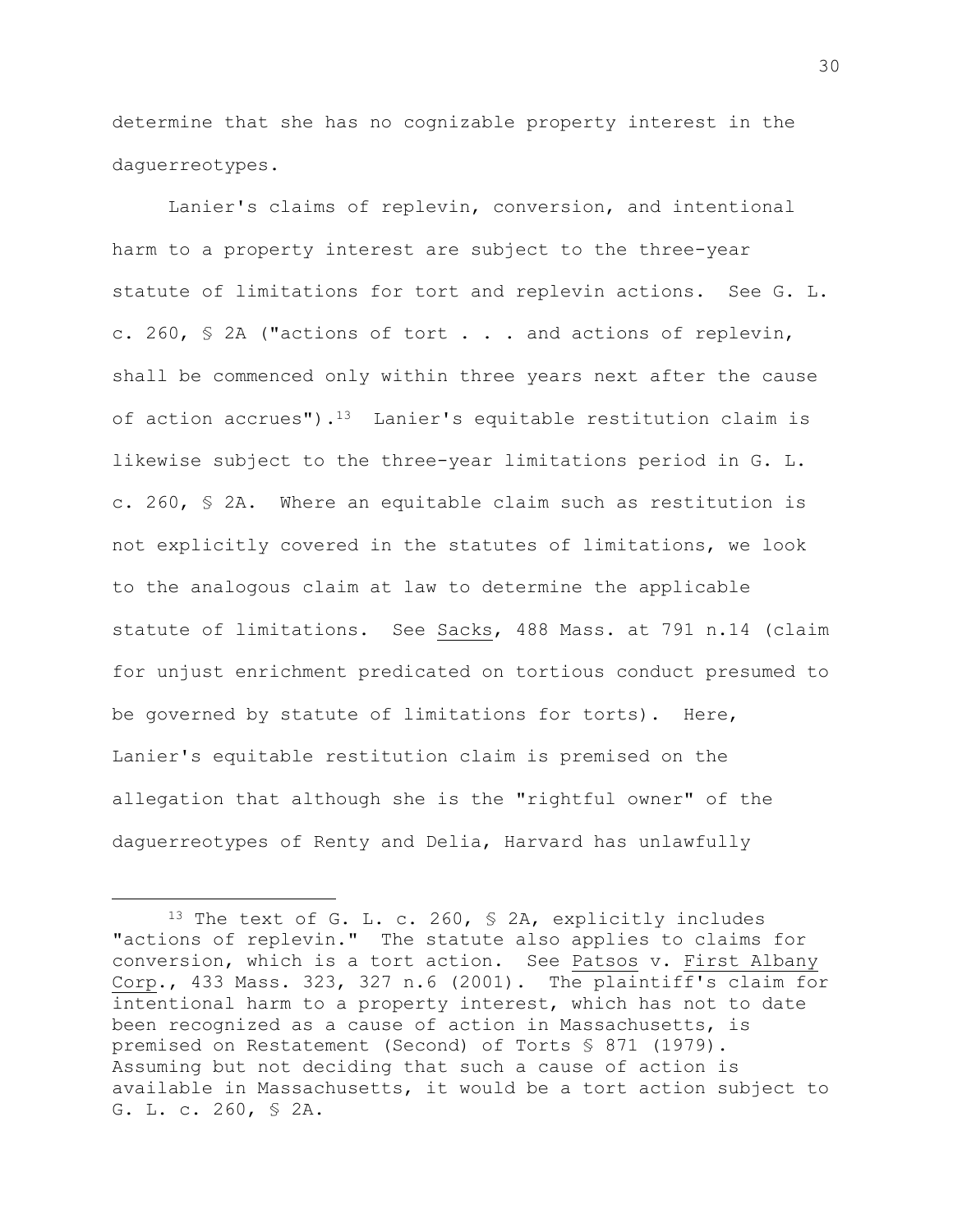determine that she has no cognizable property interest in the daguerreotypes.

Lanier's claims of replevin, conversion, and intentional harm to a property interest are subject to the three-year statute of limitations for tort and replevin actions. See G. L. c. 260, § 2A ("actions of tort . . . and actions of replevin, shall be commenced only within three years next after the cause of action accrues").13 Lanier's equitable restitution claim is likewise subject to the three-year limitations period in G. L. c. 260, § 2A. Where an equitable claim such as restitution is not explicitly covered in the statutes of limitations, we look to the analogous claim at law to determine the applicable statute of limitations. See Sacks, 488 Mass. at 791 n.14 (claim for unjust enrichment predicated on tortious conduct presumed to be governed by statute of limitations for torts). Here, Lanier's equitable restitution claim is premised on the allegation that although she is the "rightful owner" of the daguerreotypes of Renty and Delia, Harvard has unlawfully

<sup>13</sup> The text of G. L. c. 260, § 2A, explicitly includes "actions of replevin." The statute also applies to claims for conversion, which is a tort action. See Patsos v. First Albany Corp., 433 Mass. 323, 327 n.6 (2001). The plaintiff's claim for intentional harm to a property interest, which has not to date been recognized as a cause of action in Massachusetts, is premised on Restatement (Second) of Torts § 871 (1979). Assuming but not deciding that such a cause of action is available in Massachusetts, it would be a tort action subject to G. L. c. 260, § 2A.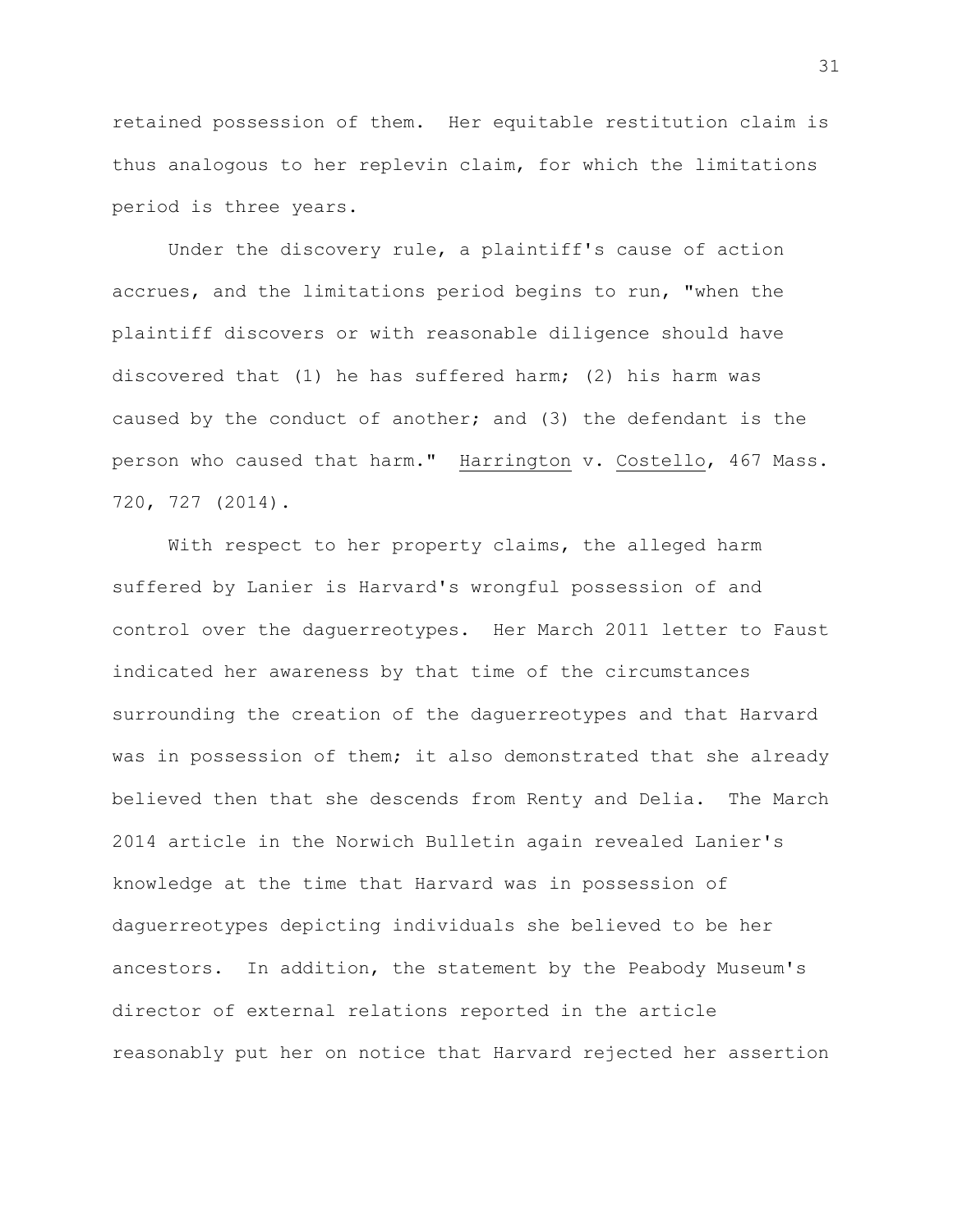retained possession of them. Her equitable restitution claim is thus analogous to her replevin claim, for which the limitations period is three years.

Under the discovery rule, a plaintiff's cause of action accrues, and the limitations period begins to run, "when the plaintiff discovers or with reasonable diligence should have discovered that (1) he has suffered harm; (2) his harm was caused by the conduct of another; and (3) the defendant is the person who caused that harm." Harrington v. Costello, 467 Mass. 720, 727 (2014).

With respect to her property claims, the alleged harm suffered by Lanier is Harvard's wrongful possession of and control over the daguerreotypes. Her March 2011 letter to Faust indicated her awareness by that time of the circumstances surrounding the creation of the daguerreotypes and that Harvard was in possession of them; it also demonstrated that she already believed then that she descends from Renty and Delia. The March 2014 article in the Norwich Bulletin again revealed Lanier's knowledge at the time that Harvard was in possession of daguerreotypes depicting individuals she believed to be her ancestors. In addition, the statement by the Peabody Museum's director of external relations reported in the article reasonably put her on notice that Harvard rejected her assertion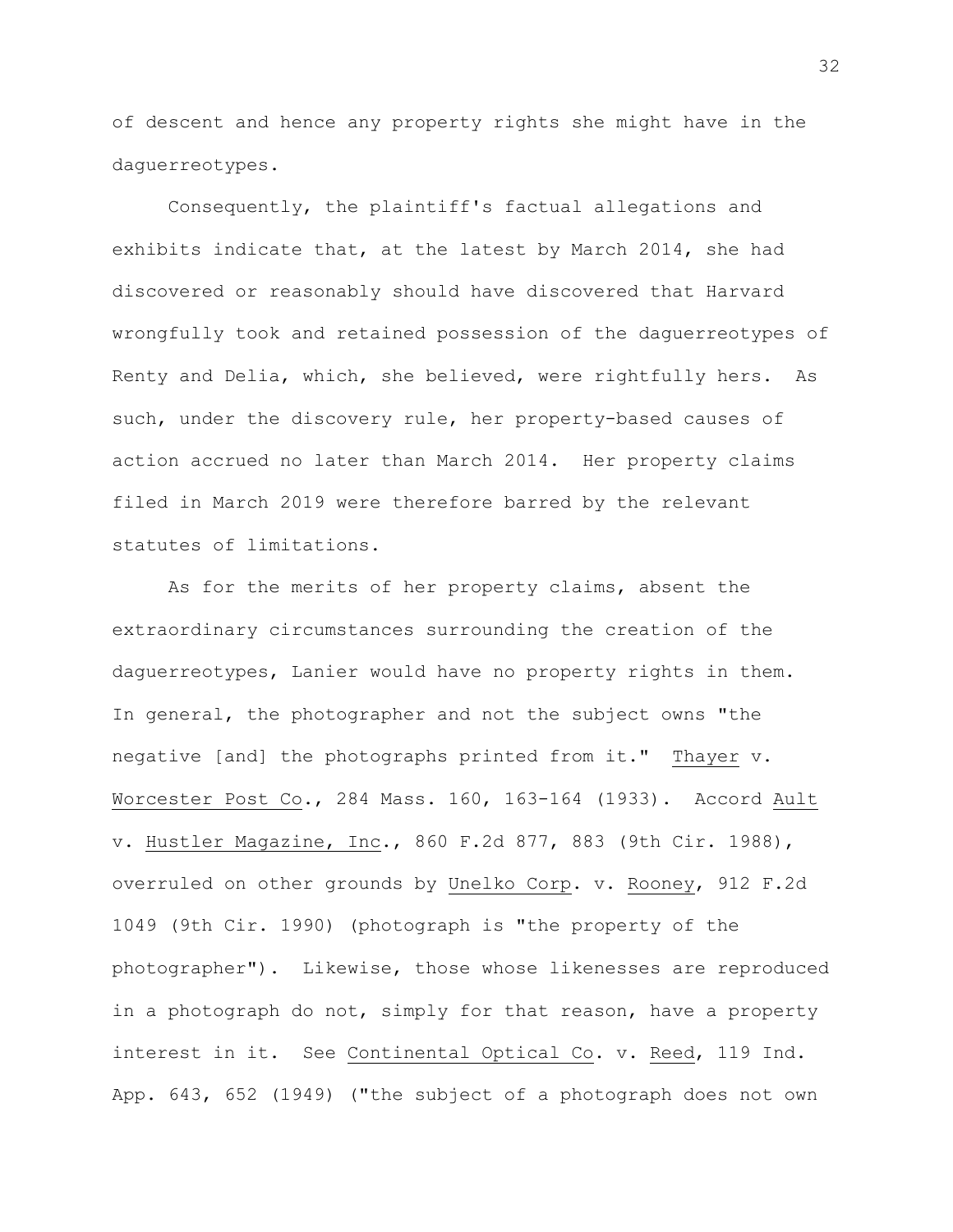of descent and hence any property rights she might have in the daguerreotypes.

Consequently, the plaintiff's factual allegations and exhibits indicate that, at the latest by March 2014, she had discovered or reasonably should have discovered that Harvard wrongfully took and retained possession of the daguerreotypes of Renty and Delia, which, she believed, were rightfully hers. As such, under the discovery rule, her property-based causes of action accrued no later than March 2014. Her property claims filed in March 2019 were therefore barred by the relevant statutes of limitations.

As for the merits of her property claims, absent the extraordinary circumstances surrounding the creation of the daguerreotypes, Lanier would have no property rights in them. In general, the photographer and not the subject owns "the negative [and] the photographs printed from it." Thayer v. Worcester Post Co., 284 Mass. 160, 163-164 (1933). Accord Ault v. Hustler Magazine, Inc., 860 F.2d 877, 883 (9th Cir. 1988), overruled on other grounds by Unelko Corp. v. Rooney, 912 F.2d 1049 (9th Cir. 1990) (photograph is "the property of the photographer"). Likewise, those whose likenesses are reproduced in a photograph do not, simply for that reason, have a property interest in it. See Continental Optical Co. v. Reed, 119 Ind. App. 643, 652 (1949) ("the subject of a photograph does not own

32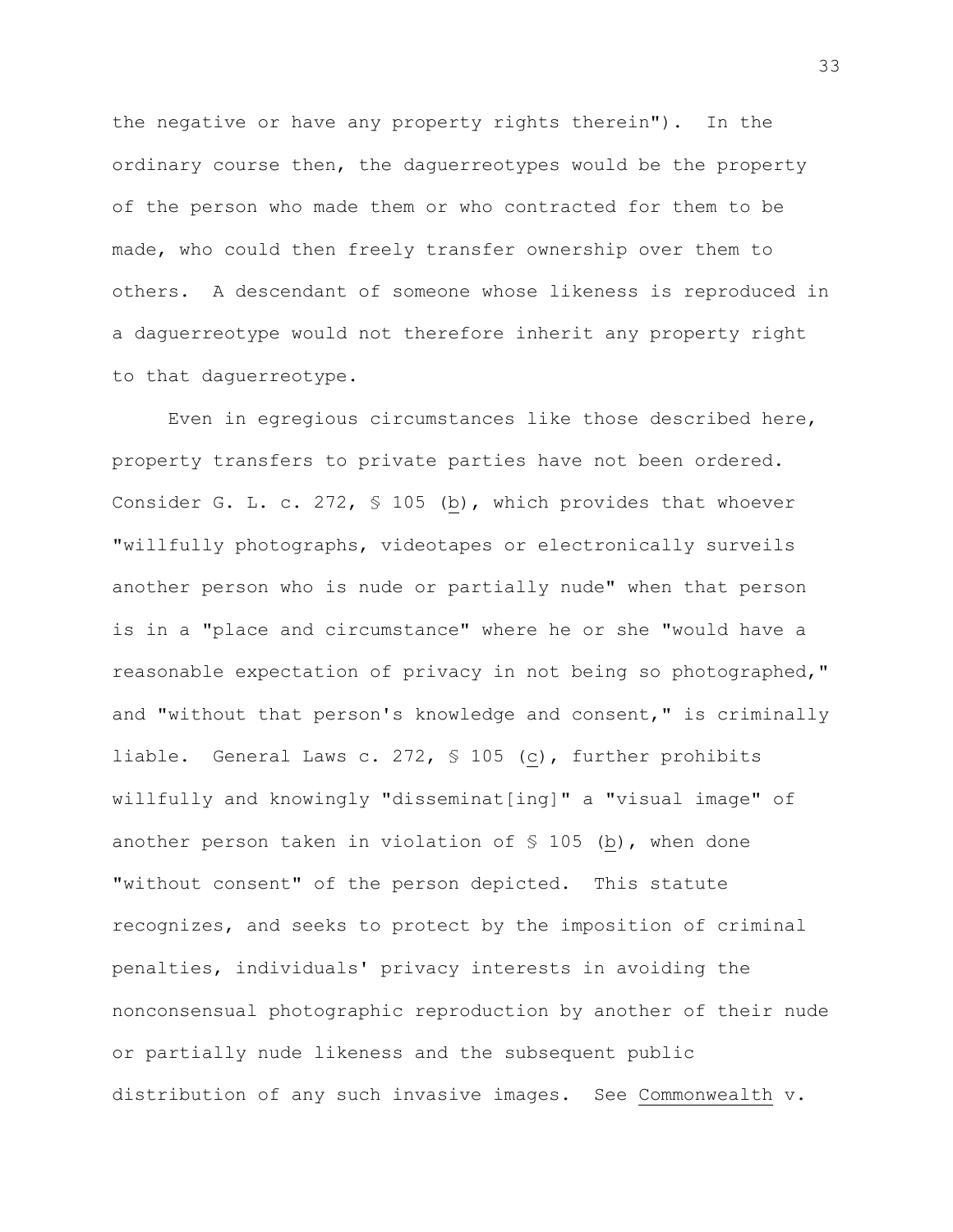the negative or have any property rights therein"). In the ordinary course then, the daguerreotypes would be the property of the person who made them or who contracted for them to be made, who could then freely transfer ownership over them to others. A descendant of someone whose likeness is reproduced in a daguerreotype would not therefore inherit any property right to that daguerreotype.

Even in egregious circumstances like those described here, property transfers to private parties have not been ordered. Consider G. L. c. 272, § 105 (b), which provides that whoever "willfully photographs, videotapes or electronically surveils another person who is nude or partially nude" when that person is in a "place and circumstance" where he or she "would have a reasonable expectation of privacy in not being so photographed," and "without that person's knowledge and consent," is criminally liable. General Laws c. 272, § 105 (c), further prohibits willfully and knowingly "disseminat[ing]" a "visual image" of another person taken in violation of § 105 (b), when done "without consent" of the person depicted. This statute recognizes, and seeks to protect by the imposition of criminal penalties, individuals' privacy interests in avoiding the nonconsensual photographic reproduction by another of their nude or partially nude likeness and the subsequent public distribution of any such invasive images. See Commonwealth v.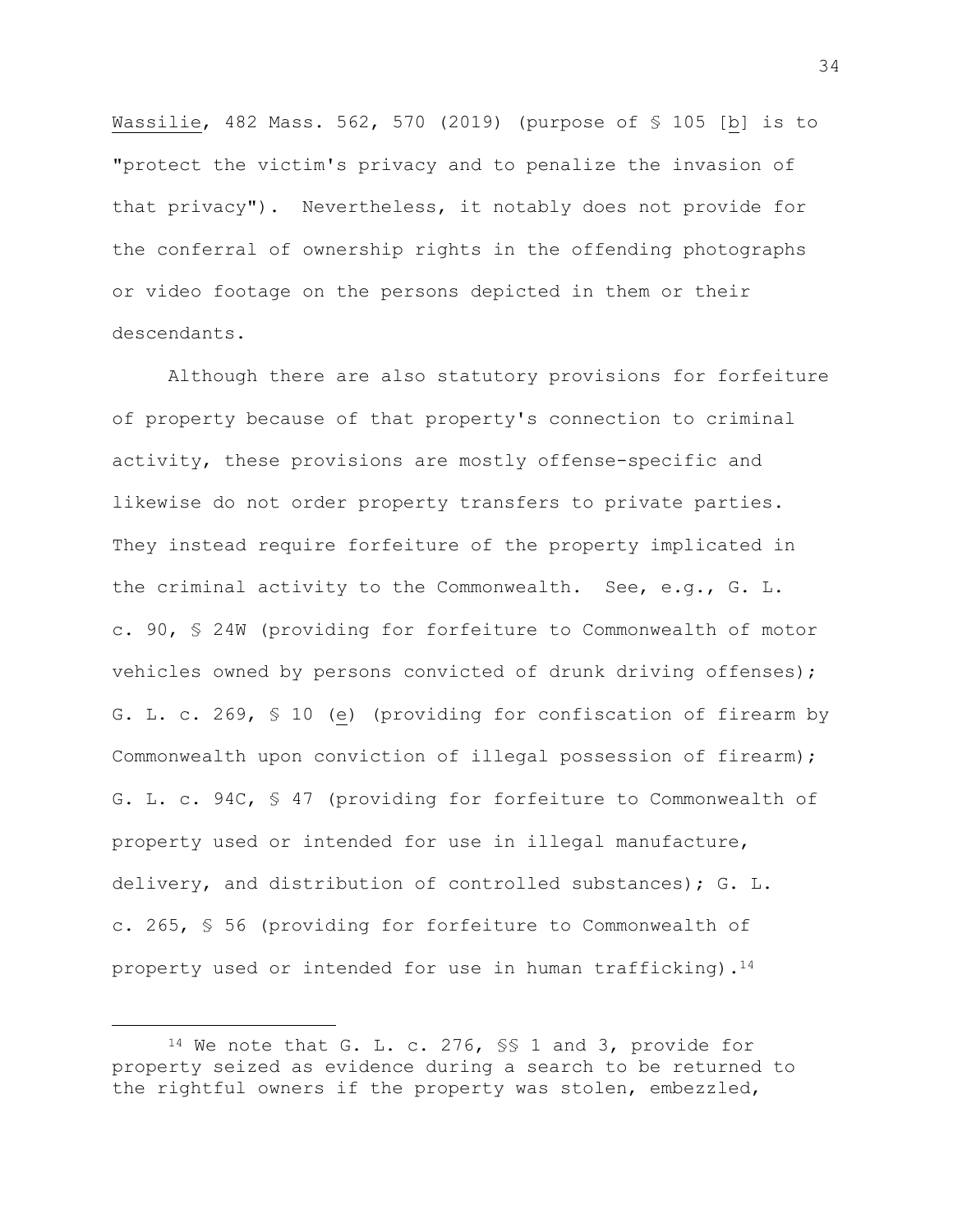Wassilie, 482 Mass. 562, 570 (2019) (purpose of § 105 [b] is to "protect the victim's privacy and to penalize the invasion of that privacy"). Nevertheless, it notably does not provide for the conferral of ownership rights in the offending photographs or video footage on the persons depicted in them or their descendants.

Although there are also statutory provisions for forfeiture of property because of that property's connection to criminal activity, these provisions are mostly offense-specific and likewise do not order property transfers to private parties. They instead require forfeiture of the property implicated in the criminal activity to the Commonwealth. See, e.g., G. L. c. 90, § 24W (providing for forfeiture to Commonwealth of motor vehicles owned by persons convicted of drunk driving offenses); G. L. c. 269, § 10 (e) (providing for confiscation of firearm by Commonwealth upon conviction of illegal possession of firearm); G. L. c. 94C, § 47 (providing for forfeiture to Commonwealth of property used or intended for use in illegal manufacture, delivery, and distribution of controlled substances); G. L. c. 265, § 56 (providing for forfeiture to Commonwealth of property used or intended for use in human trafficking).<sup>14</sup>

<sup>14</sup> We note that G. L. c. 276, §§ 1 and 3, provide for property seized as evidence during a search to be returned to the rightful owners if the property was stolen, embezzled,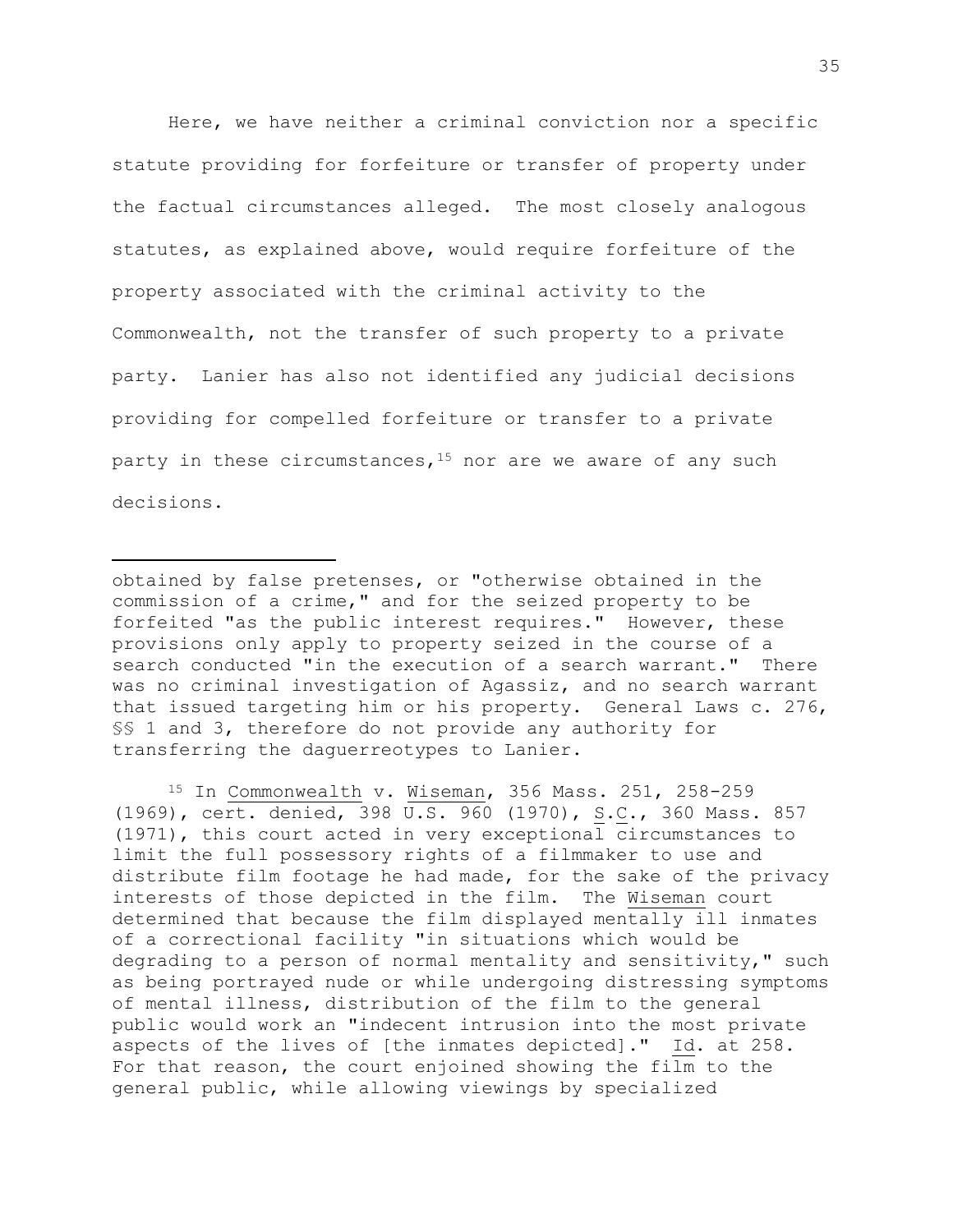Here, we have neither a criminal conviction nor a specific statute providing for forfeiture or transfer of property under the factual circumstances alleged. The most closely analogous statutes, as explained above, would require forfeiture of the property associated with the criminal activity to the Commonwealth, not the transfer of such property to a private party. Lanier has also not identified any judicial decisions providing for compelled forfeiture or transfer to a private party in these circumstances,  $15$  nor are we aware of any such decisions.

<sup>15</sup> In Commonwealth v. Wiseman, 356 Mass. 251, 258-259 (1969), cert. denied, 398 U.S. 960 (1970), S.C., 360 Mass. 857 (1971), this court acted in very exceptional circumstances to limit the full possessory rights of a filmmaker to use and distribute film footage he had made, for the sake of the privacy interests of those depicted in the film. The Wiseman court determined that because the film displayed mentally ill inmates of a correctional facility "in situations which would be degrading to a person of normal mentality and sensitivity," such as being portrayed nude or while undergoing distressing symptoms of mental illness, distribution of the film to the general public would work an "indecent intrusion into the most private aspects of the lives of [the inmates depicted]." Id. at 258. For that reason, the court enjoined showing the film to the general public, while allowing viewings by specialized

obtained by false pretenses, or "otherwise obtained in the commission of a crime," and for the seized property to be forfeited "as the public interest requires." However, these provisions only apply to property seized in the course of a search conducted "in the execution of a search warrant." There was no criminal investigation of Agassiz, and no search warrant that issued targeting him or his property. General Laws c. 276, §§ 1 and 3, therefore do not provide any authority for transferring the daguerreotypes to Lanier.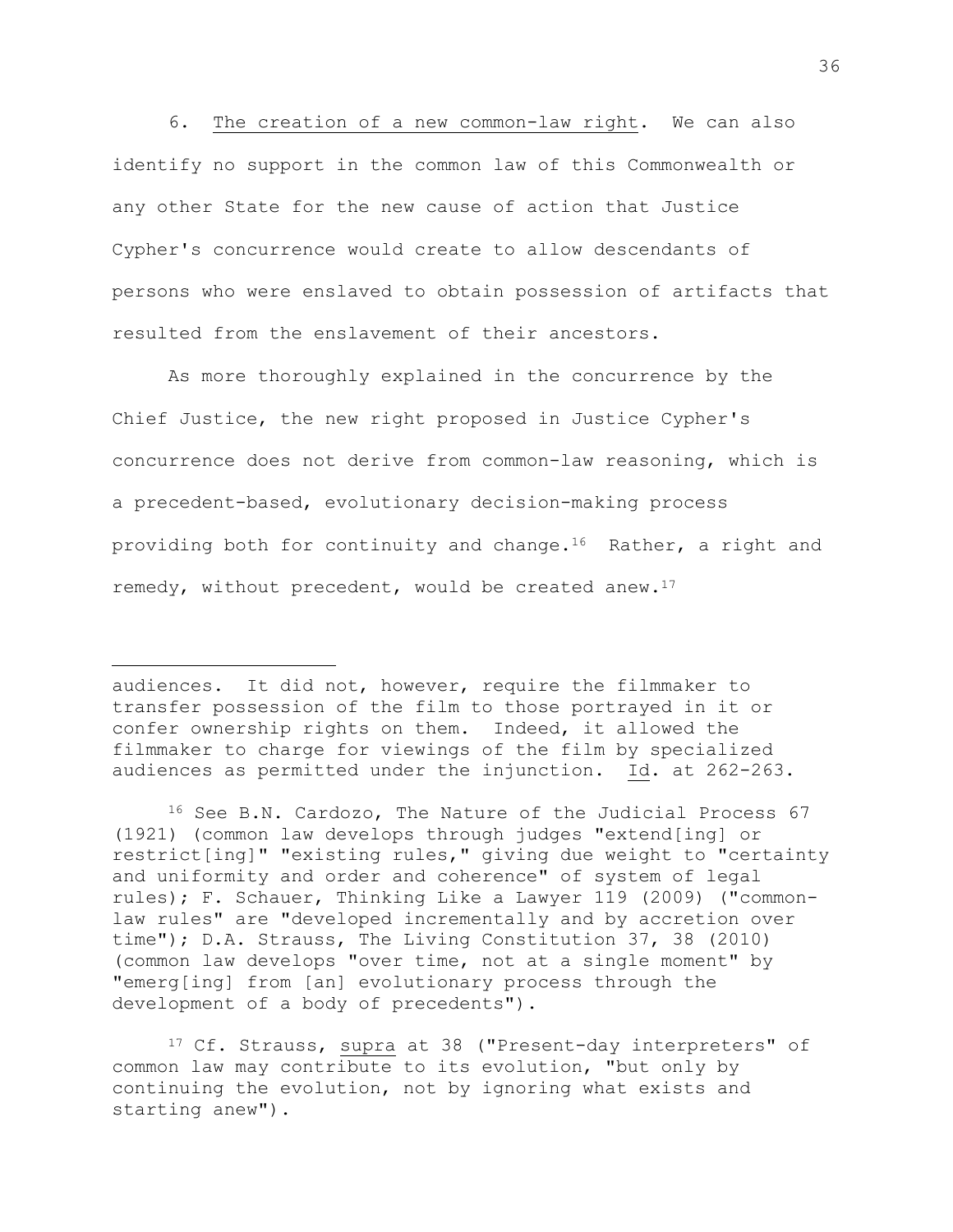6. The creation of a new common-law right. We can also identify no support in the common law of this Commonwealth or any other State for the new cause of action that Justice Cypher's concurrence would create to allow descendants of persons who were enslaved to obtain possession of artifacts that resulted from the enslavement of their ancestors.

As more thoroughly explained in the concurrence by the Chief Justice, the new right proposed in Justice Cypher's concurrence does not derive from common-law reasoning, which is a precedent-based, evolutionary decision-making process providing both for continuity and change.<sup>16</sup> Rather, a right and remedy, without precedent, would be created anew. $17$ 

audiences. It did not, however, require the filmmaker to transfer possession of the film to those portrayed in it or confer ownership rights on them. Indeed, it allowed the filmmaker to charge for viewings of the film by specialized audiences as permitted under the injunction. Id. at 262-263.

<sup>16</sup> See B.N. Cardozo, The Nature of the Judicial Process 67 (1921) (common law develops through judges "extend[ing] or restrict[ing]" "existing rules," giving due weight to "certainty and uniformity and order and coherence" of system of legal rules); F. Schauer, Thinking Like a Lawyer 119 (2009) ("commonlaw rules" are "developed incrementally and by accretion over time"); D.A. Strauss, The Living Constitution 37, 38 (2010) (common law develops "over time, not at a single moment" by "emerg[ing] from [an] evolutionary process through the development of a body of precedents").

<sup>17</sup> Cf. Strauss, supra at 38 ("Present-day interpreters" of common law may contribute to its evolution, "but only by continuing the evolution, not by ignoring what exists and starting anew").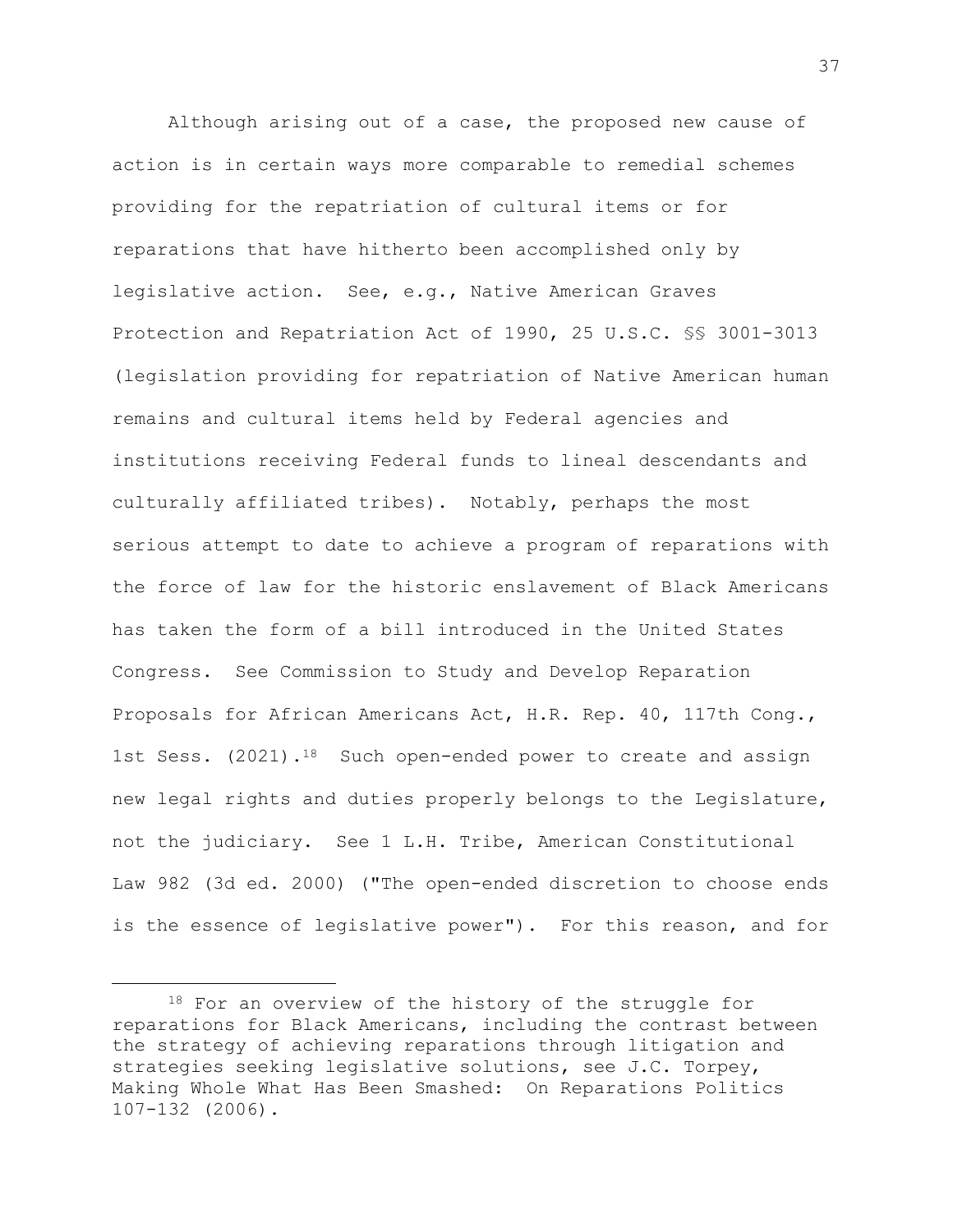Although arising out of a case, the proposed new cause of action is in certain ways more comparable to remedial schemes providing for the repatriation of cultural items or for reparations that have hitherto been accomplished only by legislative action. See, e.g., Native American Graves Protection and Repatriation Act of 1990, 25 U.S.C. §§ 3001-3013 (legislation providing for repatriation of Native American human remains and cultural items held by Federal agencies and institutions receiving Federal funds to lineal descendants and culturally affiliated tribes). Notably, perhaps the most serious attempt to date to achieve a program of reparations with the force of law for the historic enslavement of Black Americans has taken the form of a bill introduced in the United States Congress. See Commission to Study and Develop Reparation Proposals for African Americans Act, H.R. Rep. 40, 117th Cong., 1st Sess. (2021).<sup>18</sup> Such open-ended power to create and assign new legal rights and duties properly belongs to the Legislature, not the judiciary. See 1 L.H. Tribe, American Constitutional Law 982 (3d ed. 2000) ("The open-ended discretion to choose ends is the essence of legislative power"). For this reason, and for

<sup>18</sup> For an overview of the history of the struggle for reparations for Black Americans, including the contrast between the strategy of achieving reparations through litigation and strategies seeking legislative solutions, see J.C. Torpey, Making Whole What Has Been Smashed: On Reparations Politics 107-132 (2006).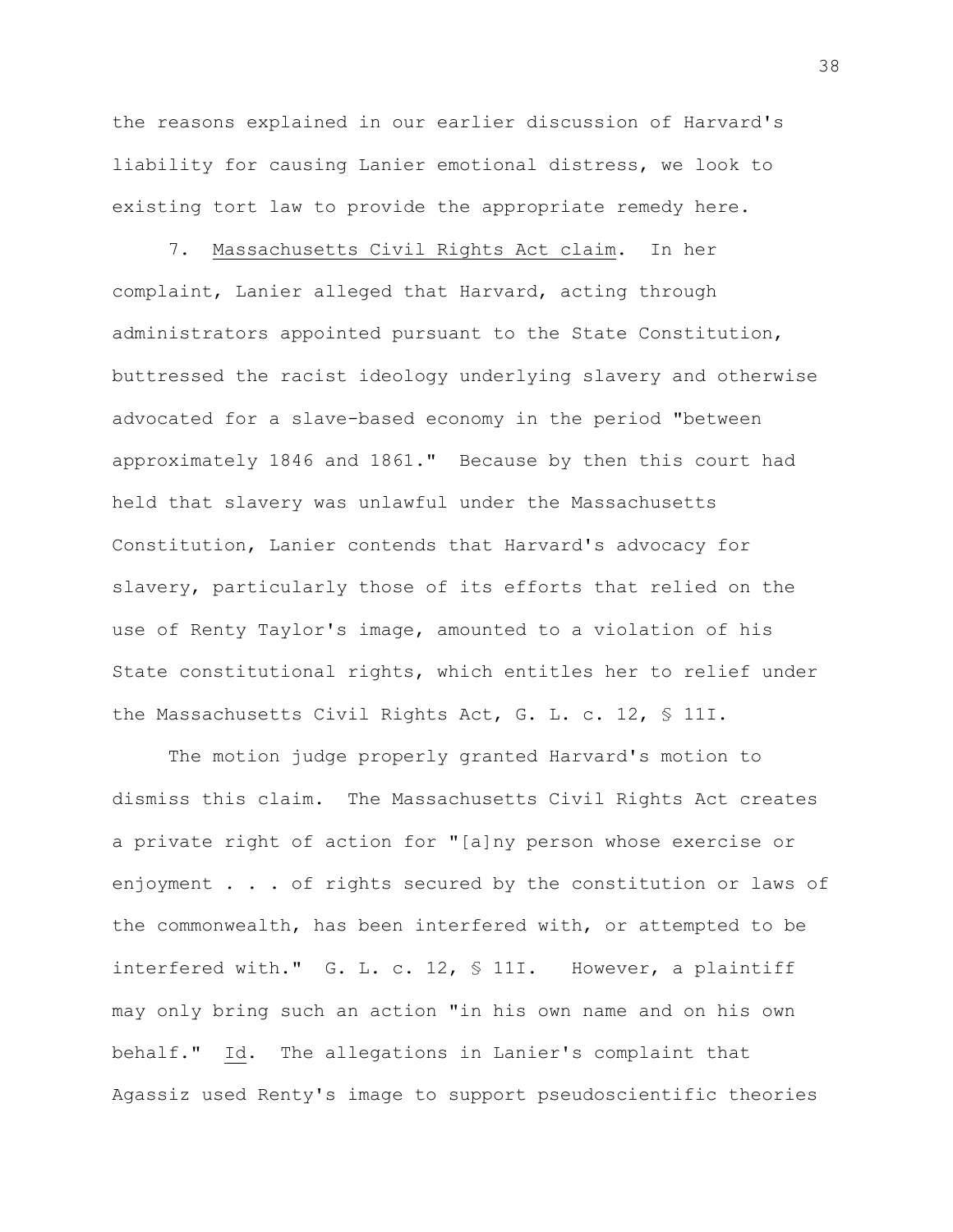the reasons explained in our earlier discussion of Harvard's liability for causing Lanier emotional distress, we look to existing tort law to provide the appropriate remedy here.

7. Massachusetts Civil Rights Act claim. In her complaint, Lanier alleged that Harvard, acting through administrators appointed pursuant to the State Constitution, buttressed the racist ideology underlying slavery and otherwise advocated for a slave-based economy in the period "between approximately 1846 and 1861." Because by then this court had held that slavery was unlawful under the Massachusetts Constitution, Lanier contends that Harvard's advocacy for slavery, particularly those of its efforts that relied on the use of Renty Taylor's image, amounted to a violation of his State constitutional rights, which entitles her to relief under the Massachusetts Civil Rights Act, G. L. c. 12, § 11I.

The motion judge properly granted Harvard's motion to dismiss this claim. The Massachusetts Civil Rights Act creates a private right of action for "[a]ny person whose exercise or enjoyment . . . of rights secured by the constitution or laws of the commonwealth, has been interfered with, or attempted to be interfered with." G. L. c. 12, § 11I. However, a plaintiff may only bring such an action "in his own name and on his own behalf." Id. The allegations in Lanier's complaint that Agassiz used Renty's image to support pseudoscientific theories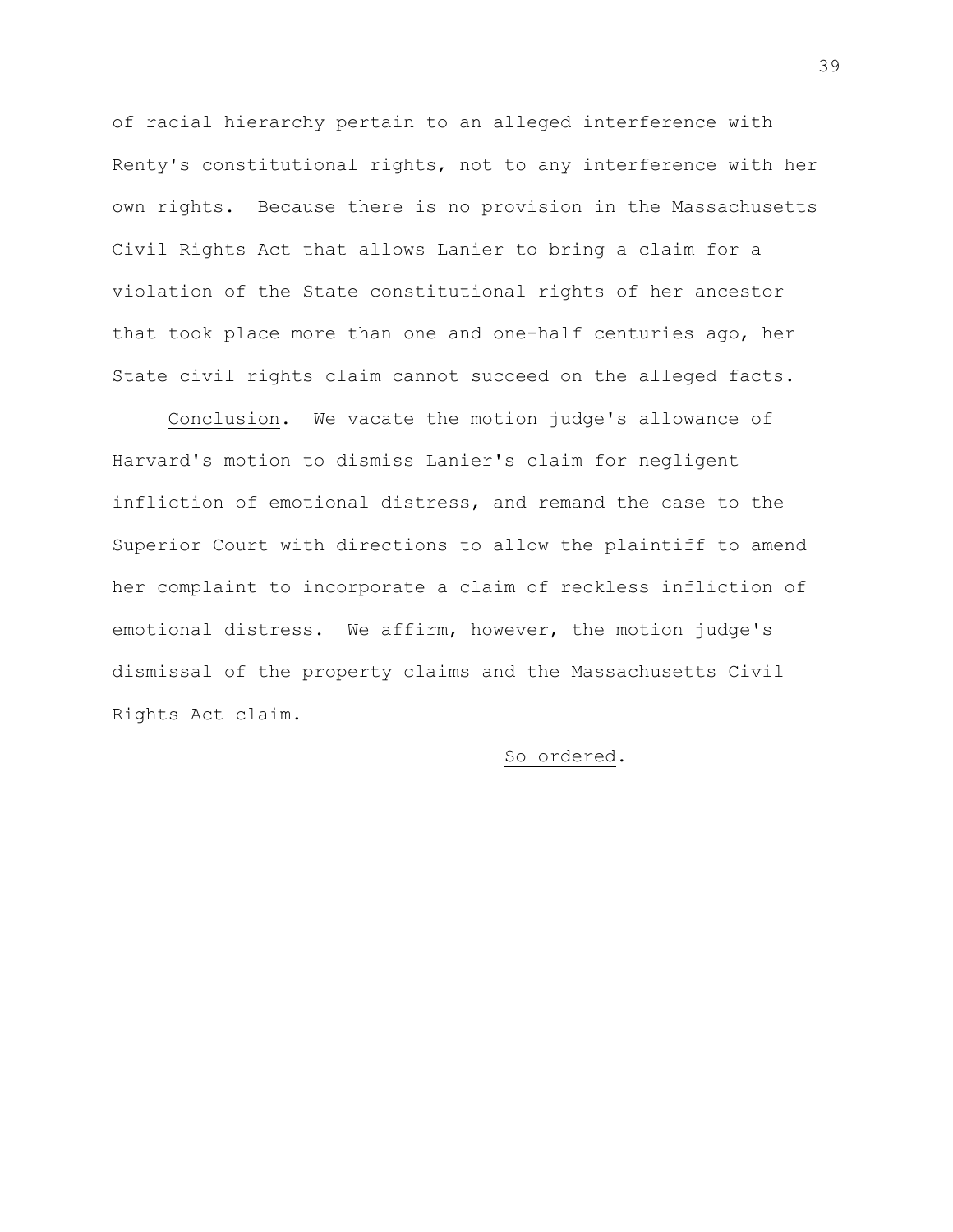of racial hierarchy pertain to an alleged interference with Renty's constitutional rights, not to any interference with her own rights. Because there is no provision in the Massachusetts Civil Rights Act that allows Lanier to bring a claim for a violation of the State constitutional rights of her ancestor that took place more than one and one-half centuries ago, her State civil rights claim cannot succeed on the alleged facts.

Conclusion. We vacate the motion judge's allowance of Harvard's motion to dismiss Lanier's claim for negligent infliction of emotional distress, and remand the case to the Superior Court with directions to allow the plaintiff to amend her complaint to incorporate a claim of reckless infliction of emotional distress. We affirm, however, the motion judge's dismissal of the property claims and the Massachusetts Civil Rights Act claim.

## So ordered.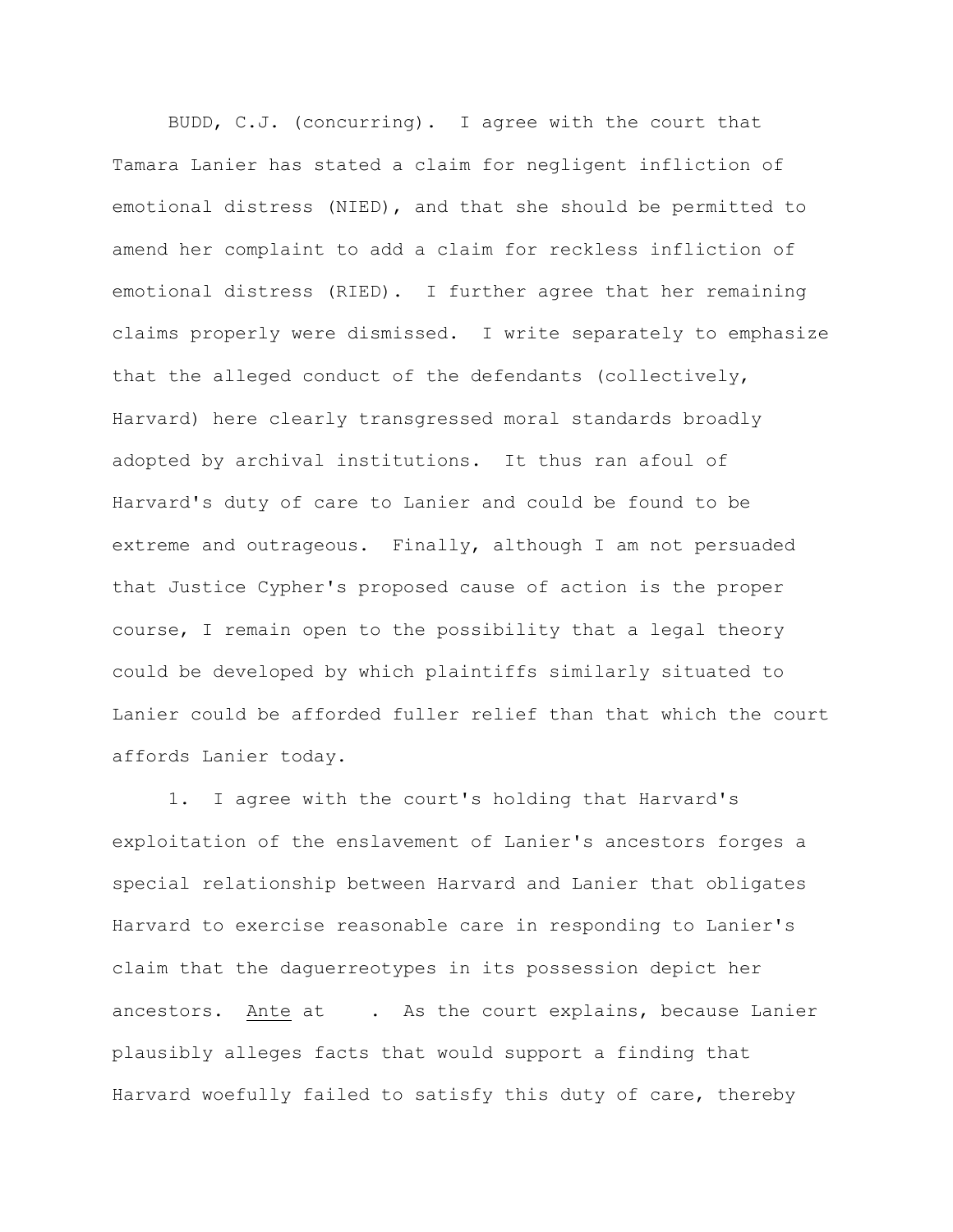BUDD, C.J. (concurring). I agree with the court that Tamara Lanier has stated a claim for negligent infliction of emotional distress (NIED), and that she should be permitted to amend her complaint to add a claim for reckless infliction of emotional distress (RIED). I further agree that her remaining claims properly were dismissed. I write separately to emphasize that the alleged conduct of the defendants (collectively, Harvard) here clearly transgressed moral standards broadly adopted by archival institutions. It thus ran afoul of Harvard's duty of care to Lanier and could be found to be extreme and outrageous. Finally, although I am not persuaded that Justice Cypher's proposed cause of action is the proper course, I remain open to the possibility that a legal theory could be developed by which plaintiffs similarly situated to Lanier could be afforded fuller relief than that which the court affords Lanier today.

1. I agree with the court's holding that Harvard's exploitation of the enslavement of Lanier's ancestors forges a special relationship between Harvard and Lanier that obligates Harvard to exercise reasonable care in responding to Lanier's claim that the daguerreotypes in its possession depict her ancestors. Ante at . As the court explains, because Lanier plausibly alleges facts that would support a finding that Harvard woefully failed to satisfy this duty of care, thereby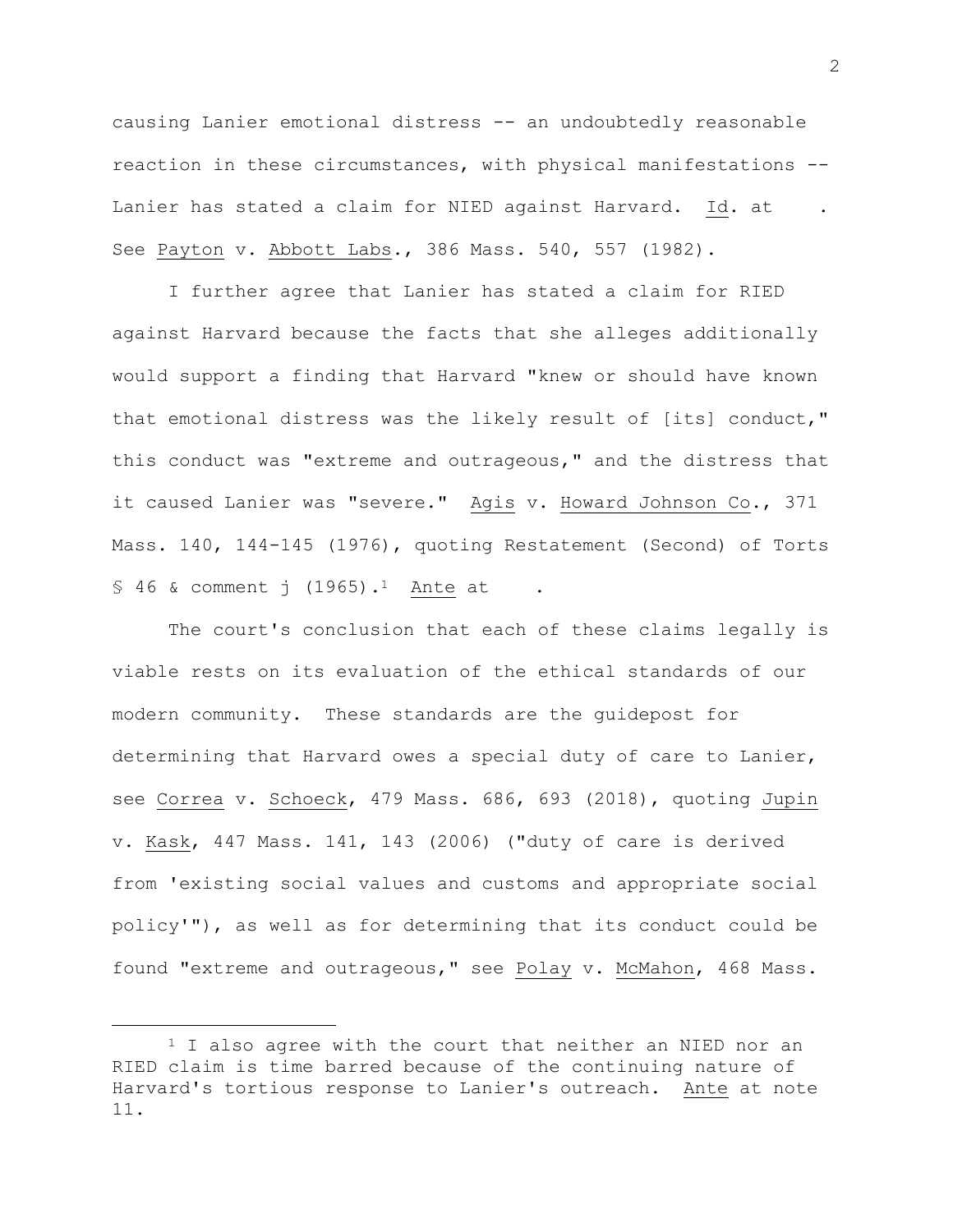causing Lanier emotional distress -- an undoubtedly reasonable reaction in these circumstances, with physical manifestations -- Lanier has stated a claim for NIED against Harvard. Id. at See Payton v. Abbott Labs., 386 Mass. 540, 557 (1982).

I further agree that Lanier has stated a claim for RIED against Harvard because the facts that she alleges additionally would support a finding that Harvard "knew or should have known that emotional distress was the likely result of [its] conduct," this conduct was "extreme and outrageous," and the distress that it caused Lanier was "severe." Agis v. Howard Johnson Co., 371 Mass. 140, 144-145 (1976), quoting Restatement (Second) of Torts  $$46$  & comment j (1965).<sup>1</sup> Ante at

The court's conclusion that each of these claims legally is viable rests on its evaluation of the ethical standards of our modern community. These standards are the guidepost for determining that Harvard owes a special duty of care to Lanier, see Correa v. Schoeck, 479 Mass. 686, 693 (2018), quoting Jupin v. Kask, 447 Mass. 141, 143 (2006) ("duty of care is derived from 'existing social values and customs and appropriate social policy'"), as well as for determining that its conduct could be found "extreme and outrageous," see Polay v. McMahon, 468 Mass.

<sup>&</sup>lt;sup>1</sup> I also agree with the court that neither an NIED nor an RIED claim is time barred because of the continuing nature of Harvard's tortious response to Lanier's outreach. Ante at note 11.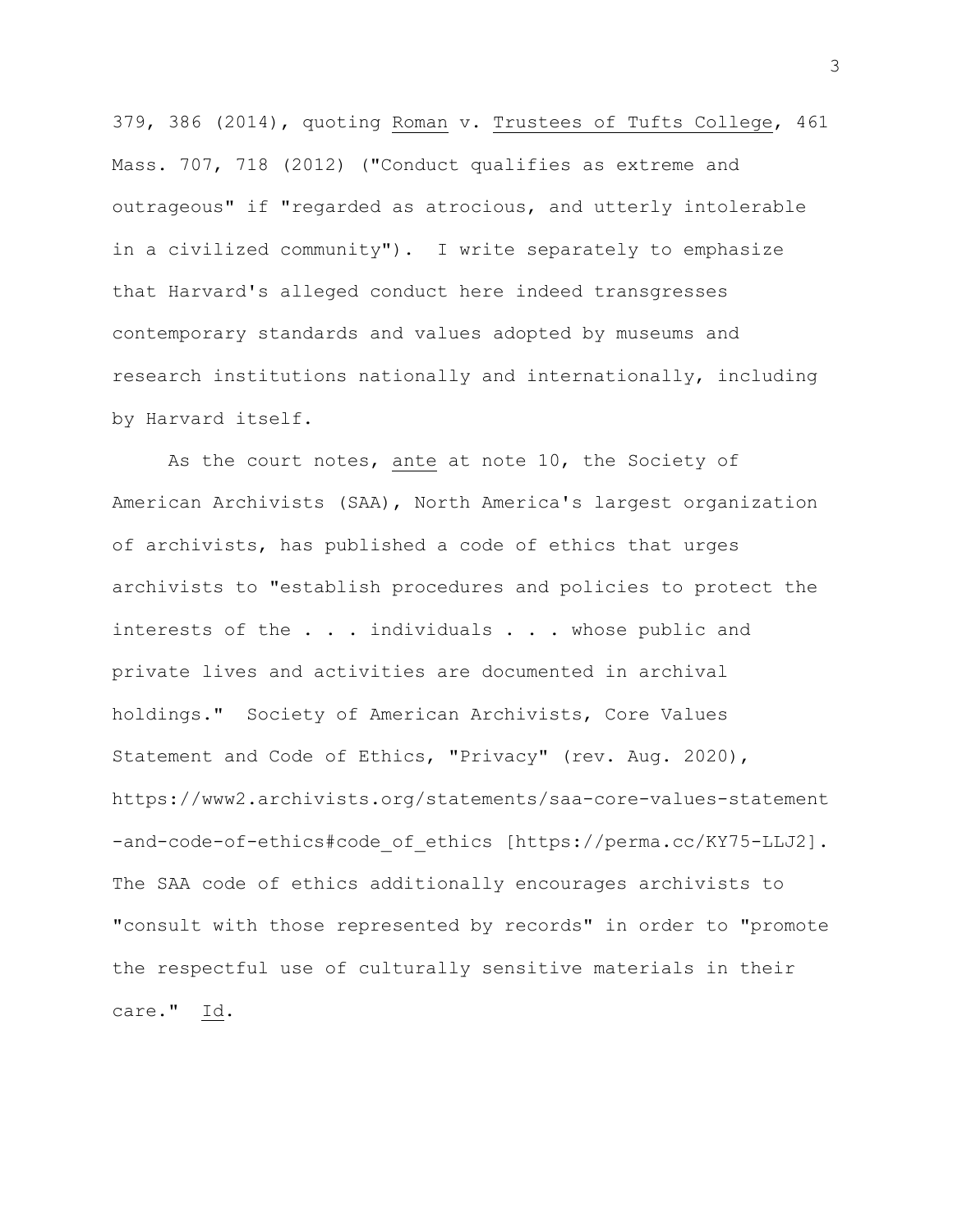379, 386 (2014), quoting Roman v. Trustees of Tufts College, 461 Mass. 707, 718 (2012) ("Conduct qualifies as extreme and outrageous" if "regarded as atrocious, and utterly intolerable in a civilized community"). I write separately to emphasize that Harvard's alleged conduct here indeed transgresses contemporary standards and values adopted by museums and research institutions nationally and internationally, including by Harvard itself.

As the court notes, ante at note 10, the Society of American Archivists (SAA), North America's largest organization of archivists, has published a code of ethics that urges archivists to "establish procedures and policies to protect the interests of the . . . individuals . . . whose public and private lives and activities are documented in archival holdings." Society of American Archivists, Core Values Statement and Code of Ethics, "Privacy" (rev. Aug. 2020), https://www2.archivists.org/statements/saa-core-values-statement -and-code-of-ethics#code of ethics [https://perma.cc/KY75-LLJ2]. The SAA code of ethics additionally encourages archivists to "consult with those represented by records" in order to "promote the respectful use of culturally sensitive materials in their care." Id.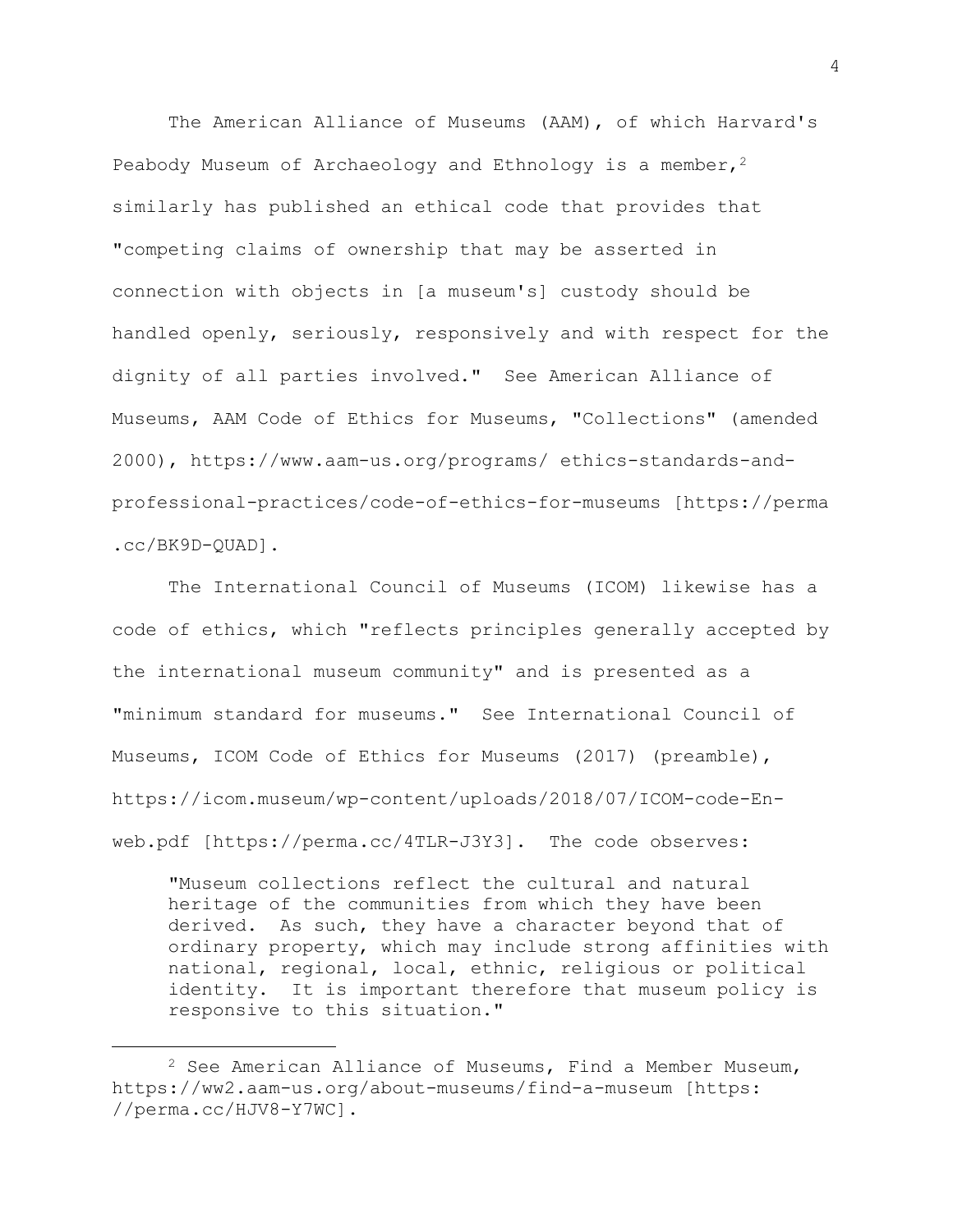The American Alliance of Museums (AAM), of which Harvard's Peabody Museum of Archaeology and Ethnology is a member,  $2^2$ similarly has published an ethical code that provides that "competing claims of ownership that may be asserted in connection with objects in [a museum's] custody should be handled openly, seriously, responsively and with respect for the dignity of all parties involved." See American Alliance of Museums, AAM Code of Ethics for Museums, "Collections" (amended 2000), https://www.aam-us.org/programs/ ethics-standards-andprofessional-practices/code-of-ethics-for-museums [https://perma .cc/BK9D-QUAD].

The International Council of Museums (ICOM) likewise has a code of ethics, which "reflects principles generally accepted by the international museum community" and is presented as a "minimum standard for museums." See International Council of Museums, ICOM Code of Ethics for Museums (2017) (preamble), https://icom.museum/wp-content/uploads/2018/07/ICOM-code-Enweb.pdf [https://perma.cc/4TLR-J3Y3]. The code observes:

"Museum collections reflect the cultural and natural heritage of the communities from which they have been derived. As such, they have a character beyond that of ordinary property, which may include strong affinities with national, regional, local, ethnic, religious or political identity. It is important therefore that museum policy is responsive to this situation."

 $2$  See American Alliance of Museums, Find a Member Museum, https://ww2.aam-us.org/about-museums/find-a-museum [https: //perma.cc/HJV8-Y7WC].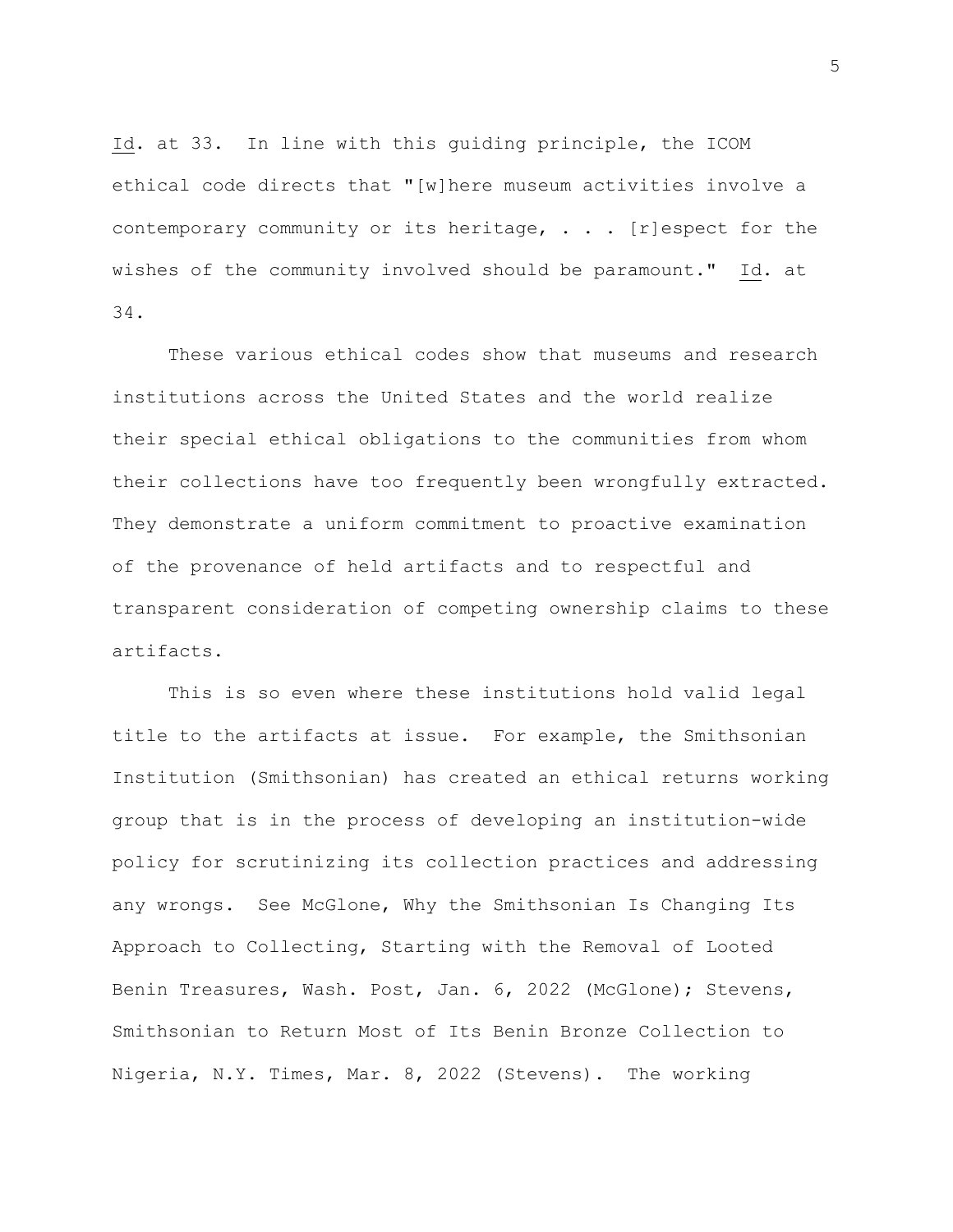Id. at 33. In line with this guiding principle, the ICOM ethical code directs that "[w]here museum activities involve a contemporary community or its heritage, . . . [r]espect for the wishes of the community involved should be paramount." Id. at 34.

These various ethical codes show that museums and research institutions across the United States and the world realize their special ethical obligations to the communities from whom their collections have too frequently been wrongfully extracted. They demonstrate a uniform commitment to proactive examination of the provenance of held artifacts and to respectful and transparent consideration of competing ownership claims to these artifacts.

This is so even where these institutions hold valid legal title to the artifacts at issue. For example, the Smithsonian Institution (Smithsonian) has created an ethical returns working group that is in the process of developing an institution-wide policy for scrutinizing its collection practices and addressing any wrongs. See McGlone, Why the Smithsonian Is Changing Its Approach to Collecting, Starting with the Removal of Looted Benin Treasures, Wash. Post, Jan. 6, 2022 (McGlone); Stevens, Smithsonian to Return Most of Its Benin Bronze Collection to Nigeria, N.Y. Times, Mar. 8, 2022 (Stevens). The working

5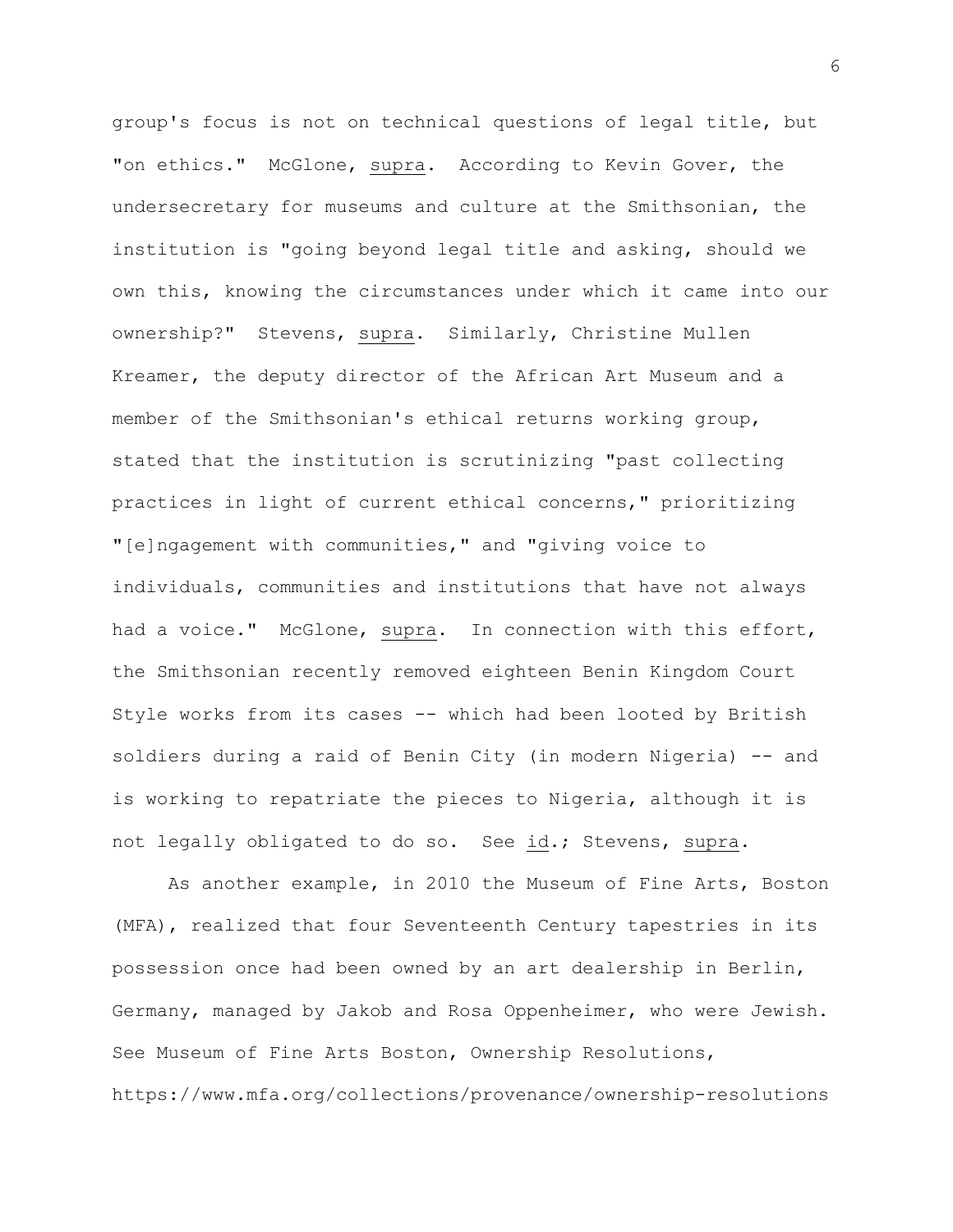group's focus is not on technical questions of legal title, but "on ethics." McGlone, supra. According to Kevin Gover, the undersecretary for museums and culture at the Smithsonian, the institution is "going beyond legal title and asking, should we own this, knowing the circumstances under which it came into our ownership?" Stevens, supra. Similarly, Christine Mullen Kreamer, the deputy director of the African Art Museum and a member of the Smithsonian's ethical returns working group, stated that the institution is scrutinizing "past collecting practices in light of current ethical concerns," prioritizing "[e]ngagement with communities," and "giving voice to individuals, communities and institutions that have not always had a voice." McGlone, supra. In connection with this effort, the Smithsonian recently removed eighteen Benin Kingdom Court Style works from its cases -- which had been looted by British soldiers during a raid of Benin City (in modern Nigeria) -- and is working to repatriate the pieces to Nigeria, although it is not legally obligated to do so. See id.; Stevens, supra.

As another example, in 2010 the Museum of Fine Arts, Boston (MFA), realized that four Seventeenth Century tapestries in its possession once had been owned by an art dealership in Berlin, Germany, managed by Jakob and Rosa Oppenheimer, who were Jewish. See Museum of Fine Arts Boston, Ownership Resolutions, https://www.mfa.org/collections/provenance/ownership-resolutions

6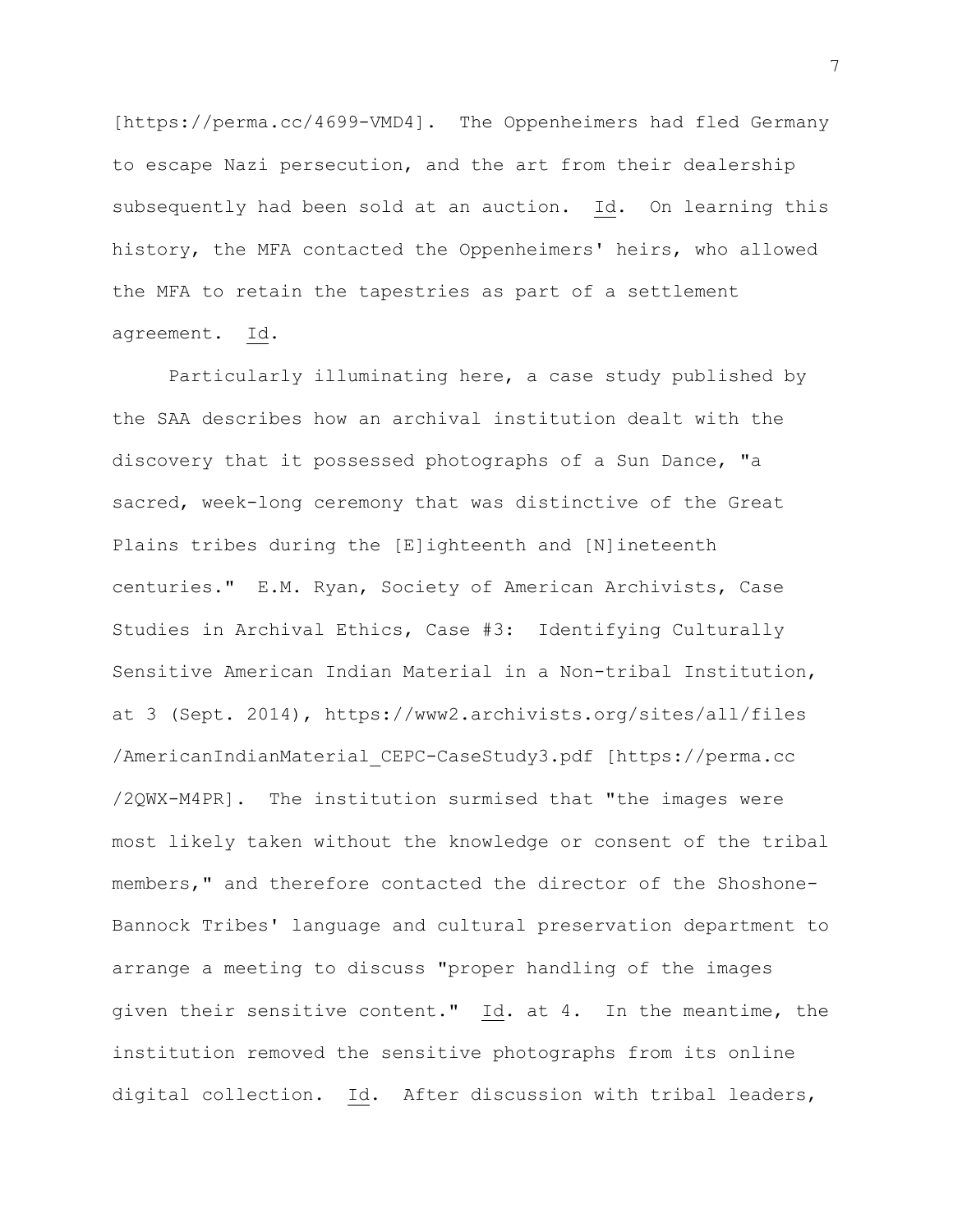[https://perma.cc/4699-VMD4]. The Oppenheimers had fled Germany to escape Nazi persecution, and the art from their dealership subsequently had been sold at an auction. Id. On learning this history, the MFA contacted the Oppenheimers' heirs, who allowed the MFA to retain the tapestries as part of a settlement agreement. Id.

Particularly illuminating here, a case study published by the SAA describes how an archival institution dealt with the discovery that it possessed photographs of a Sun Dance, "a sacred, week-long ceremony that was distinctive of the Great Plains tribes during the [E]ighteenth and [N]ineteenth centuries." E.M. Ryan, Society of American Archivists, Case Studies in Archival Ethics, Case #3: Identifying Culturally Sensitive American Indian Material in a Non-tribal Institution, at 3 (Sept. 2014), https://www2.archivists.org/sites/all/files /AmericanIndianMaterial\_CEPC-CaseStudy3.pdf [https://perma.cc /2QWX-M4PR]. The institution surmised that "the images were most likely taken without the knowledge or consent of the tribal members," and therefore contacted the director of the Shoshone-Bannock Tribes' language and cultural preservation department to arrange a meeting to discuss "proper handling of the images given their sensitive content." Id. at 4. In the meantime, the institution removed the sensitive photographs from its online digital collection. Id. After discussion with tribal leaders,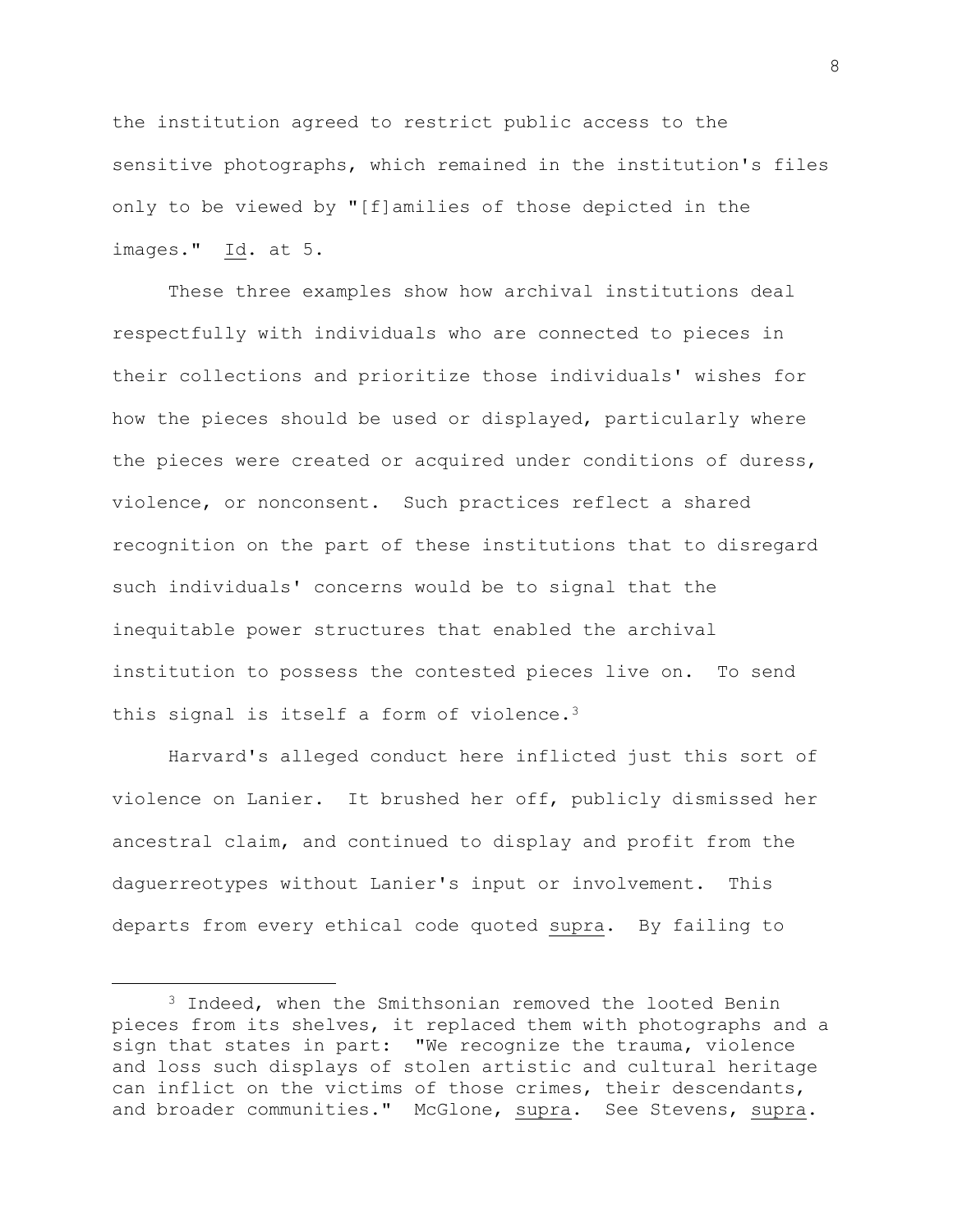the institution agreed to restrict public access to the sensitive photographs, which remained in the institution's files only to be viewed by "[f]amilies of those depicted in the images." Id. at 5.

These three examples show how archival institutions deal respectfully with individuals who are connected to pieces in their collections and prioritize those individuals' wishes for how the pieces should be used or displayed, particularly where the pieces were created or acquired under conditions of duress, violence, or nonconsent. Such practices reflect a shared recognition on the part of these institutions that to disregard such individuals' concerns would be to signal that the inequitable power structures that enabled the archival institution to possess the contested pieces live on. To send this signal is itself a form of violence.<sup>3</sup>

Harvard's alleged conduct here inflicted just this sort of violence on Lanier. It brushed her off, publicly dismissed her ancestral claim, and continued to display and profit from the daguerreotypes without Lanier's input or involvement. This departs from every ethical code quoted supra. By failing to

<sup>3</sup> Indeed, when the Smithsonian removed the looted Benin pieces from its shelves, it replaced them with photographs and a sign that states in part: "We recognize the trauma, violence and loss such displays of stolen artistic and cultural heritage can inflict on the victims of those crimes, their descendants, and broader communities." McGlone, supra. See Stevens, supra.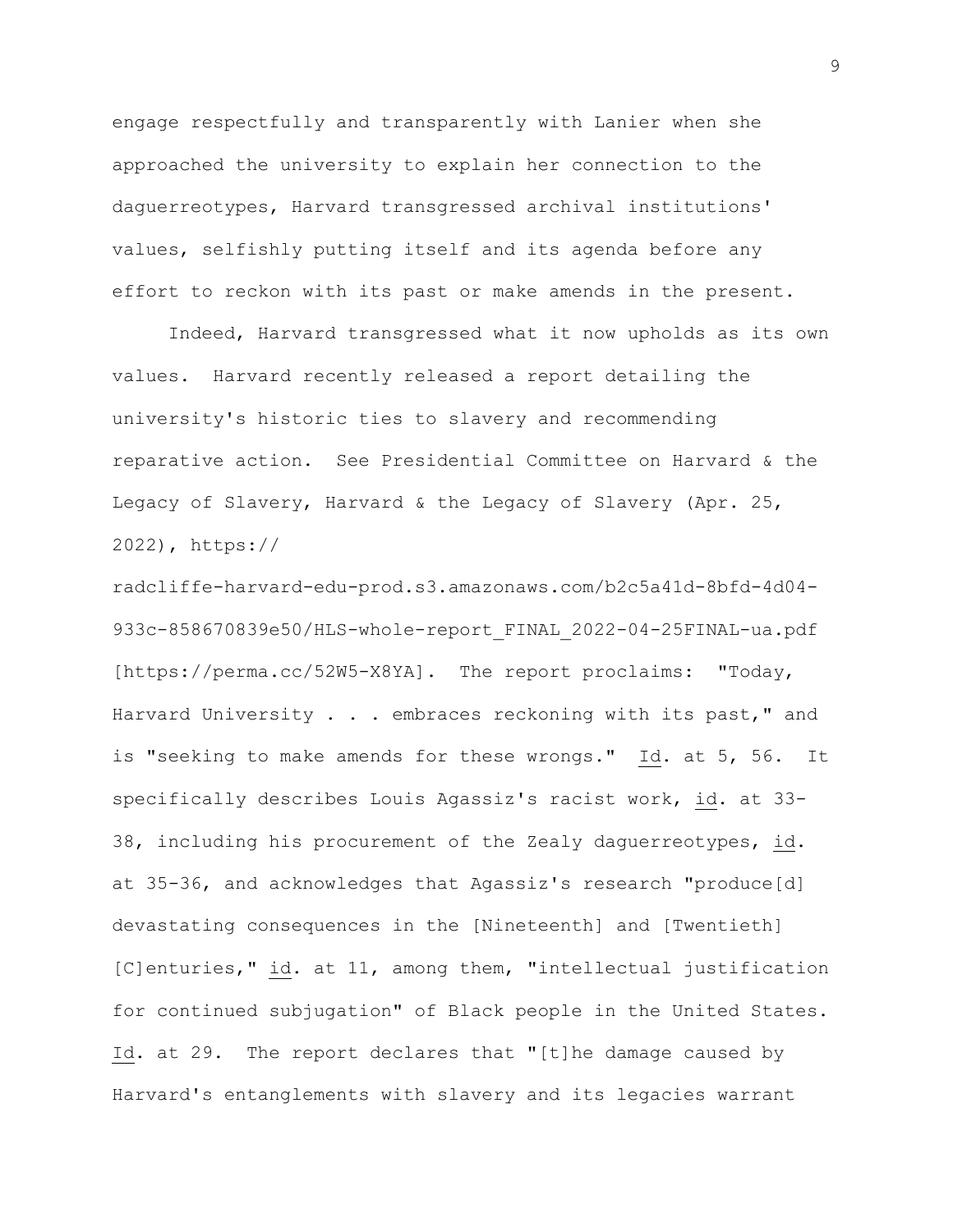engage respectfully and transparently with Lanier when she approached the university to explain her connection to the daguerreotypes, Harvard transgressed archival institutions' values, selfishly putting itself and its agenda before any effort to reckon with its past or make amends in the present.

Indeed, Harvard transgressed what it now upholds as its own values. Harvard recently released a report detailing the university's historic ties to slavery and recommending reparative action. See Presidential Committee on Harvard & the Legacy of Slavery, Harvard & the Legacy of Slavery (Apr. 25, 2022), https://

radcliffe-harvard-edu-prod.s3.amazonaws.com/b2c5a41d-8bfd-4d04- 933c-858670839e50/HLS-whole-report FINAL 2022-04-25FINAL-ua.pdf [https://perma.cc/52W5-X8YA]. The report proclaims: "Today, Harvard University . . . embraces reckoning with its past," and is "seeking to make amends for these wrongs." Id. at 5, 56. It specifically describes Louis Agassiz's racist work, id. at 33- 38, including his procurement of the Zealy daguerreotypes, id. at 35-36, and acknowledges that Agassiz's research "produce[d] devastating consequences in the [Nineteenth] and [Twentieth] [C]enturies," id. at 11, among them, "intellectual justification for continued subjugation" of Black people in the United States. Id. at 29. The report declares that "[t]he damage caused by Harvard's entanglements with slavery and its legacies warrant

9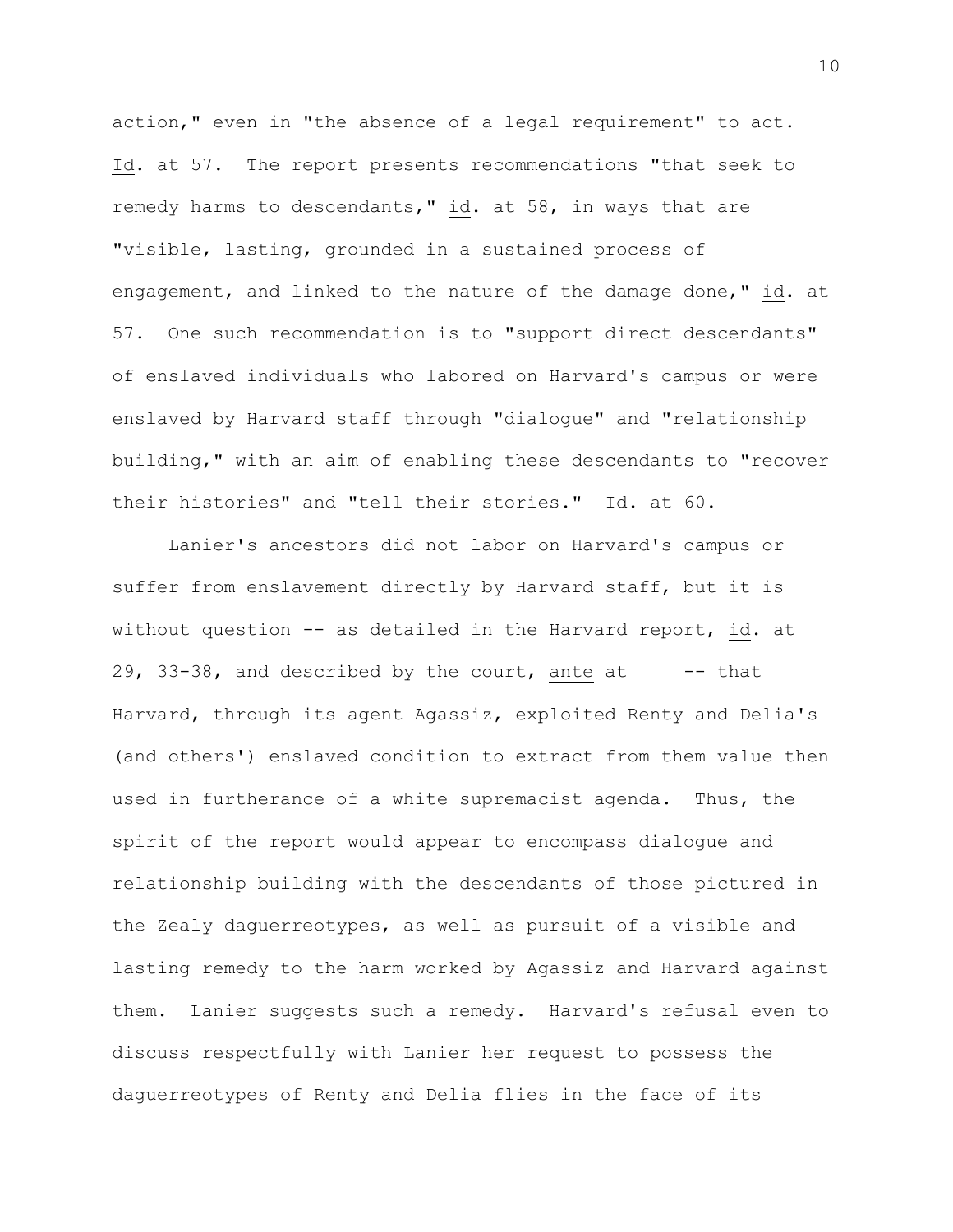action," even in "the absence of a legal requirement" to act. Id. at 57. The report presents recommendations "that seek to remedy harms to descendants," id. at 58, in ways that are "visible, lasting, grounded in a sustained process of engagement, and linked to the nature of the damage done," id. at 57. One such recommendation is to "support direct descendants" of enslaved individuals who labored on Harvard's campus or were enslaved by Harvard staff through "dialogue" and "relationship building," with an aim of enabling these descendants to "recover their histories" and "tell their stories." Id. at 60.

Lanier's ancestors did not labor on Harvard's campus or suffer from enslavement directly by Harvard staff, but it is without question -- as detailed in the Harvard report, id. at 29, 33-38, and described by the court, ante at  $-$ -that Harvard, through its agent Agassiz, exploited Renty and Delia's (and others') enslaved condition to extract from them value then used in furtherance of a white supremacist agenda. Thus, the spirit of the report would appear to encompass dialogue and relationship building with the descendants of those pictured in the Zealy daguerreotypes, as well as pursuit of a visible and lasting remedy to the harm worked by Agassiz and Harvard against them. Lanier suggests such a remedy. Harvard's refusal even to discuss respectfully with Lanier her request to possess the daguerreotypes of Renty and Delia flies in the face of its

10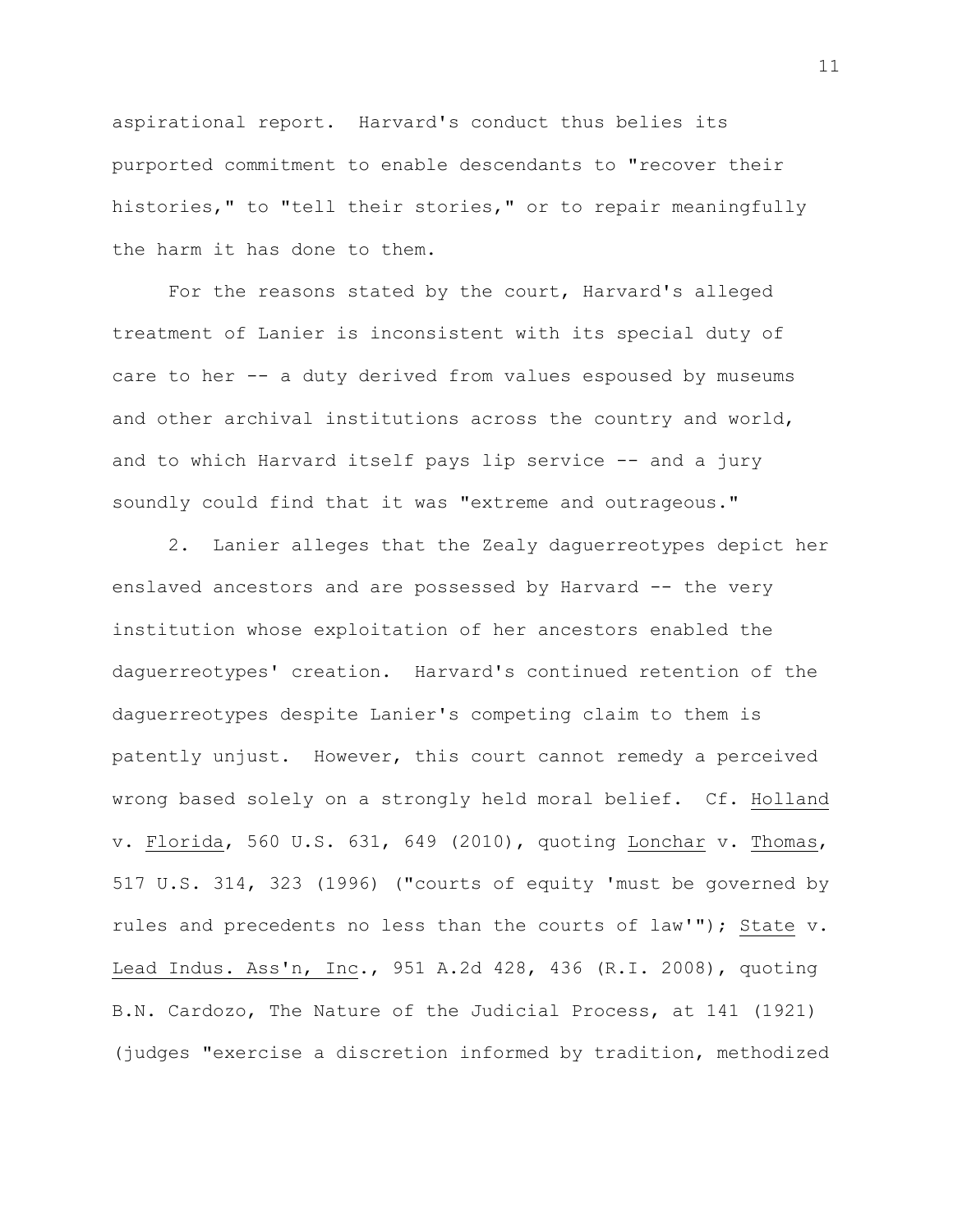aspirational report. Harvard's conduct thus belies its purported commitment to enable descendants to "recover their histories," to "tell their stories," or to repair meaningfully the harm it has done to them.

For the reasons stated by the court, Harvard's alleged treatment of Lanier is inconsistent with its special duty of care to her -- a duty derived from values espoused by museums and other archival institutions across the country and world, and to which Harvard itself pays lip service -- and a jury soundly could find that it was "extreme and outrageous."

2. Lanier alleges that the Zealy daguerreotypes depict her enslaved ancestors and are possessed by Harvard -- the very institution whose exploitation of her ancestors enabled the daguerreotypes' creation. Harvard's continued retention of the daguerreotypes despite Lanier's competing claim to them is patently unjust. However, this court cannot remedy a perceived wrong based solely on a strongly held moral belief. Cf. Holland v. Florida, 560 U.S. 631, 649 (2010), quoting Lonchar v. Thomas, 517 U.S. 314, 323 (1996) ("courts of equity 'must be governed by rules and precedents no less than the courts of law'"); State v. Lead Indus. Ass'n, Inc., 951 A.2d 428, 436 (R.I. 2008), quoting B.N. Cardozo, The Nature of the Judicial Process, at 141 (1921) (judges "exercise a discretion informed by tradition, methodized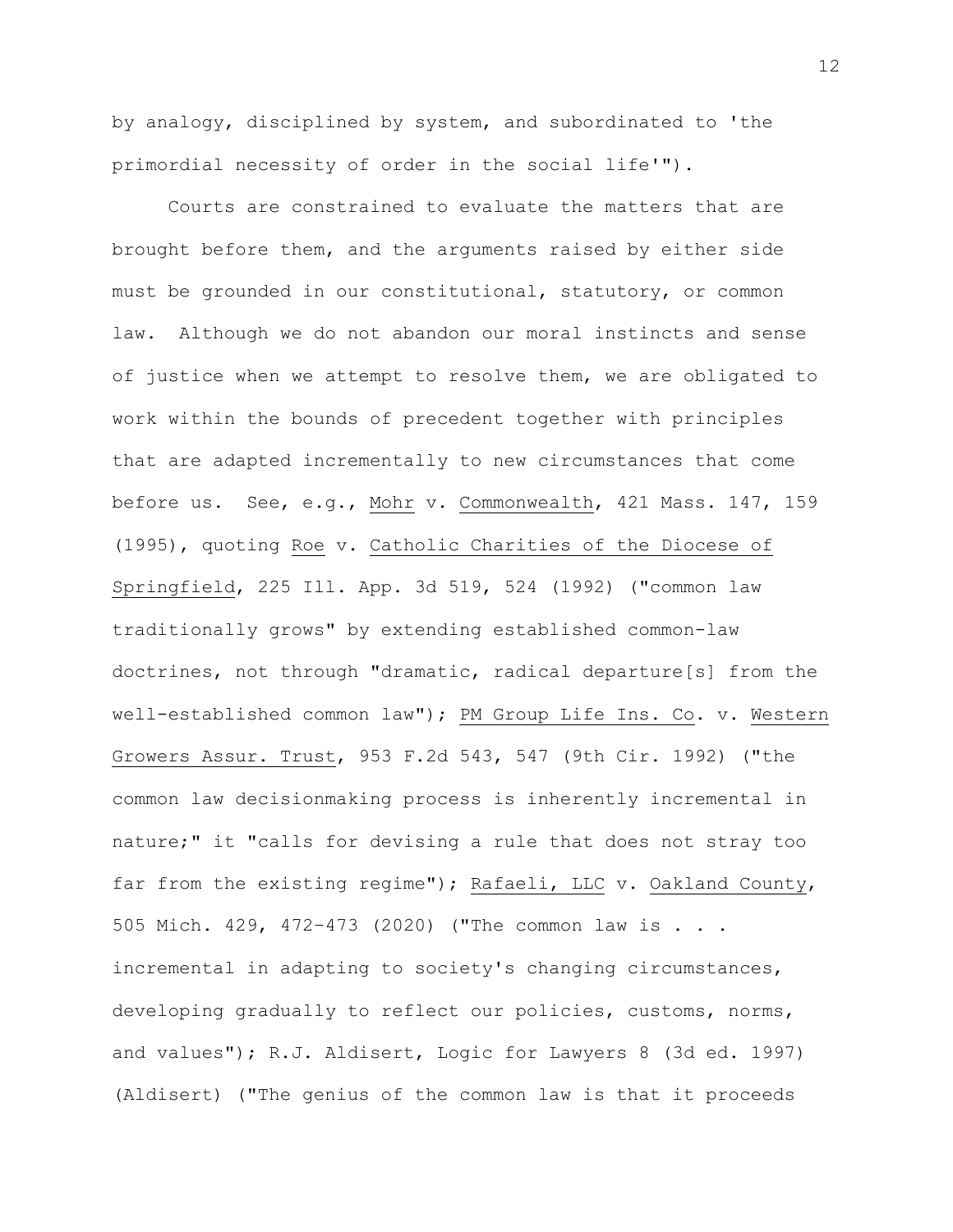by analogy, disciplined by system, and subordinated to 'the primordial necessity of order in the social life'").

Courts are constrained to evaluate the matters that are brought before them, and the arguments raised by either side must be grounded in our constitutional, statutory, or common law. Although we do not abandon our moral instincts and sense of justice when we attempt to resolve them, we are obligated to work within the bounds of precedent together with principles that are adapted incrementally to new circumstances that come before us. See, e.g., Mohr v. Commonwealth, 421 Mass. 147, 159 (1995), quoting Roe v. Catholic Charities of the Diocese of Springfield, 225 Ill. App. 3d 519, 524 (1992) ("common law traditionally grows" by extending established common-law doctrines, not through "dramatic, radical departure[s] from the well-established common law"); PM Group Life Ins. Co. v. Western Growers Assur. Trust, 953 F.2d 543, 547 (9th Cir. 1992) ("the common law decisionmaking process is inherently incremental in nature;" it "calls for devising a rule that does not stray too far from the existing regime"); Rafaeli, LLC v. Oakland County, 505 Mich. 429, 472–473 (2020) ("The common law is . . . incremental in adapting to society's changing circumstances, developing gradually to reflect our policies, customs, norms, and values"); R.J. Aldisert, Logic for Lawyers 8 (3d ed. 1997) (Aldisert) ("The genius of the common law is that it proceeds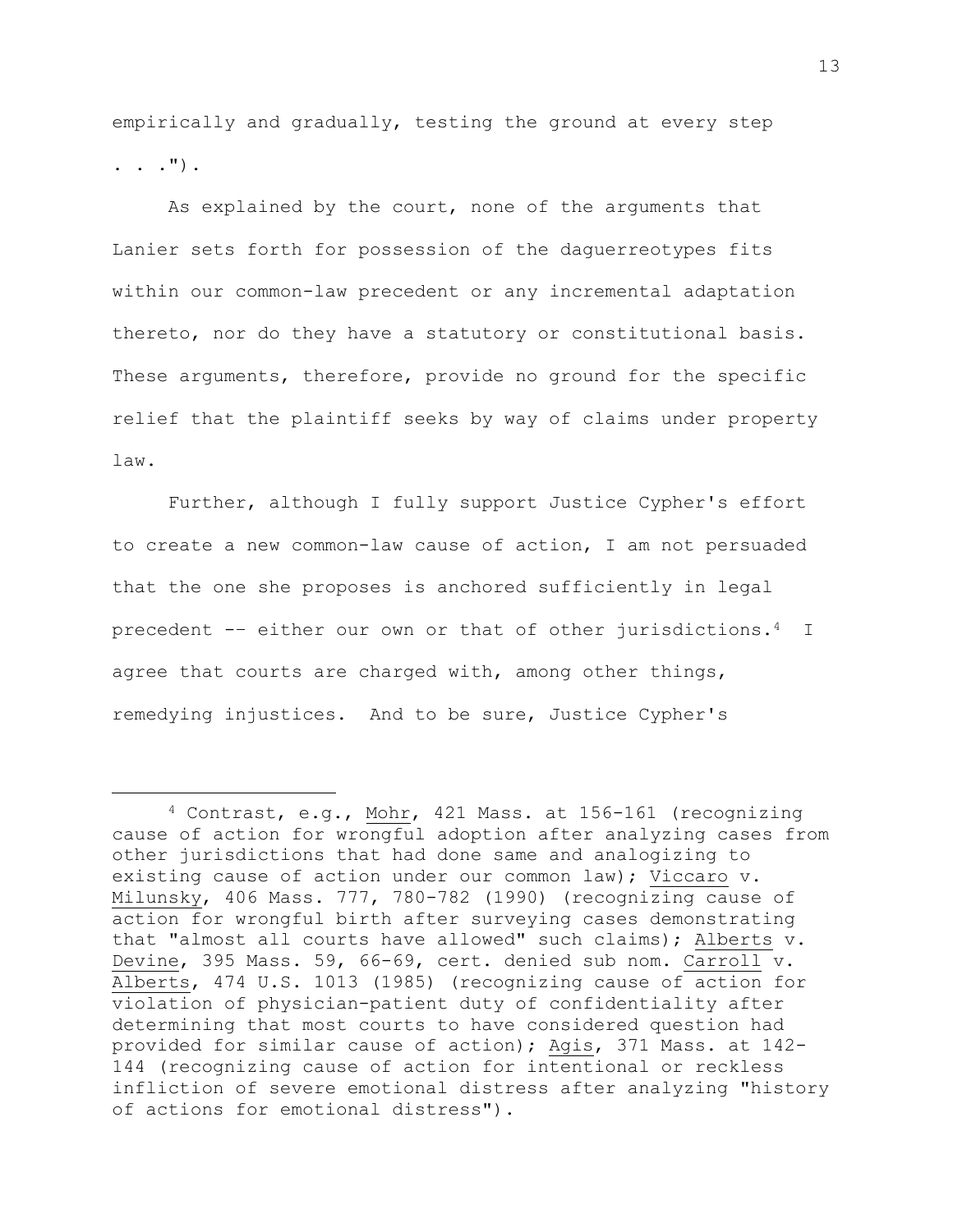empirically and gradually, testing the ground at every step  $\ldots$  . ").

As explained by the court, none of the arguments that Lanier sets forth for possession of the daguerreotypes fits within our common-law precedent or any incremental adaptation thereto, nor do they have a statutory or constitutional basis. These arguments, therefore, provide no ground for the specific relief that the plaintiff seeks by way of claims under property law.

Further, although I fully support Justice Cypher's effort to create a new common-law cause of action, I am not persuaded that the one she proposes is anchored sufficiently in legal precedent -– either our own or that of other jurisdictions.4 I agree that courts are charged with, among other things, remedying injustices. And to be sure, Justice Cypher's

<sup>4</sup> Contrast, e.g., Mohr, 421 Mass. at 156-161 (recognizing cause of action for wrongful adoption after analyzing cases from other jurisdictions that had done same and analogizing to existing cause of action under our common law); Viccaro v. Milunsky, 406 Mass. 777, 780-782 (1990) (recognizing cause of action for wrongful birth after surveying cases demonstrating that "almost all courts have allowed" such claims); Alberts v. Devine, 395 Mass. 59, 66-69, cert. denied sub nom. Carroll v. Alberts, 474 U.S. 1013 (1985) (recognizing cause of action for violation of physician-patient duty of confidentiality after determining that most courts to have considered question had provided for similar cause of action); Agis, 371 Mass. at 142- 144 (recognizing cause of action for intentional or reckless infliction of severe emotional distress after analyzing "history of actions for emotional distress").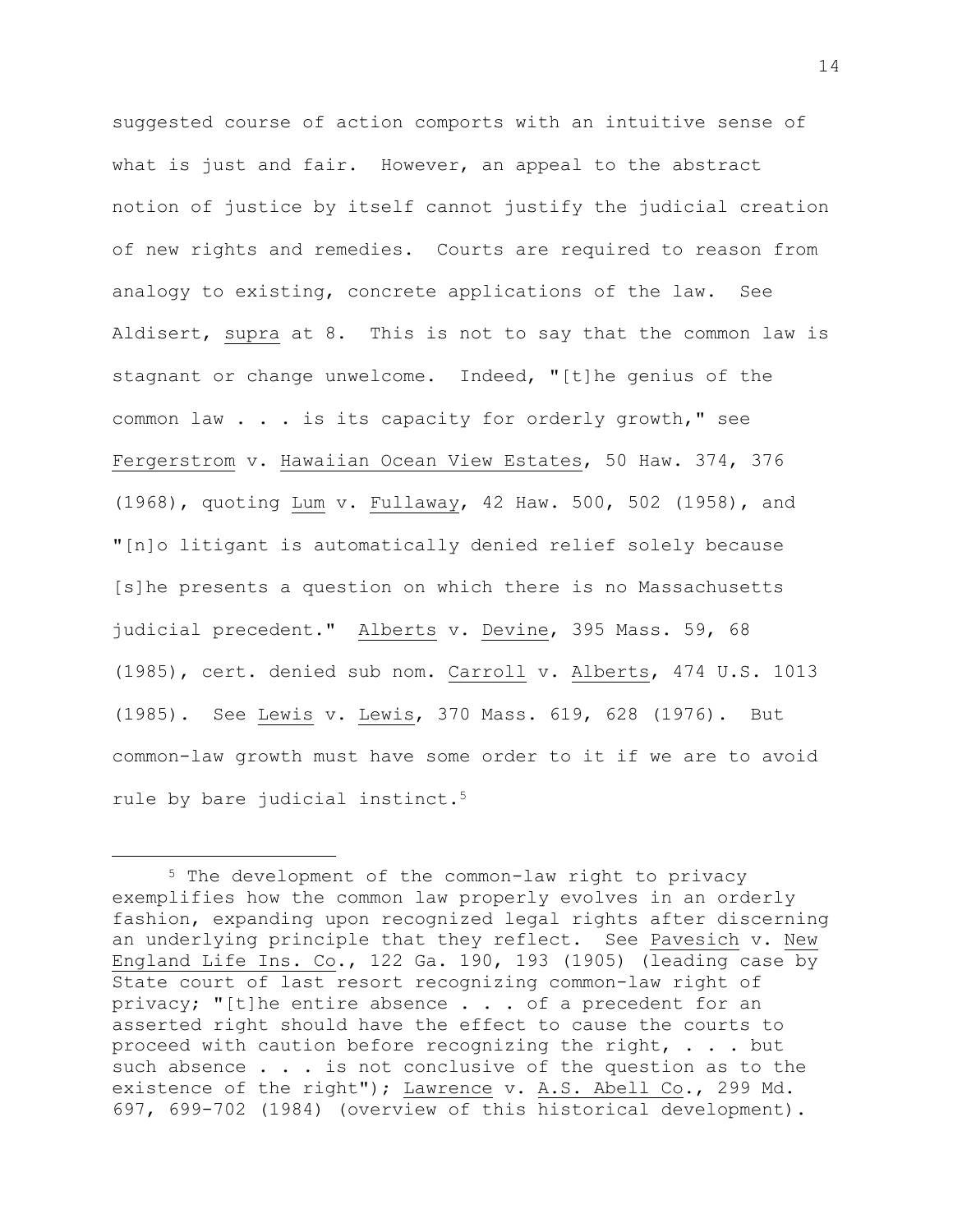suggested course of action comports with an intuitive sense of what is just and fair. However, an appeal to the abstract notion of justice by itself cannot justify the judicial creation of new rights and remedies. Courts are required to reason from analogy to existing, concrete applications of the law. See Aldisert, supra at 8. This is not to say that the common law is stagnant or change unwelcome. Indeed, "[t]he genius of the common law . . . is its capacity for orderly growth," see Fergerstrom v. Hawaiian Ocean View Estates, 50 Haw. 374, 376 (1968), quoting Lum v. Fullaway, 42 Haw. 500, 502 (1958), and "[n]o litigant is automatically denied relief solely because [s]he presents a question on which there is no Massachusetts judicial precedent." Alberts v. Devine, 395 Mass. 59, 68 (1985), cert. denied sub nom. Carroll v. Alberts, 474 U.S. 1013 (1985). See Lewis v. Lewis, 370 Mass. 619, 628 (1976). But common-law growth must have some order to it if we are to avoid rule by bare judicial instinct.<sup>5</sup>

<sup>5</sup> The development of the common-law right to privacy exemplifies how the common law properly evolves in an orderly fashion, expanding upon recognized legal rights after discerning an underlying principle that they reflect. See Pavesich v. New England Life Ins. Co., 122 Ga. 190, 193 (1905) (leading case by State court of last resort recognizing common-law right of privacy; "[t]he entire absence . . . of a precedent for an asserted right should have the effect to cause the courts to proceed with caution before recognizing the right, . . . but such absence . . . is not conclusive of the question as to the existence of the right"); Lawrence v. A.S. Abell Co., 299 Md. 697, 699-702 (1984) (overview of this historical development).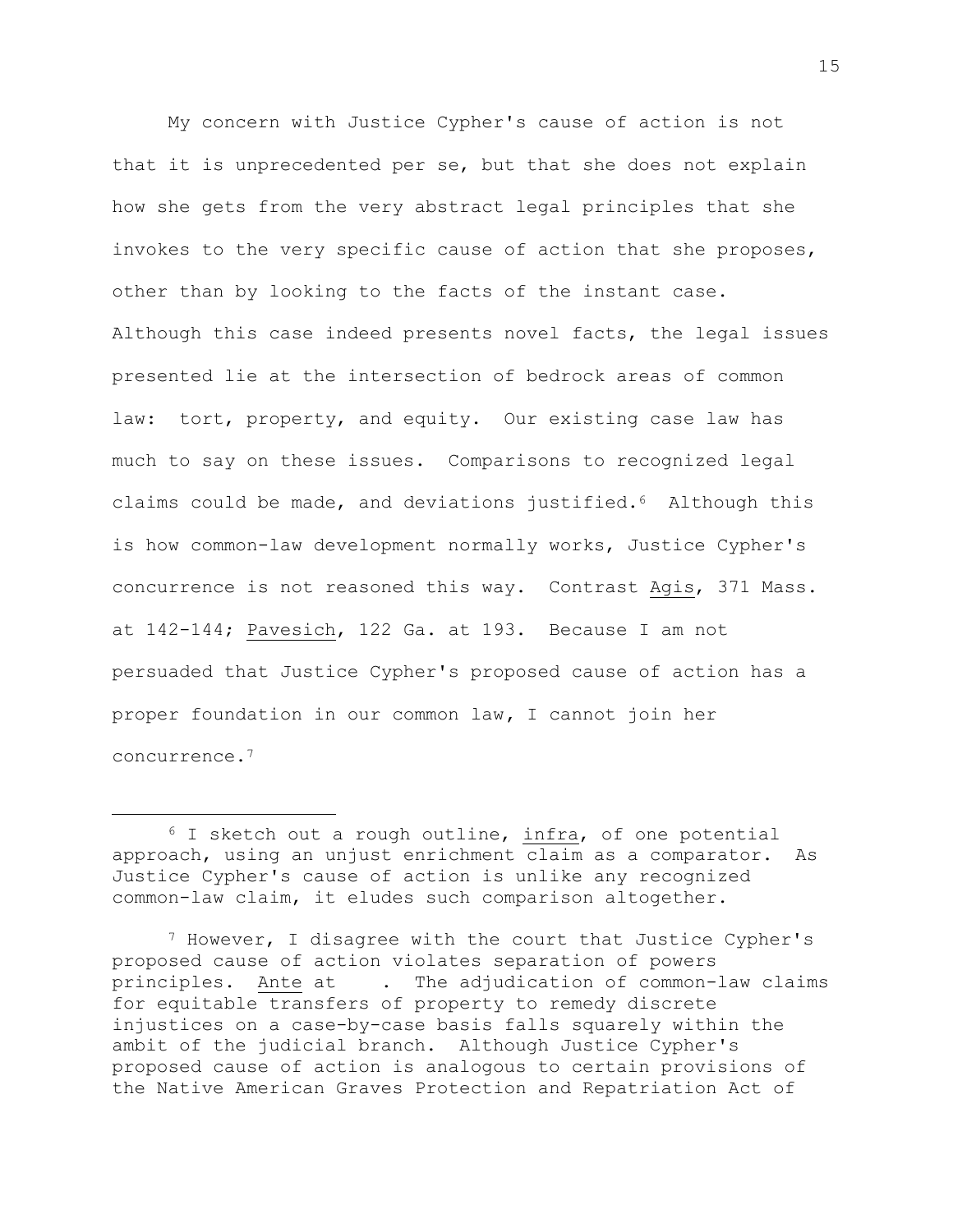My concern with Justice Cypher's cause of action is not that it is unprecedented per se, but that she does not explain how she gets from the very abstract legal principles that she invokes to the very specific cause of action that she proposes, other than by looking to the facts of the instant case. Although this case indeed presents novel facts, the legal issues presented lie at the intersection of bedrock areas of common law: tort, property, and equity. Our existing case law has much to say on these issues. Comparisons to recognized legal claims could be made, and deviations justified.6 Although this is how common-law development normally works, Justice Cypher's concurrence is not reasoned this way. Contrast Agis, 371 Mass. at 142-144; Pavesich, 122 Ga. at 193. Because I am not persuaded that Justice Cypher's proposed cause of action has a proper foundation in our common law**,** I cannot join her concurrence.<sup>7</sup>

<sup>&</sup>lt;sup>6</sup> I sketch out a rough outline, infra, of one potential approach, using an unjust enrichment claim as a comparator. As Justice Cypher's cause of action is unlike any recognized common-law claim, it eludes such comparison altogether.

<sup>7</sup> However, I disagree with the court that Justice Cypher's proposed cause of action violates separation of powers principles. Ante at . The adjudication of common-law claims for equitable transfers of property to remedy discrete injustices on a case-by-case basis falls squarely within the ambit of the judicial branch. Although Justice Cypher's proposed cause of action is analogous to certain provisions of the Native American Graves Protection and Repatriation Act of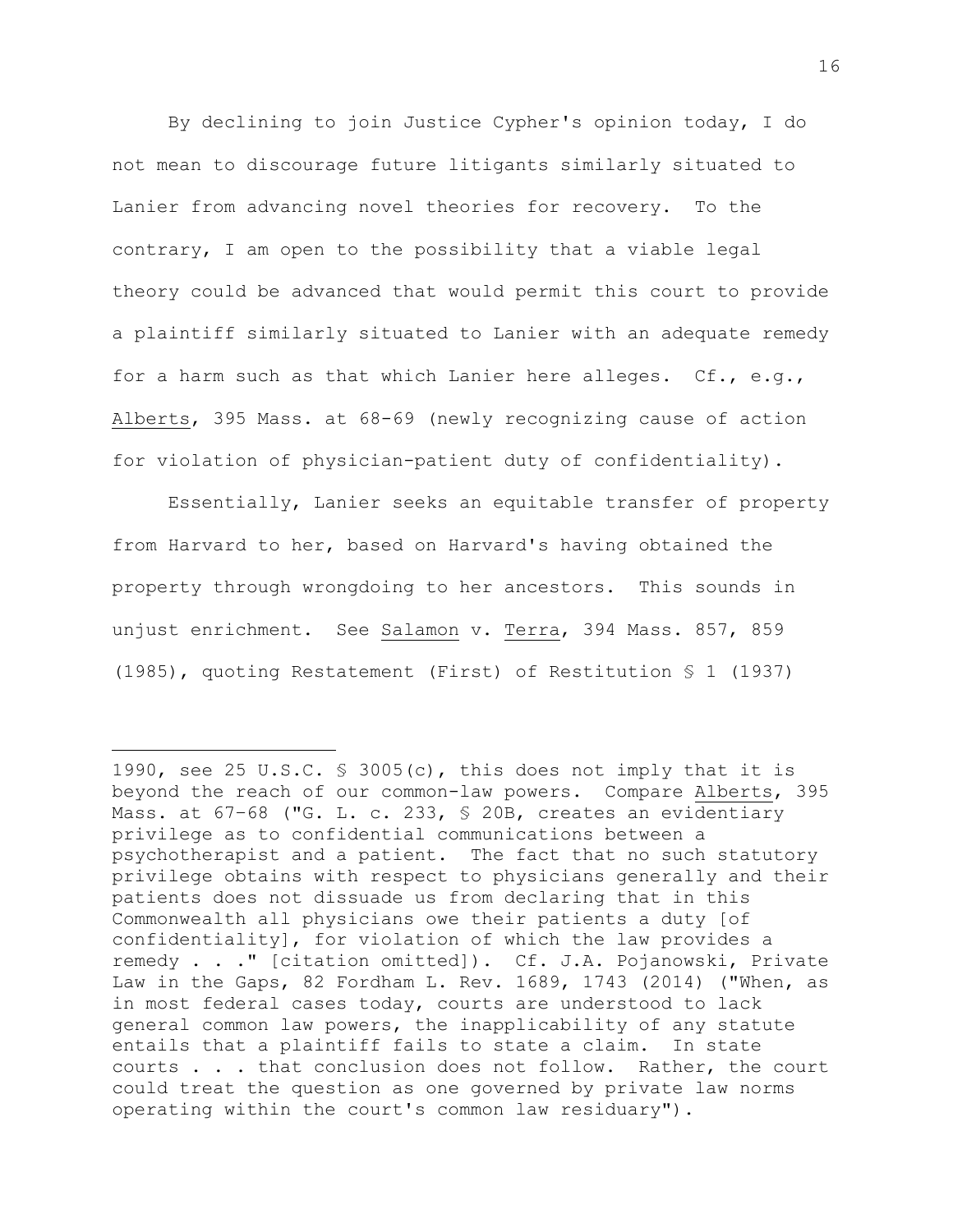By declining to join Justice Cypher's opinion today, I do not mean to discourage future litigants similarly situated to Lanier from advancing novel theories for recovery. To the contrary, I am open to the possibility that a viable legal theory could be advanced that would permit this court to provide a plaintiff similarly situated to Lanier with an adequate remedy for a harm such as that which Lanier here alleges. Cf., e.g., Alberts, 395 Mass. at 68-69 (newly recognizing cause of action for violation of physician-patient duty of confidentiality).

Essentially, Lanier seeks an equitable transfer of property from Harvard to her, based on Harvard's having obtained the property through wrongdoing to her ancestors. This sounds in unjust enrichment. See Salamon v. Terra, 394 Mass. 857, 859 (1985), quoting Restatement (First) of Restitution § 1 (1937)

<sup>1990,</sup> see 25 U.S.C. § 3005(c), this does not imply that it is beyond the reach of our common-law powers. Compare Alberts, 395 Mass. at 67-68 ("G. L. c. 233, § 20B, creates an evidentiary privilege as to confidential communications between a psychotherapist and a patient. The fact that no such statutory privilege obtains with respect to physicians generally and their patients does not dissuade us from declaring that in this Commonwealth all physicians owe their patients a duty [of confidentiality], for violation of which the law provides a remedy . . ." [citation omitted]). Cf. J.A. Pojanowski, Private Law in the Gaps, 82 Fordham L. Rev. 1689, 1743 (2014) ("When, as in most federal cases today, courts are understood to lack general common law powers, the inapplicability of any statute entails that a plaintiff fails to state a claim. In state courts . . . that conclusion does not follow. Rather, the court could treat the question as one governed by private law norms operating within the court's common law residuary").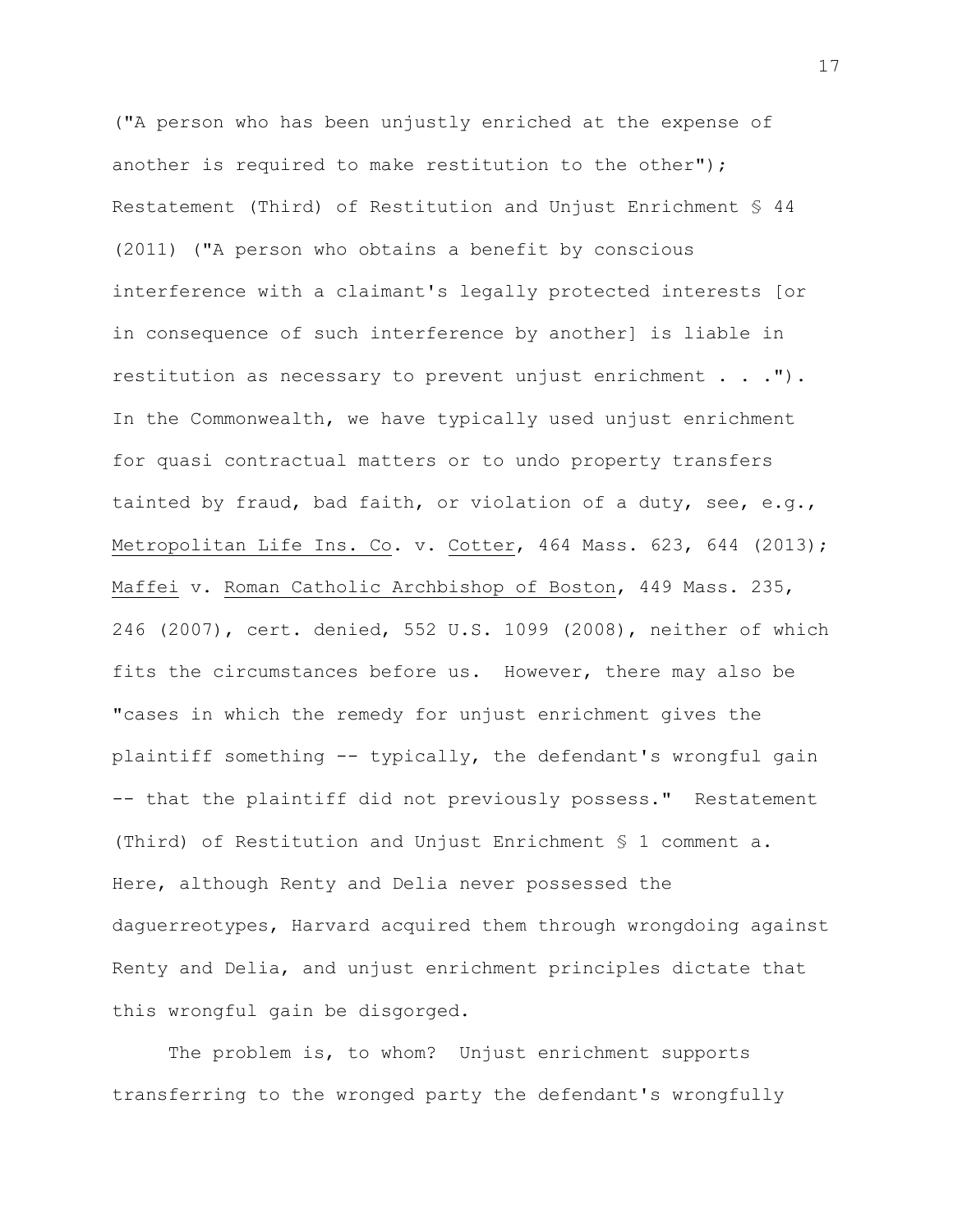("A person who has been unjustly enriched at the expense of another is required to make restitution to the other"); Restatement (Third) of Restitution and Unjust Enrichment § 44 (2011) ("A person who obtains a benefit by conscious interference with a claimant's legally protected interests [or in consequence of such interference by another] is liable in restitution as necessary to prevent unjust enrichment . . ."). In the Commonwealth, we have typically used unjust enrichment for quasi contractual matters or to undo property transfers tainted by fraud, bad faith, or violation of a duty, see, e.g., Metropolitan Life Ins. Co. v. Cotter, 464 Mass. 623, 644 (2013); Maffei v. Roman Catholic Archbishop of Boston, 449 Mass. 235, 246 (2007), cert. denied, 552 U.S. 1099 (2008), neither of which fits the circumstances before us. However, there may also be "cases in which the remedy for unjust enrichment gives the plaintiff something -- typically, the defendant's wrongful gain -- that the plaintiff did not previously possess." Restatement (Third) of Restitution and Unjust Enrichment § 1 comment a. Here, although Renty and Delia never possessed the daguerreotypes, Harvard acquired them through wrongdoing against Renty and Delia, and unjust enrichment principles dictate that this wrongful gain be disgorged.

The problem is, to whom? Unjust enrichment supports transferring to the wronged party the defendant's wrongfully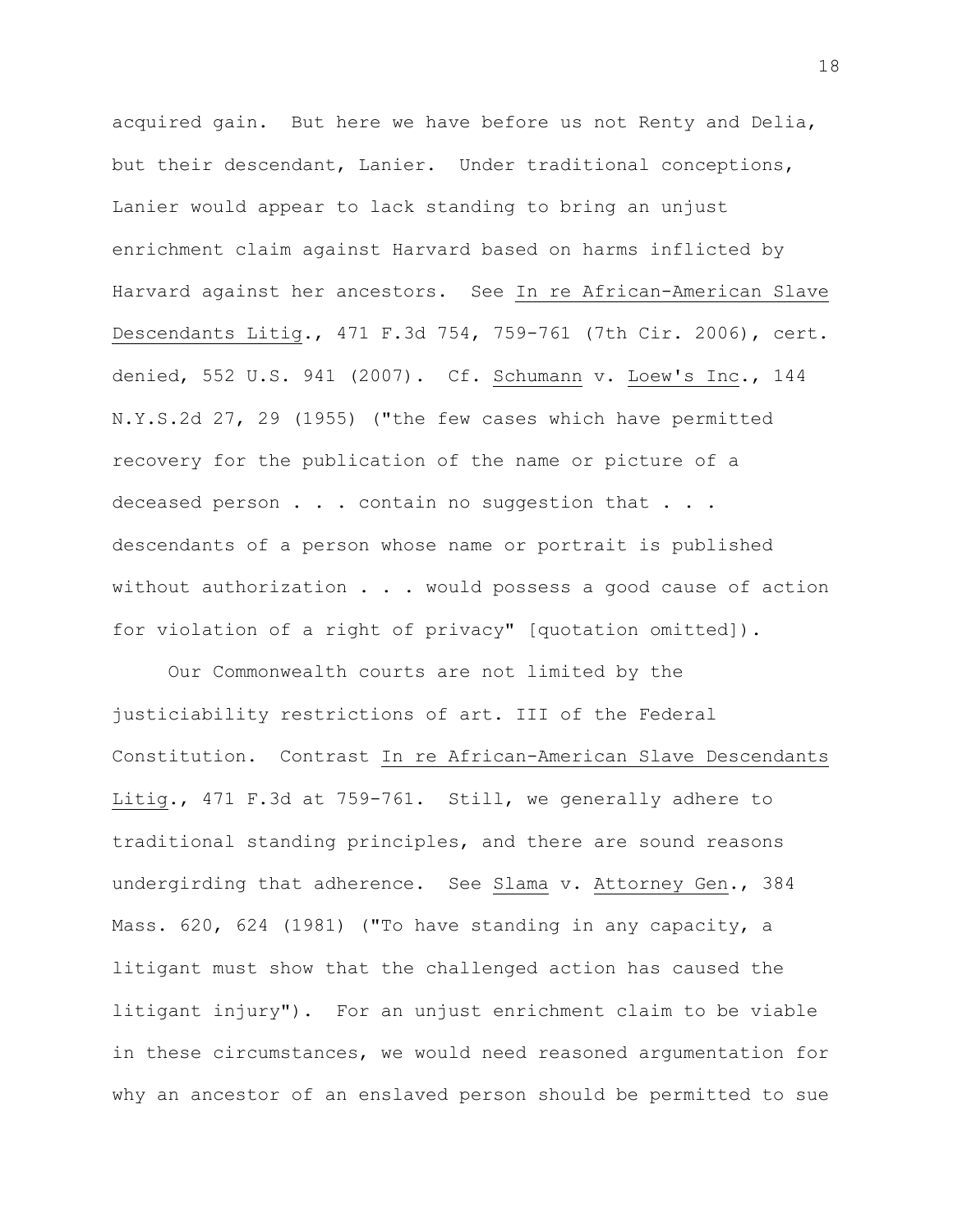acquired gain. But here we have before us not Renty and Delia, but their descendant, Lanier. Under traditional conceptions, Lanier would appear to lack standing to bring an unjust enrichment claim against Harvard based on harms inflicted by Harvard against her ancestors. See In re African-American Slave Descendants Litig., 471 F.3d 754, 759-761 (7th Cir. 2006), cert. denied, 552 U.S. 941 (2007). Cf. Schumann v. Loew's Inc., 144 N.Y.S.2d 27, 29 (1955) ("the few cases which have permitted recovery for the publication of the name or picture of a deceased person . . . contain no suggestion that . . . descendants of a person whose name or portrait is published without authorization . . . would possess a good cause of action for violation of a right of privacy" [quotation omitted]).

Our Commonwealth courts are not limited by the justiciability restrictions of art. III of the Federal Constitution. Contrast In re African-American Slave Descendants Litig., 471 F.3d at 759-761. Still, we generally adhere to traditional standing principles, and there are sound reasons undergirding that adherence. See Slama v. Attorney Gen., 384 Mass. 620, 624 (1981) ("To have standing in any capacity, a litigant must show that the challenged action has caused the litigant injury"). For an unjust enrichment claim to be viable in these circumstances, we would need reasoned argumentation for why an ancestor of an enslaved person should be permitted to sue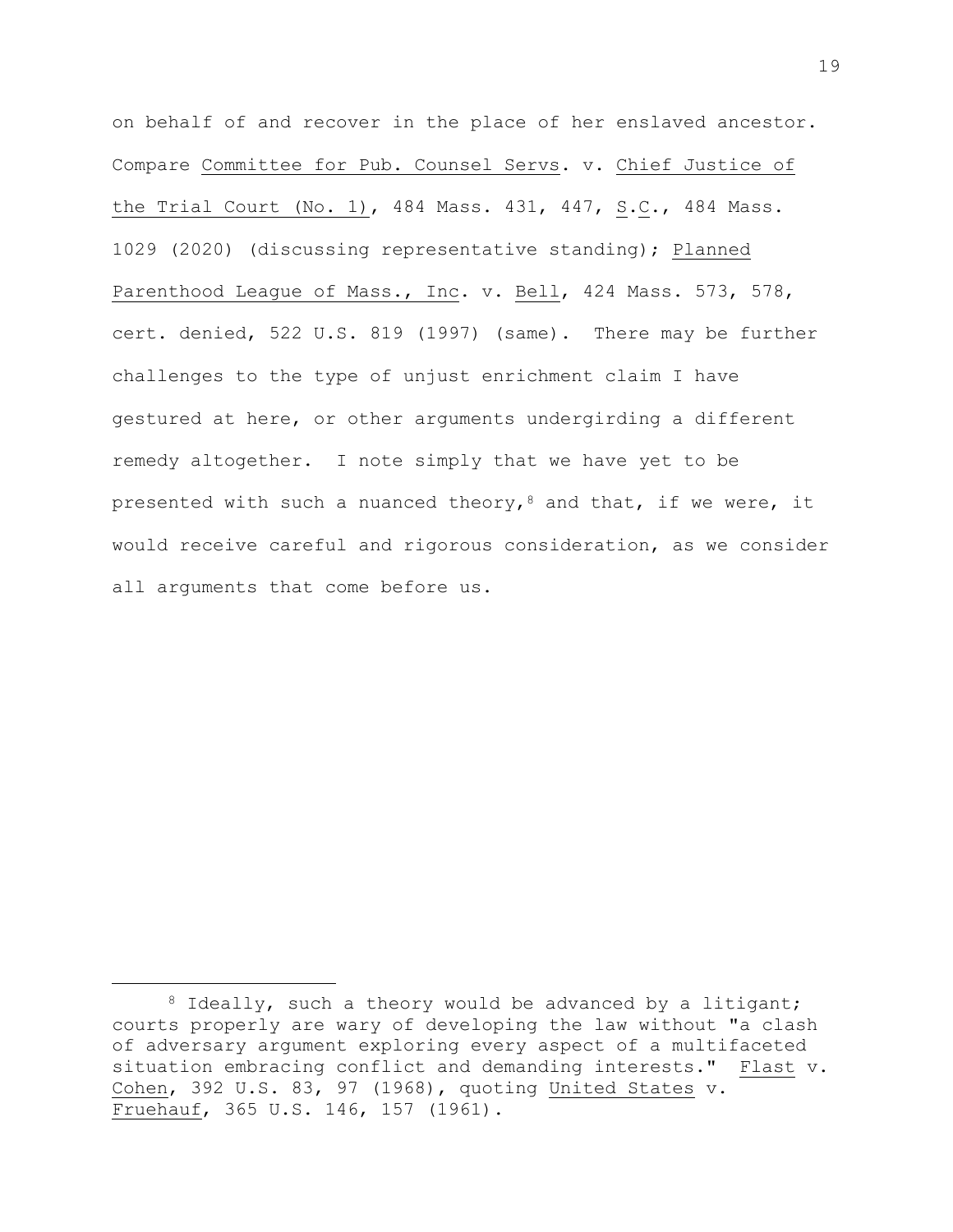on behalf of and recover in the place of her enslaved ancestor. Compare Committee for Pub. Counsel Servs. v. Chief Justice of the Trial Court (No. 1), 484 Mass. 431, 447, S.C., 484 Mass. 1029 (2020) (discussing representative standing); Planned Parenthood League of Mass., Inc. v. Bell, 424 Mass. 573, 578, cert. denied, 522 U.S. 819 (1997) (same). There may be further challenges to the type of unjust enrichment claim I have gestured at here, or other arguments undergirding a different remedy altogether. I note simply that we have yet to be presented with such a nuanced theory,<sup>8</sup> and that, if we were, it would receive careful and rigorous consideration, as we consider all arguments that come before us.

<sup>&</sup>lt;sup>8</sup> Ideally, such a theory would be advanced by a litigant; courts properly are wary of developing the law without "a clash of adversary argument exploring every aspect of a multifaceted situation embracing conflict and demanding interests." Flast v. Cohen, 392 U.S. 83, 97 (1968), quoting United States v. Fruehauf, 365 U.S. 146, 157 (1961).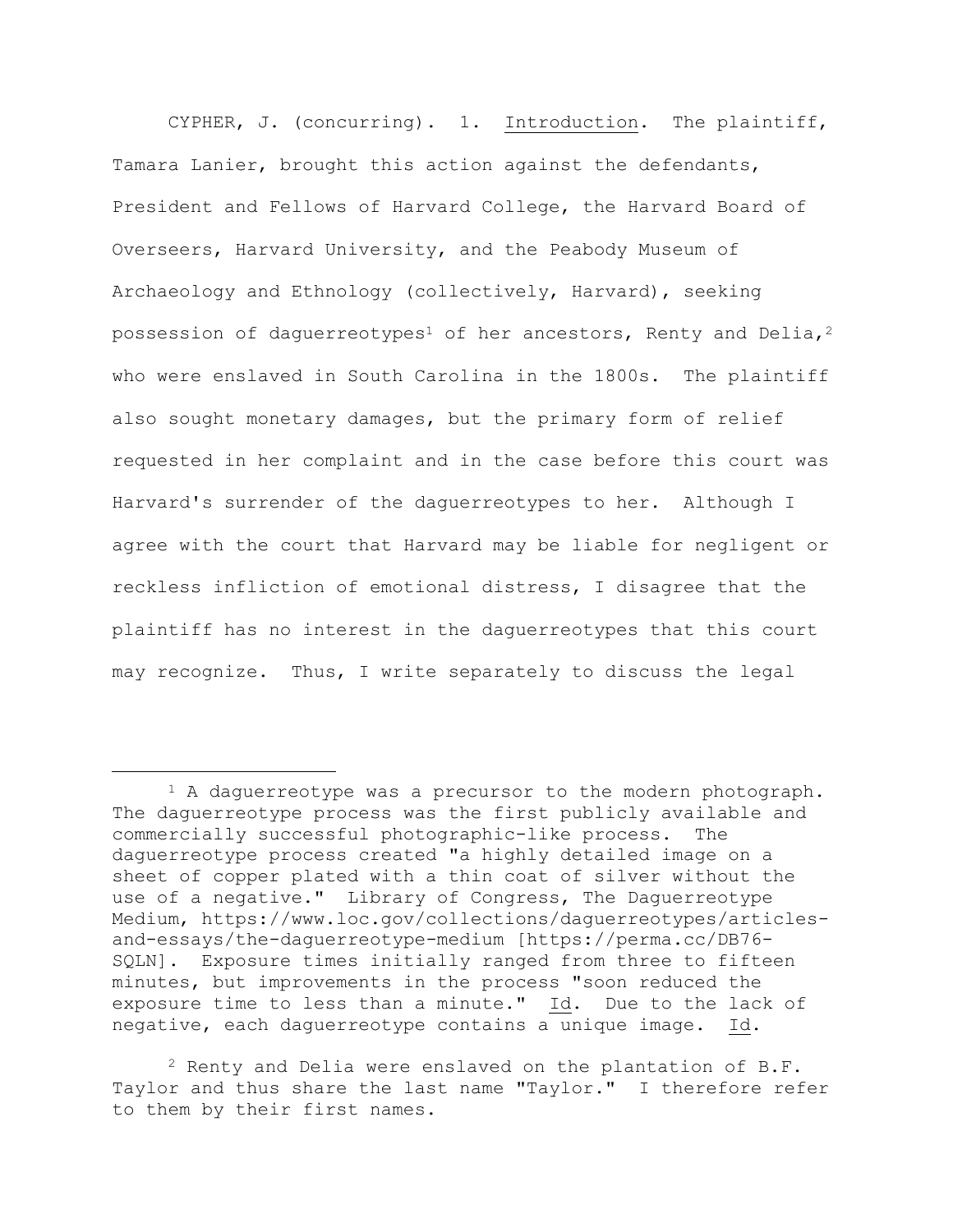CYPHER, J. (concurring). 1. Introduction. The plaintiff, Tamara Lanier, brought this action against the defendants, President and Fellows of Harvard College, the Harvard Board of Overseers, Harvard University, and the Peabody Museum of Archaeology and Ethnology (collectively, Harvard), seeking possession of daguerreotypes<sup>1</sup> of her ancestors, Renty and Delia,<sup>2</sup> who were enslaved in South Carolina in the 1800s. The plaintiff also sought monetary damages, but the primary form of relief requested in her complaint and in the case before this court was Harvard's surrender of the daguerreotypes to her. Although I agree with the court that Harvard may be liable for negligent or reckless infliction of emotional distress, I disagree that the plaintiff has no interest in the daguerreotypes that this court may recognize. Thus, I write separately to discuss the legal

 $2$  Renty and Delia were enslaved on the plantation of B.F. Taylor and thus share the last name "Taylor." I therefore refer to them by their first names.

<sup>1</sup> A daguerreotype was a precursor to the modern photograph. The daguerreotype process was the first publicly available and commercially successful photographic-like process. The daguerreotype process created "a highly detailed image on a sheet of copper plated with a thin coat of silver without the use of a negative." Library of Congress, The Daguerreotype Medium, https://www.loc.gov/collections/daguerreotypes/articlesand-essays/the-daguerreotype-medium [https://perma.cc/DB76- SQLN]. Exposure times initially ranged from three to fifteen minutes, but improvements in the process "soon reduced the exposure time to less than a minute." Id. Due to the lack of negative, each daguerreotype contains a unique image. Id.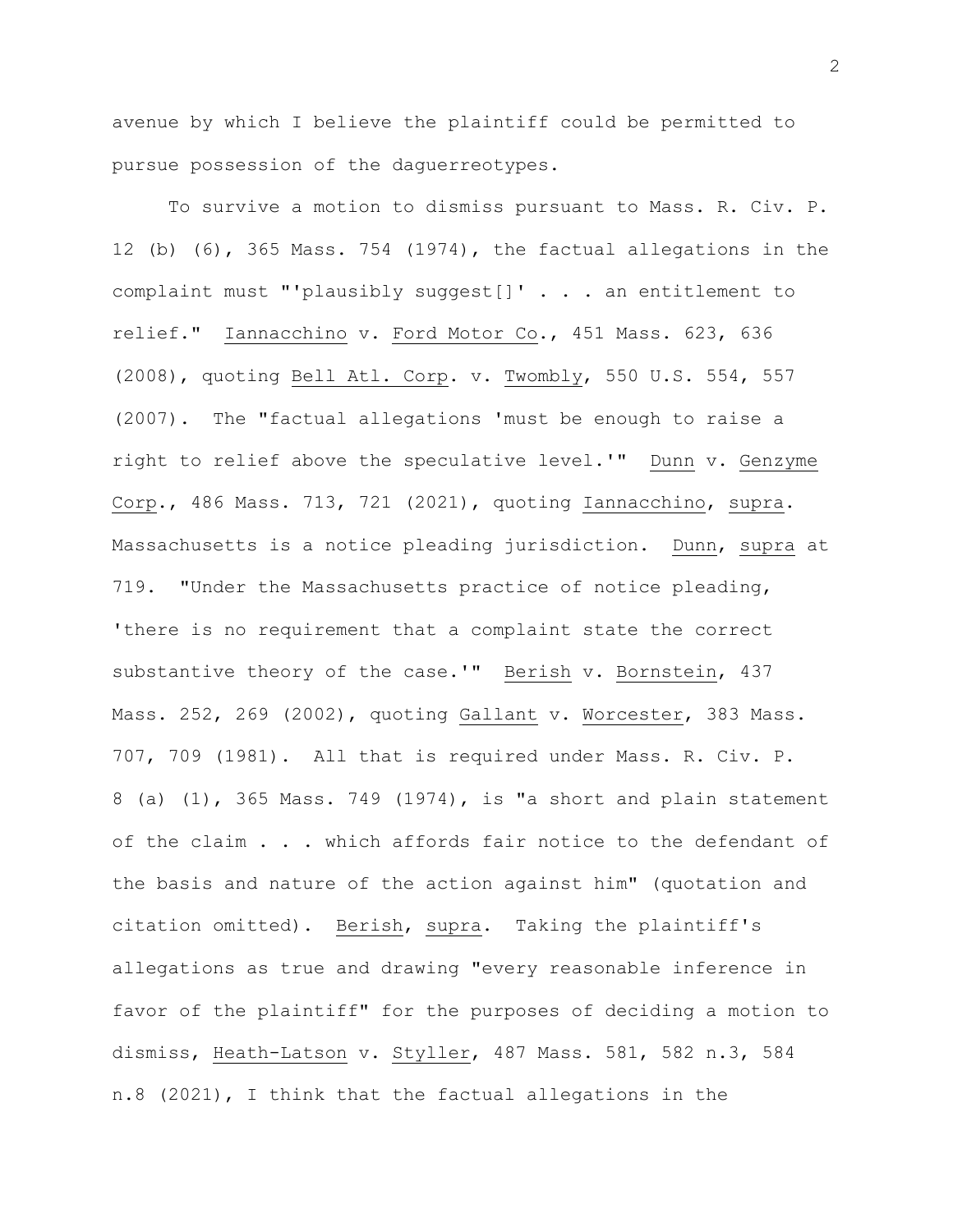avenue by which I believe the plaintiff could be permitted to pursue possession of the daguerreotypes.

To survive a motion to dismiss pursuant to Mass. R. Civ. P. 12 (b) (6), 365 Mass. 754 (1974), the factual allegations in the complaint must "'plausibly suggest[]' . . . an entitlement to relief." Iannacchino v. Ford Motor Co., 451 Mass. 623, 636 (2008), quoting Bell Atl. Corp. v. Twombly, 550 U.S. 554, 557 (2007). The "factual allegations 'must be enough to raise a right to relief above the speculative level.'" Dunn v. Genzyme Corp., 486 Mass. 713, 721 (2021), quoting Iannacchino, supra. Massachusetts is a notice pleading jurisdiction. Dunn, supra at 719. "Under the Massachusetts practice of notice pleading, 'there is no requirement that a complaint state the correct substantive theory of the case.'" Berish v. Bornstein, 437 Mass. 252, 269 (2002), quoting Gallant v. Worcester, 383 Mass. 707, 709 (1981). All that is required under Mass. R. Civ. P. 8 (a) (1), 365 Mass. 749 (1974), is "a short and plain statement of the claim . . . which affords fair notice to the defendant of the basis and nature of the action against him" (quotation and citation omitted). Berish, supra. Taking the plaintiff's allegations as true and drawing "every reasonable inference in favor of the plaintiff" for the purposes of deciding a motion to dismiss, Heath-Latson v. Styller, 487 Mass. 581, 582 n.3, 584 n.8 (2021), I think that the factual allegations in the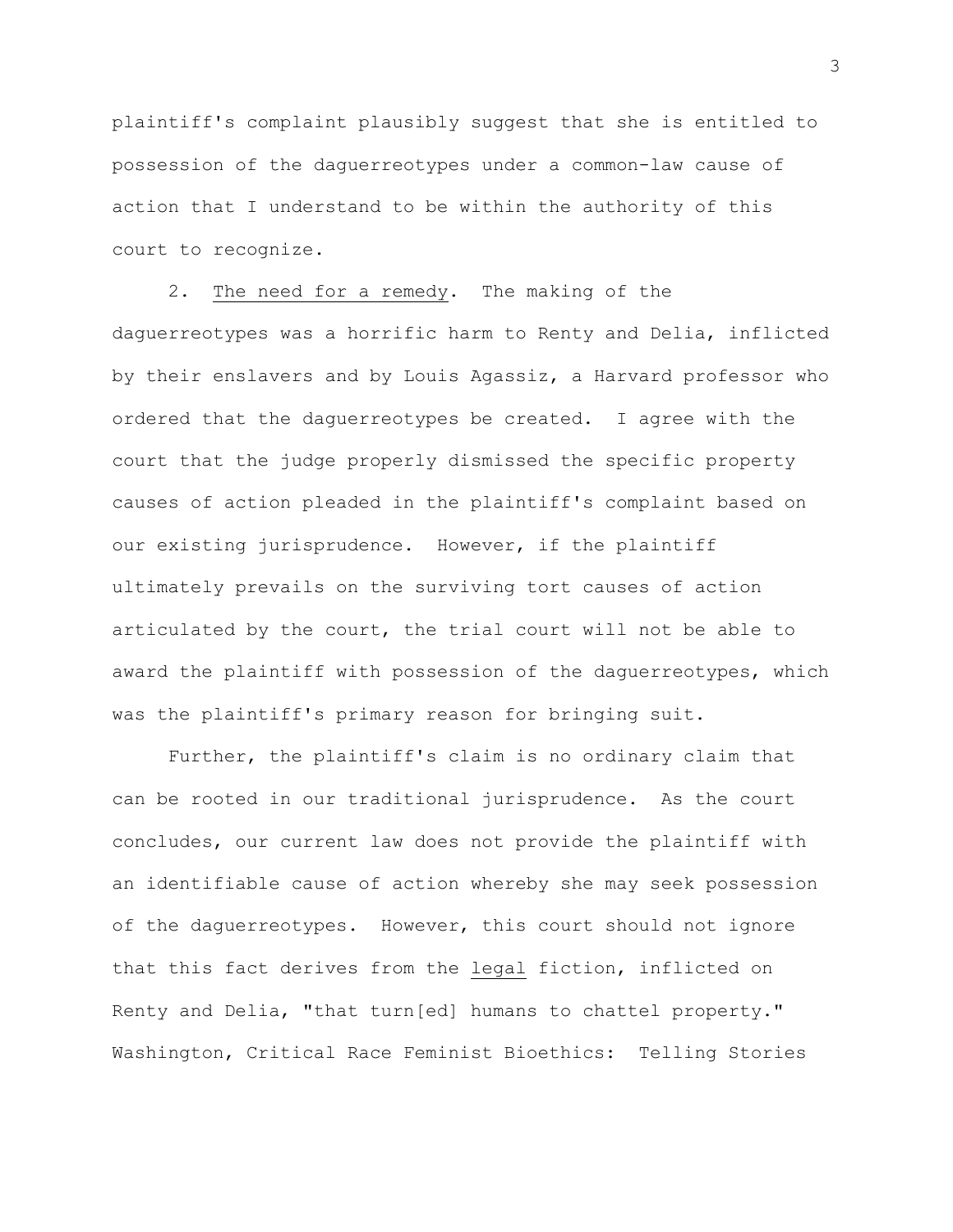plaintiff's complaint plausibly suggest that she is entitled to possession of the daguerreotypes under a common-law cause of action that I understand to be within the authority of this court to recognize.

2. The need for a remedy. The making of the daguerreotypes was a horrific harm to Renty and Delia, inflicted by their enslavers and by Louis Agassiz, a Harvard professor who ordered that the daguerreotypes be created. I agree with the court that the judge properly dismissed the specific property causes of action pleaded in the plaintiff's complaint based on our existing jurisprudence. However, if the plaintiff ultimately prevails on the surviving tort causes of action articulated by the court, the trial court will not be able to award the plaintiff with possession of the daguerreotypes, which was the plaintiff's primary reason for bringing suit.

Further, the plaintiff's claim is no ordinary claim that can be rooted in our traditional jurisprudence. As the court concludes, our current law does not provide the plaintiff with an identifiable cause of action whereby she may seek possession of the daguerreotypes. However, this court should not ignore that this fact derives from the legal fiction, inflicted on Renty and Delia, "that turn[ed] humans to chattel property." Washington, Critical Race Feminist Bioethics: Telling Stories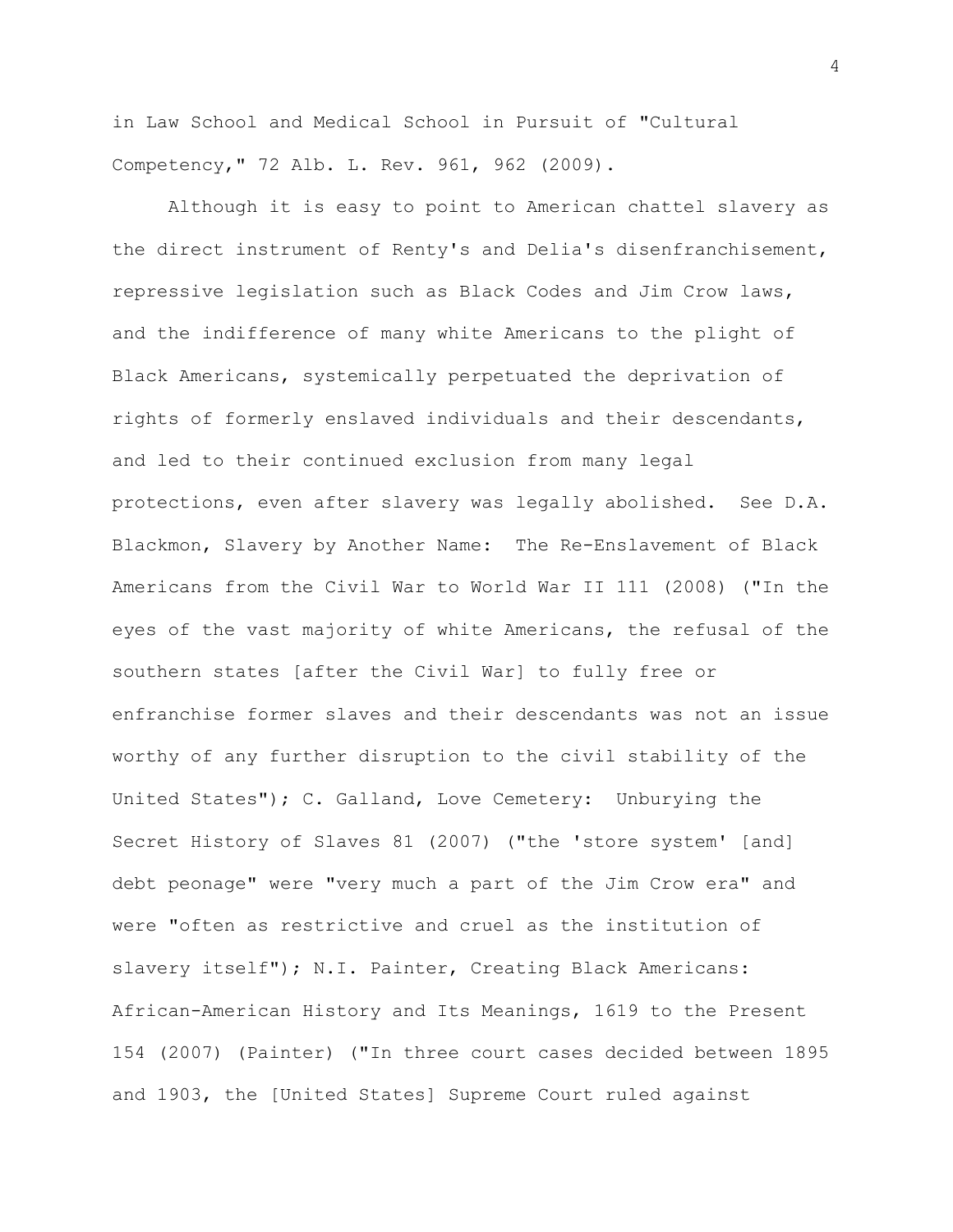in Law School and Medical School in Pursuit of "Cultural Competency," 72 Alb. L. Rev. 961, 962 (2009).

Although it is easy to point to American chattel slavery as the direct instrument of Renty's and Delia's disenfranchisement, repressive legislation such as Black Codes and Jim Crow laws, and the indifference of many white Americans to the plight of Black Americans, systemically perpetuated the deprivation of rights of formerly enslaved individuals and their descendants, and led to their continued exclusion from many legal protections, even after slavery was legally abolished. See D.A. Blackmon, Slavery by Another Name: The Re-Enslavement of Black Americans from the Civil War to World War II 111 (2008) ("In the eyes of the vast majority of white Americans, the refusal of the southern states [after the Civil War] to fully free or enfranchise former slaves and their descendants was not an issue worthy of any further disruption to the civil stability of the United States"); C. Galland, Love Cemetery: Unburying the Secret History of Slaves 81 (2007) ("the 'store system' [and] debt peonage" were "very much a part of the Jim Crow era" and were "often as restrictive and cruel as the institution of slavery itself"); N.I. Painter, Creating Black Americans: African-American History and Its Meanings, 1619 to the Present 154 (2007) (Painter) ("In three court cases decided between 1895 and 1903, the [United States] Supreme Court ruled against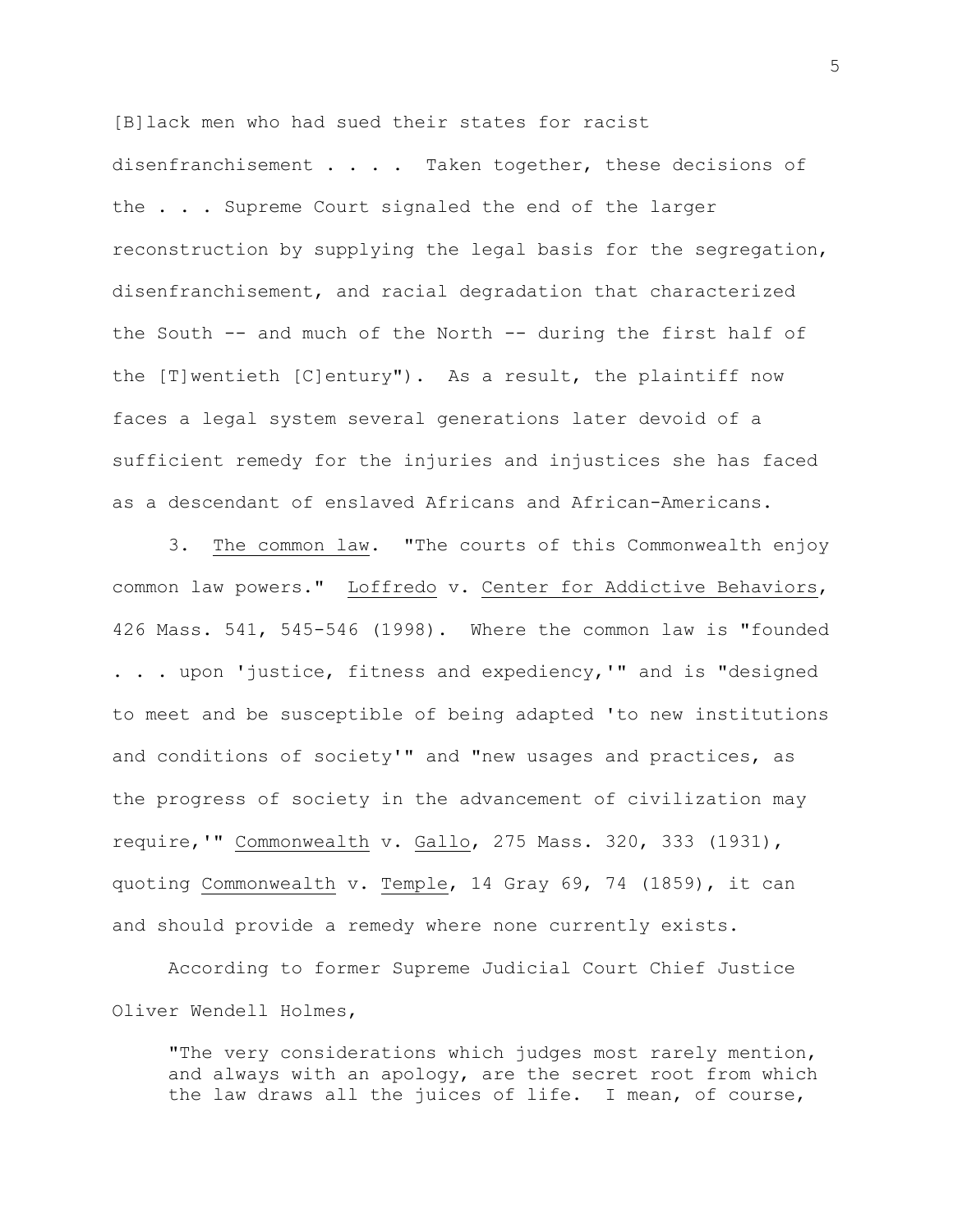[B]lack men who had sued their states for racist disenfranchisement . . . . Taken together, these decisions of the . . . Supreme Court signaled the end of the larger reconstruction by supplying the legal basis for the segregation, disenfranchisement, and racial degradation that characterized the South -- and much of the North -- during the first half of the [T]wentieth [C]entury"). As a result, the plaintiff now faces a legal system several generations later devoid of a sufficient remedy for the injuries and injustices she has faced as a descendant of enslaved Africans and African-Americans.

3. The common law. "The courts of this Commonwealth enjoy common law powers." Loffredo v. Center for Addictive Behaviors, 426 Mass. 541, 545-546 (1998). Where the common law is "founded . . . upon 'justice, fitness and expediency,'" and is "designed to meet and be susceptible of being adapted 'to new institutions and conditions of society'" and "new usages and practices, as the progress of society in the advancement of civilization may require,'" Commonwealth v. Gallo, 275 Mass. 320, 333 (1931), quoting Commonwealth v. Temple, 14 Gray 69, 74 (1859), it can and should provide a remedy where none currently exists.

According to former Supreme Judicial Court Chief Justice Oliver Wendell Holmes,

"The very considerations which judges most rarely mention, and always with an apology, are the secret root from which the law draws all the juices of life. I mean, of course,

5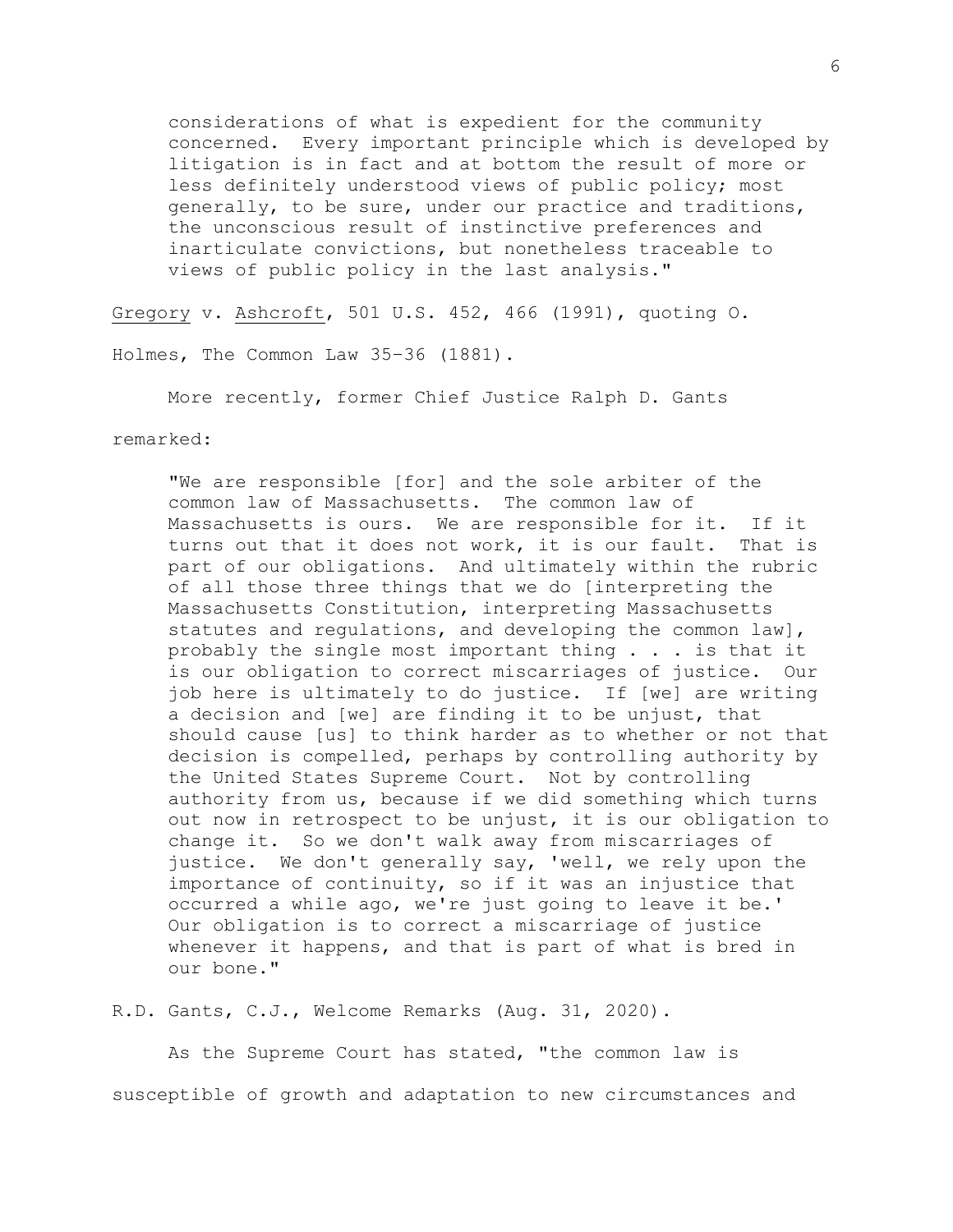considerations of what is expedient for the community concerned. Every important principle which is developed by litigation is in fact and at bottom the result of more or less definitely understood views of public policy; most generally, to be sure, under our practice and traditions, the unconscious result of instinctive preferences and inarticulate convictions, but nonetheless traceable to views of public policy in the last analysis."

Gregory v. Ashcroft, 501 U.S. 452, 466 (1991), quoting O.

Holmes, The Common Law 35–36 (1881).

More recently, former Chief Justice Ralph D. Gants

remarked:

"We are responsible [for] and the sole arbiter of the common law of Massachusetts. The common law of Massachusetts is ours. We are responsible for it. If it turns out that it does not work, it is our fault. That is part of our obligations. And ultimately within the rubric of all those three things that we do [interpreting the Massachusetts Constitution, interpreting Massachusetts statutes and regulations, and developing the common law], probably the single most important thing . . . is that it is our obligation to correct miscarriages of justice. Our job here is ultimately to do justice. If [we] are writing a decision and [we] are finding it to be unjust, that should cause [us] to think harder as to whether or not that decision is compelled, perhaps by controlling authority by the United States Supreme Court. Not by controlling authority from us, because if we did something which turns out now in retrospect to be unjust, it is our obligation to change it. So we don't walk away from miscarriages of justice. We don't generally say, 'well, we rely upon the importance of continuity, so if it was an injustice that occurred a while ago, we're just going to leave it be.' Our obligation is to correct a miscarriage of justice whenever it happens, and that is part of what is bred in our bone."

R.D. Gants, C.J., Welcome Remarks (Aug. 31, 2020).

As the Supreme Court has stated, "the common law is susceptible of growth and adaptation to new circumstances and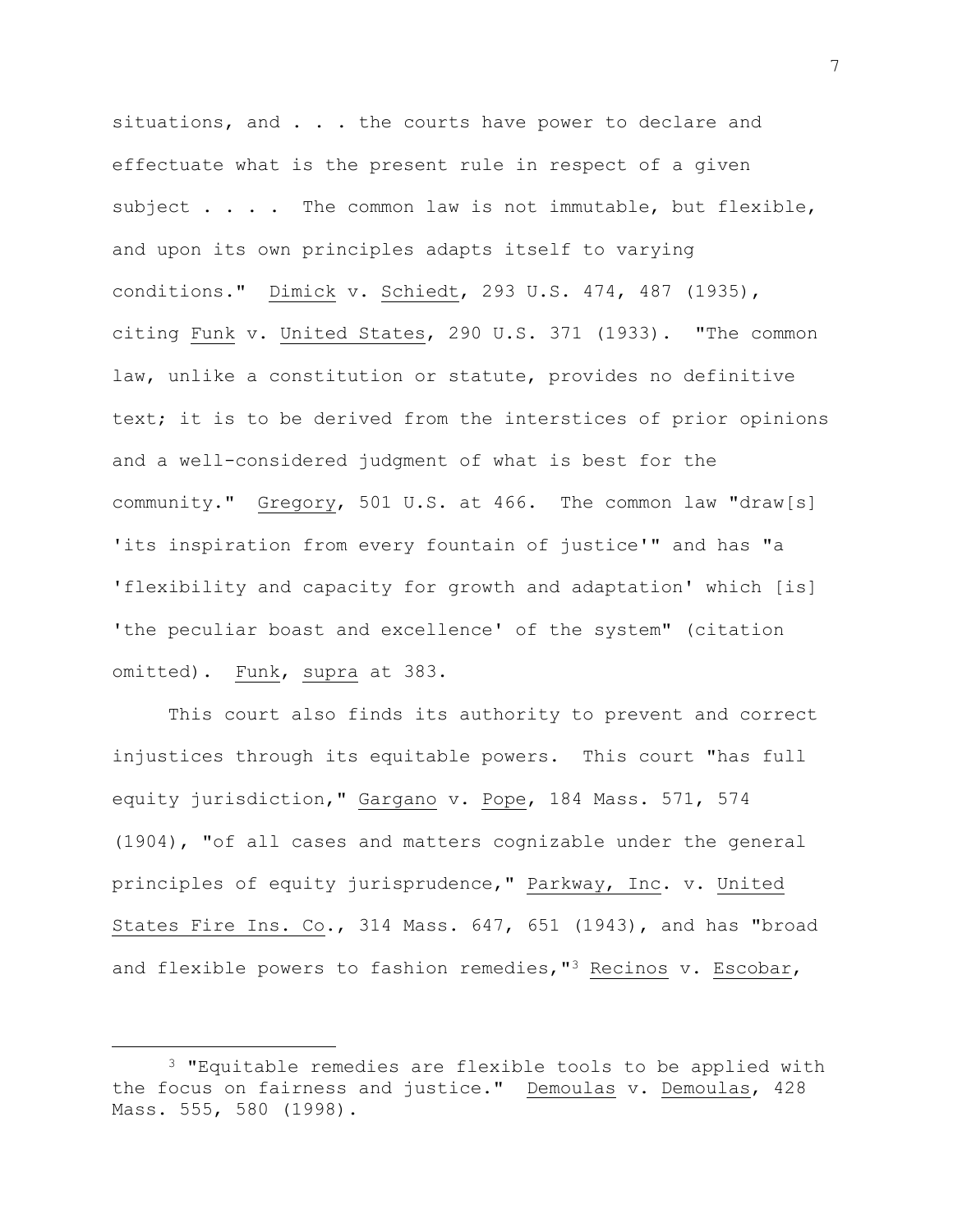situations, and . . . the courts have power to declare and effectuate what is the present rule in respect of a given subject . . . . The common law is not immutable, but flexible, and upon its own principles adapts itself to varying conditions." Dimick v. Schiedt, 293 U.S. 474, 487 (1935), citing Funk v. United States, 290 U.S. 371 (1933). "The common law, unlike a constitution or statute, provides no definitive text; it is to be derived from the interstices of prior opinions and a well-considered judgment of what is best for the community." Gregory, 501 U.S. at 466. The common law "draw[s] 'its inspiration from every fountain of justice'" and has "a 'flexibility and capacity for growth and adaptation' which [is] 'the peculiar boast and excellence' of the system" (citation omitted). Funk, supra at 383.

This court also finds its authority to prevent and correct injustices through its equitable powers. This court "has full equity jurisdiction," Gargano v. Pope, 184 Mass. 571, 574 (1904), "of all cases and matters cognizable under the general principles of equity jurisprudence," Parkway, Inc. v. United States Fire Ins. Co., 314 Mass. 647, 651 (1943), and has "broad and flexible powers to fashion remedies,"<sup>3</sup> Recinos v. Escobar,

<sup>3</sup> "Equitable remedies are flexible tools to be applied with the focus on fairness and justice." Demoulas v. Demoulas, 428 Mass. 555, 580 (1998).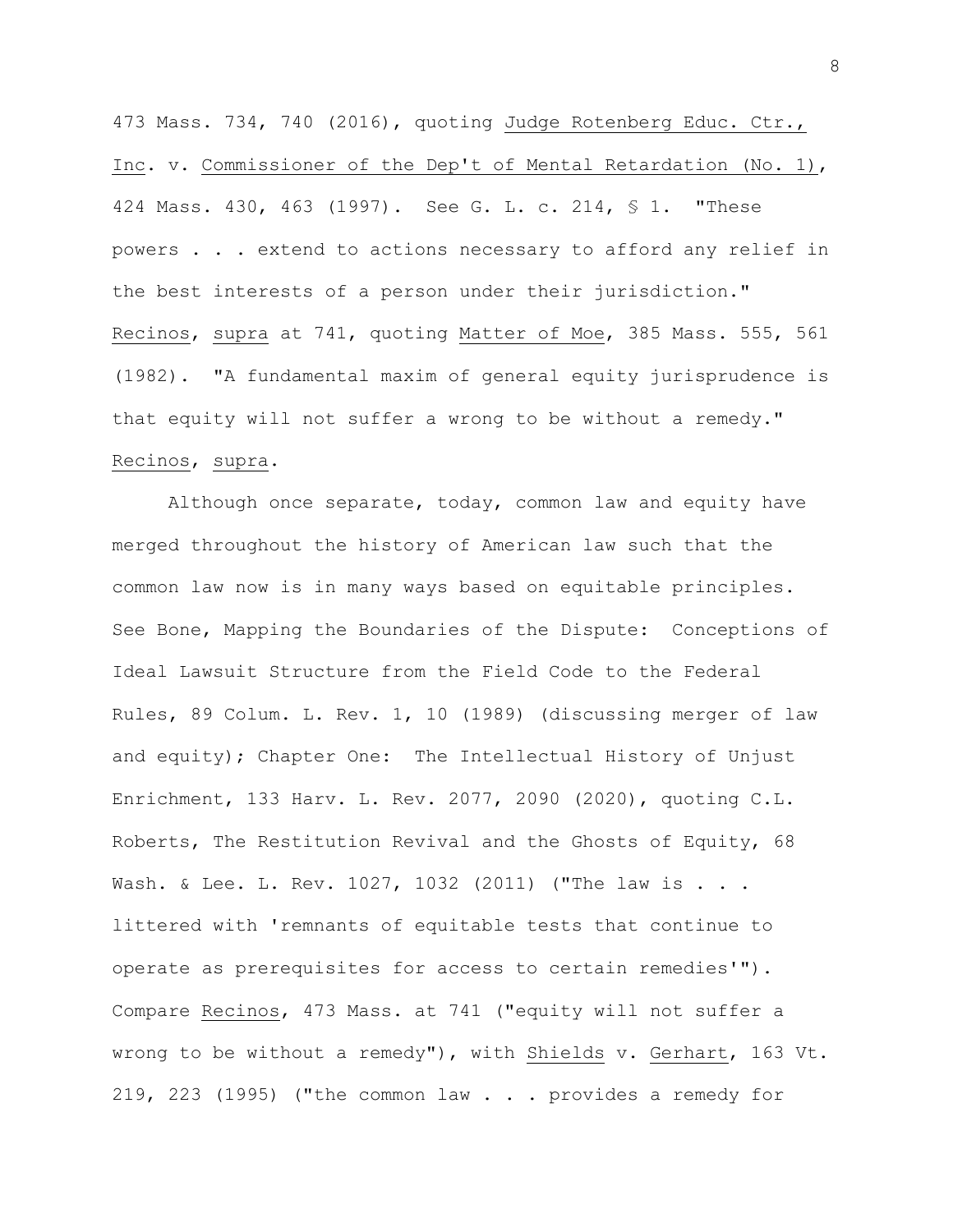473 Mass. 734, 740 (2016), quoting Judge Rotenberg Educ. Ctr., Inc. v. Commissioner of the Dep't of Mental Retardation (No. 1), 424 Mass. 430, 463 (1997). See G. L. c. 214, § 1. "These powers . . . extend to actions necessary to afford any relief in the best interests of a person under their jurisdiction." Recinos, supra at 741, quoting Matter of Moe, 385 Mass. 555, 561 (1982). "A fundamental maxim of general equity jurisprudence is that equity will not suffer a wrong to be without a remedy." Recinos, supra.

Although once separate, today, common law and equity have merged throughout the history of American law such that the common law now is in many ways based on equitable principles. See Bone, Mapping the Boundaries of the Dispute: Conceptions of Ideal Lawsuit Structure from the Field Code to the Federal Rules, 89 Colum. L. Rev. 1, 10 (1989) (discussing merger of law and equity); Chapter One: The Intellectual History of Unjust Enrichment, 133 Harv. L. Rev. 2077, 2090 (2020), quoting C.L. Roberts, The Restitution Revival and the Ghosts of Equity, 68 Wash. & Lee. L. Rev. 1027, 1032 (2011) ("The law is . . . littered with 'remnants of equitable tests that continue to operate as prerequisites for access to certain remedies'"). Compare Recinos, 473 Mass. at 741 ("equity will not suffer a wrong to be without a remedy"), with Shields v. Gerhart, 163 Vt. 219, 223 (1995) ("the common law . . . provides a remedy for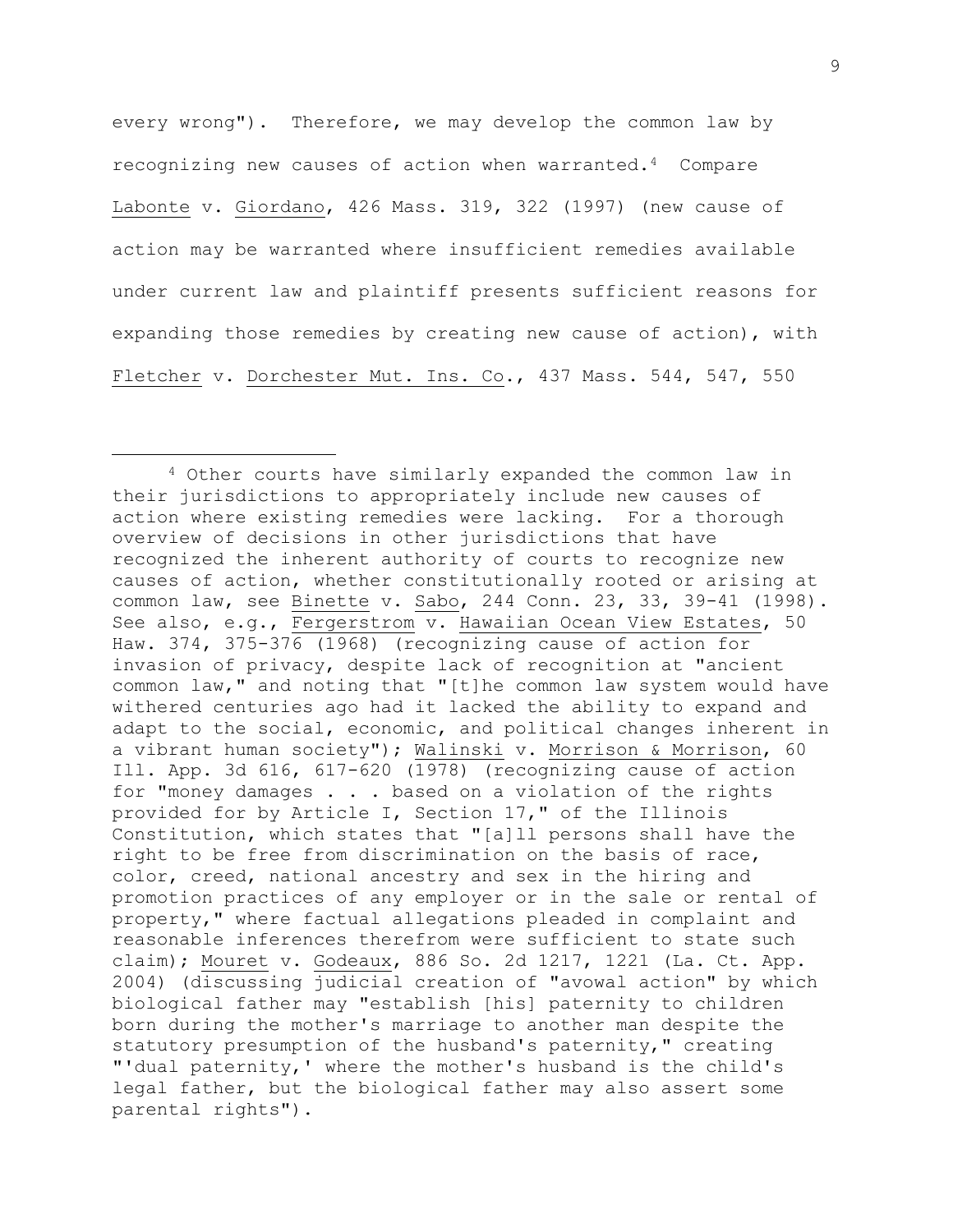every wrong"). Therefore, we may develop the common law by recognizing new causes of action when warranted.4 Compare Labonte v. Giordano, 426 Mass. 319, 322 (1997) (new cause of action may be warranted where insufficient remedies available under current law and plaintiff presents sufficient reasons for expanding those remedies by creating new cause of action), with Fletcher v. Dorchester Mut. Ins. Co., 437 Mass. 544, 547, 550

<sup>4</sup> Other courts have similarly expanded the common law in their jurisdictions to appropriately include new causes of action where existing remedies were lacking. For a thorough overview of decisions in other jurisdictions that have recognized the inherent authority of courts to recognize new causes of action, whether constitutionally rooted or arising at common law, see Binette v. Sabo, 244 Conn. 23, 33, 39-41 (1998). See also, e.g., Fergerstrom v. Hawaiian Ocean View Estates, 50 Haw. 374, 375-376 (1968) (recognizing cause of action for invasion of privacy, despite lack of recognition at "ancient common law," and noting that "[t]he common law system would have withered centuries ago had it lacked the ability to expand and adapt to the social, economic, and political changes inherent in a vibrant human society"); Walinski v. Morrison & Morrison, 60 Ill. App. 3d 616, 617-620 (1978) (recognizing cause of action for "money damages . . . based on a violation of the rights provided for by Article I, Section 17," of the Illinois Constitution, which states that "[a]ll persons shall have the right to be free from discrimination on the basis of race, color, creed, national ancestry and sex in the hiring and promotion practices of any employer or in the sale or rental of property," where factual allegations pleaded in complaint and reasonable inferences therefrom were sufficient to state such claim); Mouret v. Godeaux, 886 So. 2d 1217, 1221 (La. Ct. App. 2004) (discussing judicial creation of "avowal action" by which biological father may "establish [his] paternity to children born during the mother's marriage to another man despite the statutory presumption of the husband's paternity," creating "'dual paternity,' where the mother's husband is the child's legal father, but the biological father may also assert some parental rights").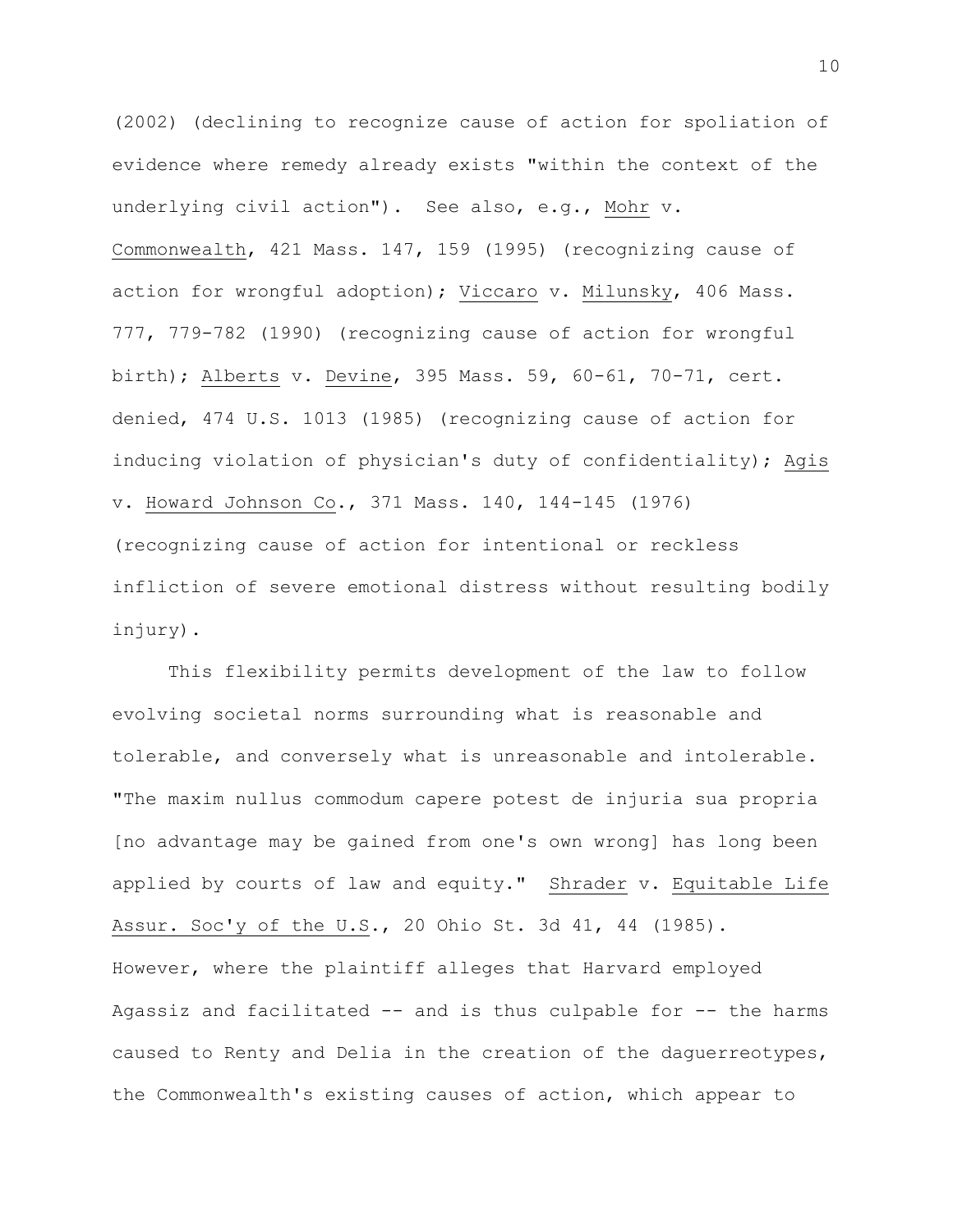(2002) (declining to recognize cause of action for spoliation of evidence where remedy already exists "within the context of the underlying civil action"). See also, e.g., Mohr v. Commonwealth, 421 Mass. 147, 159 (1995) (recognizing cause of action for wrongful adoption); Viccaro v. Milunsky, 406 Mass. 777, 779-782 (1990) (recognizing cause of action for wrongful birth); Alberts v. Devine, 395 Mass. 59, 60-61, 70-71, cert. denied, 474 U.S. 1013 (1985) (recognizing cause of action for inducing violation of physician's duty of confidentiality); Agis v. Howard Johnson Co., 371 Mass. 140, 144-145 (1976) (recognizing cause of action for intentional or reckless infliction of severe emotional distress without resulting bodily injury).

This flexibility permits development of the law to follow evolving societal norms surrounding what is reasonable and tolerable, and conversely what is unreasonable and intolerable. "The maxim nullus commodum capere potest de injuria sua propria [no advantage may be gained from one's own wrong] has long been applied by courts of law and equity." Shrader v. Equitable Life Assur. Soc'y of the U.S., 20 Ohio St. 3d 41, 44 (1985). However, where the plaintiff alleges that Harvard employed Agassiz and facilitated -- and is thus culpable for -- the harms caused to Renty and Delia in the creation of the daguerreotypes, the Commonwealth's existing causes of action, which appear to

10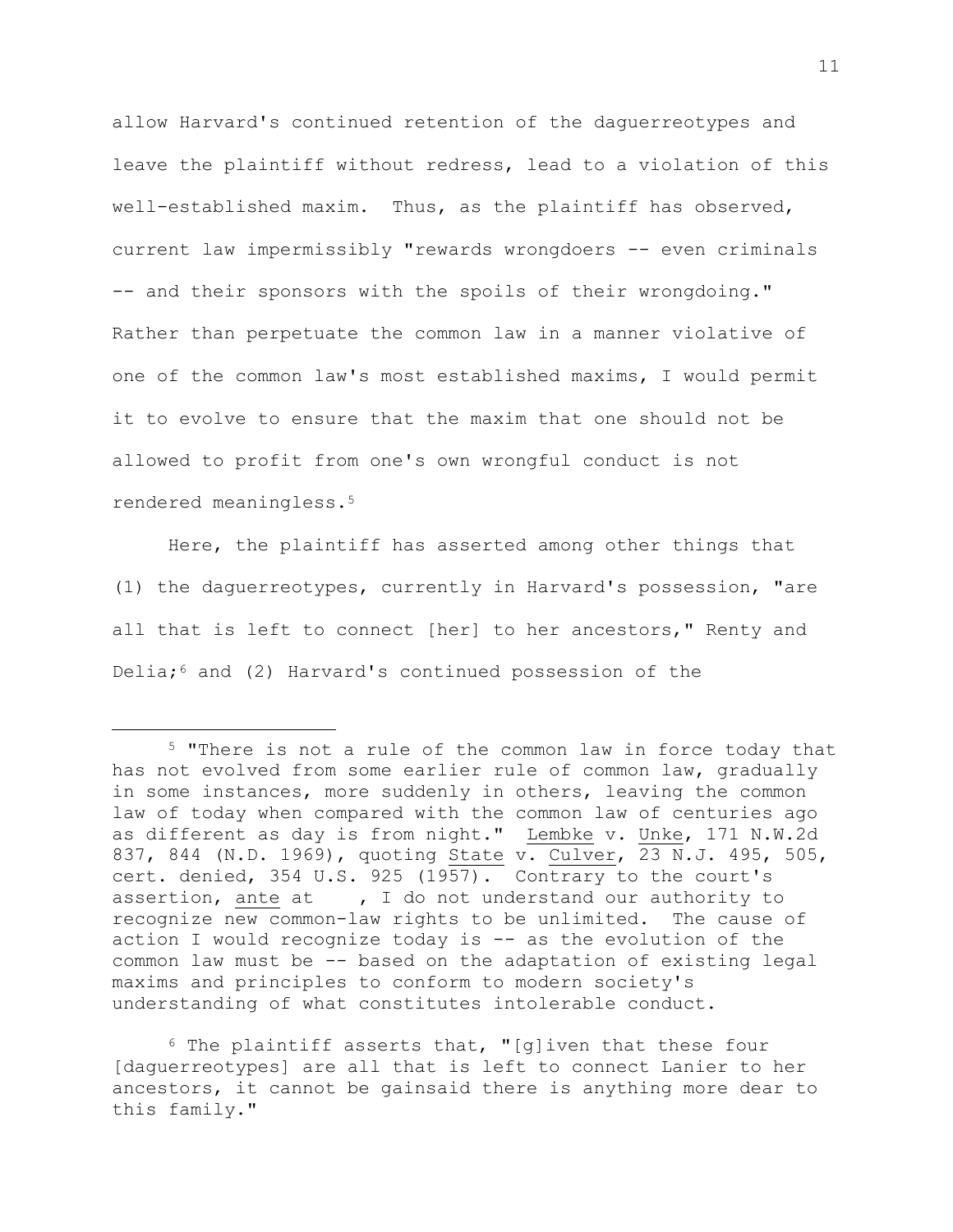allow Harvard's continued retention of the daguerreotypes and leave the plaintiff without redress, lead to a violation of this well-established maxim. Thus, as the plaintiff has observed, current law impermissibly "rewards wrongdoers -- even criminals -- and their sponsors with the spoils of their wrongdoing." Rather than perpetuate the common law in a manner violative of one of the common law's most established maxims, I would permit it to evolve to ensure that the maxim that one should not be allowed to profit from one's own wrongful conduct is not rendered meaningless.<sup>5</sup>

Here, the plaintiff has asserted among other things that (1) the daguerreotypes, currently in Harvard's possession, "are all that is left to connect [her] to her ancestors," Renty and Delia; $6$  and (2) Harvard's continued possession of the

 $6$  The plaintiff asserts that, "[g]iven that these four [daguerreotypes] are all that is left to connect Lanier to her ancestors, it cannot be gainsaid there is anything more dear to this family."

<sup>5</sup> "There is not a rule of the common law in force today that has not evolved from some earlier rule of common law, gradually in some instances, more suddenly in others, leaving the common law of today when compared with the common law of centuries ago as different as day is from night." Lembke v. Unke, 171 N.W.2d 837, 844 (N.D. 1969), quoting State v. Culver, 23 N.J. 495, 505, cert. denied, 354 U.S. 925 (1957). Contrary to the court's assertion, ante at , I do not understand our authority to recognize new common-law rights to be unlimited. The cause of action I would recognize today is -- as the evolution of the common law must be -- based on the adaptation of existing legal maxims and principles to conform to modern society's understanding of what constitutes intolerable conduct.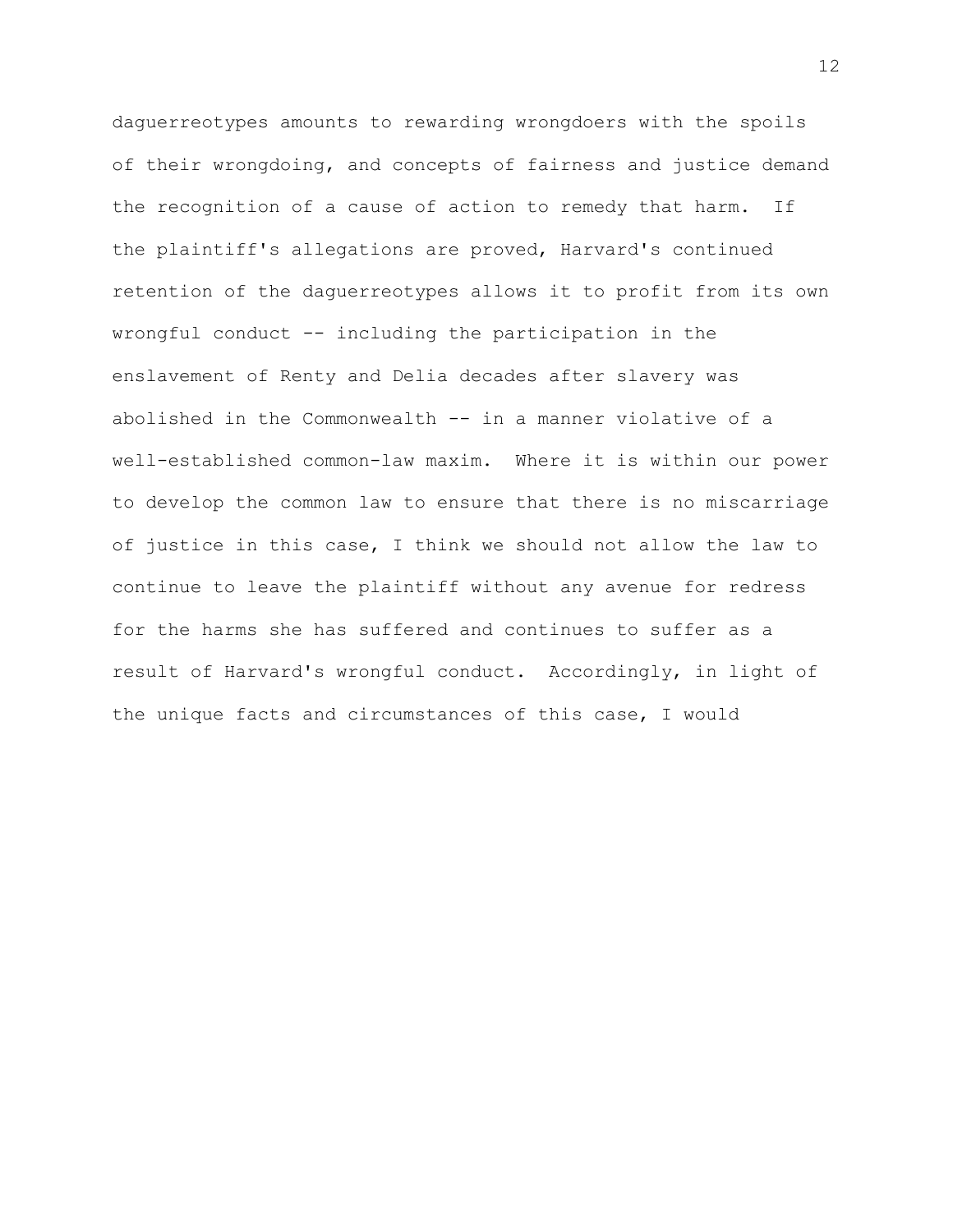daguerreotypes amounts to rewarding wrongdoers with the spoils of their wrongdoing, and concepts of fairness and justice demand the recognition of a cause of action to remedy that harm. If the plaintiff's allegations are proved, Harvard's continued retention of the daguerreotypes allows it to profit from its own wrongful conduct -- including the participation in the enslavement of Renty and Delia decades after slavery was abolished in the Commonwealth -- in a manner violative of a well-established common-law maxim. Where it is within our power to develop the common law to ensure that there is no miscarriage of justice in this case, I think we should not allow the law to continue to leave the plaintiff without any avenue for redress for the harms she has suffered and continues to suffer as a result of Harvard's wrongful conduct. Accordingly, in light of the unique facts and circumstances of this case, I would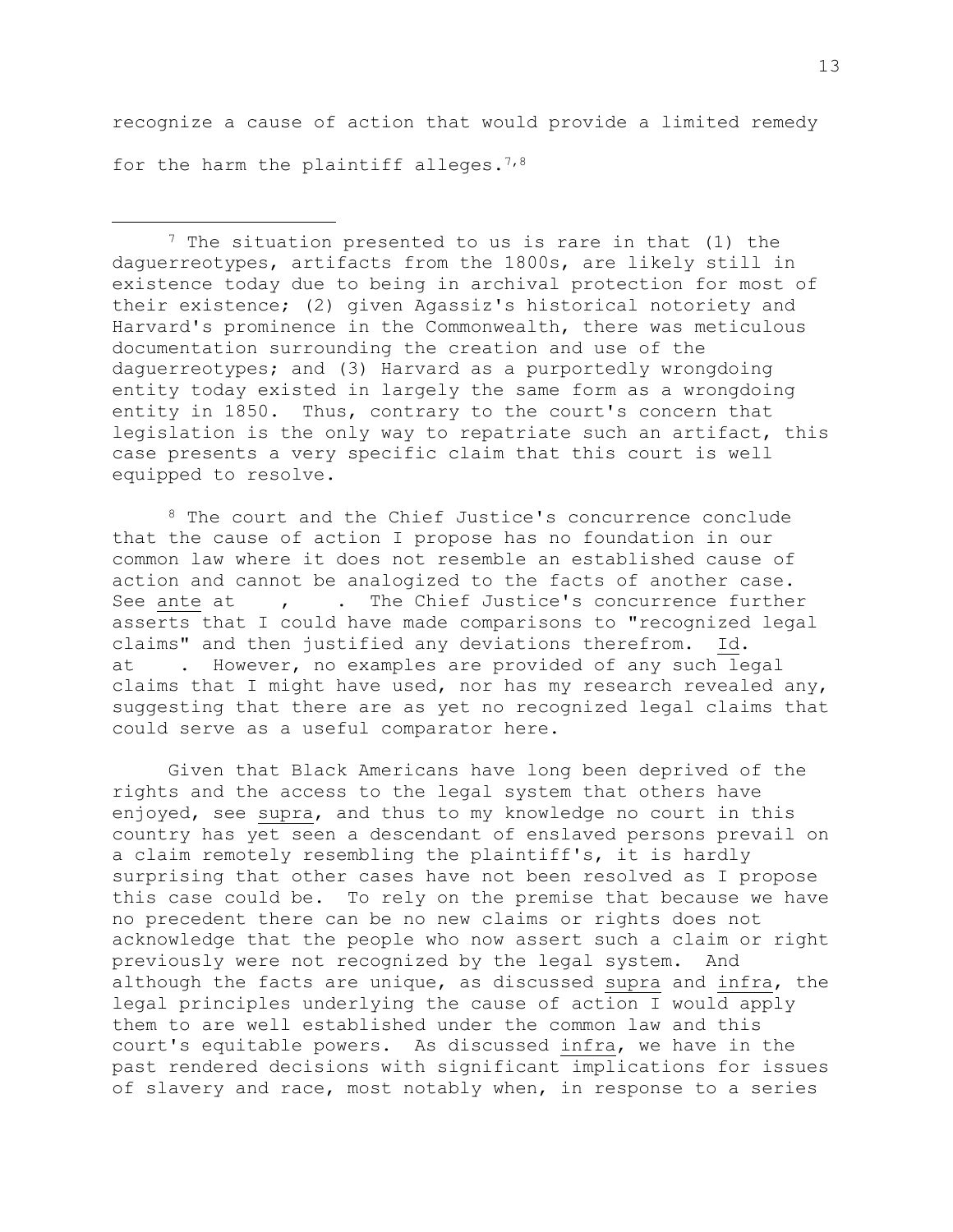recognize a cause of action that would provide a limited remedy for the harm the plaintiff alleges.<sup>7,8</sup>

 $7$  The situation presented to us is rare in that (1) the daguerreotypes, artifacts from the 1800s, are likely still in existence today due to being in archival protection for most of their existence; (2) given Agassiz's historical notoriety and Harvard's prominence in the Commonwealth, there was meticulous documentation surrounding the creation and use of the daguerreotypes; and (3) Harvard as a purportedly wrongdoing entity today existed in largely the same form as a wrongdoing entity in 1850. Thus, contrary to the court's concern that legislation is the only way to repatriate such an artifact, this case presents a very specific claim that this court is well equipped to resolve.

<sup>8</sup> The court and the Chief Justice's concurrence conclude that the cause of action I propose has no foundation in our common law where it does not resemble an established cause of action and cannot be analogized to the facts of another case. See ante at , . The Chief Justice's concurrence further asserts that I could have made comparisons to "recognized legal claims" and then justified any deviations therefrom. Id. at . However, no examples are provided of any such legal claims that I might have used, nor has my research revealed any, suggesting that there are as yet no recognized legal claims that could serve as a useful comparator here.

Given that Black Americans have long been deprived of the rights and the access to the legal system that others have enjoyed, see supra, and thus to my knowledge no court in this country has yet seen a descendant of enslaved persons prevail on a claim remotely resembling the plaintiff's, it is hardly surprising that other cases have not been resolved as I propose this case could be. To rely on the premise that because we have no precedent there can be no new claims or rights does not acknowledge that the people who now assert such a claim or right previously were not recognized by the legal system. And although the facts are unique, as discussed supra and infra, the legal principles underlying the cause of action I would apply them to are well established under the common law and this court's equitable powers. As discussed infra, we have in the past rendered decisions with significant implications for issues of slavery and race, most notably when, in response to a series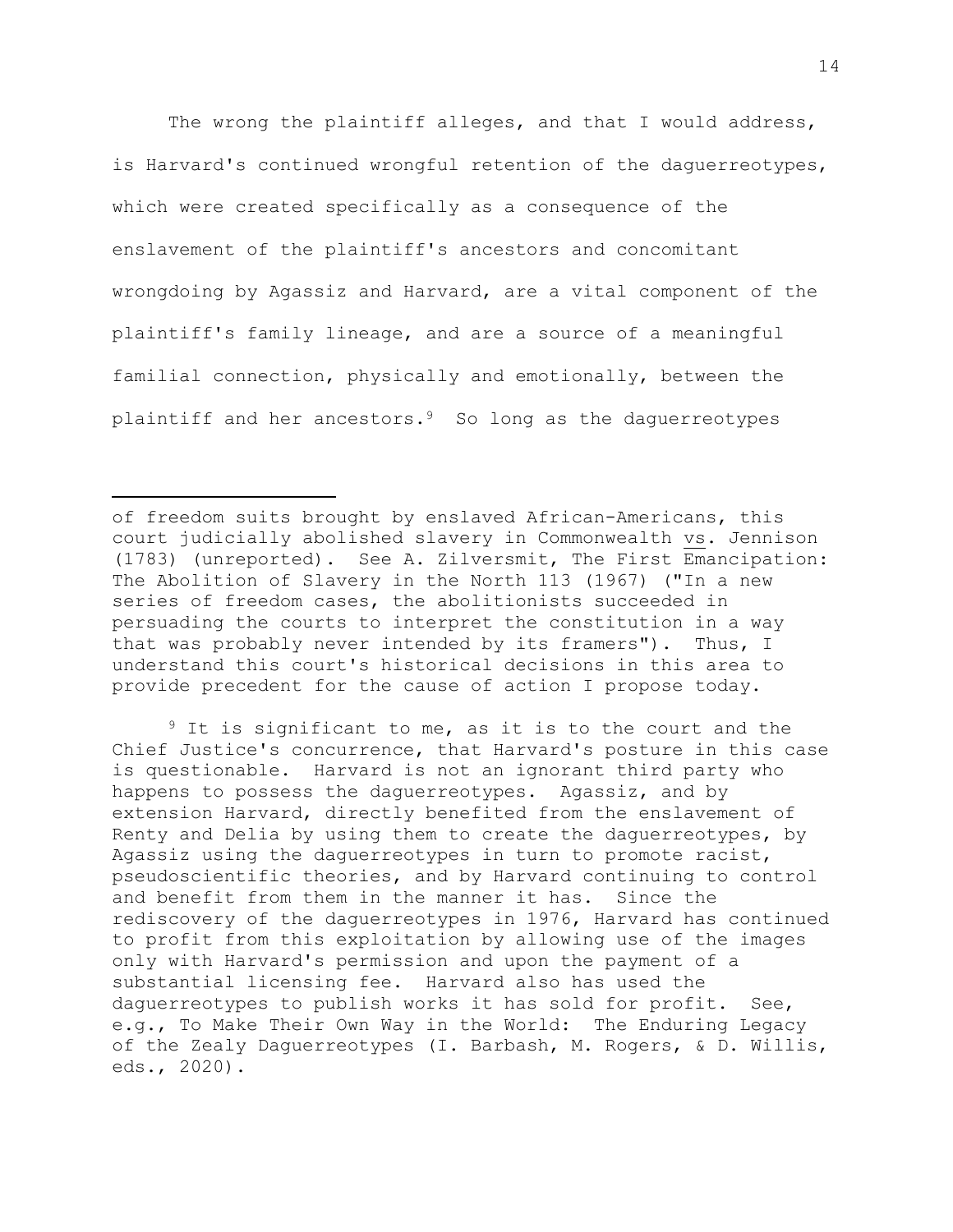The wrong the plaintiff alleges, and that I would address, is Harvard's continued wrongful retention of the daguerreotypes, which were created specifically as a consequence of the enslavement of the plaintiff's ancestors and concomitant wrongdoing by Agassiz and Harvard, are a vital component of the plaintiff's family lineage, and are a source of a meaningful familial connection, physically and emotionally, between the plaintiff and her ancestors.<sup>9</sup> So long as the daguerreotypes

of freedom suits brought by enslaved African-Americans, this court judicially abolished slavery in Commonwealth vs. Jennison (1783) (unreported). See A. Zilversmit, The First Emancipation: The Abolition of Slavery in the North 113 (1967) ("In a new series of freedom cases, the abolitionists succeeded in persuading the courts to interpret the constitution in a way that was probably never intended by its framers"). Thus, I understand this court's historical decisions in this area to provide precedent for the cause of action I propose today.

<sup>9</sup> It is significant to me, as it is to the court and the Chief Justice's concurrence, that Harvard's posture in this case is questionable. Harvard is not an ignorant third party who happens to possess the daguerreotypes. Agassiz, and by extension Harvard, directly benefited from the enslavement of Renty and Delia by using them to create the daguerreotypes, by Agassiz using the daguerreotypes in turn to promote racist, pseudoscientific theories, and by Harvard continuing to control and benefit from them in the manner it has. Since the rediscovery of the daguerreotypes in 1976, Harvard has continued to profit from this exploitation by allowing use of the images only with Harvard's permission and upon the payment of a substantial licensing fee. Harvard also has used the daguerreotypes to publish works it has sold for profit. See, e.g., To Make Their Own Way in the World: The Enduring Legacy of the Zealy Daguerreotypes (I. Barbash, M. Rogers, & D. Willis, eds., 2020).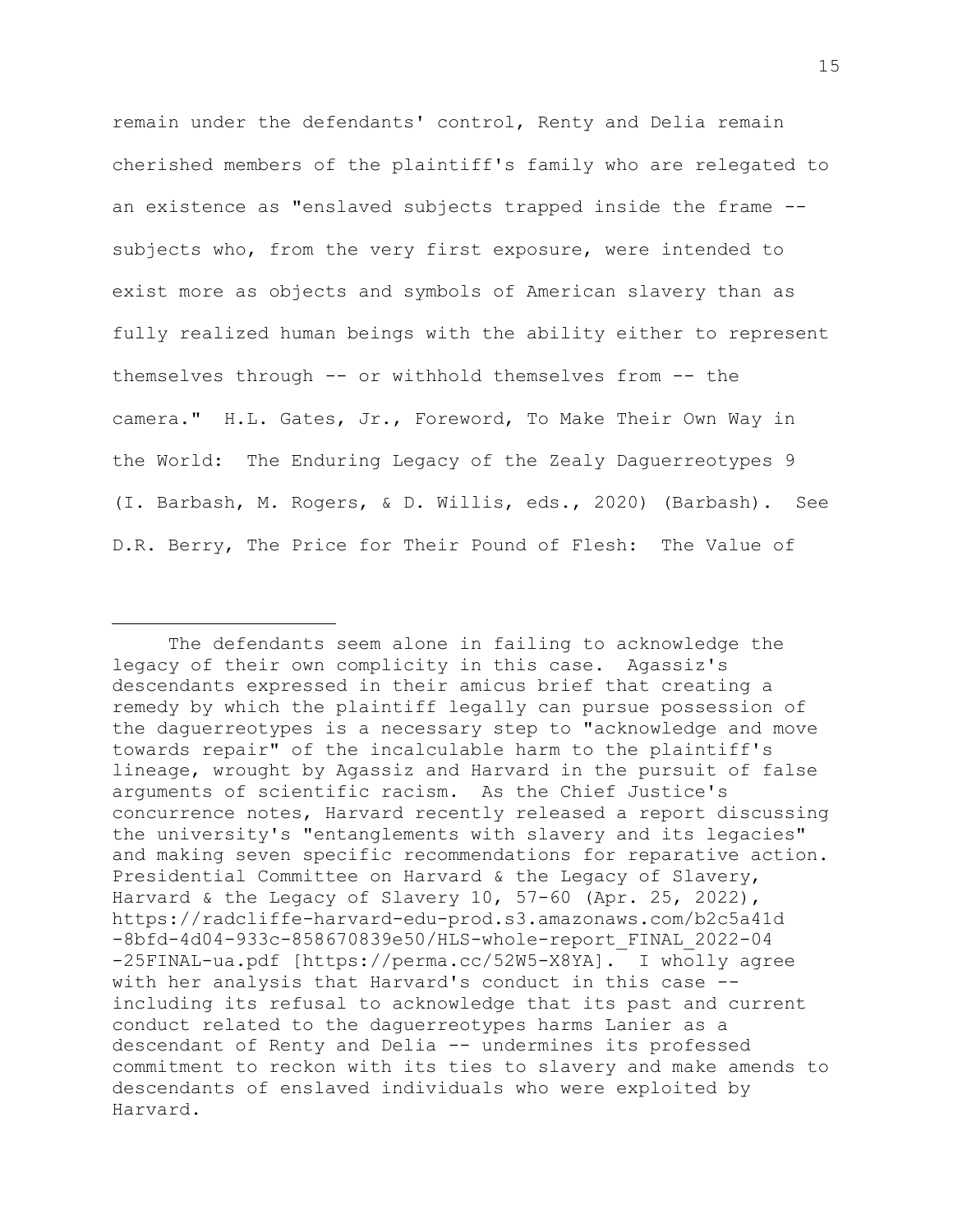remain under the defendants' control, Renty and Delia remain cherished members of the plaintiff's family who are relegated to an existence as "enslaved subjects trapped inside the frame - subjects who, from the very first exposure, were intended to exist more as objects and symbols of American slavery than as fully realized human beings with the ability either to represent themselves through -- or withhold themselves from -- the camera." H.L. Gates, Jr., Foreword, To Make Their Own Way in the World: The Enduring Legacy of the Zealy Daguerreotypes 9 (I. Barbash, M. Rogers, & D. Willis, eds., 2020) (Barbash). See D.R. Berry, The Price for Their Pound of Flesh: The Value of

The defendants seem alone in failing to acknowledge the legacy of their own complicity in this case. Agassiz's descendants expressed in their amicus brief that creating a remedy by which the plaintiff legally can pursue possession of the daguerreotypes is a necessary step to "acknowledge and move towards repair" of the incalculable harm to the plaintiff's lineage, wrought by Agassiz and Harvard in the pursuit of false arguments of scientific racism. As the Chief Justice's concurrence notes, Harvard recently released a report discussing the university's "entanglements with slavery and its legacies" and making seven specific recommendations for reparative action. Presidential Committee on Harvard & the Legacy of Slavery, Harvard & the Legacy of Slavery 10, 57-60 (Apr. 25, 2022), https://radcliffe-harvard-edu-prod.s3.amazonaws.com/b2c5a41d -8bfd-4d04-933c-858670839e50/HLS-whole-report\_FINAL\_2022-04 -25FINAL-ua.pdf [https://perma.cc/52W5-X8YA]. I wholly agree with her analysis that Harvard's conduct in this case - including its refusal to acknowledge that its past and current conduct related to the daguerreotypes harms Lanier as a descendant of Renty and Delia -- undermines its professed commitment to reckon with its ties to slavery and make amends to descendants of enslaved individuals who were exploited by Harvard.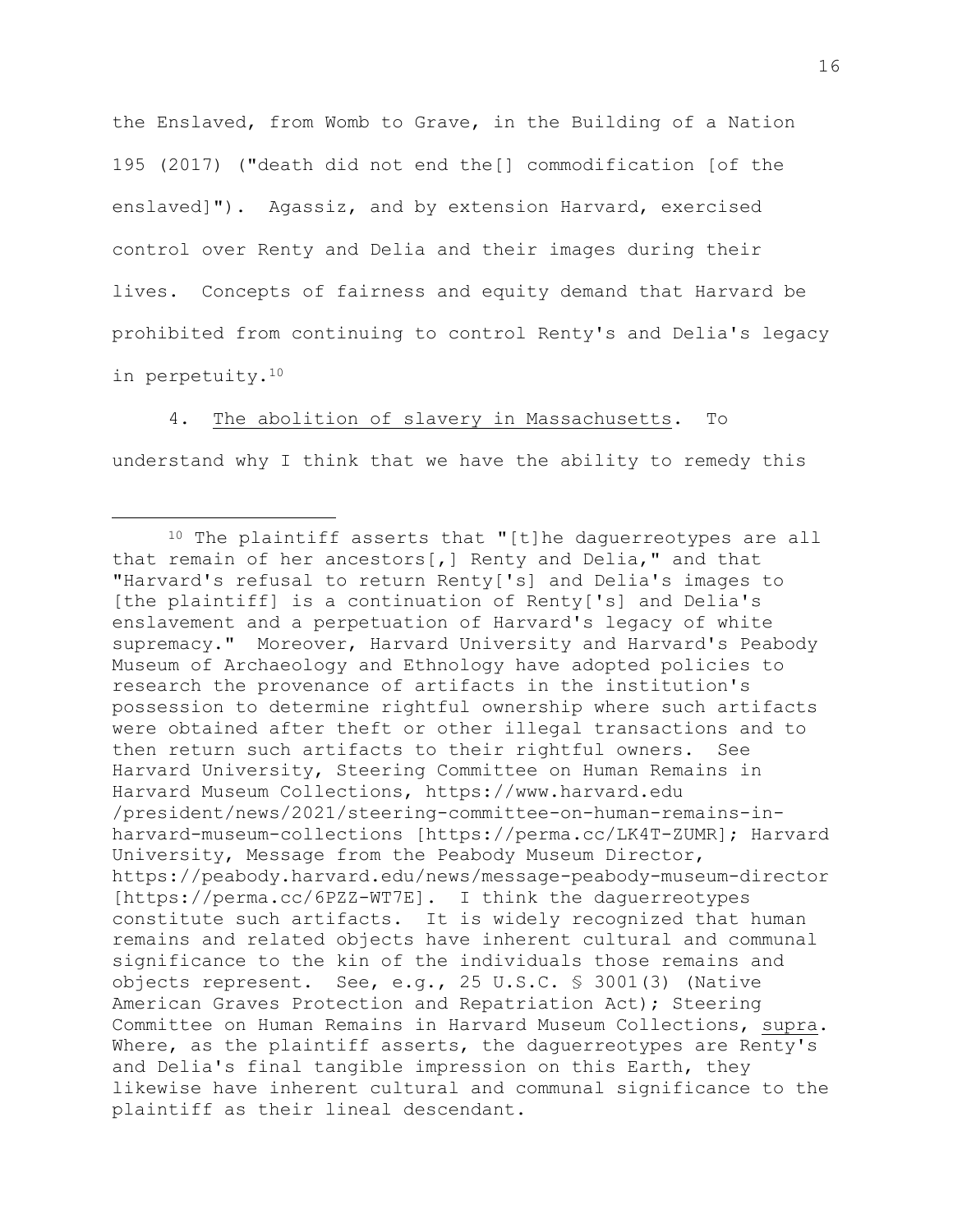the Enslaved, from Womb to Grave, in the Building of a Nation 195 (2017) ("death did not end the[] commodification [of the enslaved]"). Agassiz, and by extension Harvard, exercised control over Renty and Delia and their images during their lives. Concepts of fairness and equity demand that Harvard be prohibited from continuing to control Renty's and Delia's legacy in perpetuity.<sup>10</sup>

4. The abolition of slavery in Massachusetts. To understand why I think that we have the ability to remedy this

<sup>10</sup> The plaintiff asserts that "[t]he daguerreotypes are all that remain of her ancestors[,] Renty and Delia," and that "Harvard's refusal to return Renty['s] and Delia's images to [the plaintiff] is a continuation of Renty['s] and Delia's enslavement and a perpetuation of Harvard's legacy of white supremacy." Moreover, Harvard University and Harvard's Peabody Museum of Archaeology and Ethnology have adopted policies to research the provenance of artifacts in the institution's possession to determine rightful ownership where such artifacts were obtained after theft or other illegal transactions and to then return such artifacts to their rightful owners. See Harvard University, Steering Committee on Human Remains in Harvard Museum Collections, https://www.harvard.edu /president/news/2021/steering-committee-on-human-remains-inharvard-museum-collections [https://perma.cc/LK4T-ZUMR]; Harvard University, Message from the Peabody Museum Director, https://peabody.harvard.edu/news/message-peabody-museum-director [https://perma.cc/6PZZ-WT7E]. I think the daguerreotypes constitute such artifacts. It is widely recognized that human remains and related objects have inherent cultural and communal significance to the kin of the individuals those remains and objects represent. See, e.g., 25 U.S.C. § 3001(3) (Native American Graves Protection and Repatriation Act); Steering Committee on Human Remains in Harvard Museum Collections, supra. Where, as the plaintiff asserts, the daguerreotypes are Renty's and Delia's final tangible impression on this Earth, they likewise have inherent cultural and communal significance to the plaintiff as their lineal descendant.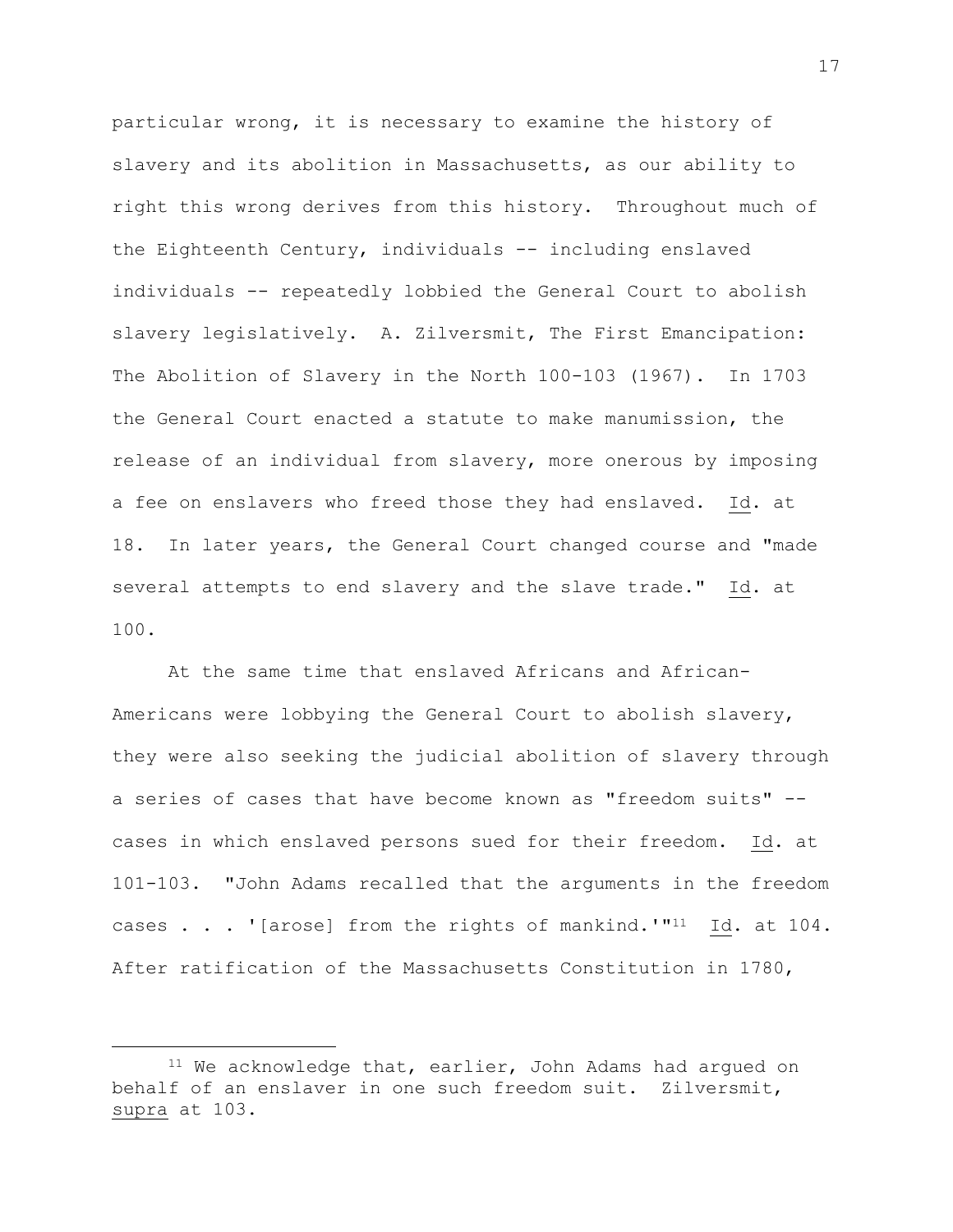particular wrong, it is necessary to examine the history of slavery and its abolition in Massachusetts, as our ability to right this wrong derives from this history. Throughout much of the Eighteenth Century, individuals -- including enslaved individuals -- repeatedly lobbied the General Court to abolish slavery legislatively. A. Zilversmit, The First Emancipation: The Abolition of Slavery in the North 100-103 (1967). In 1703 the General Court enacted a statute to make manumission, the release of an individual from slavery, more onerous by imposing a fee on enslavers who freed those they had enslaved. Id. at 18. In later years, the General Court changed course and "made several attempts to end slavery and the slave trade." Id. at 100.

At the same time that enslaved Africans and African-Americans were lobbying the General Court to abolish slavery, they were also seeking the judicial abolition of slavery through a series of cases that have become known as "freedom suits" - cases in which enslaved persons sued for their freedom. Id. at 101-103. "John Adams recalled that the arguments in the freedom cases . . . '[arose] from the rights of mankind.'"<sup>11</sup> Id. at 104. After ratification of the Massachusetts Constitution in 1780,

<sup>&</sup>lt;sup>11</sup> We acknowledge that, earlier, John Adams had argued on behalf of an enslaver in one such freedom suit. Zilversmit, supra at 103.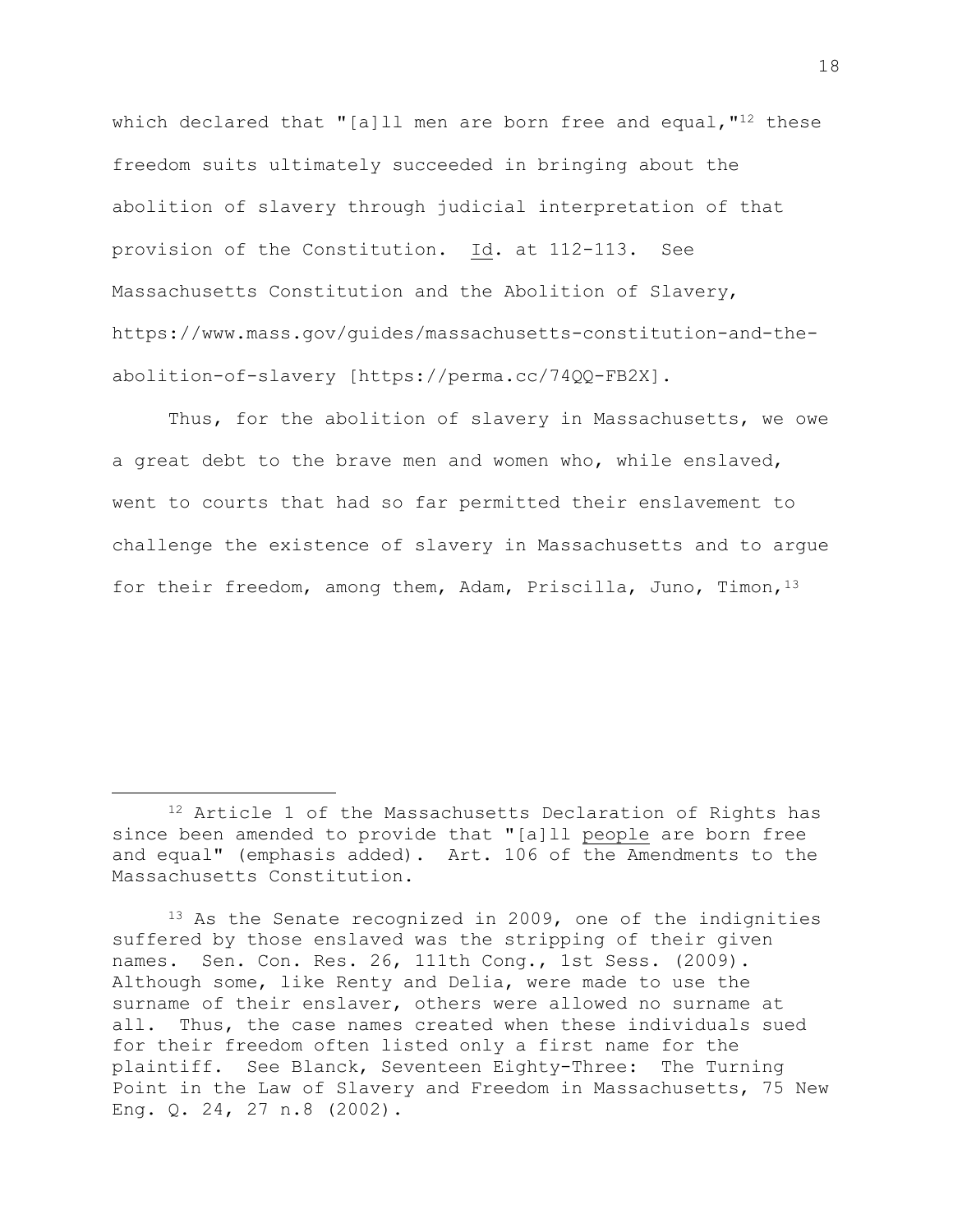which declared that "[a]ll men are born free and equal, "<sup>12</sup> these freedom suits ultimately succeeded in bringing about the abolition of slavery through judicial interpretation of that provision of the Constitution. Id. at 112-113. See Massachusetts Constitution and the Abolition of Slavery, https://www.mass.gov/guides/massachusetts-constitution-and-theabolition-of-slavery [https://perma.cc/74QQ-FB2X].

Thus, for the abolition of slavery in Massachusetts, we owe a great debt to the brave men and women who, while enslaved, went to courts that had so far permitted their enslavement to challenge the existence of slavery in Massachusetts and to argue for their freedom, among them, Adam, Priscilla, Juno, Timon, 13

<sup>13</sup> As the Senate recognized in 2009, one of the indignities suffered by those enslaved was the stripping of their given names. Sen. Con. Res. 26, 111th Cong., 1st Sess. (2009). Although some, like Renty and Delia, were made to use the surname of their enslaver, others were allowed no surname at all. Thus, the case names created when these individuals sued for their freedom often listed only a first name for the plaintiff. See Blanck, Seventeen Eighty-Three: The Turning Point in the Law of Slavery and Freedom in Massachusetts, 75 New Eng. Q. 24, 27 n.8 (2002).

<sup>12</sup> Article 1 of the Massachusetts Declaration of Rights has since been amended to provide that "[a]ll people are born free and equal" (emphasis added). Art. 106 of the Amendments to the Massachusetts Constitution.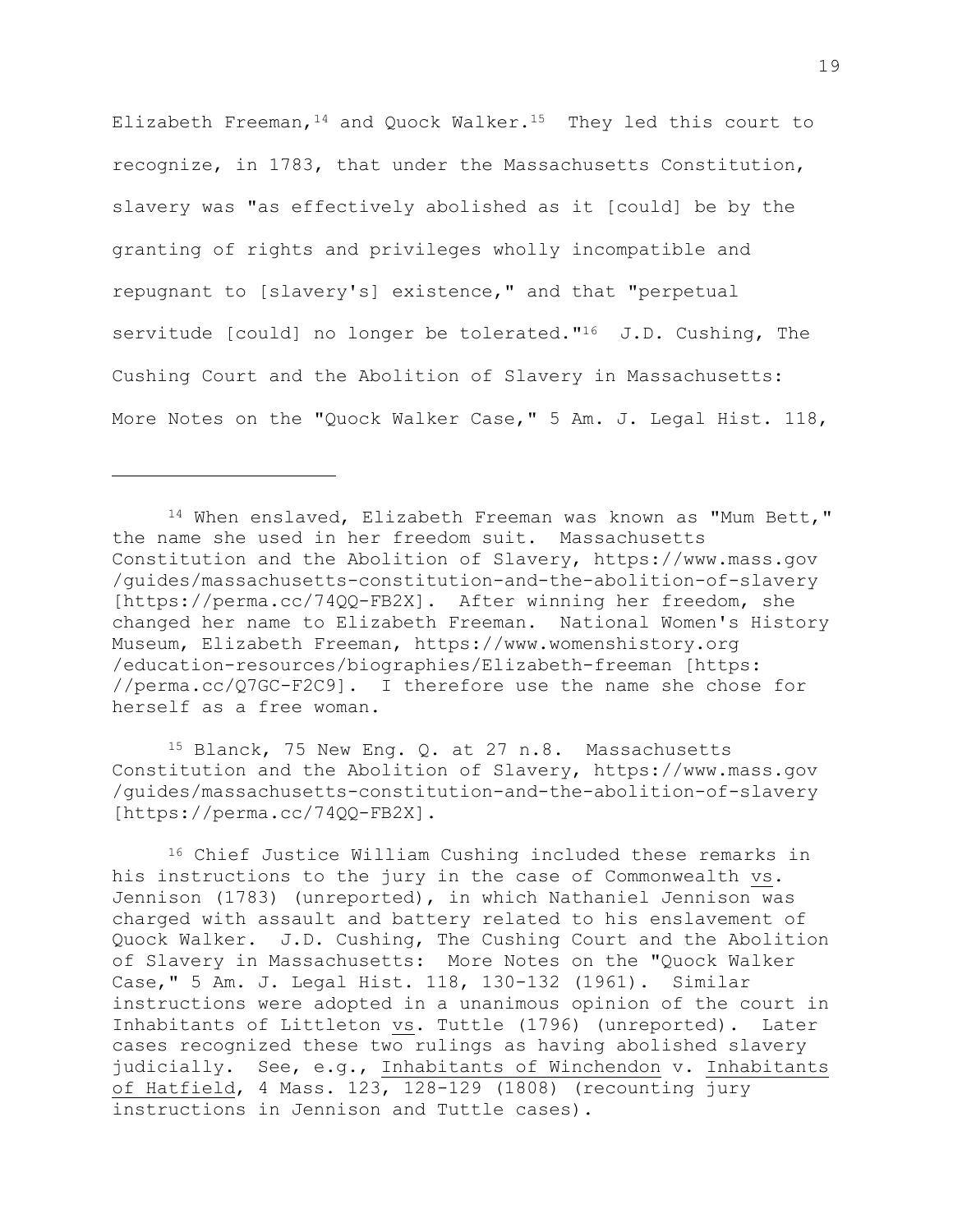Elizabeth Freeman,  $^{14}$  and Ouock Walker.<sup>15</sup> They led this court to recognize, in 1783, that under the Massachusetts Constitution, slavery was "as effectively abolished as it [could] be by the granting of rights and privileges wholly incompatible and repugnant to [slavery's] existence," and that "perpetual servitude [could] no longer be tolerated."<sup>16</sup> J.D. Cushing, The Cushing Court and the Abolition of Slavery in Massachusetts: More Notes on the "Quock Walker Case," 5 Am. J. Legal Hist. 118,

<sup>14</sup> When enslaved, Elizabeth Freeman was known as "Mum Bett," the name she used in her freedom suit. Massachusetts Constitution and the Abolition of Slavery, https://www.mass.gov /guides/massachusetts-constitution-and-the-abolition-of-slavery [https://perma.cc/74QQ-FB2X]. After winning her freedom, she changed her name to Elizabeth Freeman. National Women's History Museum, Elizabeth Freeman, https://www.womenshistory.org /education-resources/biographies/Elizabeth-freeman [https: //perma.cc/Q7GC-F2C9]. I therefore use the name she chose for herself as a free woman.

<sup>15</sup> Blanck, 75 New Eng. Q. at 27 n.8. Massachusetts Constitution and the Abolition of Slavery, https://www.mass.gov /guides/massachusetts-constitution-and-the-abolition-of-slavery [https://perma.cc/74QQ-FB2X].

<sup>16</sup> Chief Justice William Cushing included these remarks in his instructions to the jury in the case of Commonwealth vs. Jennison (1783) (unreported), in which Nathaniel Jennison was charged with assault and battery related to his enslavement of Quock Walker. J.D. Cushing, The Cushing Court and the Abolition of Slavery in Massachusetts: More Notes on the "Quock Walker Case," 5 Am. J. Legal Hist. 118, 130-132 (1961). Similar instructions were adopted in a unanimous opinion of the court in Inhabitants of Littleton vs. Tuttle (1796) (unreported). Later cases recognized these two rulings as having abolished slavery judicially. See, e.g., Inhabitants of Winchendon v. Inhabitants of Hatfield, 4 Mass. 123, 128-129 (1808) (recounting jury instructions in Jennison and Tuttle cases).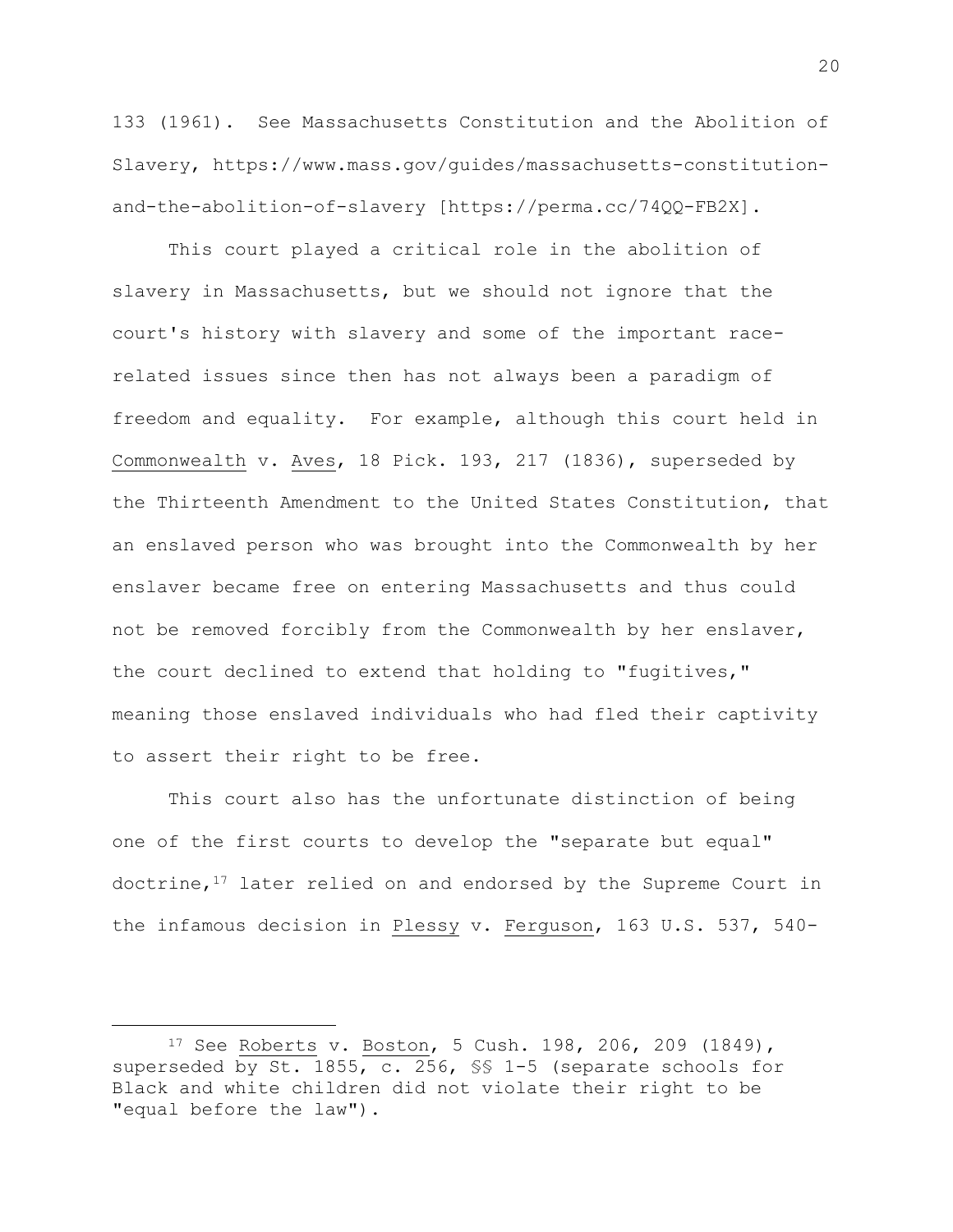133 (1961). See Massachusetts Constitution and the Abolition of Slavery, https://www.mass.gov/guides/massachusetts-constitutionand-the-abolition-of-slavery [https://perma.cc/74QQ-FB2X].

This court played a critical role in the abolition of slavery in Massachusetts, but we should not ignore that the court's history with slavery and some of the important racerelated issues since then has not always been a paradigm of freedom and equality. For example, although this court held in Commonwealth v. Aves, 18 Pick. 193, 217 (1836), superseded by the Thirteenth Amendment to the United States Constitution, that an enslaved person who was brought into the Commonwealth by her enslaver became free on entering Massachusetts and thus could not be removed forcibly from the Commonwealth by her enslaver, the court declined to extend that holding to "fugitives," meaning those enslaved individuals who had fled their captivity to assert their right to be free.

This court also has the unfortunate distinction of being one of the first courts to develop the "separate but equal" doctrine, $17$  later relied on and endorsed by the Supreme Court in the infamous decision in Plessy v. Ferguson, 163 U.S. 537, 540-

<sup>17</sup> See Roberts v. Boston, 5 Cush. 198, 206, 209 (1849), superseded by St. 1855, c. 256, §§ 1-5 (separate schools for Black and white children did not violate their right to be "equal before the law").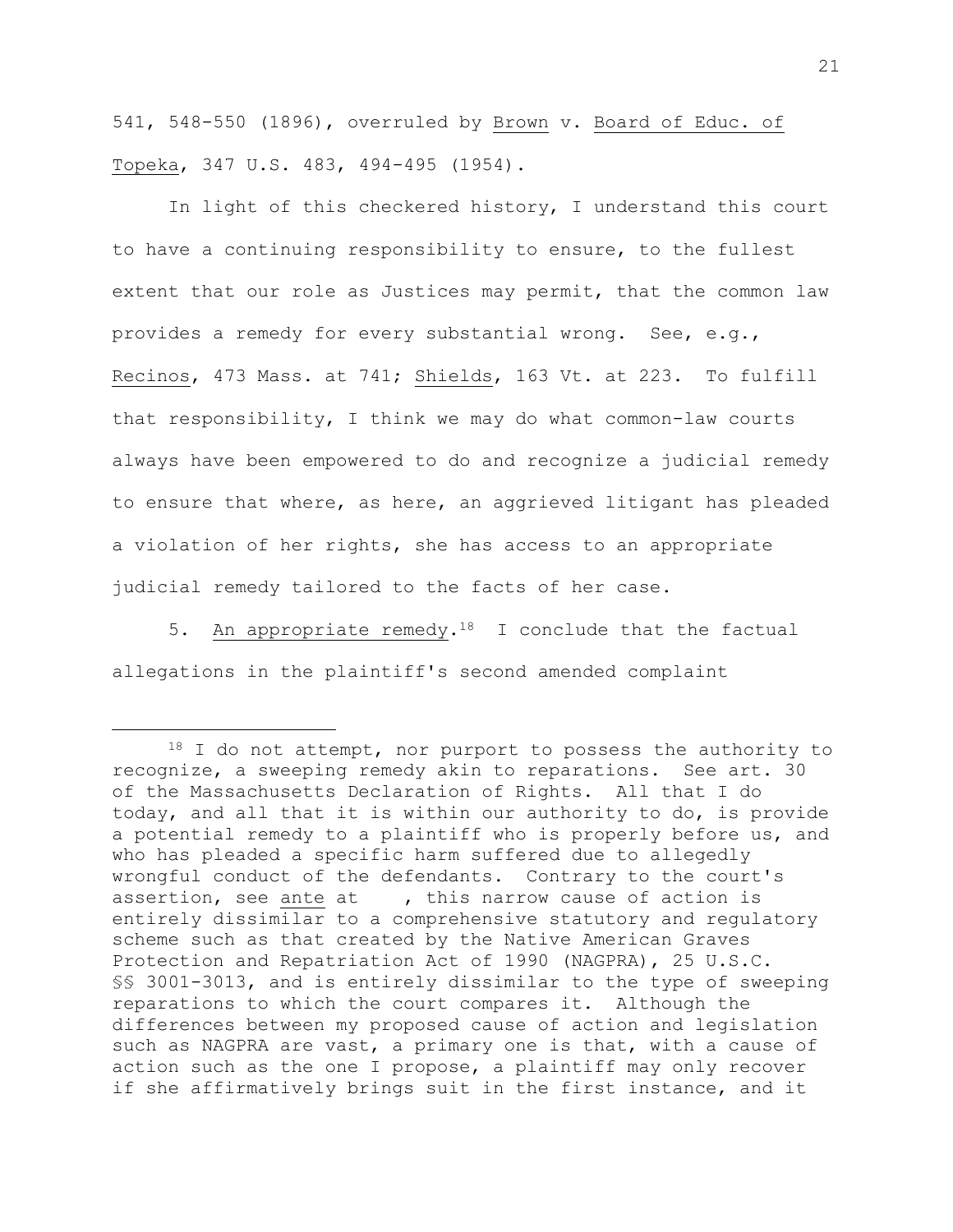541, 548-550 (1896), overruled by Brown v. Board of Educ. of Topeka, 347 U.S. 483, 494-495 (1954).

In light of this checkered history, I understand this court to have a continuing responsibility to ensure, to the fullest extent that our role as Justices may permit, that the common law provides a remedy for every substantial wrong. See, e.g., Recinos, 473 Mass. at 741; Shields, 163 Vt. at 223. To fulfill that responsibility, I think we may do what common-law courts always have been empowered to do and recognize a judicial remedy to ensure that where, as here, an aggrieved litigant has pleaded a violation of her rights, she has access to an appropriate judicial remedy tailored to the facts of her case.

5. An appropriate remedy.<sup>18</sup> I conclude that the factual allegations in the plaintiff's second amended complaint

<sup>18</sup> I do not attempt, nor purport to possess the authority to recognize, a sweeping remedy akin to reparations. See art. 30 of the Massachusetts Declaration of Rights. All that I do today, and all that it is within our authority to do, is provide a potential remedy to a plaintiff who is properly before us, and who has pleaded a specific harm suffered due to allegedly wrongful conduct of the defendants. Contrary to the court's assertion, see ante at , this narrow cause of action is entirely dissimilar to a comprehensive statutory and regulatory scheme such as that created by the Native American Graves Protection and Repatriation Act of 1990 (NAGPRA), 25 U.S.C. §§ 3001-3013, and is entirely dissimilar to the type of sweeping reparations to which the court compares it. Although the differences between my proposed cause of action and legislation such as NAGPRA are vast, a primary one is that, with a cause of action such as the one I propose, a plaintiff may only recover if she affirmatively brings suit in the first instance, and it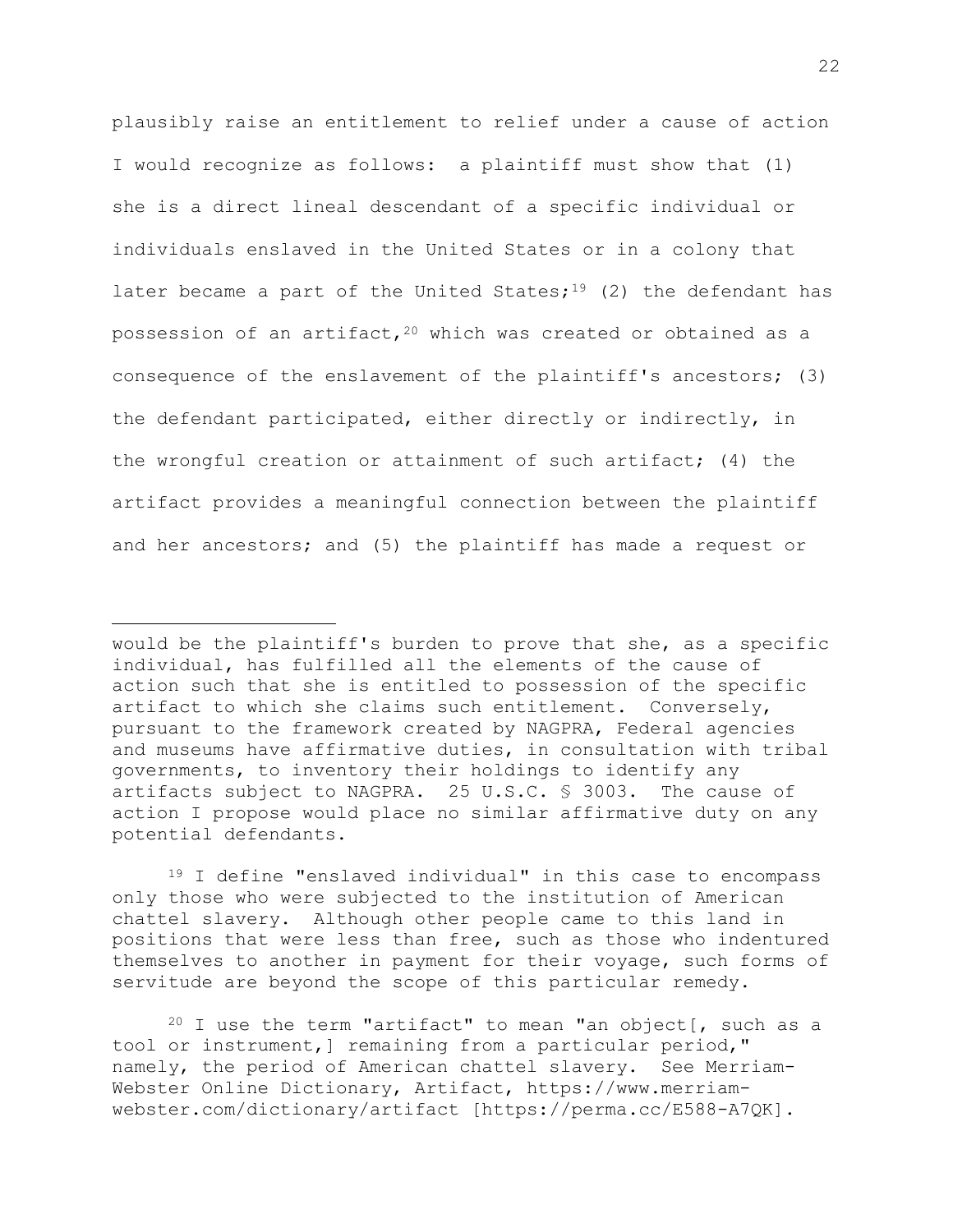plausibly raise an entitlement to relief under a cause of action I would recognize as follows: a plaintiff must show that (1) she is a direct lineal descendant of a specific individual or individuals enslaved in the United States or in a colony that later became a part of the United States;<sup>19</sup> (2) the defendant has possession of an artifact,  $20$  which was created or obtained as a consequence of the enslavement of the plaintiff's ancestors; (3) the defendant participated, either directly or indirectly, in the wrongful creation or attainment of such artifact; (4) the artifact provides a meaningful connection between the plaintiff and her ancestors; and (5) the plaintiff has made a request or

<sup>19</sup> I define "enslaved individual" in this case to encompass only those who were subjected to the institution of American chattel slavery. Although other people came to this land in positions that were less than free, such as those who indentured themselves to another in payment for their voyage, such forms of servitude are beyond the scope of this particular remedy.

 $20$  I use the term "artifact" to mean "an object[, such as a tool or instrument,] remaining from a particular period," namely, the period of American chattel slavery. See Merriam-Webster Online Dictionary, Artifact, https://www.merriamwebster.com/dictionary/artifact [https://perma.cc/E588-A7QK].

would be the plaintiff's burden to prove that she, as a specific individual, has fulfilled all the elements of the cause of action such that she is entitled to possession of the specific artifact to which she claims such entitlement. Conversely, pursuant to the framework created by NAGPRA, Federal agencies and museums have affirmative duties, in consultation with tribal governments, to inventory their holdings to identify any artifacts subject to NAGPRA. 25 U.S.C. § 3003. The cause of action I propose would place no similar affirmative duty on any potential defendants.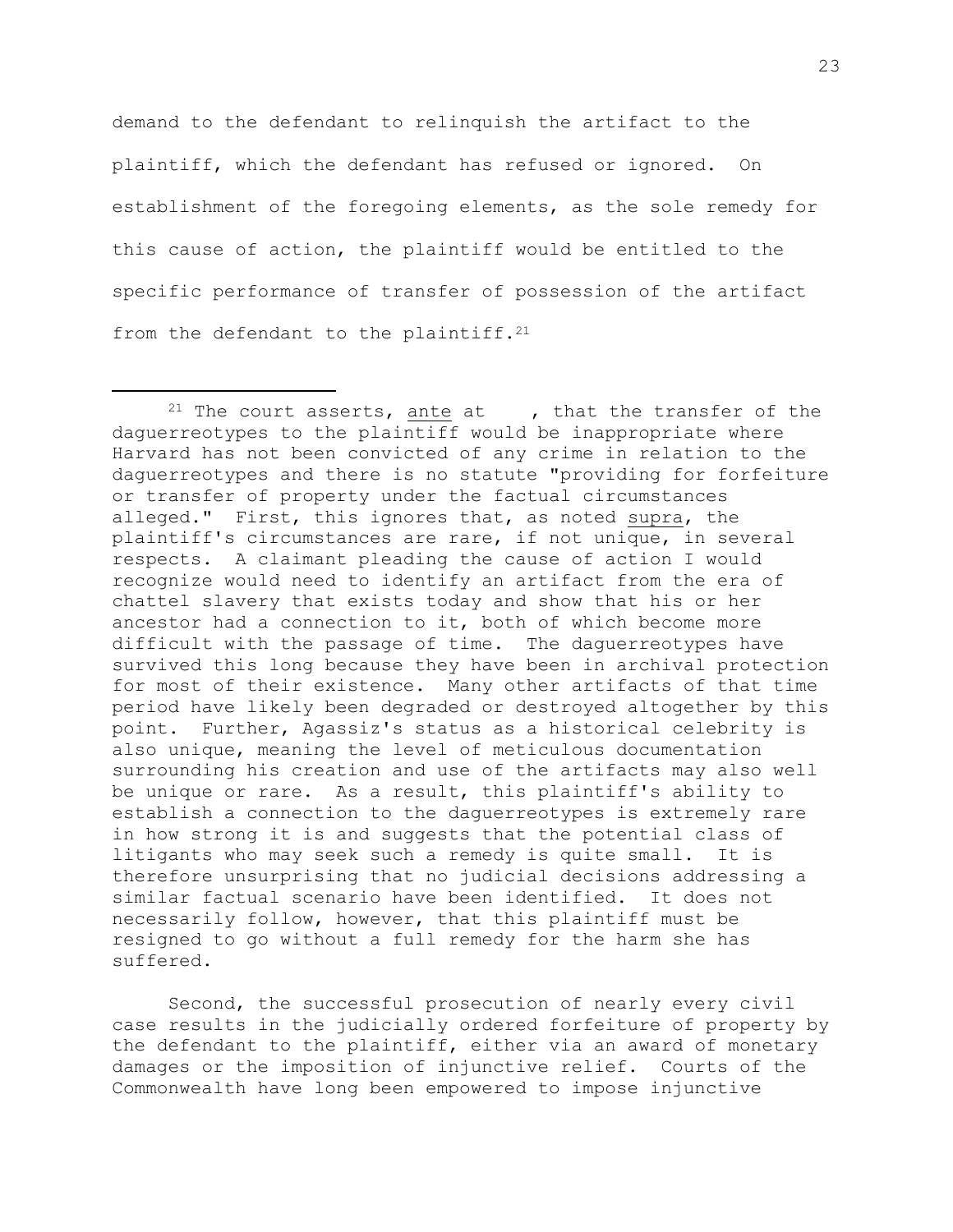demand to the defendant to relinquish the artifact to the plaintiff, which the defendant has refused or ignored. On establishment of the foregoing elements, as the sole remedy for this cause of action, the plaintiff would be entitled to the specific performance of transfer of possession of the artifact from the defendant to the plaintiff.<sup>21</sup>

<sup>&</sup>lt;sup>21</sup> The court asserts, ante at  $\qquad$ , that the transfer of the daguerreotypes to the plaintiff would be inappropriate where Harvard has not been convicted of any crime in relation to the daguerreotypes and there is no statute "providing for forfeiture or transfer of property under the factual circumstances alleged." First, this ignores that, as noted supra, the plaintiff's circumstances are rare, if not unique, in several respects. A claimant pleading the cause of action I would recognize would need to identify an artifact from the era of chattel slavery that exists today and show that his or her ancestor had a connection to it, both of which become more difficult with the passage of time. The daguerreotypes have survived this long because they have been in archival protection for most of their existence. Many other artifacts of that time period have likely been degraded or destroyed altogether by this point. Further, Agassiz's status as a historical celebrity is also unique, meaning the level of meticulous documentation surrounding his creation and use of the artifacts may also well be unique or rare. As a result, this plaintiff's ability to establish a connection to the daguerreotypes is extremely rare in how strong it is and suggests that the potential class of litigants who may seek such a remedy is quite small. It is therefore unsurprising that no judicial decisions addressing a similar factual scenario have been identified. It does not necessarily follow, however, that this plaintiff must be resigned to go without a full remedy for the harm she has suffered.

Second, the successful prosecution of nearly every civil case results in the judicially ordered forfeiture of property by the defendant to the plaintiff, either via an award of monetary damages or the imposition of injunctive relief. Courts of the Commonwealth have long been empowered to impose injunctive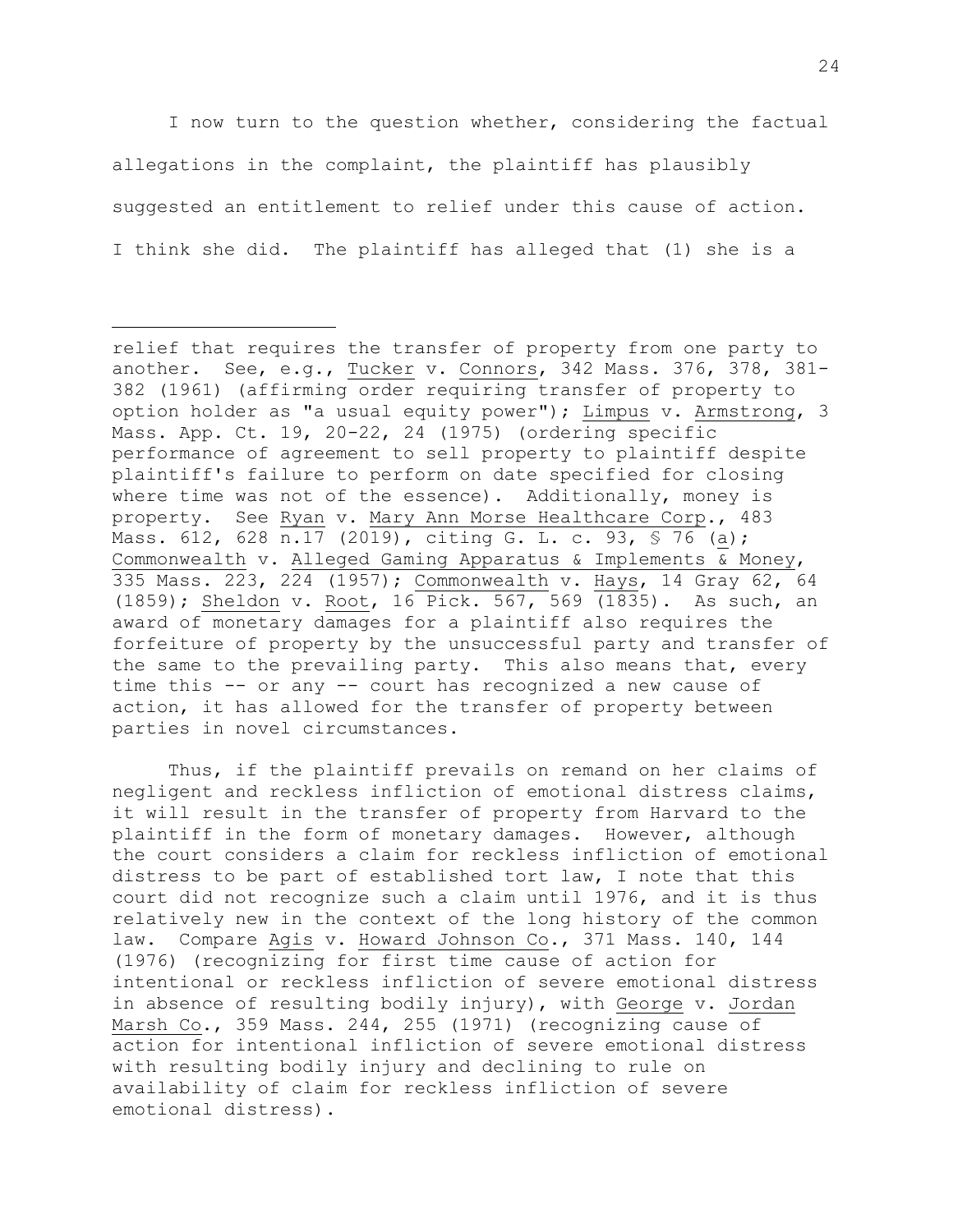I now turn to the question whether, considering the factual allegations in the complaint, the plaintiff has plausibly suggested an entitlement to relief under this cause of action. I think she did. The plaintiff has alleged that (1) she is a

Thus, if the plaintiff prevails on remand on her claims of negligent and reckless infliction of emotional distress claims, it will result in the transfer of property from Harvard to the plaintiff in the form of monetary damages. However, although the court considers a claim for reckless infliction of emotional distress to be part of established tort law, I note that this court did not recognize such a claim until 1976, and it is thus relatively new in the context of the long history of the common law. Compare Agis v. Howard Johnson Co., 371 Mass. 140, 144 (1976) (recognizing for first time cause of action for intentional or reckless infliction of severe emotional distress in absence of resulting bodily injury), with George v. Jordan Marsh Co., 359 Mass. 244, 255 (1971) (recognizing cause of action for intentional infliction of severe emotional distress with resulting bodily injury and declining to rule on availability of claim for reckless infliction of severe emotional distress).

relief that requires the transfer of property from one party to another. See, e.g., Tucker v. Connors, 342 Mass. 376, 378, 381- 382 (1961) (affirming order requiring transfer of property to option holder as "a usual equity power"); Limpus v. Armstrong, 3 Mass. App. Ct. 19, 20-22, 24 (1975) (ordering specific performance of agreement to sell property to plaintiff despite plaintiff's failure to perform on date specified for closing where time was not of the essence). Additionally, money is property. See Ryan v. Mary Ann Morse Healthcare Corp., 483 Mass. 612, 628 n.17 (2019), citing G. L. c. 93, § 76 (a); Commonwealth v. Alleged Gaming Apparatus & Implements & Money, 335 Mass. 223, 224 (1957); Commonwealth v. Hays, 14 Gray 62, 64 (1859); Sheldon v. Root, 16 Pick. 567, 569 (1835). As such, an award of monetary damages for a plaintiff also requires the forfeiture of property by the unsuccessful party and transfer of the same to the prevailing party. This also means that, every time this -- or any -- court has recognized a new cause of action, it has allowed for the transfer of property between parties in novel circumstances.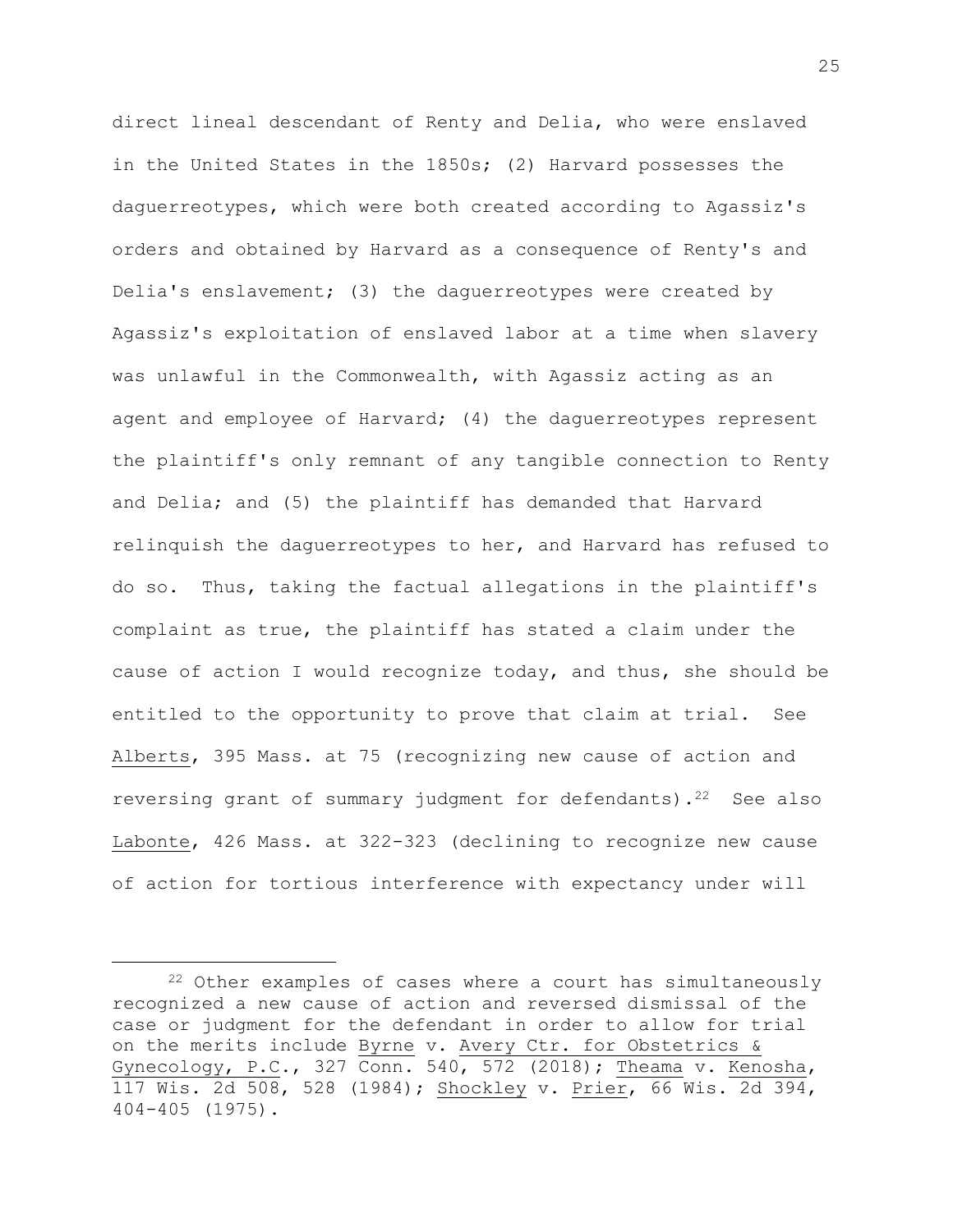direct lineal descendant of Renty and Delia, who were enslaved in the United States in the 1850s; (2) Harvard possesses the daguerreotypes, which were both created according to Agassiz's orders and obtained by Harvard as a consequence of Renty's and Delia's enslavement; (3) the daguerreotypes were created by Agassiz's exploitation of enslaved labor at a time when slavery was unlawful in the Commonwealth, with Agassiz acting as an agent and employee of Harvard; (4) the daguerreotypes represent the plaintiff's only remnant of any tangible connection to Renty and Delia; and (5) the plaintiff has demanded that Harvard relinquish the daguerreotypes to her, and Harvard has refused to do so. Thus, taking the factual allegations in the plaintiff's complaint as true, the plaintiff has stated a claim under the cause of action I would recognize today, and thus, she should be entitled to the opportunity to prove that claim at trial. See Alberts, 395 Mass. at 75 (recognizing new cause of action and reversing grant of summary judgment for defendants). $2^2$  See also Labonte, 426 Mass. at 322-323 (declining to recognize new cause of action for tortious interference with expectancy under will

<sup>22</sup> Other examples of cases where a court has simultaneously recognized a new cause of action and reversed dismissal of the case or judgment for the defendant in order to allow for trial on the merits include Byrne v. Avery Ctr. for Obstetrics & Gynecology, P.C., 327 Conn. 540, 572 (2018); Theama v. Kenosha, 117 Wis. 2d 508, 528 (1984); Shockley v. Prier, 66 Wis. 2d 394, 404-405 (1975).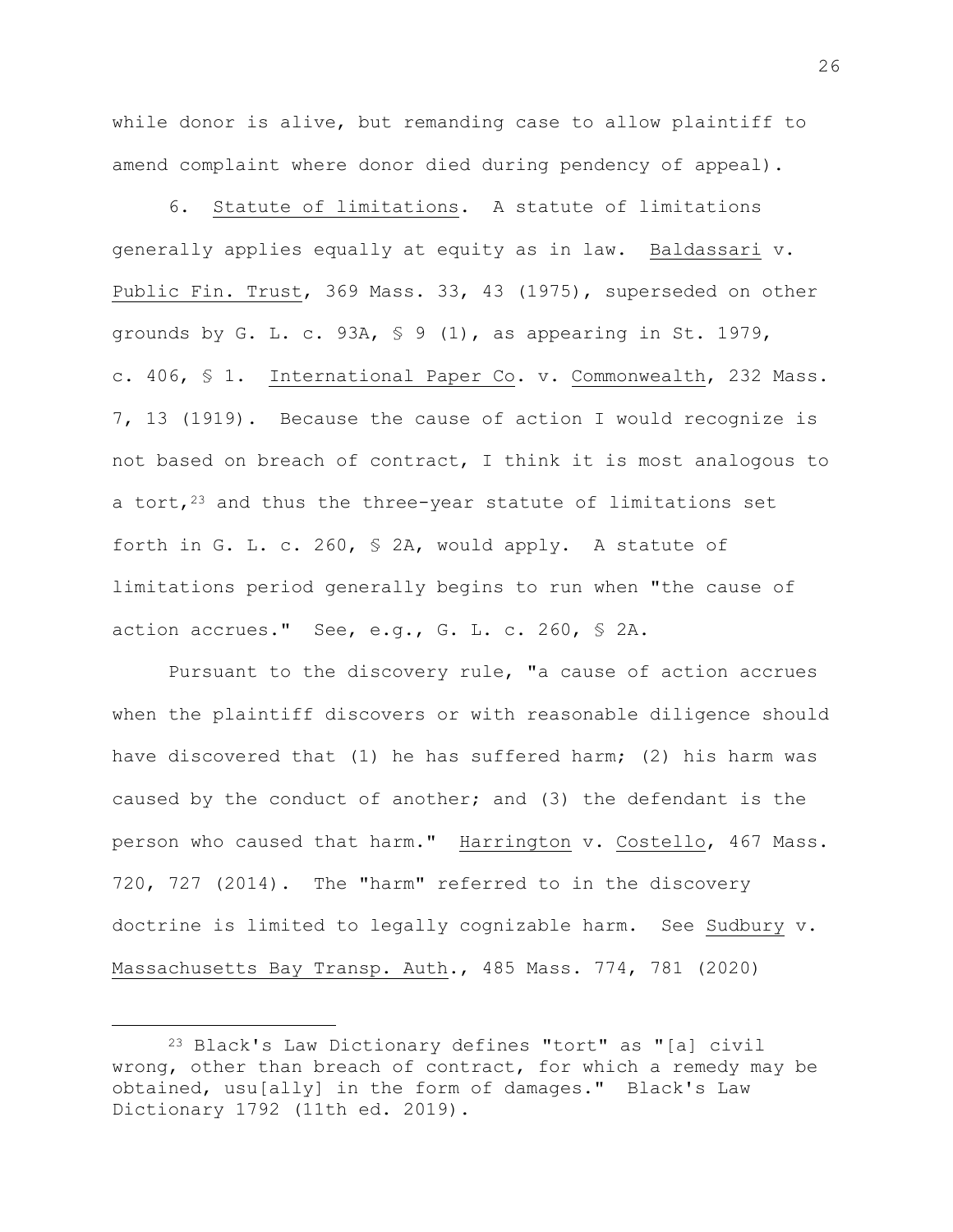while donor is alive, but remanding case to allow plaintiff to amend complaint where donor died during pendency of appeal).

6. Statute of limitations. A statute of limitations generally applies equally at equity as in law. Baldassari v. Public Fin. Trust, 369 Mass. 33, 43 (1975), superseded on other grounds by G. L. c. 93A, § 9 (1), as appearing in St. 1979, c. 406, § 1. International Paper Co. v. Commonwealth, 232 Mass. 7, 13 (1919). Because the cause of action I would recognize is not based on breach of contract, I think it is most analogous to a tort, $23$  and thus the three-year statute of limitations set forth in G. L. c. 260, § 2A, would apply. A statute of limitations period generally begins to run when "the cause of action accrues." See, e.g., G. L. c. 260, § 2A.

Pursuant to the discovery rule, "a cause of action accrues when the plaintiff discovers or with reasonable diligence should have discovered that (1) he has suffered harm; (2) his harm was caused by the conduct of another; and (3) the defendant is the person who caused that harm." Harrington v. Costello, 467 Mass. 720, 727 (2014). The "harm" referred to in the discovery doctrine is limited to legally cognizable harm. See Sudbury v. Massachusetts Bay Transp. Auth., 485 Mass. 774, 781 (2020)

<sup>23</sup> Black's Law Dictionary defines "tort" as "[a] civil wrong, other than breach of contract, for which a remedy may be obtained, usu[ally] in the form of damages." Black's Law Dictionary 1792 (11th ed. 2019).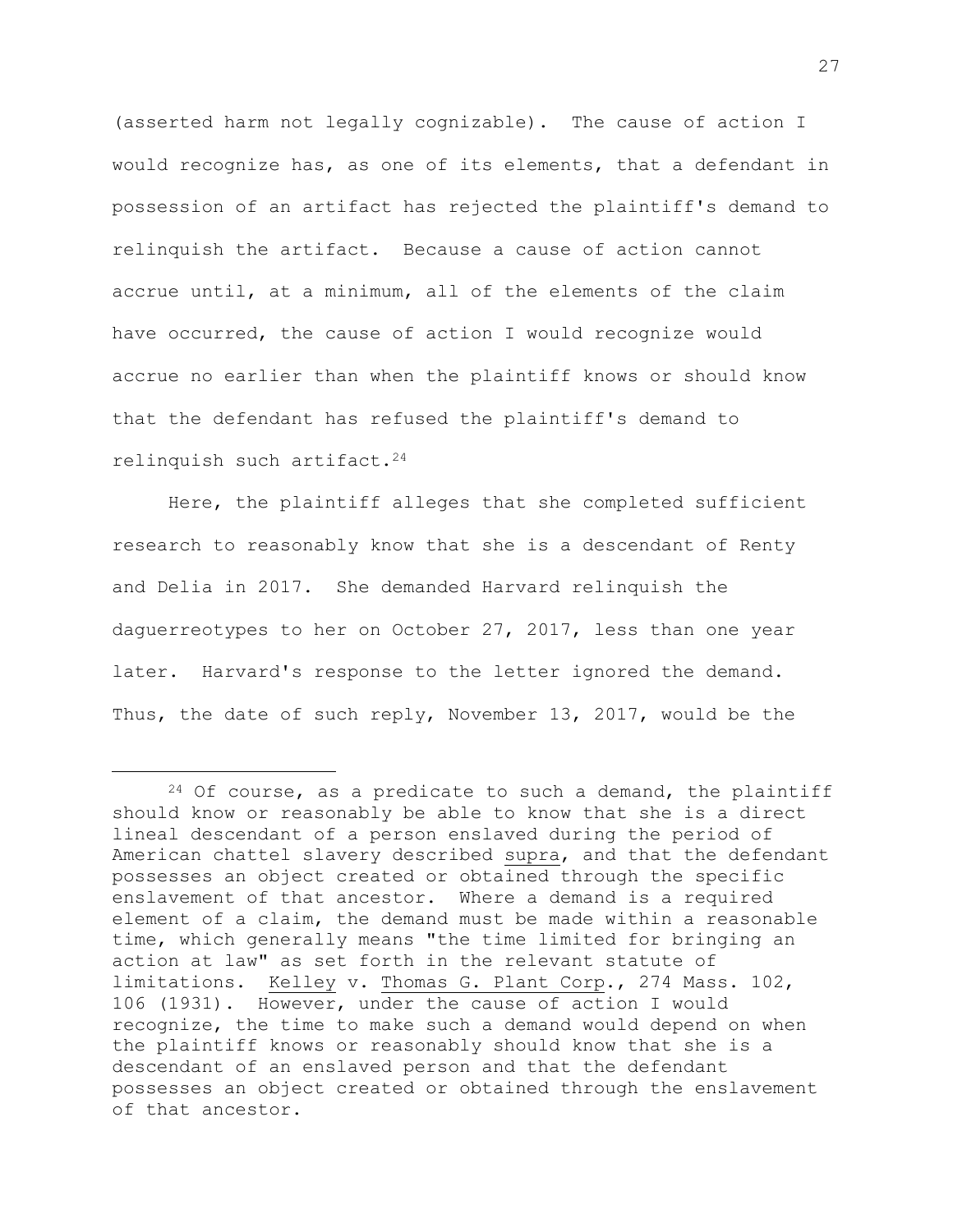(asserted harm not legally cognizable). The cause of action I would recognize has, as one of its elements, that a defendant in possession of an artifact has rejected the plaintiff's demand to relinquish the artifact. Because a cause of action cannot accrue until, at a minimum, all of the elements of the claim have occurred, the cause of action I would recognize would accrue no earlier than when the plaintiff knows or should know that the defendant has refused the plaintiff's demand to relinquish such artifact.<sup>24</sup>

Here, the plaintiff alleges that she completed sufficient research to reasonably know that she is a descendant of Renty and Delia in 2017. She demanded Harvard relinquish the daguerreotypes to her on October 27, 2017, less than one year later. Harvard's response to the letter ignored the demand. Thus, the date of such reply, November 13, 2017, would be the

 $24$  Of course, as a predicate to such a demand, the plaintiff should know or reasonably be able to know that she is a direct lineal descendant of a person enslaved during the period of American chattel slavery described supra, and that the defendant possesses an object created or obtained through the specific enslavement of that ancestor. Where a demand is a required element of a claim, the demand must be made within a reasonable time, which generally means "the time limited for bringing an action at law" as set forth in the relevant statute of limitations. Kelley v. Thomas G. Plant Corp., 274 Mass. 102, 106 (1931). However, under the cause of action I would recognize, the time to make such a demand would depend on when the plaintiff knows or reasonably should know that she is a descendant of an enslaved person and that the defendant possesses an object created or obtained through the enslavement of that ancestor.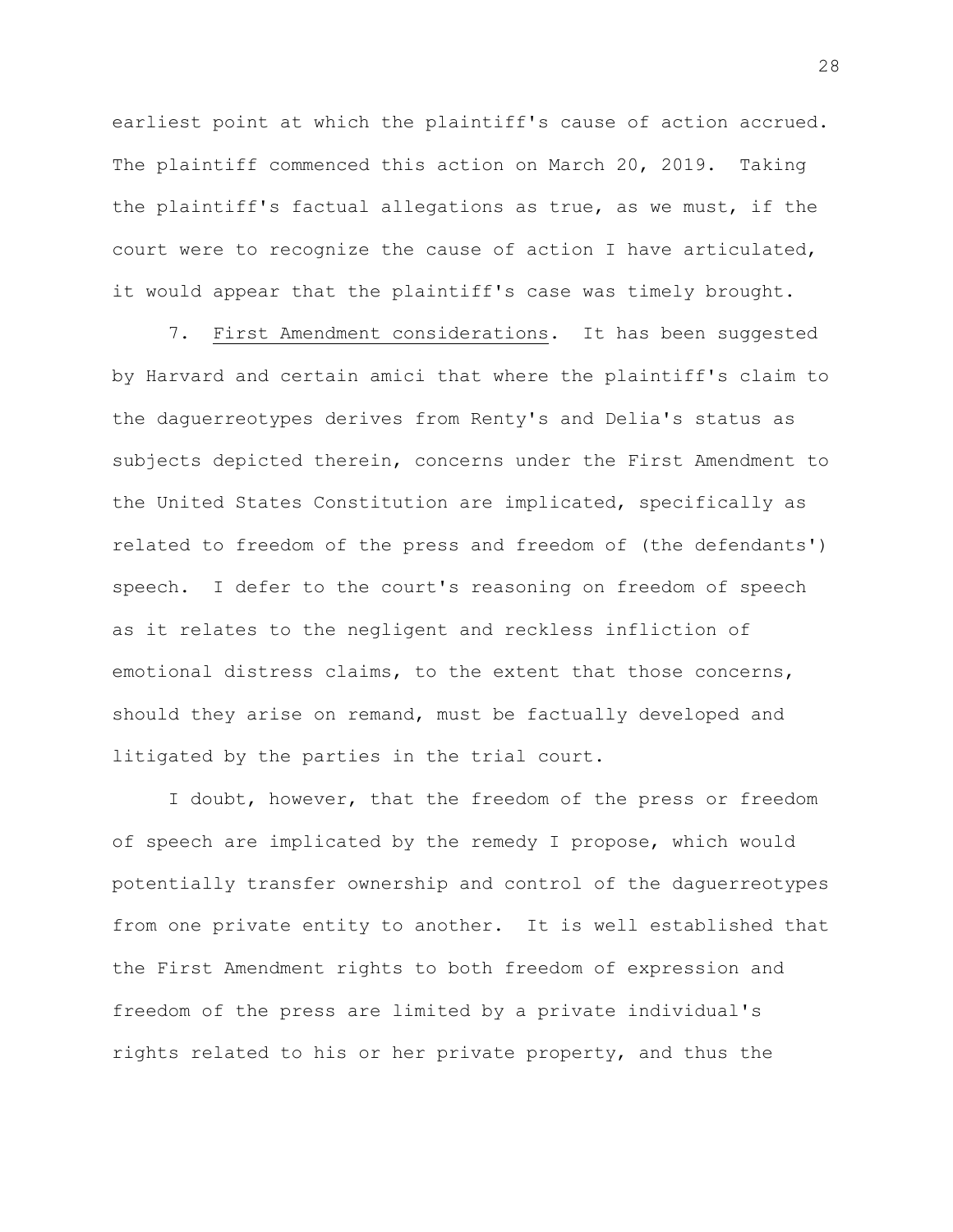earliest point at which the plaintiff's cause of action accrued. The plaintiff commenced this action on March 20, 2019. Taking the plaintiff's factual allegations as true, as we must, if the court were to recognize the cause of action I have articulated, it would appear that the plaintiff's case was timely brought.

7. First Amendment considerations. It has been suggested by Harvard and certain amici that where the plaintiff's claim to the daguerreotypes derives from Renty's and Delia's status as subjects depicted therein, concerns under the First Amendment to the United States Constitution are implicated, specifically as related to freedom of the press and freedom of (the defendants') speech. I defer to the court's reasoning on freedom of speech as it relates to the negligent and reckless infliction of emotional distress claims, to the extent that those concerns, should they arise on remand, must be factually developed and litigated by the parties in the trial court.

I doubt, however, that the freedom of the press or freedom of speech are implicated by the remedy I propose, which would potentially transfer ownership and control of the daguerreotypes from one private entity to another. It is well established that the First Amendment rights to both freedom of expression and freedom of the press are limited by a private individual's rights related to his or her private property, and thus the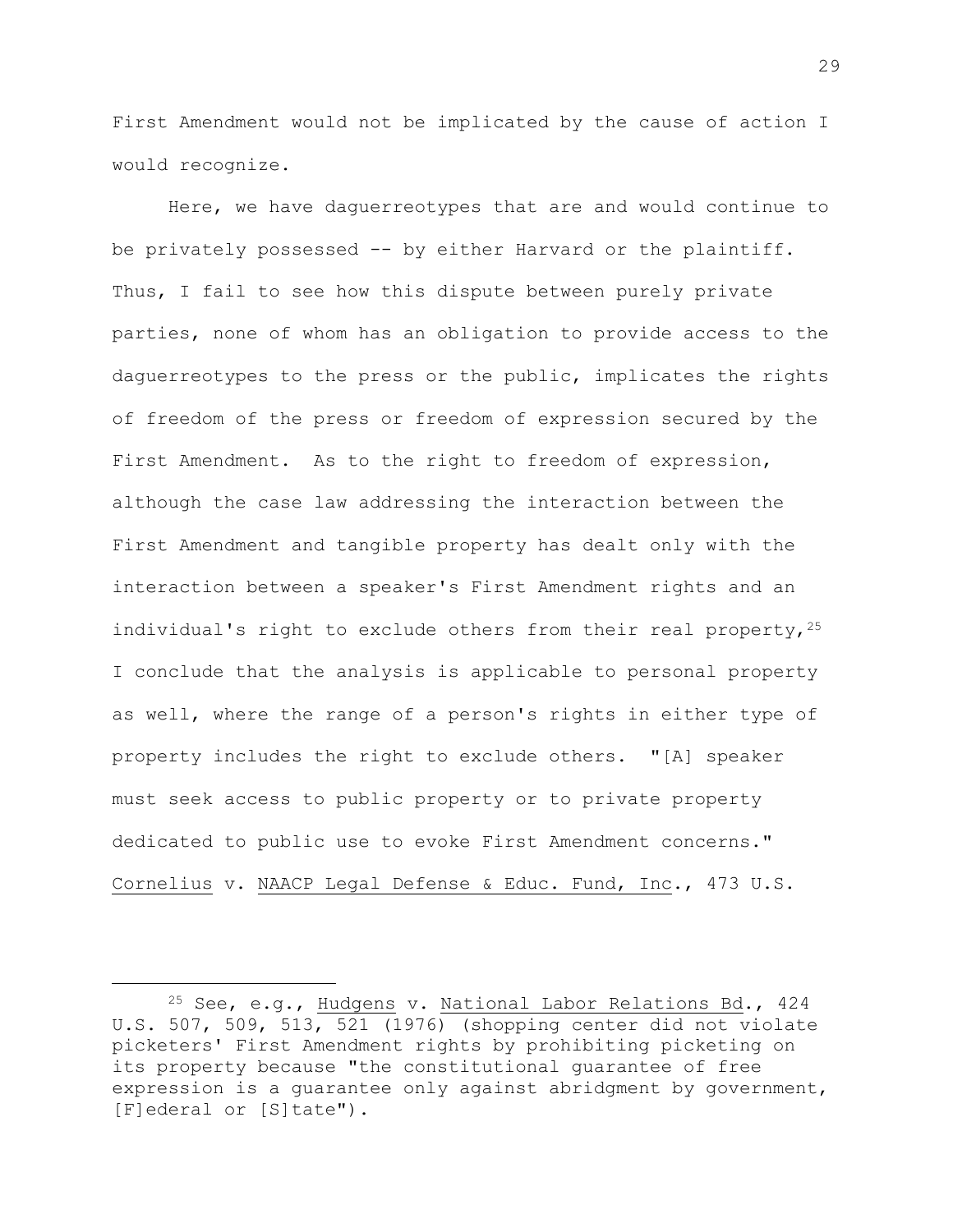First Amendment would not be implicated by the cause of action I would recognize.

Here, we have daguerreotypes that are and would continue to be privately possessed -- by either Harvard or the plaintiff. Thus, I fail to see how this dispute between purely private parties, none of whom has an obligation to provide access to the daguerreotypes to the press or the public, implicates the rights of freedom of the press or freedom of expression secured by the First Amendment. As to the right to freedom of expression, although the case law addressing the interaction between the First Amendment and tangible property has dealt only with the interaction between a speaker's First Amendment rights and an individual's right to exclude others from their real property,  $2^5$ I conclude that the analysis is applicable to personal property as well, where the range of a person's rights in either type of property includes the right to exclude others. "[A] speaker must seek access to public property or to private property dedicated to public use to evoke First Amendment concerns." Cornelius v. NAACP Legal Defense & Educ. Fund, Inc., 473 U.S.

<sup>25</sup> See, e.g., Hudgens v. National Labor Relations Bd., 424 U.S. 507, 509, 513, 521 (1976) (shopping center did not violate picketers' First Amendment rights by prohibiting picketing on its property because "the constitutional guarantee of free expression is a quarantee only against abridgment by government, [F]ederal or [S]tate").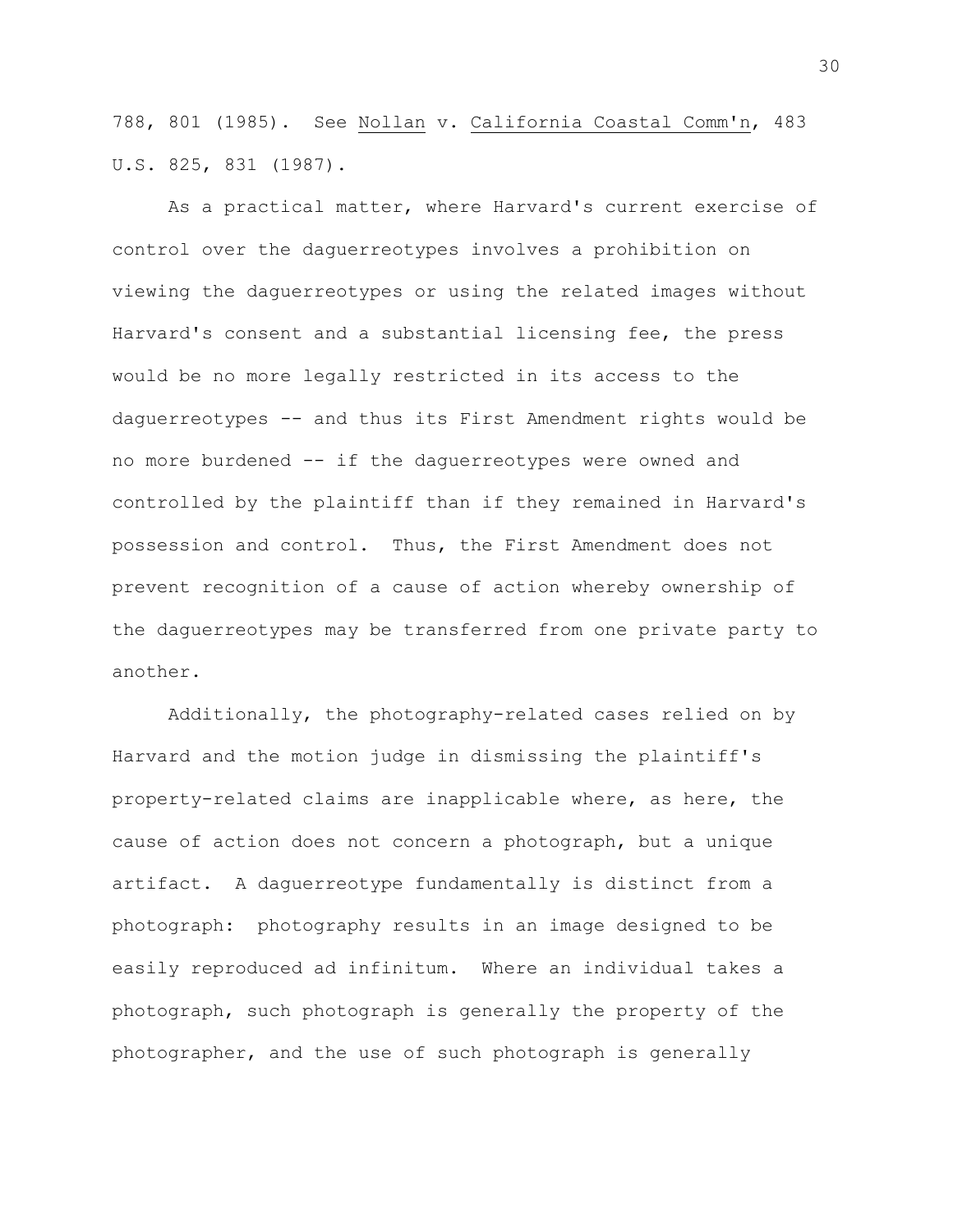788, 801 (1985). See Nollan v. California Coastal Comm'n, 483 U.S. 825, 831 (1987).

As a practical matter, where Harvard's current exercise of control over the daguerreotypes involves a prohibition on viewing the daguerreotypes or using the related images without Harvard's consent and a substantial licensing fee, the press would be no more legally restricted in its access to the daguerreotypes -- and thus its First Amendment rights would be no more burdened -- if the daguerreotypes were owned and controlled by the plaintiff than if they remained in Harvard's possession and control. Thus, the First Amendment does not prevent recognition of a cause of action whereby ownership of the daguerreotypes may be transferred from one private party to another.

Additionally, the photography-related cases relied on by Harvard and the motion judge in dismissing the plaintiff's property-related claims are inapplicable where, as here, the cause of action does not concern a photograph, but a unique artifact. A daguerreotype fundamentally is distinct from a photograph: photography results in an image designed to be easily reproduced ad infinitum. Where an individual takes a photograph, such photograph is generally the property of the photographer, and the use of such photograph is generally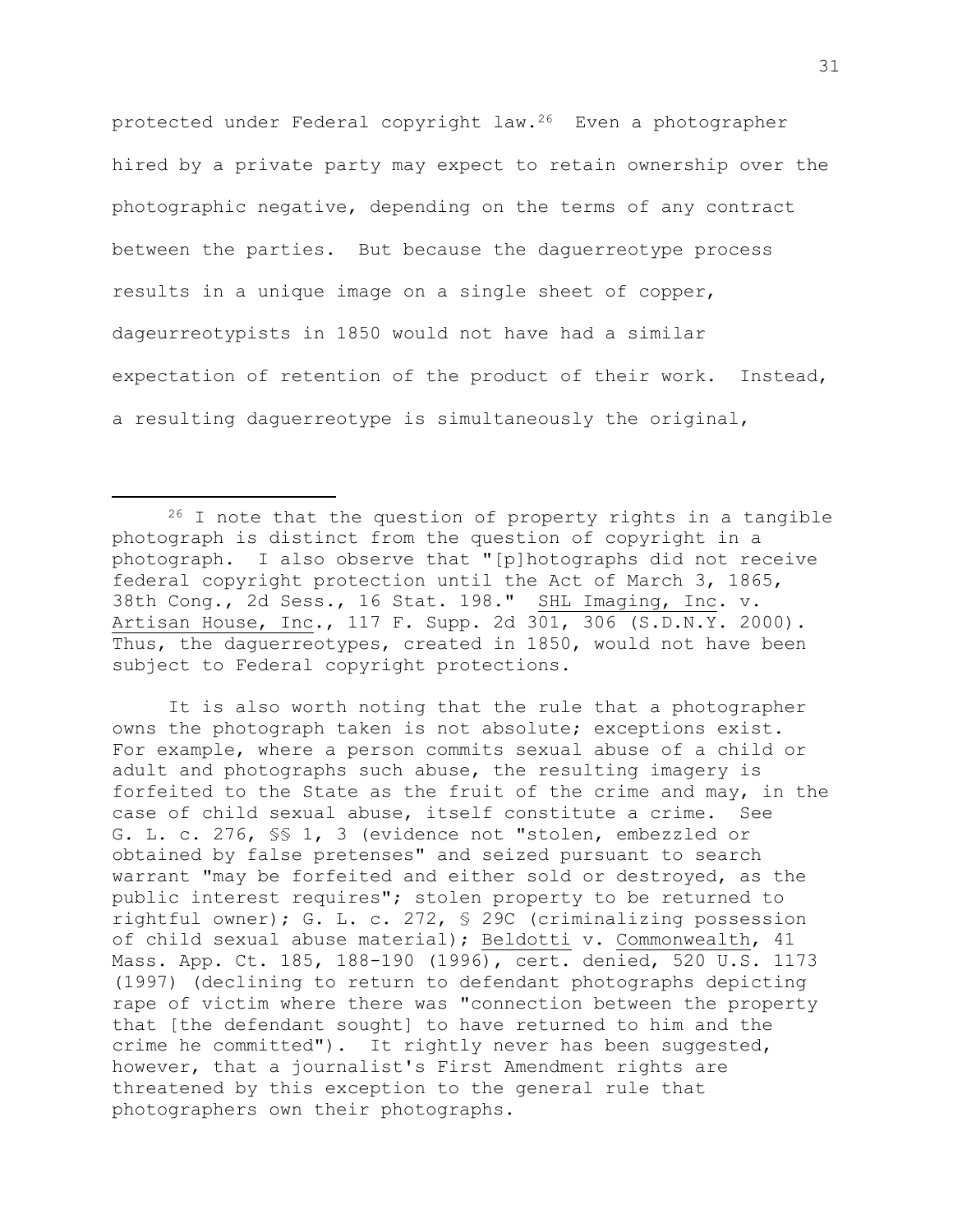protected under Federal copyright law.26 Even a photographer hired by a private party may expect to retain ownership over the photographic negative, depending on the terms of any contract between the parties. But because the daguerreotype process results in a unique image on a single sheet of copper, dageurreotypists in 1850 would not have had a similar expectation of retention of the product of their work. Instead, a resulting daguerreotype is simultaneously the original,

It is also worth noting that the rule that a photographer owns the photograph taken is not absolute; exceptions exist. For example, where a person commits sexual abuse of a child or adult and photographs such abuse, the resulting imagery is forfeited to the State as the fruit of the crime and may, in the case of child sexual abuse, itself constitute a crime. See G. L. c. 276, §§ 1, 3 (evidence not "stolen, embezzled or obtained by false pretenses" and seized pursuant to search warrant "may be forfeited and either sold or destroyed, as the public interest requires"; stolen property to be returned to rightful owner); G. L. c. 272, § 29C (criminalizing possession of child sexual abuse material); Beldotti v. Commonwealth, 41 Mass. App. Ct. 185, 188-190 (1996), cert. denied, 520 U.S. 1173 (1997) (declining to return to defendant photographs depicting rape of victim where there was "connection between the property that [the defendant sought] to have returned to him and the crime he committed"). It rightly never has been suggested, however, that a journalist's First Amendment rights are threatened by this exception to the general rule that photographers own their photographs.

<sup>26</sup> I note that the question of property rights in a tangible photograph is distinct from the question of copyright in a photograph. I also observe that "[p]hotographs did not receive federal copyright protection until the Act of March 3, 1865, 38th Cong., 2d Sess., 16 Stat. 198." SHL Imaging, Inc. v. Artisan House, Inc., 117 F. Supp. 2d 301, 306 (S.D.N.Y. 2000). Thus, the daguerreotypes, created in 1850, would not have been subject to Federal copyright protections.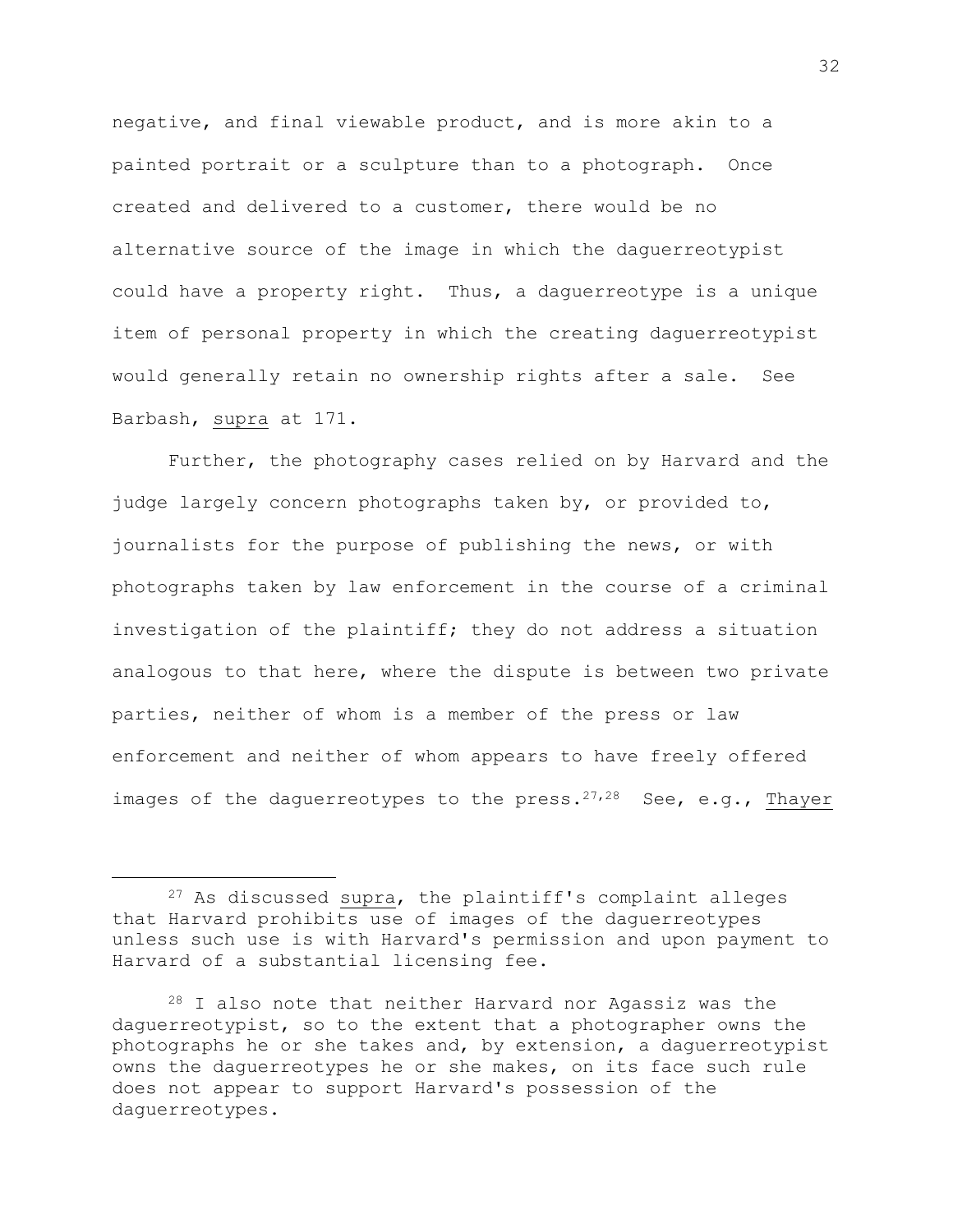negative, and final viewable product, and is more akin to a painted portrait or a sculpture than to a photograph. Once created and delivered to a customer, there would be no alternative source of the image in which the daguerreotypist could have a property right. Thus, a daguerreotype is a unique item of personal property in which the creating daguerreotypist would generally retain no ownership rights after a sale. See Barbash, supra at 171.

Further, the photography cases relied on by Harvard and the judge largely concern photographs taken by, or provided to, journalists for the purpose of publishing the news, or with photographs taken by law enforcement in the course of a criminal investigation of the plaintiff; they do not address a situation analogous to that here, where the dispute is between two private parties, neither of whom is a member of the press or law enforcement and neither of whom appears to have freely offered images of the daguerreotypes to the press.  $27,28$  See, e.g., Thayer

<sup>27</sup> As discussed supra, the plaintiff's complaint alleges that Harvard prohibits use of images of the daguerreotypes unless such use is with Harvard's permission and upon payment to Harvard of a substantial licensing fee.

<sup>28</sup> I also note that neither Harvard nor Agassiz was the daguerreotypist, so to the extent that a photographer owns the photographs he or she takes and, by extension, a daguerreotypist owns the daguerreotypes he or she makes, on its face such rule does not appear to support Harvard's possession of the daguerreotypes.